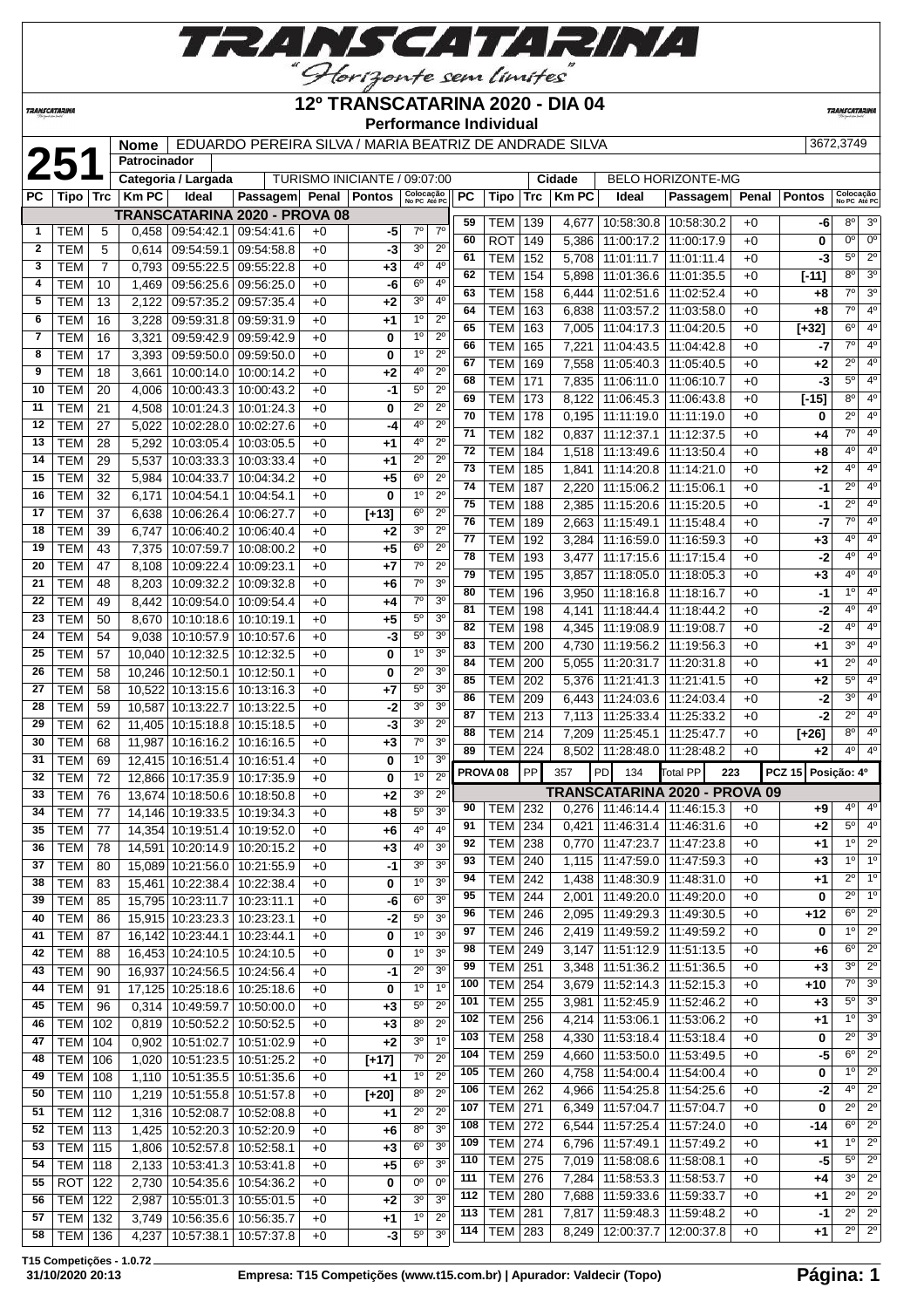

**TRANSCATARINA** 

#### **12º TRANSCATARINA 2020 - DIA 04 Performance Individual**

 $\overline{\phantom{a}}$  **Cidade** BELO HORIZONTE-MG

**TRANSCATARIN** 

## **Nome** EDUARDO PEREIRA SILVA / MARIA BEATRIZ DE ANDRADE SILVA [3672,3749 | 3672,3749 | **Patrocinador** | **Categoria / Largada** | TURISMO INICIANTE / 09:07:00 | **Cidade** | BELO HORIZONTE-MG **Patrocinador**

| PC             |            |                | Tipo   Trc   Km PC | Ideal                             | Passagem Penal Pontos         |      |             | Colocação<br>No PC Até PC         | <b>PC</b> | Tipo                | Trc | <b>Km PC</b> | Ideal                           | Passagem                        |      | Penal Pontos       | Colocação<br>No PC Até PC |                        |
|----------------|------------|----------------|--------------------|-----------------------------------|-------------------------------|------|-------------|-----------------------------------|-----------|---------------------|-----|--------------|---------------------------------|---------------------------------|------|--------------------|---------------------------|------------------------|
|                |            |                |                    |                                   | TRANSCATARINA 2020 - PROVA 08 |      |             |                                   | 59        |                     |     |              |                                 |                                 |      |                    | $8^{\circ}$               | 3 <sup>o</sup>         |
| $\mathbf{1}$   | TEM        | 5              | 0,458              |                                   | 09:54:42.1 09:54:41.6         | $+0$ | -5          | $7^\circ$<br>$7^\circ$            |           | TEM                 | 139 | 4,677        |                                 | 10:58:30.8   10:58:30.2         | $+0$ | -6                 |                           |                        |
| $\mathbf{2}$   | <b>TEM</b> | 5              | 0.614              | 09:54:59.1                        | 09:54:58.8                    | $+0$ | $-3$        | 3 <sup>0</sup><br>$2^{\circ}$     | 60        | <b>ROT</b>          | 149 | 5,386        |                                 | 11:00:17.2   11:00:17.9         | $+0$ | 0                  | $0^{\circ}$               | $0^{\circ}$            |
| 3              | TEM        | $\overline{7}$ | 0,793              | 09:55:22.5                        | 09:55:22.8                    | $+0$ | $+3$        | 40<br>4 <sup>0</sup>              | 61        | <b>TEM</b>          | 152 | 5,708        |                                 | 11:01:11.7   11:01:11.4         | $+0$ | $-3$               | $5^{\circ}$               | $\overline{2^{\circ}}$ |
| 4              | <b>TEM</b> | 10             | 1,469              |                                   | 09:56:25.6 09:56:25.0         | $+0$ | -6          | $6^{\circ}$<br>4°                 | 62        | <b>TEM</b>          | 154 | 5,898        |                                 | 11:01:36.6   11:01:35.5         | $+0$ | $[-11]$            | $8^{\circ}$               | 3 <sup>0</sup>         |
| 5              | <b>TEM</b> | 13             | 2,122              | 09:57:35.2                        | 09:57:35.4                    | $+0$ | +2          | 3 <sup>0</sup><br>4°              | 63        | <b>TEM</b>          | 158 | 6,444        | 11:02:51.6 11:02:52.4           |                                 | $+0$ | +8                 | $7^\circ$                 | 3 <sup>o</sup>         |
| 6              | <b>TEM</b> | 16             | 3,228              |                                   | 09:59:31.8 09:59:31.9         | +0   | +1          | 1 <sup>0</sup><br>$2^{\circ}$     | 64        | <b>TEM</b>          | 163 | 6,838        | 11:03:57.2   11:03:58.0         |                                 | $+0$ | +8                 | $7^\circ$                 | 4 <sup>0</sup>         |
| $\overline{7}$ | <b>TEM</b> | 16             | 3,321              |                                   | 09:59:42.9 09:59:42.9         | $+0$ | 0           | 1 <sup>0</sup><br>$2^{\circ}$     | 65        | <b>TEM</b>          | 163 | 7,005        | 11:04:17.3 11:04:20.5           |                                 | $+0$ | $[+32]$            | $6^{\circ}$               | 4 <sup>0</sup>         |
| 8              | <b>TEM</b> | 17             | 3,393              |                                   | 09:59:50.0 09:59:50.0         | $+0$ | 0           | 1 <sup>0</sup><br>$2^{\circ}$     | 66        | <b>TEM</b>          | 165 | 7,221        | 11:04:43.5   11:04:42.8         |                                 | $+0$ | -7                 | $7^{\circ}$               | 4 <sup>0</sup>         |
| 9              | <b>TEM</b> |                |                    |                                   |                               |      |             | 40<br>$2^{\circ}$                 | 67        | <b>TEM</b>          | 169 | 7,558        |                                 | 11:05:40.3   11:05:40.5         | $+0$ | $+2$               | $2^{\circ}$               | 4 <sup>0</sup>         |
|                |            | 18             | 3,661              |                                   | 10:00:14.0   10:00:14.2       | $+0$ | +2          |                                   | 68        | <b>TEM</b>          | 171 | 7,835        | 11:06:11.0   11:06:10.7         |                                 | $+0$ | $-3$               | $5^{\circ}$               | 4 <sup>0</sup>         |
| 10             | <b>TEM</b> | 20             | 4,006              | 10:00:43.3                        | 10:00:43.2                    | +0   | -1          | $5^{\circ}$<br>$2^{\circ}$        | 69        | <b>TEM</b>          | 173 | 8,122        |                                 | 11:06:45.3   11:06:43.8         | $+0$ | $[ -15]$           | $8^{\circ}$               | 4 <sup>0</sup>         |
| 11             | <b>TEM</b> | 21             | 4,508              | 10:01:24.3                        | 10:01:24.3                    | +0   | 0           | $2^{\circ}$<br>$2^{\circ}$        | 70        | <b>TEM</b>          | 178 | 0,195        | 11:11:19.0   11:11:19.0         |                                 | $+0$ | 0                  | $2^{\circ}$               | 4 <sup>0</sup>         |
| 12             | <b>TEM</b> | 27             | 5,022              | 10:02:28.0                        | 10:02:27.6                    | $+0$ | -4          | 4 <sup>0</sup><br>$2^{\circ}$     | 71        | <b>TEM</b>          | 182 | 0,837        |                                 | 11:12:37.1 11:12:37.5           | $+0$ | +4                 | $7^{\circ}$               | 4 <sup>0</sup>         |
| 13             | <b>TEM</b> | 28             | 5,292              | 10:03:05.4                        | 10:03:05.5                    | +0   | +1          | $4^{\circ}$<br>$2^{\circ}$        | 72        | <b>TEM</b>          | 184 | 1,518        | 11:13:49.6   11:13:50.4         |                                 | $+0$ | +8                 | $4^{\circ}$               | 4 <sup>0</sup>         |
| 14             | <b>TEM</b> | 29             | 5,537              | 10:03:33.3                        | 10:03:33.4                    | +0   | +1          | $2^{\circ}$<br>$2^{\circ}$        | 73        | <b>TEM</b>          | 185 | 1,841        | 11:14:20.8   11:14:21.0         |                                 | $+0$ | +2                 | $4^{\circ}$               | 4 <sup>0</sup>         |
| 15             | <b>TEM</b> | 32             | 5,984              | 10:04:33.7                        | 10:04:34.2                    | +0   | +5          | 6 <sup>o</sup><br>$2^{\circ}$     | 74        | <b>TEM</b>          | 187 | 2,220        | 11:15:06.2   11:15:06.1         |                                 | $+0$ | -1                 | $2^{\circ}$               | 4 <sup>0</sup>         |
| 16             | <b>TEM</b> | 32             | 6,171              | 10:04:54.1                        | 10:04:54.1                    | $+0$ | 0           | 1 <sup>0</sup><br>$2^{\circ}$     | 75        | <b>TEM</b>          |     |              |                                 |                                 | $+0$ |                    | $\overline{2^{\circ}}$    | 4 <sup>0</sup>         |
| 17             | <b>TEM</b> | 37             | 6,638              | 10:06:26.4                        | 10:06:27.7                    | $+0$ | $[+13]$     | 6 <sup>o</sup><br>$2^{\circ}$     | 76        |                     | 188 | 2,385        |                                 | 11:15:20.6   11:15:20.5         |      | -1                 | $7^\circ$                 | 4 <sup>0</sup>         |
| 18             | <b>TEM</b> | 39             | 6,747              |                                   | 10:06:40.2   10:06:40.4       | $+0$ | +2          | 3 <sup>0</sup><br>$2^{\circ}$     |           | <b>TEM</b>          | 189 | 2,663        | 11:15:49.1   11:15:48.4         |                                 | $+0$ | -7                 | $4^{\circ}$               | 4 <sup>0</sup>         |
| 19             | <b>TEM</b> | 43             | 7,375              | 10:07:59.7                        | 10:08:00.2                    | $+0$ | +5          | 6 <sup>o</sup><br>$2^{\circ}$     | 77        | <b>TEM</b>          | 192 | 3,284        | 11:16:59.0   11:16:59.3         |                                 | $+0$ | $+3$               |                           |                        |
| 20             | <b>TEM</b> | 47             | 8,108              | 10:09:22.4                        | 10:09:23.1                    | +0   | +7          | $7^{\circ}$<br>$2^{\circ}$        | 78        | <b>TEM</b>          | 193 | 3,477        | 11:17:15.6   11:17:15.4         |                                 | $+0$ | $-2$               | $4^{\circ}$               | 4 <sup>0</sup>         |
| 21             | <b>TEM</b> | 48             | 8,203              | 10:09:32.2                        | 10:09:32.8                    | $+0$ | +6          | $7^\circ$<br>3 <sup>o</sup>       | 79        | <b>TEM</b>          | 195 | 3,857        |                                 | 11:18:05.0 11:18:05.3           | $+0$ | $+3$               | $4^{\circ}$               | 4 <sup>0</sup>         |
| 22             | <b>TEM</b> | 49             | 8,442              | 10:09:54.0                        | 10:09:54.4                    | $+0$ | +4          | $7^\circ$<br>3 <sup>0</sup>       | 80        | <b>TEM</b>          | 196 | 3,950        | 11:18:16.8   11:18:16.7         |                                 | $+0$ | $-1$               | $1^{\circ}$               | 4 <sup>0</sup>         |
| 23             | <b>TEM</b> | 50             | 8,670              | 10:10:18.6                        | 10:10:19.1                    | $+0$ | +5          | $5^{\circ}$<br>3 <sup>0</sup>     | 81        | <b>TEM</b>          | 198 | 4,141        | 11:18:44.4   11:18:44.2         |                                 | $+0$ | -2                 | $4^{\circ}$               | 4 <sup>0</sup>         |
| 24             | <b>TEM</b> | 54             | 9.038              | 10:10:57.9                        | 10:10:57.6                    | +0   | -3          | $5^{\circ}$<br>3 <sup>o</sup>     | 82        | <b>TEM</b>          | 198 | 4,345        | 11:19:08.9   11:19:08.7         |                                 | $+0$ | -2                 | $4^{\circ}$               | 4 <sup>0</sup>         |
| 25             | <b>TEM</b> | 57             |                    | 10,040 10:12:32.5 10:12:32.5      |                               | $+0$ | 0           | 1 <sup>0</sup><br>3 <sup>o</sup>  | 83        | <b>TEM</b>          | 200 | 4,730        | 11:19:56.2   11:19:56.3         |                                 | $+0$ | +1                 | $3^{\circ}$               | 4 <sup>0</sup>         |
| 26             |            |                |                    |                                   |                               |      |             | $2^{\circ}$<br>3 <sup>o</sup>     | 84        | <b>TEM</b>          | 200 | 5,055        | 11:20:31.7   11:20:31.8         |                                 | $+0$ | +1                 | $2^{\circ}$               | 4 <sup>0</sup>         |
|                | <b>TEM</b> | 58             |                    | 10,246 10:12:50.1 10:12:50.1      |                               | $+0$ | 0           |                                   | 85        | <b>TEM</b>          | 202 | 5,376        | 11:21:41.3   11:21:41.5         |                                 | $+0$ | $+2$               | $5^{\circ}$               | 4 <sup>0</sup>         |
| 27             | <b>TEM</b> | 58             |                    | 10,522 10:13:15.6 10:13:16.3      |                               | $+0$ | +7          | $5^{\circ}$<br>3 <sup>o</sup>     | 86        | <b>TEM</b>          | 209 | 6,443        | 11:24:03.6   11:24:03.4         |                                 | $+0$ | -2                 | $3^{\circ}$               | 4 <sup>0</sup>         |
| 28             | <b>TEM</b> | 59             | 10,587             |                                   | 10:13:22.7   10:13:22.5       | $+0$ | -2          | 3 <sup>0</sup><br>3 <sup>o</sup>  | 87        | <b>TEM</b>          | 213 | 7,113        | 11:25:33.4   11:25:33.2         |                                 | $+0$ | $-2$               | $2^{\circ}$               | 4 <sup>0</sup>         |
| 29             | <b>TEM</b> | 62             |                    | 11,405   10:15:18.8   10:15:18.5  |                               | +0   | $-3$        | 3 <sup>0</sup><br>$2^{\circ}$     | 88        | <b>TEM</b>          | 214 | 7,209        | 11:25:45.1   11:25:47.7         |                                 | $+0$ | $[+26]$            | $8^{\circ}$               | 4 <sup>0</sup>         |
| 30             | <b>TEM</b> | 68             | 11,987             | 10:16:16.2                        | 10:16:16.5                    | $+0$ | $+3$        | $7^{\circ}$<br>3 <sup>o</sup>     | 89        | TEM                 | 224 |              | 8,502   11:28:48.0   11:28:48.2 |                                 | $+0$ | $+2$               | $4^{\circ}$               | 4 <sup>0</sup>         |
| 31             | <b>TEM</b> | 69             |                    | 12,415 10:16:51.4                 | 10:16:51.4                    | +0   | 0           | 1 <sup>0</sup><br>3 <sup>0</sup>  |           |                     | PP  |              |                                 |                                 |      |                    |                           |                        |
| 32             | <b>TEM</b> | 72             |                    | 12,866 10:17:35.9                 | 10:17:35.9                    | $+0$ | 0           | 1 <sup>0</sup><br>$2^{\circ}$     |           | PROVA <sub>08</sub> |     | 357          | PD<br>134                       | <b>Total PP</b><br>223          |      | PCZ 15 Posição: 4º |                           |                        |
| 33             | <b>TEM</b> | 76             |                    | 13,674 10:18:50.6 10:18:50.8      |                               | +0   | +2          | 3 <sup>o</sup><br>$2^{\circ}$     |           |                     |     |              |                                 | TRANSCATARINA 2020 - PROVA 09   |      |                    |                           |                        |
| 34             | <b>TEM</b> | 77             |                    | 14,146 10:19:33.5                 | 10:19:34.3                    | +0   | +8          | 5 <sup>o</sup><br>3 <sup>0</sup>  | 90        | TEM                 | 232 |              | 0.276 11:46:14.4 11:46:15.3     |                                 | $+0$ | +9                 | $4^{\circ}$               | $4^{\circ}$            |
| 35             | <b>TEM</b> | 77             |                    | 14,354 10:19:51.4 10:19:52.0      |                               | $+0$ | $+6$        | $4^{\circ}$<br>4 <sup>0</sup>     | 91        | <b>TEM</b>          | 234 | 0,421        | 11:46:31.4   11:46:31.6         |                                 | $+0$ | $+2$               | $5^{\circ}$               | 4 <sup>0</sup>         |
| 36             | <b>TEM</b> | 78             | 14,591             | 10:20:14.9                        | 10:20:15.2                    | $+0$ | +3          | 4°<br>3 <sup>o</sup>              | 92        | <b>TEM</b>          | 238 | 0,770        | 11:47:23.7   11:47:23.8         |                                 | $+0$ | $+1$               | 10                        | $\overline{2^0}$       |
| 37             | <b>TEM</b> | 80             |                    | 15,089 10:21:56.0 10:21:55.9      |                               | $+0$ | -1          | 3 <sup>0</sup><br>3 <sup>o</sup>  | 93        | <b>TEM</b>          | 240 | 1,115        | 11:47:59.0   11:47:59.3         |                                 | $+0$ | $+3$               | 10                        | 1 <sup>o</sup>         |
| 38             | TEM        | 83             |                    |                                   | 15,461 10:22:38.4 10:22:38.4  | $+0$ | $\mathbf 0$ | 3 <sup>o</sup><br>10 <sup>1</sup> | 94        | <b>TEM</b>          | 242 |              | 1,438   11:48:30.9   11:48:31.0 |                                 | $+0$ | $+1$               |                           | $2^0$ 1 <sup>0</sup>   |
| 39             | <b>TEM</b> | 85             |                    | 15,795 10:23:11.7                 | 10:23:11.1                    | $+0$ | -6          | 3 <sup>0</sup><br>$6^{\circ}$     | 95        | <b>TEM 244</b>      |     |              | 2,001   11:49:20.0   11:49:20.0 |                                 | $+0$ | 0                  | $2^{\circ}$               | 1 <sup>o</sup>         |
| 40             | <b>TEM</b> | 86             |                    | 15,915 10:23:23.3                 | 10:23:23.1                    | $+0$ | $-2$        | $5^{\circ}$<br>3 <sup>o</sup>     | 96        | <b>TEM 246</b>      |     |              | 2,095 11:49:29.3 11:49:30.5     |                                 | $+0$ | +12                | $6^{\circ}$               | $\overline{2^0}$       |
| 41             | <b>TEM</b> | 87             |                    | 16,142 10:23:44.1                 | 10:23:44.1                    | $+0$ | 0           | $1^{\circ}$<br>30                 | 97        | <b>TEM 246</b>      |     |              | 2,419   11:49:59.2   11:49:59.2 |                                 | $+0$ | 0                  | 1 <sup>0</sup>            | $2^{\circ}$            |
| 42             | <b>TEM</b> | 88             |                    | 16,453 10:24:10.5                 | 10:24:10.5                    | $+0$ | 0           | 1 <sup>0</sup><br>3 <sup>o</sup>  | 98        | <b>TEM</b>          | 249 |              | 3,147 11:51:12.9 11:51:13.5     |                                 | $+0$ | +6                 | $6^{\circ}$               | $2^{\circ}$            |
| 43             | <b>TEM</b> | 90             |                    | 16,937 10:24:56.5                 | 10:24:56.4                    | $+0$ | $-1$        | $2^{\circ}$<br>3 <sup>o</sup>     | 99        | <b>TEM</b>          | 251 | 3,348        |                                 | 11:51:36.2   11:51:36.5         | $+0$ | $+3$               | $3^{\circ}$               | $2^{\circ}$            |
| 44             | <b>TEM</b> | 91             |                    | 17,125 10:25:18.6 10:25:18.6      |                               | $+0$ | 0           | 1 <sup>0</sup><br>1 <sup>0</sup>  | 100       | <b>TEM</b>          | 254 |              | 3,679   11:52:14.3   11:52:15.3 |                                 | $+0$ | +10                | $7^\circ$                 | 3 <sup>o</sup>         |
|                |            |                |                    |                                   |                               |      |             | $5^{\circ}$<br>$2^{\circ}$        | 101       | TEM                 | 255 | 3,981        | 11:52:45.9   11:52:46.2         |                                 | $+0$ | $+3$               | $5^{\circ}$               | 3 <sup>o</sup>         |
| 45             | <b>TEM</b> | 96             |                    | $0,314$   10:49:59.7   10:50:00.0 |                               | $+0$ | $+3$        | 8 <sup>o</sup>                    | 102       | <b>TEM</b>          | 256 | 4,214        |                                 | 11:53:06.1   11:53:06.2         | $+0$ | +1                 | $1^{\circ}$               | 3 <sup>o</sup>         |
| 46             | <b>TEM</b> | 102            |                    | $0,819$   10:50:52.2   10:50:52.5 |                               | $+0$ | +3          | $2^{\circ}$                       | 103       | <b>TEM</b>          | 258 | 4,330        |                                 | 11:53:18.4   11:53:18.4         | $+0$ | 0                  | $2^{\circ}$               | 3 <sup>o</sup>         |
| 47             | <b>TEM</b> | 104            | 0,902              |                                   | 10:51:02.7   10:51:02.9       | $+0$ | $+2$        | 3 <sup>0</sup><br>1 <sup>0</sup>  | 104       | <b>TEM</b>          | 259 |              |                                 | 11:53:50.0   11:53:49.5         | $+0$ | $-5$               | $6^{\circ}$               | $2^{\circ}$            |
| 48             | <b>TEM</b> | 106            | 1,020              |                                   | 10:51:23.5   10:51:25.2       | $+0$ | $[+17]$     | $7^{\circ}$<br>$2^{\circ}$        | 105       |                     |     | 4,660        |                                 |                                 |      |                    | 1 <sup>°</sup>            | $\overline{2^0}$       |
| 49             | TEM        | 108            | 1,110              |                                   | 10:51:35.5   10:51:35.6       | $+0$ | $+1$        | 1 <sup>0</sup><br>$2^{\circ}$     |           | <b>TEM</b>          | 260 | 4,758        |                                 | 11:54:00.4   11:54:00.4         | $+0$ | 0                  | $4^{\circ}$               | $2^{\circ}$            |
| 50             | <b>TEM</b> | 110            | 1,219              |                                   | 10:51:55.8   10:51:57.8       | $+0$ | $[+20]$     | $8^{\circ}$<br>$2^{\circ}$        | 106       | <b>TEM</b>          | 262 |              | 4,966   11:54:25.8   11:54:25.6 |                                 | $+0$ | $-2$               |                           |                        |
| 51             | <b>TEM</b> | 112            | 1,316              | 10:52:08.7                        | 10:52:08.8                    | $+0$ | +1          | $2^{\circ}$<br>$2^{\circ}$        | 107       | <b>TEM</b>          | 271 | 6,349        | 11:57:04.7   11:57:04.7         |                                 | $+0$ | 0                  | $2^{\circ}$               | $2^{\circ}$            |
| 52             | <b>TEM</b> | 113            | 1,425              | 10:52:20.3                        | 10:52:20.9                    | $+0$ | +6          | $8^{\circ}$<br>3 <sup>o</sup>     | 108       | <b>TEM</b>          | 272 | 6,544        |                                 | 11:57:25.4   11:57:24.0         | $+0$ | -14                | $6^{\circ}$               | $2^{\circ}$            |
| 53             | TEM        | 115            | 1,806              |                                   | 10:52:57.8   10:52:58.1       | $+0$ | $+3$        | 6 <sup>o</sup><br>3 <sup>o</sup>  | 109       | <b>TEM</b>          | 274 | 6,796        |                                 | 11:57:49.1   11:57:49.2         | $+0$ | +1                 | 1 <sup>°</sup>            | $2^{\circ}$            |
| 54             | TEM        | 118            | 2,133              |                                   | 10:53:41.3 10:53:41.8         | $+0$ | $+5$        | $6^{\circ}$<br>3 <sup>o</sup>     | 110       | <b>TEM</b>          | 275 |              | 7,019   11:58:08.6   11:58:08.1 |                                 | $+0$ | $-5$               | $5^{\circ}$               | $2^{\circ}$            |
| 55             | <b>ROT</b> | 122            | 2,730              |                                   | 10:54:35.6   10:54:36.2       | $+0$ | 0           | $0^{\circ}$<br>$0^{\circ}$        | 111       | TEM                 | 276 | 7,284        | 11:58:53.3   11:58:53.7         |                                 | $+0$ | +4                 | $3^{\circ}$               | $2^{\circ}$            |
| 56             | <b>TEM</b> | 122            | 2,987              |                                   | 10:55:01.3 10:55:01.5         | $+0$ | $+2$        | 3 <sup>0</sup><br>3 <sup>o</sup>  | 112       | <b>TEM</b>          | 280 | 7,688        | 11:59:33.6   11:59:33.7         |                                 | $+0$ | +1                 | $2^{\circ}$               | $2^{\circ}$            |
| 57             | TEM        | 132            | 3,749              |                                   | 10:56:35.6   10:56:35.7       | $+0$ | $+1$        | $1^{\circ}$<br>$2^{\circ}$        | 113       | <b>TEM</b>          | 281 | 7,817        | 11:59:48.3   11:59:48.2         |                                 | $+0$ | -1                 | $\overline{2^{\circ}}$    | $\overline{2^0}$       |
| 58             | <b>TEM</b> | 136            | 4,237              | 10:57:38.1                        | 10:57:37.8                    | $+0$ | $-3$        | $5^{\circ}$<br>3 <sup>o</sup>     | 114       | <b>TEM 283</b>      |     |              |                                 | 8,249   12:00:37.7   12:00:37.8 | $+0$ | +1                 |                           | $2^{\circ}$ 2°         |
|                |            |                |                    |                                   |                               |      |             |                                   |           |                     |     |              |                                 |                                 |      |                    |                           |                        |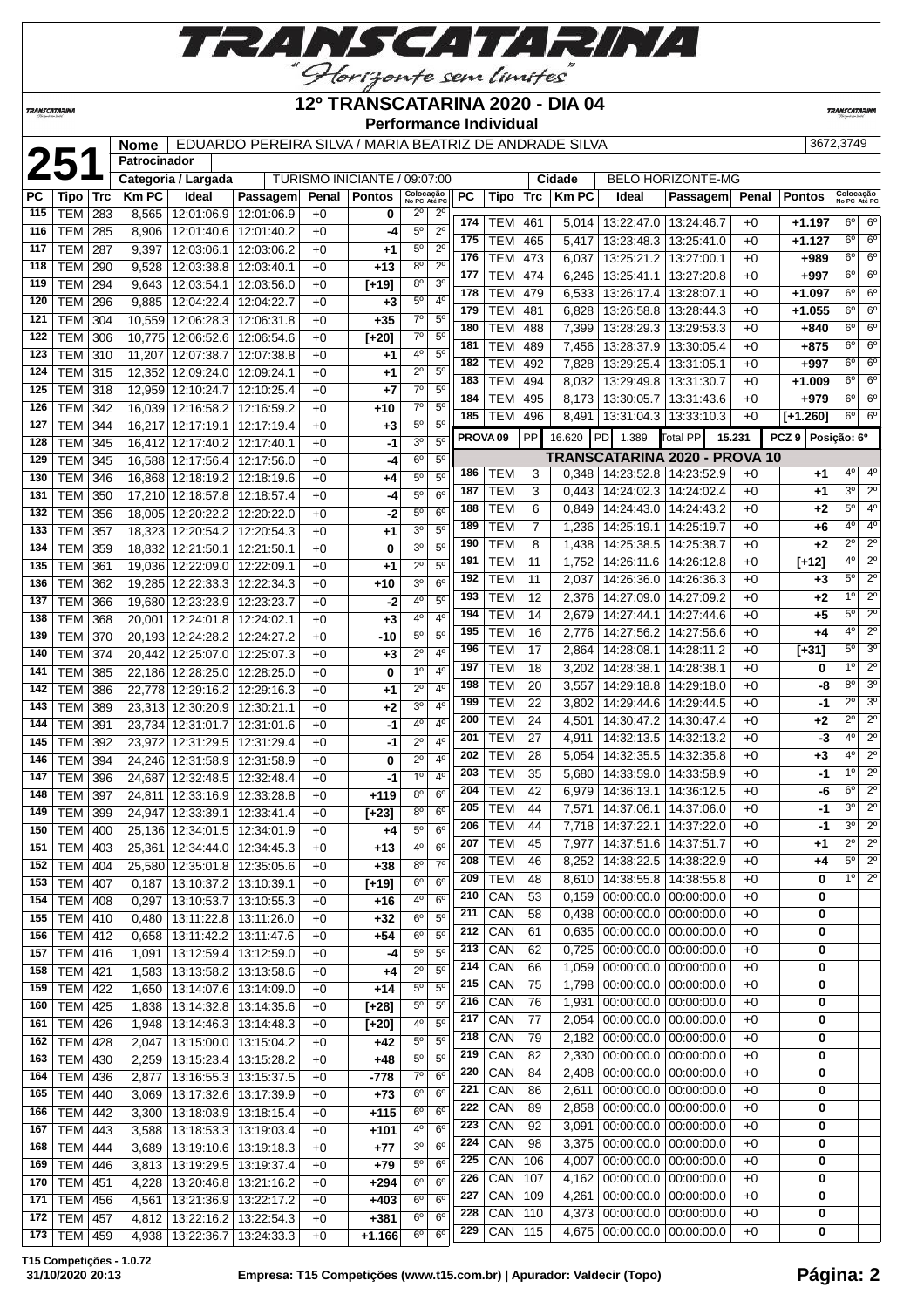

#### **TRANSCATARINA**

#### **12º TRANSCATARINA 2020 - DIA 04 Performance Individual**

**TRANSCATAR** 

|     |                 |     | <b>Nome</b>  |                              | EDUARDO PEREIRA SILVA / MARIA BEATRIZ DE ANDRADE SILVA |       |                              |                           |                  |                     |            |                |             |                             |                               |        |                    | 3672,3749                 |                        |
|-----|-----------------|-----|--------------|------------------------------|--------------------------------------------------------|-------|------------------------------|---------------------------|------------------|---------------------|------------|----------------|-------------|-----------------------------|-------------------------------|--------|--------------------|---------------------------|------------------------|
|     | 251             |     | Patrocinador |                              |                                                        |       |                              |                           |                  |                     |            |                |             |                             |                               |        |                    |                           |                        |
|     |                 |     |              | Categoria / Largada          |                                                        |       | TURISMO INICIANTE / 09:07:00 |                           |                  |                     |            |                | Cidade      |                             | <b>BELO HORIZONTE-MG</b>      |        |                    |                           |                        |
| PС  | Tipo            | Trc | <b>Km PC</b> | Ideal                        | Passagem                                               | Penal | <b>Pontos</b>                | Colocação<br>No PC Até PC |                  | PC                  | Tipo       | <b>Trc</b>     | <b>KmPC</b> | Ideal                       | Passagem                      | Penal  | <b>Pontos</b>      | Colocação<br>No PC Até PO |                        |
| 115 | <b>TEM</b>      | 283 | 8,565        | 12:01:06.9                   | 12:01:06.9                                             | $+0$  | 0                            | $2^{\circ}$               | $2^{\circ}$      |                     |            |                |             |                             |                               |        |                    |                           |                        |
| 116 | <b>TEM</b>      | 285 | 8,906        | 12:01:40.6   12:01:40.2      |                                                        | $+0$  | -4                           | 5 <sup>0</sup>            | $2^{\circ}$      | 174                 | TEM        | 461            | 5,014       | 13:22:47.0   13:24:46.7     |                               | $+0$   | $+1.197$           | $6^{\circ}$               | 6 <sup>o</sup>         |
| 117 | <b>TEM</b>      | 287 | 9,397        | 12:03:06.1                   | 12:03:06.2                                             | $+0$  | $+1$                         | $5^{\circ}$               | $2^{\circ}$      | 175                 | <b>TEM</b> | 465            | 5,417       | 13:23:48.3                  | 13:25:41.0                    | $+0$   | $+1.127$           | $6^{\circ}$               | 6 <sup>o</sup>         |
|     |                 |     |              |                              |                                                        |       |                              |                           | $2^{\circ}$      | 176                 | <b>TEM</b> | 473            | 6,037       | 13:25:21.2                  | 13:27:00.1                    | $+0$   | +989               | $6^{\circ}$               | 6 <sup>o</sup>         |
| 118 | <b>TEM</b>      | 290 | 9,528        | 12:03:38.8                   | 12:03:40.1                                             | $+0$  | $+13$                        | $8^{\circ}$               |                  | 177                 | <b>TEM</b> | 474            | 6,246       | 13:25:41.1                  | 13:27:20.8                    | $+0$   | $+997$             | 6 <sup>o</sup>            | 6 <sup>o</sup>         |
| 119 | <b>TEM</b>      | 294 | 9,643        | 12:03:54.1                   | 12:03:56.0                                             | $+0$  | $[t+19]$                     | 8 <sup>o</sup>            | 3 <sup>o</sup>   | 178                 | <b>TEM</b> | 479            | 6,533       | 13:26:17.4                  | 13:28:07.1                    | $+0$   | $+1.097$           | $6^{\circ}$               | 6 <sup>o</sup>         |
| 120 | TEM             | 296 | 9,885        | 12:04:22.4                   | 12:04:22.7                                             | $+0$  | $+3$                         | 5 <sup>o</sup>            | 4 <sup>0</sup>   | 179                 | <b>TEM</b> | 481            | 6,828       | 13:26:58.8                  | 13:28:44.3                    | $+0$   | $+1.055$           | 6 <sup>o</sup>            | 6 <sup>o</sup>         |
| 121 | <b>TEM</b>      | 304 | 10,559       | 12:06:28.3                   | 12:06:31.8                                             | $+0$  | $+35$                        | $7^\circ$                 | $5^{\circ}$      | 180                 | <b>TEM</b> | 488            | 7,399       | 13:28:29.3                  | 13:29:53.3                    | $+0$   | $+840$             | 6 <sup>o</sup>            | 6 <sup>o</sup>         |
| 122 | <b>TEM</b>      | 306 | 10,775       | 12:06:52.6                   | 12:06:54.6                                             | $+0$  | $[+20]$                      | $7^\circ$                 | 5 <sup>o</sup>   | 181                 | <b>TEM</b> | 489            | 7,456       | 13:28:37.9                  | 13:30:05.4                    | $+0$   | $+875$             | 6 <sup>o</sup>            | 6 <sup>o</sup>         |
| 123 | <b>TEM</b>      | 310 | 11,207       | 12:07:38.7                   | 12:07:38.8                                             | $+0$  | $+1$                         | $4^{\circ}$               | 5 <sup>0</sup>   | 182                 | <b>TEM</b> | 492            | 7,828       | 13:29:25.4                  | 13:31:05.1                    | $+0$   | $+997$             | $6^{\circ}$               | 6 <sup>o</sup>         |
| 124 | <b>TEM</b>      | 315 | 12,352       | 12:09:24.0                   | 12:09:24.1                                             | $+0$  | $+1$                         | 2 <sup>0</sup>            | 5 <sup>0</sup>   | 183                 | <b>TEM</b> |                |             |                             |                               | $+0$   |                    | 6 <sup>o</sup>            | 6 <sup>o</sup>         |
| 125 | TEM             | 318 |              | 12,959 12:10:24.7 12:10:25.4 |                                                        | $+0$  | $+7$                         | $7^\circ$                 | $\overline{5^0}$ | 184                 |            | 494            | 8,032       | 13:29:49.8                  | 13:31:30.7                    |        | $+1.009$           | $6^{\circ}$               | 6 <sup>o</sup>         |
| 126 | <b>TEM</b>      | 342 |              | 16,039 12:16:58.2 12:16:59.2 |                                                        | $+0$  | $+10$                        | $7^\circ$                 | $5^{\circ}$      |                     | <b>TEM</b> | 495            | 8,173       | 13:30:05.7                  | 13:31:43.6                    | $+0$   | $+979$             |                           |                        |
| 127 | <b>TEM</b>      | 344 |              | 16,217 12:17:19.1 12:17:19.4 |                                                        | $+0$  | $+3$                         | $5^{\circ}$               | 5 <sup>0</sup>   | 185                 | <b>TEM</b> | 496            | 8,491       | 13:31:04.3   13:33:10.3     |                               | $+0$   | $[+1.260]$         | $6^{\circ}$               | 6 <sup>o</sup>         |
| 128 | <b>TEM</b>      | 345 |              | 16,412 12:17:40.2            | 12:17:40.1                                             | $+0$  | $-1$                         | 3 <sup>0</sup>            | 5 <sup>0</sup>   | PROVA <sub>09</sub> |            | <b>PP</b>      | 16.620      | PD 1.389                    | Total PP                      | 15.231 | PCZ 9 Posicão: 6º  |                           |                        |
| 129 | <b>TEM</b>      | 345 | 16,588       | 12:17:56.4                   | 12:17:56.0                                             | $+0$  | -4                           | 6 <sup>o</sup>            | 5 <sup>o</sup>   |                     |            |                |             |                             | TRANSCATARINA 2020 - PROVA 10 |        |                    |                           |                        |
| 130 | TEM             | 346 | 16,868       | 12:18:19.2                   | 12:18:19.6                                             | $+0$  | +4                           | $5^{\circ}$               | $5^{\circ}$      | 186                 | TEM        | 3              | 0,348       | 14:23:52.8   14:23:52.9     |                               | $+0$   | +1                 | $4^{\circ}$               | 4 <sup>0</sup>         |
| 131 | <b>TEM</b>      | 350 | 17,210       | 12:18:57.8                   | 12:18:57.4                                             | $+0$  | -4                           | 5 <sup>0</sup>            | 6 <sup>o</sup>   | 187                 | TEM        | 3              | 0,443       | 14:24:02.3                  | 14:24:02.4                    | $+0$   | +1                 | 3 <sup>o</sup>            | 2 <sup>o</sup>         |
| 132 | <b>TEM</b>      | 356 |              | 18,005 12:20:22.2            | 12:20:22.0                                             | $+0$  | -2                           | 5 <sup>o</sup>            | 6 <sup>o</sup>   | 188                 | <b>TEM</b> | 6              | 0,849       | 14:24:43.0                  | 14:24:43.2                    | $+0$   | $+2$               | $5^{\circ}$               | 4 <sup>0</sup>         |
|     |                 |     |              |                              |                                                        |       |                              | 3 <sup>0</sup>            | 5 <sup>0</sup>   | 189                 | <b>TEM</b> | $\overline{7}$ | 1,236       | 14:25:19.1                  | 14:25:19.7                    | $+0$   | +6                 | 4 <sup>0</sup>            | 4 <sup>o</sup>         |
| 133 | <b>TEM</b>      | 357 | 18,323       | 12:20:54.2                   | 12:20:54.3                                             | $+0$  | +1                           |                           |                  | 190                 | <b>TEM</b> | 8              | 1,438       | 14:25:38.5                  | 14:25:38.7                    | $+0$   | $+2$               | $2^{\circ}$               | 2 <sup>o</sup>         |
| 134 | <b>TEM</b>      | 359 | 18,832       | 12:21:50.1                   | 12:21:50.1                                             | $+0$  | 0                            | 3 <sup>0</sup>            | 5 <sup>0</sup>   | 191                 | <b>TEM</b> | 11             | 1,752       | 14:26:11.6                  | 14:26:12.8                    | $+0$   | $\overline{[+12]}$ | 4 <sup>0</sup>            | 2 <sup>o</sup>         |
| 135 | <b>TEM</b>      | 361 |              | 19,036 12:22:09.0 12:22:09.1 |                                                        | $+0$  | +1                           | $2^{\circ}$               | $5^{\circ}$      | 192                 | <b>TEM</b> | 11             |             | 14:26:36.0                  | 14:26:36.3                    | $+0$   | $+3$               | $5^{\circ}$               | $\overline{2^{\circ}}$ |
| 136 | <b>TEM</b>      | 362 |              | 19,285 12:22:33.3            | 12:22:34.3                                             | $+0$  | $+10$                        | 3 <sup>o</sup>            | 6 <sup>o</sup>   | 193                 | <b>TEM</b> | 12             | 2,037       |                             |                               |        |                    | 1 <sup>0</sup>            | 2 <sup>o</sup>         |
| 137 | <b>TEM</b>      | 366 |              | 19,680 12:23:23.9            | 12:23:23.7                                             | $+0$  | $-2$                         | $4^{\circ}$               | $5^{\circ}$      |                     |            |                | 2,376       | 14:27:09.0                  | 14:27:09.2                    | $+0$   | $+2$               | $5^{\circ}$               | $\overline{2^{\circ}}$ |
| 138 | <b>TEM</b>      | 368 | 20,001       | 12:24:01.8                   | 12:24:02.1                                             | $+0$  | $+3$                         | 4 <sup>0</sup>            | 4 <sup>0</sup>   | 194                 | <b>TEM</b> | 14             | 2,679       | 14:27:44.1                  | 14:27:44.6                    | $+0$   | $+5$               |                           |                        |
| 139 | TEM             | 370 |              | 20,193 12:24:28.2            | 12:24:27.2                                             | $+0$  | $-10$                        | 5 <sup>o</sup>            | $5^{\circ}$      | 195                 | TEM        | 16             | 2,776       | 14:27:56.2                  | 14:27:56.6                    | $+0$   | $+4$               | 4 <sup>0</sup>            | 2 <sup>o</sup>         |
| 140 | <b>TEM</b>      | 374 |              | 20,442 12:25:07.0            | 12:25:07.3                                             | $+0$  | $+3$                         | $2^{\circ}$               | 4 <sup>0</sup>   | 196                 | <b>TEM</b> | 17             | 2,864       | 14:28:08.1   14:28:11.2     |                               | $+0$   | $[+31]$            | $5^{\circ}$               | 3 <sup>o</sup>         |
| 141 | <b>TEM</b>      | 385 |              | 22,186 12:28:25.0            | 12:28:25.0                                             | $+0$  | 0                            | 1 <sup>0</sup>            | 4 <sup>0</sup>   | 197                 | <b>TEM</b> | 18             | 3,202       | 14:28:38.1                  | 14:28:38.1                    | $+0$   | 0                  | 1 <sup>0</sup>            | 2 <sup>o</sup>         |
| 142 | <b>TEM</b>      | 386 |              | 22,778 12:29:16.2            | 12:29:16.3                                             | $+0$  | +1                           | $2^{\circ}$               | 4 <sup>0</sup>   | 198                 | <b>TEM</b> | 20             | 3,557       | 14:29:18.8                  | 14:29:18.0                    | $+0$   | -8                 | 8 <sup>o</sup>            | 3 <sup>o</sup>         |
| 143 | <b>TEM</b>      | 389 |              | 23,313 12:30:20.9            | 12:30:21.1                                             | $+0$  | +2                           | 3 <sup>0</sup>            | 4 <sup>0</sup>   | 199                 | <b>TEM</b> | 22             | 3,802       | 14:29:44.6                  | 14:29:44.5                    | $+0$   | $-1$               | $2^{\circ}$               | 3 <sup>o</sup>         |
| 144 | <b>TEM</b>      | 391 |              | 23,734 12:31:01.7 12:31:01.6 |                                                        | $+0$  | $-1$                         | $4^{\circ}$               | 4 <sup>0</sup>   | 200                 | <b>TEM</b> | 24             | 4,501       | 14:30:47.2                  | 14:30:47.4                    | $+0$   | +2                 | $2^{\circ}$               | $\overline{2^{\circ}}$ |
| 145 | <b>TEM</b>      | 392 | 23.972       | 12:31:29.5                   | 12:31:29.4                                             | $+0$  | $-1$                         | $2^{\circ}$               | 4 <sup>0</sup>   | 201                 | <b>TEM</b> | 27             | 4,911       | 14:32:13.5                  | 14:32:13.2                    | $+0$   | -3                 | 4 <sup>0</sup>            | 2 <sup>o</sup>         |
| 146 | <b>TEM</b>      | 394 |              | 24,246 12:31:58.9            | 12:31:58.9                                             | $+0$  | 0                            | $2^{\circ}$               | $4^{\circ}$      | 202                 | <b>TEM</b> | 28             | 5,054       | 14:32:35.5                  | 14:32:35.8                    | $+0$   | +3                 | $4^{\circ}$               | 2 <sup>o</sup>         |
| 147 | <b>TEM</b>      | 396 | 24,687       | 12:32:48.5                   | 12:32:48.4                                             | $+0$  | $-1$                         | 1 <sup>0</sup>            | 4 <sup>0</sup>   | 203                 | <b>TEM</b> | 35             | 5,680       | 14:33:59.0                  | 14:33:58.9                    | $+0$   | $-1$               | 1 <sup>0</sup>            | $\overline{2^0}$       |
| 148 | TEM             | 397 |              | 12:33:16.9                   | 12:33:28.8                                             | $+0$  | $+119$                       | 8 <sup>o</sup>            | 6 <sup>o</sup>   | 204                 | TEM        | 42             | 6,979       | 14:36:13.1                  | 14:36:12.5                    | $+0$   | -6                 | 6 <sup>o</sup>            | $\overline{2^{\circ}}$ |
|     |                 |     | 24,811       |                              |                                                        |       |                              | 8 <sup>o</sup>            | 6 <sup>o</sup>   | 205                 | <b>TEM</b> | 44             | 7,571       |                             | 14:37:06.1   14:37:06.0       | $+0$   | -1                 | 3 <sup>o</sup>            | 2 <sup>o</sup>         |
| 149 | <b>TEM</b>      | 399 | 24,947       | 12:33:39.1                   | 12:33:41.4                                             | $+0$  | $[+23]$                      |                           |                  | 206                 | <b>TEM</b> | 44             | 7,718       | 14:37:22.1   14:37:22.0     |                               | $+0$   | $-1$               | 3 <sup>0</sup>            | 2 <sup>o</sup>         |
| 150 | <b>TEM</b>      | 400 |              | 25,136 12:34:01.5 12:34:01.9 |                                                        | $+0$  | $+4$                         | $5^{\circ}$               | 6 <sup>o</sup>   | 207                 | TEM        | 45             | 7,977       | 14:37:51.6   14:37:51.7     |                               | $+0$   | +1                 | $2^{\circ}$               | $2^{\circ}$            |
| 151 | TEM   403       |     |              | 25,361 12:34:44.0 12:34:45.3 |                                                        | +0    | +13                          | $4^{\circ}$               | 6 <sup>o</sup>   | 208                 | <b>TEM</b> | 46             |             | 14:38:22.5                  |                               |        | $+4$               | $5^\circ$                 | $\overline{2^{\circ}}$ |
|     | 152   TEM   404 |     |              | 25,580 12:35:01.8 12:35:05.6 |                                                        | $+0$  | $+38$                        | 8 <sup>o</sup>            | 7 <sup>0</sup>   |                     |            |                | 8,252       |                             | 14:38:22.9                    | $+0$   |                    | $1^{\circ}$               | 2 <sup>o</sup>         |
| 153 | $ \text{TEM} $  | 407 | 0,187        | 13:10:37.2 13:10:39.1        |                                                        | $+0$  | $[+19]$                      | $6^{\circ}$               | 6 <sup>o</sup>   | 209                 | <b>TEM</b> | 48             | 8,610       |                             | 14:38:55.8   14:38:55.8       | $+0$   | 0                  |                           |                        |
| 154 | TEM             | 408 | 0,297        |                              | 13:10:53.7 13:10:55.3                                  | $+0$  | +16                          | $4^{\circ}$               | 6 <sup>o</sup>   | 210                 | CAN        | 53             | 0,159       |                             | $00:00:00.0$   00:00:00.0     | $+0$   | 0                  |                           |                        |
| 155 | TEM             | 410 | 0,480        |                              | 13:11:22.8   13:11:26.0                                | $+0$  | $+32$                        | 6 <sup>o</sup>            | $5^{\circ}$      | 211                 | CAN        | 58             | 0,438       |                             | $00:00:00.0$   $00:00:00.0$   | $+0$   | 0                  |                           |                        |
| 156 | <b>TEM</b>      | 412 | 0,658        | 13:11:42.2                   | 13:11:47.6                                             | $+0$  | $+54$                        | 6 <sup>o</sup>            | 5 <sup>o</sup>   | 212                 | CAN        | 61             | 0,635       |                             | $00:00:00.0$   $00:00:00.0$   | $+0$   | 0                  |                           |                        |
| 157 | <b>TEM</b>      | 416 | 1,091        |                              | 13:12:59.4 13:12:59.0                                  | $+0$  | -4                           | $5^{\circ}$               | $5^{\circ}$      | 213                 | CAN        | 62             | 0,725       |                             | $00:00:00.0$ 00:00:00.0       | $+0$   | 0                  |                           |                        |
| 158 | <b>TEM</b>      | 421 | 1,583        |                              | 13:13:58.2 13:13:58.6                                  | $+0$  | +4                           | $2^{\circ}$               | $5^{\circ}$      | 214                 | CAN        | 66             | 1,059       |                             | $00:00:00.0$   $00:00:00.0$   | $+0$   | 0                  |                           |                        |
| 159 | <b>TEM</b>      | 422 | 1,650        |                              | 13:14:07.6   13:14:09.0                                | $+0$  | $+14$                        | 5 <sup>0</sup>            | 5 <sup>o</sup>   | 215                 | CAN        | 75             | 1,798       | $00:00:00.0$   $00:00:00.0$ |                               | $+0$   | 0                  |                           |                        |
| 160 | <b>TEM</b>      | 425 | 1,838        |                              | 13:14:32.8 13:14:35.6                                  | $+0$  | $[+28]$                      | 5 <sup>0</sup>            | 5 <sup>o</sup>   | 216                 | CAN        | 76             | 1,931       | 00:00:00.0                  | 00:00:00.0                    | $+0$   | 0                  |                           |                        |
| 161 | TEM             | 426 | 1,948        |                              | 13:14:46.3 13:14:48.3                                  | $+0$  | $[+20]$                      | 4 <sup>0</sup>            | 5 <sup>o</sup>   | 217                 | CAN        | 77             | 2,054       |                             | 00:00:00.0 00:00:00.0         | $+0$   | 0                  |                           |                        |
| 162 | TEM             | 428 | 2,047        |                              | 13:15:00.0 13:15:04.2                                  | $+0$  | $+42$                        | $5^{\rm o}$               | $5^{\circ}$      | 218                 | CAN        | 79             | 2,182       | $00:00:00.0$   $00:00:00.0$ |                               | $+0$   | 0                  |                           |                        |
| 163 | TEM             | 430 | 2,259        |                              | 13:15:23.4 13:15:28.2                                  | $+0$  | $+48$                        | $5^{\rm o}$               | $5^{\circ}$      | 219                 | CAN        | 82             | 2,330       | $00:00:00.0$   $00:00:00.0$ |                               | $+0$   | 0                  |                           |                        |
| 164 |                 |     |              |                              |                                                        |       |                              | $7^\circ$                 | 6 <sup>o</sup>   | 220                 | CAN        | 84             | 2,408       | 00:00:00.0                  | 00:00:00.0                    | $+0$   | 0                  |                           |                        |
|     | <b>TEM</b>      | 436 | 2,877        |                              | 13:16:55.3 13:15:37.5                                  | +0    | $-778$                       |                           |                  | 221                 | CAN        | 86             | 2,611       |                             | $00:00:00.0$   $00:00:00.0$   | $+0$   | 0                  |                           |                        |
| 165 | <b>TEM</b>      | 440 | 3,069        |                              | 13:17:32.6 13:17:39.9                                  | $+0$  | $+73$                        | 6 <sup>o</sup>            | 6 <sup>o</sup>   | 222                 | CAN        | 89             | 2,858       |                             | $00:00:00.0$   00:00:00.0     | $+0$   | 0                  |                           |                        |
| 166 | <b>TEM</b>      | 442 | 3,300        |                              | 13:18:03.9   13:18:15.4                                | $+0$  | $+115$                       | 6 <sup>o</sup>            | 6 <sup>o</sup>   | 223                 |            | 92             |             |                             |                               | $+0$   |                    |                           |                        |
| 167 | <b>TEM</b>      | 443 | 3,588        |                              | 13:18:53.3 13:19:03.4                                  | $+0$  | $+101$                       | $4^{\circ}$               | $6^{\circ}$      |                     | CAN        |                | 3,091       |                             | $00:00:00.0$   00:00:00.0     |        | 0                  |                           |                        |
| 168 | <b>TEM</b>      | 444 | 3,689        |                              | 13:19:10.6   13:19:18.3                                | +0    | $+77$                        | 3 <sup>o</sup>            | 6 <sup>o</sup>   | 224                 | CAN        | 98             | 3,375       |                             | $00:00:00.0$   00:00:00.0     | $+0$   | 0                  |                           |                        |
| 169 | <b>TEM</b>      | 446 | 3,813        |                              | 13:19:29.5 13:19:37.4                                  | $+0$  | $+79$                        | $5^{\circ}$               | 6 <sup>o</sup>   | 225                 | CAN        | 106            | 4,007       |                             | $00:00:00.0$ 00:00:00.0       | $+0$   | 0                  |                           |                        |
|     | 170   TEM       | 451 | 4,228        |                              | 13:20:46.8   13:21:16.2                                | $+0$  | $+294$                       | 6 <sup>o</sup>            | 6 <sup>o</sup>   | 226                 | CAN        | 107            | 4,162       | 00:00:00.0                  | 00:00:00.0                    | $+0$   | 0                  |                           |                        |
| 171 | TEM             | 456 | 4,561        |                              | 13:21:36.9 13:22:17.2                                  | $+0$  | $+403$                       | $6^{\circ}$               | 6 <sup>o</sup>   | 227                 | CAN        | 109            | 4,261       |                             | $00:00:00.0$   $00:00:00.0$   | $+0$   | 0                  |                           |                        |
| 172 | <b>TEM</b>      | 457 | 4,812        |                              | 13:22:16.2   13:22:54.3                                | $+0$  | $+381$                       | 6 <sup>o</sup>            | 6 <sup>o</sup>   | 228                 | CAN        | 110            | 4,373       |                             | $00:00:00.0$   $00:00:00.0$   | $+0$   | 0                  |                           |                        |
|     | 173   TEM       | 459 | 4,938        |                              | 13:22:36.7   13:24:33.3                                | $+0$  | $+1.166$                     | 6 <sup>o</sup>            | $6^{\circ}$      | 229                 | CAN        | 115            | 4,675       | $00:00:00.0$   $00:00:00.0$ |                               | $+0$   | 0                  |                           |                        |
|     |                 |     |              |                              |                                                        |       |                              |                           |                  |                     |            |                |             |                             |                               |        |                    |                           |                        |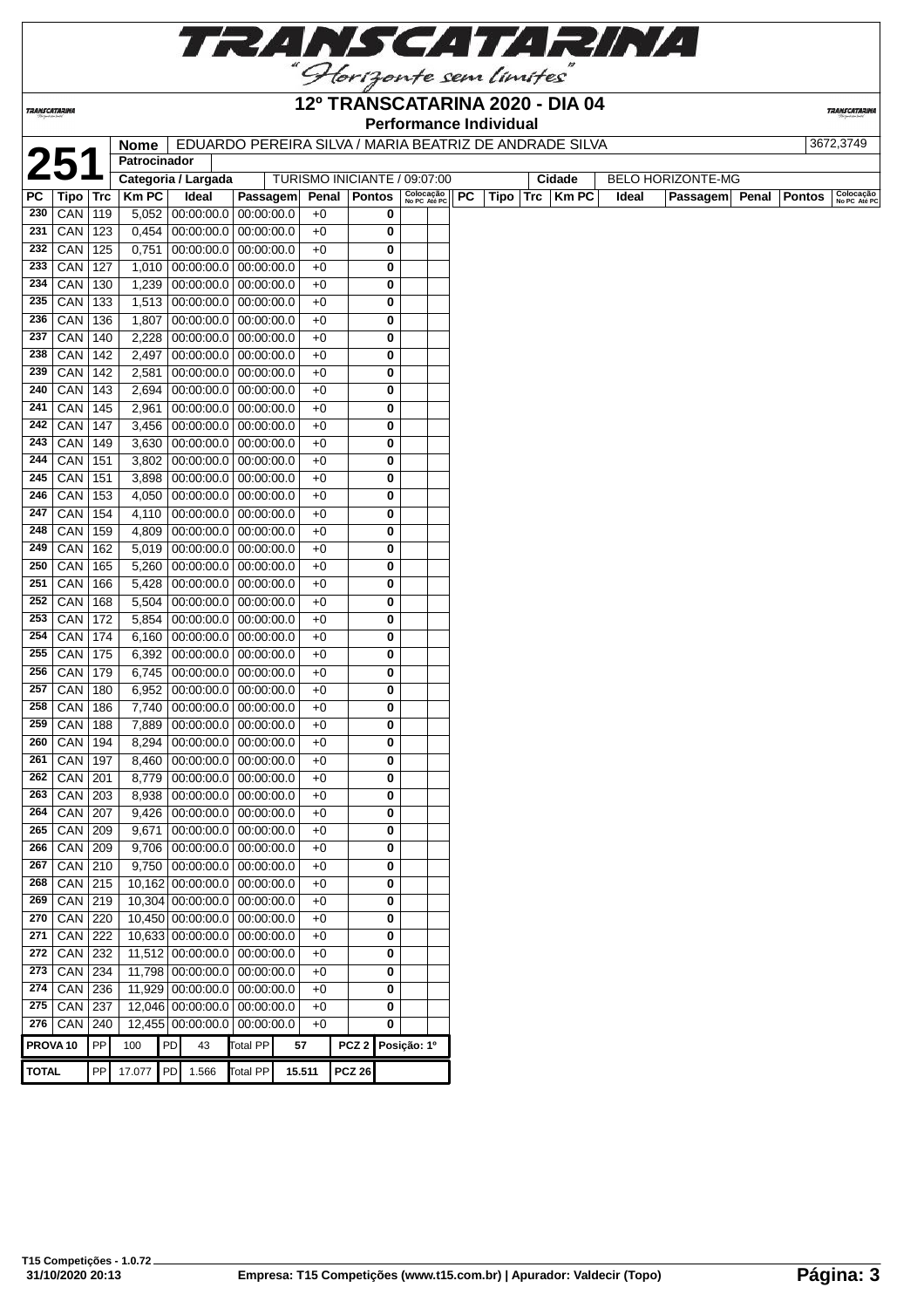

### **12º TRANSCATARINA 2020 - DIA 04**

**Performance Individual**

**TRANSCATARIN** 

**Patrocinador**

**TRANSCATARINA** 

**Nome** EDUARDO PEREIRA SILVA / MARIA BEATRIZ DE ANDRADE SILVA 3672,3749

**TURISMO INICIANTE / 09:07:00** 

| РC  | Tipo   Trc      |     | <b>KmPC</b> | Ideal                       | Passagem                    |      | Penal   Pontos | Colocação<br>No PC Até PC | <b>PC</b> | Tipo   Trc | <b>Km PC</b> | Ideal | Passagem Penal Pontos |  | Colocação<br>No PC Até PC |
|-----|-----------------|-----|-------------|-----------------------------|-----------------------------|------|----------------|---------------------------|-----------|------------|--------------|-------|-----------------------|--|---------------------------|
| 230 | CAN             | 119 | 5,052       | $00:00:00.0$ 00:00:00.0     |                             | $+0$ | 0              |                           |           |            |              |       |                       |  |                           |
| 231 | CAN             | 123 | 0,454       | $00:00:00.0$   $00:00:00.0$ |                             | $+0$ | 0              |                           |           |            |              |       |                       |  |                           |
| 232 | CAN             | 125 | 0,751       | $00:00:00.0$   $00:00:00.0$ |                             | $+0$ | 0              |                           |           |            |              |       |                       |  |                           |
| 233 | CAN             | 127 | 1,010       | $00:00:00.0$   $00:00:00.0$ |                             | $+0$ | 0              |                           |           |            |              |       |                       |  |                           |
| 234 | CAN             | 130 | 1,239       | $00:00:00.0$   $00:00:00.0$ |                             | $+0$ | 0              |                           |           |            |              |       |                       |  |                           |
| 235 | CAN             | 133 | 1,513       | $00:00:00.0$ 00:00:00.0     |                             | $+0$ | 0              |                           |           |            |              |       |                       |  |                           |
| 236 | CAN             | 136 | 1,807       | $00:00:00.0$ 00:00:00.0     |                             | $+0$ | 0              |                           |           |            |              |       |                       |  |                           |
| 237 | CAN             | 140 | 2,228       |                             | $00:00:00.0$   $00:00:00.0$ | $+0$ | 0              |                           |           |            |              |       |                       |  |                           |
| 238 | CAN             | 142 | 2,497       |                             | $00:00:00.0$   $00:00:00.0$ | $+0$ | 0              |                           |           |            |              |       |                       |  |                           |
| 239 | CAN             | 142 | 2,581       | $00:00:00.0$   $00:00:00.0$ |                             | $+0$ | 0              |                           |           |            |              |       |                       |  |                           |
| 240 | CAN             | 143 | 2,694       | $00:00:00.0$   $00:00:00.0$ |                             | $+0$ | 0              |                           |           |            |              |       |                       |  |                           |
| 241 | CAN             | 145 | 2,961       | $00:00:00.0$   $00:00:00.0$ |                             | $+0$ | 0              |                           |           |            |              |       |                       |  |                           |
| 242 | CAN             | 147 | 3,456       | $00:00:00.0$   $00:00:00.0$ |                             | $+0$ | 0              |                           |           |            |              |       |                       |  |                           |
| 243 | CAN             | 149 | 3,630       | $00:00:00.0$   $00:00:00.0$ |                             | $+0$ | 0              |                           |           |            |              |       |                       |  |                           |
| 244 | CAN             | 151 | 3,802       |                             | $00:00:00.0$   $00:00:00.0$ | $+0$ | 0              |                           |           |            |              |       |                       |  |                           |
| 245 | CAN             | 151 | 3,898       | $00:00:00.0$   $00:00:00.0$ |                             | $+0$ | 0              |                           |           |            |              |       |                       |  |                           |
| 246 | CAN             | 153 | 4,050       | $00:00:00.0$ 00:00:00.0     |                             | $+0$ | 0              |                           |           |            |              |       |                       |  |                           |
| 247 | CAN             | 154 | 4,110       | $00:00:00.0$   $00:00:00.0$ |                             | $+0$ | 0              |                           |           |            |              |       |                       |  |                           |
| 248 | CAN             | 159 | 4,809       | $00:00:00.0$   $00:00:00.0$ |                             | $+0$ | 0              |                           |           |            |              |       |                       |  |                           |
| 249 | CAN             | 162 | 5,019       | $00:00:00.0$ 00:00:00.0     |                             | $+0$ | 0              |                           |           |            |              |       |                       |  |                           |
| 250 | CAN             | 165 | 5,260       | $00:00:00.0$   $00:00:00.0$ |                             | $+0$ | 0              |                           |           |            |              |       |                       |  |                           |
| 251 | CAN             | 166 | 5,428       | $00:00:00.0$ 00:00:00.0     |                             | $+0$ | 0              |                           |           |            |              |       |                       |  |                           |
| 252 | CAN             | 168 | 5,504       | $00:00:00.0$ 00:00:00.0     |                             | $+0$ | 0              |                           |           |            |              |       |                       |  |                           |
| 253 | CAN             | 172 | 5,854       | $00:00:00.0$   $00:00:00.0$ |                             | $+0$ | 0              |                           |           |            |              |       |                       |  |                           |
| 254 | $CAN$ 174       |     | 6,160       | $00:00:00.0$   $00:00:00.0$ |                             | +0   | 0              |                           |           |            |              |       |                       |  |                           |
| 255 | CAN 175         |     | 6,392       | $00:00:00.0$   $00:00:00.0$ |                             | $+0$ | 0              |                           |           |            |              |       |                       |  |                           |
| 256 | CAN             | 179 | 6,745       | $00:00:00.0$ 00:00:00.0     |                             | $+0$ | 0              |                           |           |            |              |       |                       |  |                           |
| 257 | CAN             | 180 | 6,952       | $00:00:00.0$ 00:00:00.0     |                             | $+0$ | 0              |                           |           |            |              |       |                       |  |                           |
| 258 | CAN             | 186 | 7,740       | $00:00:00.0$ 00:00:00.0     |                             | $+0$ | 0              |                           |           |            |              |       |                       |  |                           |
| 259 | CAN             | 188 | 7,889       | $00:00:00.0$   $00:00:00.0$ |                             | $+0$ | 0              |                           |           |            |              |       |                       |  |                           |
| 260 | CAN             | 194 | 8,294       |                             | $00:00:00.0$   $00:00:00.0$ | $+0$ | 0              |                           |           |            |              |       |                       |  |                           |
| 261 | CAN             | 197 | 8,460       | $00:00:00.0$   $00:00:00.0$ |                             | +0   | 0              |                           |           |            |              |       |                       |  |                           |
| 262 | CAN             | 201 | 8,779       | $00:00:00.0$ 00:00:00:00    |                             | $+0$ | 0              |                           |           |            |              |       |                       |  |                           |
| 263 | $CAN$ 203       |     | 8,938       | $00:00:00.0$ 00:00:00:00    |                             | $+0$ | 0              |                           |           |            |              |       |                       |  |                           |
|     | 264   CAN   207 |     | 9,426       | 00:00:00.0 00:00:00.0       |                             | $+0$ | 0              |                           |           |            |              |       |                       |  |                           |

 CAN 209 9,671 00:00:00.0 00:00:00.0 +0 **0** CAN 209 9,706 00:00:00.0 00:00:00.0 +0 **0** CAN 210 9,750 00:00:00.0 00:00:00.0 +0 **0** CAN 215 10,162 00:00:00.0 00:00:00.0 +0 **0** CAN 219 10,304 00:00:00.0 00:00:00.0 +0 **0** CAN 220 10,450 00:00:00.0 00:00:00.0 +0 **0** CAN 222 10,633 00:00:00.0 00:00:00.0 +0 **0** CAN 232 11,512 00:00:00.0 00:00:00.0 +0 **0** CAN 234 11,798 00:00:00.0 00:00:00.0 +0 **0** CAN 236 11,929 00:00:00.0 00:00:00.0 +0 **0** CAN 237 12,046 00:00:00.0 00:00:00.0 +0 **0** CAN 240 12,455 00:00:00.0 00:00:00.0 +0 **0 PROVA 10** PP 100 PD 43 Total PP **57 PCZ 2 Posição: 1º**

**TOTAL** PP 17.077 PD 1.566 Total PP **15.511 PCZ 26**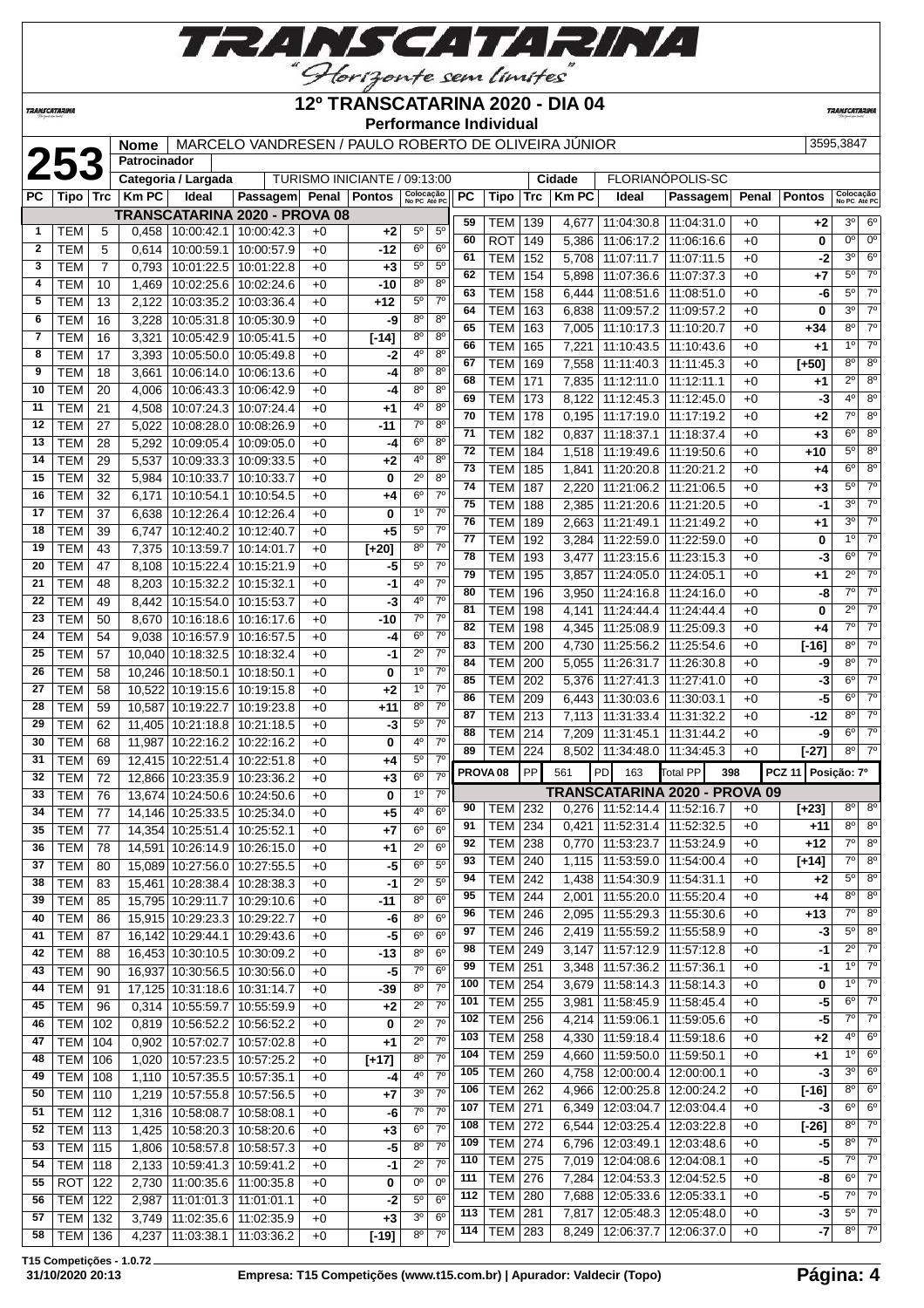

**TRANSCATARINA** 

**Patrocinador**

#### **12º TRANSCATARINA 2020 - DIA 04 Performance Individual**

**TRANSCATARIN** 

# **253 Nome** MARCELO VANDRESEN / PAULO ROBERTO DE OLIVEIRA JÚNIOR 3595,3847<br> **25395,3847**<br>
PC Tipo Trc Km PC Ideal Passagem Penal Pontos  $\frac{1}{25}$  **Cologed PC** Tipo Trc Km PC Ideal Passagem Penal Pontos Cologed

TURISMO INICIANTE / 09:13:00

| РC           | Tipo   Trc               |                | <b>Km PC</b>   | Ideal                        | Passagem Penal Pontos         |              |                    | Colocação<br>No PC Até PC        |                          | РC                  | Tipo                             | Trc | <b>Km PC</b> | Ideal                             | Passagem Penal Pontos         |              |                    | Colocação<br>No PC Até PC |                        |
|--------------|--------------------------|----------------|----------------|------------------------------|-------------------------------|--------------|--------------------|----------------------------------|--------------------------|---------------------|----------------------------------|-----|--------------|-----------------------------------|-------------------------------|--------------|--------------------|---------------------------|------------------------|
|              |                          |                |                |                              | TRANSCATARINA 2020 - PROVA 08 |              |                    |                                  |                          | 59                  | TEM                              | 139 | 4,677        | 11:04:30.8                        | 11:04:31.0                    | $+0$         | $+2$               | $3^{\circ}$               | $6^{\circ}$            |
| $\mathbf{1}$ | TEM                      | 5              | 0,458          | 10:00:42.1                   | 10:00:42.3                    | $+0$         | +2                 | $5^{\circ}$                      | $5^{\circ}$              | 60                  | <b>ROT</b>                       | 149 | 5,386        | 11:06:17.2                        | 11:06:16.6                    | $+0$         | 0                  | $0^{\circ}$               | $0^{\circ}$            |
| $\mathbf{2}$ | <b>TEM</b>               | 5              | 0,614          | 10:00:59.1                   | 10:00:57.9                    | $+0$         | -12                | $6^{\circ}$                      | 6 <sup>o</sup>           | 61                  |                                  |     |              |                                   |                               |              |                    | 3 <sup>o</sup>            | $6^{\circ}$            |
| 3            | <b>TEM</b>               | $\overline{7}$ | 0,793          | 10:01:22.5                   | 10:01:22.8                    | $+0$         | $+3$               | $5^{\rm o}$                      | $5^{\rm o}$              |                     | <b>TEM</b>                       | 152 | 5,708        | 11:07:11.7                        | 11:07:11.5                    | $+0$         | -2                 |                           | $\overline{7^0}$       |
| 4            | <b>TEM</b>               | 10             | 1,469          | 10:02:25.6                   | 10:02:24.6                    | $+0$         | $-10$              | 8 <sup>0</sup>                   | 8 <sup>o</sup>           | 62                  | <b>TEM</b>                       | 154 | 5,898        | 11:07:36.6                        | 11:07:37.3                    | $+0$         | $+7$               | $5^{\circ}$               |                        |
| 5            | <b>TEM</b>               | 13             | 2.122          | 10:03:35.2                   | 10:03:36.4                    | $+0$         | $+12$              | $5^{\circ}$                      | $7^\circ$                | 63                  | <b>TEM</b>                       | 158 | 6,444        | 11:08:51.6                        | 11:08:51.0                    | $+0$         | -6                 | $5^{\circ}$               | $\overline{7}^{\circ}$ |
| 6            | <b>TEM</b>               | 16             | 3,228          | 10:05:31.8                   | 10:05:30.9                    | $+0$         | -9                 | 8 <sup>0</sup>                   | $8^{\circ}$              | 64                  | <b>TEM</b>                       | 163 | 6,838        | 11:09:57.2                        | 11:09:57.2                    | $+0$         | 0                  | 3 <sup>o</sup>            | $\overline{7}^{\circ}$ |
| 7            | <b>TEM</b>               | 16             | 3,321          | 10:05:42.9                   | 10:05:41.5                    | $+0$         | $[ -14]$           | $8^{\circ}$                      | $8^{\circ}$              | 65                  | <b>TEM</b>                       | 163 | 7,005        | 11:10:17.3                        | 11:10:20.7                    | $+0$         | $+34$              | $8^{\circ}$               | $\overline{7}^{\circ}$ |
| 8            | <b>TEM</b>               | 17             | 3,393          | 10:05:50.0                   | 10:05:49.8                    | $+0$         | -2                 | $4^{\circ}$                      | $8^{\circ}$              | 66                  | <b>TEM</b>                       | 165 | 7,221        | 11:10:43.5                        | 11:10:43.6                    | $+0$         | $+1$               | 1 <sup>0</sup>            | $\overline{7}^{\circ}$ |
| 9            | TEM                      | 18             |                | 10:06:14.0                   | 10:06:13.6                    | $+0$         | -4                 | 8 <sup>o</sup>                   | 8 <sup>o</sup>           | 67                  | <b>TEM</b>                       | 169 | 7,558        | 11:11:40.3                        | 11:11:45.3                    | $+0$         | $[+50]$            | $8^{\circ}$               | 8 <sup>o</sup>         |
|              |                          |                | 3,661          |                              |                               |              |                    |                                  |                          | 68                  | <b>TEM</b>                       | 171 | 7,835        | 11:12:11.0                        | 11:12:11.1                    | $+0$         | $+1$               | $2^{\circ}$               | 8 <sup>0</sup>         |
| 10           | <b>TEM</b>               | 20             | 4,006          | 10:06:43.3                   | 10:06:42.9                    | $+0$         | -4                 | $8^{\circ}$                      | $8^{\circ}$              | 69                  | <b>TEM</b>                       | 173 | 8,122        | 11:12:45.3                        | 11:12:45.0                    | $+0$         | -3                 | 4 <sup>0</sup>            | $8^{\circ}$            |
| 11           | <b>TEM</b>               | 21             | 4,508          | 10:07:24.3                   | 10:07:24.4                    | $+0$         | +1                 | 4°                               | $8^{\circ}$              | 70                  | <b>TEM</b>                       | 178 | 0,195        | 11:17:19.0                        | 11:17:19.2                    | $+0$         | +2                 | $7^\circ$                 | 8 <sup>0</sup>         |
| 12           | <b>TEM</b>               | 27             | 5,022          | 10:08:28.0                   | 10:08:26.9                    | $+0$         | -11                | $7^\circ$                        | $8^{\circ}$              | 71                  | <b>TEM</b>                       | 182 | 0,837        | 11:18:37.1                        | 11:18:37.4                    | $+0$         | $+3$               | $\overline{6^0}$          | 8 <sup>o</sup>         |
| 13           | <b>TEM</b>               | 28             | 5,292          | 10:09:05.4                   | 10:09:05.0                    | $+0$         | -4                 | 6 <sup>o</sup>                   | 8 <sup>o</sup>           | 72                  | <b>TEM</b>                       | 184 | 1,518        | 11:19:49.6                        | 11:19:50.6                    | $+0$         | $+10$              | $5^{\circ}$               | $8^{\circ}$            |
| 14           | <b>TEM</b>               | 29             | 5,537          | 10:09:33.3                   | 10:09:33.5                    | $+0$         | +2                 | 4°                               | $8^{\circ}$              | 73                  | <b>TEM</b>                       | 185 | 1,841        | 11:20:20.8                        | 11:20:21.2                    | $+0$         | $+4$               | $6^{\circ}$               | 8 <sup>0</sup>         |
| 15           | <b>TEM</b>               | 32             | 5,984          | 10:10:33.7                   | 10:10:33.7                    | $+0$         | 0                  | $2^{\circ}$                      | 80                       | 74                  | <b>TEM</b>                       | 187 | 2,220        | 11:21:06.2                        | 11:21:06.5                    | $+0$         | $+3$               | 5 <sup>0</sup>            | $7^\circ$              |
| 16           | <b>TEM</b>               | 32             | 6,171          | 10:10:54.1                   | 10:10:54.5                    | $+0$         | +4                 | $6^{\circ}$                      | $7^{\circ}$              | 75                  |                                  |     |              |                                   |                               |              |                    | 30                        | $\overline{7}^{\circ}$ |
| 17           | <b>TEM</b>               | 37             | 6,638          | 10:12:26.4                   | 10:12:26.4                    | $+0$         | 0                  | 1 <sup>0</sup>                   | 7 <sup>o</sup>           |                     | <b>TEM</b>                       | 188 | 2,385        | 11:21:20.6                        | 11:21:20.5                    | $+0$         | -1                 |                           | $\overline{7}^{\circ}$ |
| 18           | TEM                      | 39             | 6,747          | 10:12:40.2                   | 10:12:40.7                    | $+0$         | +5                 | $5^{\circ}$                      | $7^\circ$                | 76                  | <b>TEM</b>                       | 189 | 2,663        | 11:21:49.1                        | 11:21:49.2                    | $+0$         | $+1$               | 3 <sup>0</sup>            |                        |
| 19           | <b>TEM</b>               | 43             | 7,375          | 10:13:59.7                   | 10:14:01.7                    | $+0$         | $[+20]$            | $8^{\circ}$                      | $7^{\circ}$              | 77                  | <b>TEM</b>                       | 192 | 3,284        | 11:22:59.0                        | 11:22:59.0                    | $+0$         | 0                  | 1 <sup>0</sup>            | $\overline{7}^{\circ}$ |
| 20           | <b>TEM</b>               | 47             | 8,108          | 10:15:22.4                   | 10:15:21.9                    | $+0$         | -5                 | $5^{\rm o}$                      | 7 <sup>o</sup>           | 78                  | <b>TEM</b>                       | 193 | 3,477        | 11:23:15.6                        | 11:23:15.3                    | $+0$         | -3                 | $6^{\circ}$               | 70                     |
| 21           | <b>TEM</b>               | 48             | 8,203          | 10:15:32.2                   | 10:15:32.1                    | $+0$         | -1                 | $4^{\circ}$                      | 7 <sup>0</sup>           | 79                  | <b>TEM</b>                       | 195 | 3.857        | 11:24:05.0                        | 11:24:05.1                    | $+0$         | +1                 | $2^{\circ}$               | $\overline{7}^{\circ}$ |
| 22           | <b>TEM</b>               | 49             | 8,442          | 10:15:54.0                   | 10:15:53.7                    | $+0$         | -3                 | $4^{\circ}$                      | 7 <sup>o</sup>           | 80                  | <b>TEM</b>                       | 196 | 3,950        | 11:24:16.8                        | 11:24:16.0                    | $+0$         | -8                 | $7^\circ$                 | $\overline{7^{\circ}}$ |
| 23           | <b>TEM</b>               | 50             | 8,670          | 10:16:18.6                   |                               | $+0$         | $-10$              | $7^\circ$                        | $7^{\circ}$              | 81                  | <b>TEM</b>                       | 198 | 4,141        | 11:24:44.4                        | 11:24:44.4                    | $+0$         | 0                  | $2^{\circ}$               | $\overline{7}^{\circ}$ |
| 24           | <b>TEM</b>               | 54             |                | 10:16:57.9                   | 10:16:17.6                    |              |                    | $6^{\circ}$                      | $7^\circ$                | 82                  | <b>TEM</b>                       | 198 |              | 4,345   11:25:08.9   11:25:09.3   |                               | $+0$         | $+4$               | $7^\circ$                 | $7^\circ$              |
|              |                          |                | 9,038          |                              | 10:16:57.5                    | $+0$         | -4                 |                                  |                          | 83                  | <b>TEM</b>                       | 200 | 4,730        | 11:25:56.2                        | 11:25:54.6                    | $+0$         | $[-16]$            | $8^{\circ}$               | $\overline{7}^{\circ}$ |
| 25           | <b>TEM</b>               | 57             | 10,040         | 10:18:32.5                   | 10:18:32.4                    | $+0$         | -1                 | $2^{\circ}$                      | $7^\circ$                | 84                  | <b>TEM</b>                       | 200 | 5,055        | 11:26:31.7                        | 11:26:30.8                    | $+0$         | -9                 | $8^{\circ}$               | $\overline{7}^{\circ}$ |
| 26           | <b>TEM</b>               | 58             | 10,246         | 10:18:50.1                   | 10:18:50.1                    | $+0$         | 0                  | 1 <sup>0</sup>                   | $7^{\circ}$              | 85                  | <b>TEM</b>                       | 202 | 5,376        | 11:27:41.3                        | 11:27:41.0                    | $+0$         | $-3$               | $6^{\circ}$               | $\overline{7}^{\circ}$ |
| 27           | <b>TEM</b>               | 58             | 10,522         | 10:19:15.6                   | 10:19:15.8                    | $+0$         | +2                 | 1 <sup>0</sup>                   | $7^{\circ}$              | 86                  | <b>TEM</b>                       | 209 | 6,443        | 11:30:03.6                        | 11:30:03.1                    | $+0$         | $-5$               | $6^{\circ}$               | 70                     |
| 28           | <b>TEM</b>               | 59             | 10,587         | 10:19:22.7                   | 10:19:23.8                    | $+0$         | $+11$              | $8^{\circ}$                      | $7^\circ$                | 87                  | <b>TEM</b>                       | 213 | 7,113        | 11:31:33.4                        | 11:31:32.2                    | $+0$         | -12                | $8^{\circ}$               | $\overline{70}$        |
| 29           | <b>TEM</b>               | 62             | 11,405         | 10:21:18.8                   | 10:21:18.5                    | $+0$         | -3                 | $5^{\circ}$                      | 7 <sup>0</sup>           | 88                  | <b>TEM</b>                       | 214 | 7,209        | 11:31:45.1                        | 11:31:44.2                    | $+0$         | -9                 | $6^{\circ}$               | $\overline{70}$        |
| 30           | <b>TEM</b>               | 68             | 11,987         | 10:22:16.2                   | 10:22:16.2                    | $+0$         | 0                  | $4^{\circ}$                      | 7 <sup>o</sup>           | 89                  | <b>TEM</b>                       | 224 |              | 8,502   11:34:48.0                | 11:34:45.3                    | $+0$         | $[-27]$            | $8^{\circ}$               | $\overline{7^{\circ}}$ |
| 31           | <b>TEM</b>               | 69             |                | 12,415 10:22:51.4            | 10:22:51.8                    | $+0$         | +4                 | $5^{\circ}$                      | 7 <sup>o</sup>           |                     |                                  |     |              |                                   |                               |              |                    |                           |                        |
| 32           | <b>TEM</b>               | 72             |                | 12,866 10:23:35.9            | 10:23:36.2                    | $+0$         | $+3$               | $6^{\circ}$                      | $7^{\circ}$              | PROVA <sub>08</sub> |                                  | PP  | 561          | <b>PD</b><br>163                  | <b>Total PP</b><br>398        |              | PCZ 11 Posição: 7º |                           |                        |
| 33           | <b>TEM</b>               |                | 13,674         |                              |                               |              |                    | 1 <sup>0</sup>                   | $7^\circ$                |                     |                                  |     |              |                                   |                               |              |                    |                           |                        |
|              |                          | 76             |                | 10:24:50.6                   | 10:24:50.6                    | $+0$         | 0                  |                                  |                          |                     |                                  |     |              |                                   | TRANSCATARINA 2020 - PROVA 09 |              |                    |                           |                        |
| 34           | <b>TEM</b>               | 77             |                |                              |                               | $+0$         | +5                 | 4°                               | $6^{\circ}$              | 90                  | TEM                              | 232 |              | $0,276$   11:52:14.4   11:52:16.7 |                               | $+0$         | $[+23]$            | 80                        | 8 <sup>o</sup>         |
|              |                          |                |                | 14,146 10:25:33.5            | 10:25:34.0                    |              |                    | $6^{\circ}$                      | $6^{\circ}$              | 91                  | <b>TEM</b>                       | 234 | 0,421        | 11:52:31.4                        | 11:52:32.5                    | $+0$         | +11                | 80                        | $8^{\circ}$            |
| 35           | <b>TEM</b>               | 77             | 14,354         | 10:25:51.4                   | 10:25:52.1                    | $+0$         | $+7$               | $2^{\circ}$                      | 6 <sup>o</sup>           | 92                  | TEM                              | 238 |              | 0,770 11:53:23.7                  | 11:53:24.9                    | $+0$         | $+12$              | $7^\circ$                 | $\overline{8^{\circ}}$ |
| 36           | <b>TEM</b>               | 78             | 14,591         | 10:26:14.9                   | 10:26:15.0                    | $+0$         | +1                 |                                  |                          | 93                  | TEM                              | 240 | 1,115        | 11:53:59.0                        | 11:54:00.4                    | $+0$         | $[+14]$            | $\overline{7^0}$          | $8^{\circ}$            |
| 37           | <b>TEM</b>               | 80             |                | 15,089 10:27:56.0            | 10:27:55.5                    | $+0$         | $-5$               | 6 <sup>o</sup>                   | $5^{\circ}$              | 94                  | <b>TEM 242</b>                   |     |              | 1.438   11:54:30.9   11:54:31.1   |                               | $+0$         | $+2$               | $5^{\circ}$               | 8 <sup>o</sup>         |
| 38           | <b>TEM</b>               | 83             |                | 15,461 10:28:38.4 10:28:38.3 |                               | $+0$         | $-1$               | $\overline{2^0}$                 | 5 <sup>0</sup>           | 95                  |                                  |     |              |                                   |                               |              |                    | $8^{\circ}$               | $8^{\circ}$            |
| 39           | TEM                      | 85             |                |                              | 15,795 10:29:11.7 10:29:10.6  | +0           | -11                | $8^{\circ}$                      | 6 <sup>o</sup>           | 96                  | <b>TEM   244</b>                 |     |              | 2,001   11:55:20.0   11:55:20.4   |                               | $+0$<br>$+0$ | $+4$<br>$+13$      | $7^\circ$                 | $8^{\circ}$            |
| 40           | <b>TEM</b>               | 86             |                | 15,915 10:29:23.3            | 10:29:22.7                    | $+0$         | -6                 | 8 <sup>0</sup>                   | 6 <sup>o</sup>           | 97                  | <b>TEM 246</b>                   |     | 2,095        | 11:55:29.3                        | 11:55:30.6                    |              |                    | $5^{\circ}$               | 8 <sup>0</sup>         |
| 41           | <b>TEM</b>               | 87             |                |                              | 16,142 10:29:44.1 10:29:43.6  | $+0$         | $-5$               | 6 <sup>o</sup>                   | 6 <sup>o</sup>           |                     | $TEM$ 246                        |     |              | 2,419   11:55:59.2                | 11:55:58.9                    | $+0$         | $-3$               |                           | $7^\circ$              |
| 42           | <b>TEM</b>               | 88             |                |                              | 16,453 10:30:10.5 10:30:09.2  | $+0$         | $-13$              | $8^{\circ}$                      | 6 <sup>o</sup>           | 98                  | <b>TEM 249</b>                   |     | 3,147        | 11:57:12.9                        | 11:57:12.8                    | $+0$         | $-1$               | $2^{\circ}$               | $7^\circ$              |
| 43           | <b>TEM</b>               | 90             | 16,937         | 10:30:56.5                   | 10:30:56.0                    | $+0$         | $-5$               | $7^{\circ}$                      | $6^{\circ}$              | 99                  | <b>TEM 251</b>                   |     | 3,348        | 11:57:36.2                        | 11:57:36.1                    | $+0$         | -1                 | 1 <sup>0</sup>            |                        |
| 44           | <b>TEM</b>               | 91             |                | 17,125 10:31:18.6            | 10:31:14.7                    | $+0$         | $-39$              | $8^{\circ}$                      | $7^\circ$                | 100                 | TEM                              | 254 | 3,679        | 11:58:14.3                        | 11:58:14.3                    | $+0$         | 0                  | $1^{\circ}$               | $7^\circ$              |
| 45           | <b>TEM</b>               | 96             | 0,314          | 10:55:59.7                   | 10:55:59.9                    | $+0$         | $+2$               | $2^{\circ}$                      | $7^{\circ}$              | 101                 | <b>TEM 255</b>                   |     | 3,981        | 11:58:45.9                        | 11:58:45.4                    | $+0$         | -5                 | $6^{\circ}$               | $7^\circ$              |
| 46           | <b>TEM</b>               | 102            | 0,819          |                              | 10:56:52.2 10:56:52.2         | $+0$         | 0                  | $2^{\circ}$                      | $7^{\circ}$              | 102                 | <b>TEM 256</b>                   |     | 4,214        | 11:59:06.1                        | 11:59:05.6                    | $+0$         | $-5$               | $7^\circ$                 | $7^\circ$              |
| 47           | <b>TEM</b>               | 104            | 0,902          | 10:57:02.7                   | 10:57:02.8                    | $+0$         | +1                 | $2^{\circ}$                      | $7^{\circ}$              | 103                 | <b>TEM 258</b>                   |     | 4,330        | 11:59:18.4                        | 11:59:18.6                    | $+0$         | $+2$               | 4°                        | $6^{\circ}$            |
| 48           | <b>TEM</b>               | 106            | 1,020          | 10:57:23.5                   | 10:57:25.2                    | $+0$         | $\overline{[+17]}$ | $8^{\circ}$                      | $7^{\circ}$              | 104                 | TEM                              | 259 | 4,660        | 11:59:50.0                        | 11:59:50.1                    | $+0$         | +1                 | $1^{\circ}$               | $6^{\circ}$            |
| 49           | <b>TEM</b>               | 108            | 1,110          | 10:57:35.5                   | 10:57:35.1                    | $+0$         | -4                 | $4^{\circ}$                      | 7 <sup>0</sup>           | 105                 | <b>TEM</b>                       | 260 | 4,758        | 12:00:00.4                        | 12:00:00.1                    | $+0$         | $-3$               | 3 <sup>o</sup>            | $6^{\circ}$            |
| 50           | TEM                      | 110            | 1,219          | 10:57:55.8                   | 10:57:56.5                    | $+0$         | $+7$               | 3 <sup>0</sup>                   | $7^\circ$                | 106                 | <b>TEM</b>                       | 262 | 4,966        | 12:00:25.8                        | 12:00:24.2                    | $+0$         | $[-16]$            | $8^{\circ}$               | 6 <sup>o</sup>         |
| 51           | TEM                      | 112            | 1,316          | 10:58:08.7                   | 10:58:08.1                    | $+0$         | -6                 | $7^\circ$                        | $7^\circ$                | 107                 | <b>TEM 271</b>                   |     | 6,349        | 12:03:04.7                        | 12:03:04.4                    | $+0$         | $-3$               | $6^{\circ}$               | $6^{\circ}$            |
| 52           |                          |                |                |                              |                               | $+0$         |                    | $6^{\circ}$                      | $7^{\circ}$              | 108                 | <b>TEM 272</b>                   |     | 6,544        | 12:03:25.4                        | 12:03:22.8                    | $+0$         | $\overline{[-26]}$ | $8^{\circ}$               | $7^\circ$              |
|              | TEM                      | 113            | 1,425          | 10:58:20.3                   | 10:58:20.6                    |              | $+3$               |                                  | $7^{\circ}$              | 109                 | <b>TEM 274</b>                   |     | 6,796        | 12:03:49.1                        | 12:03:48.6                    | $+0$         | -5                 | 80                        | $7^\circ$              |
| 53           | <b>TEM</b>               | 115            | 1,806          | 10:58:57.8                   | 10:58:57.3                    | $+0$         | $-5$               | $8^{\circ}$                      |                          | 110                 | <b>TEM 275</b>                   |     |              | 7,019 12:04:08.6                  | 12:04:08.1                    | $+0$         | -5                 | 7°                        | 7 <sup>0</sup>         |
| 54           | <b>TEM</b>               | 118            | 2,133          | 10:59:41.3                   | 10:59:41.2                    | $+0$         | -1                 | $2^{\circ}$                      | $7^\circ$                | 111                 |                                  |     | 7,284        |                                   | 12:04:52.5                    | $+0$         | -8                 | $6^{\circ}$               | $7^\circ$              |
| 55           | <b>ROT</b>               | 122            | 2,730          | 11:00:35.6                   | 11:00:35.8                    | $+0$         | 0                  | 0°                               | $0^{\circ}$              | 112                 | <b>TEM 276</b>                   |     |              | 12:04:53.3                        |                               |              |                    | $7^\circ$                 | $7^\circ$              |
| 56           | <b>TEM</b>               | 122            | 2,987          | 11:01:01.3                   | 11:01:01.1                    | $+0$         | $-2$               | $5^{\circ}$                      | $6^{\circ}$              |                     | <b>TEM 280</b>                   |     | 7,688        | 12:05:33.6   12:05:33.1           |                               | $+0$         | $-5$               | $5^{\circ}$               | $7^\circ$              |
| 57<br>58     | <b>TEM</b><br><b>TEM</b> | 132<br>136     | 3,749<br>4,237 | 11:02:35.6<br>11:03:38.1     | 11:02:35.9<br>11:03:36.2      | $+0$<br>$+0$ | +3<br>$[-19]$      | 3 <sup>o</sup><br>8 <sup>o</sup> | $6^{\circ}$<br>$7^\circ$ | 113<br>114          | <b>TEM 281</b><br><b>TEM 283</b> |     | 7,817        | 12:05:48.3<br>8,249   12:06:37.7  | 12:05:48.0<br>12:06:37.0      | $+0$<br>$+0$ | $-3$<br>$-7$       | $8^{\circ}$               | $7^\circ$              |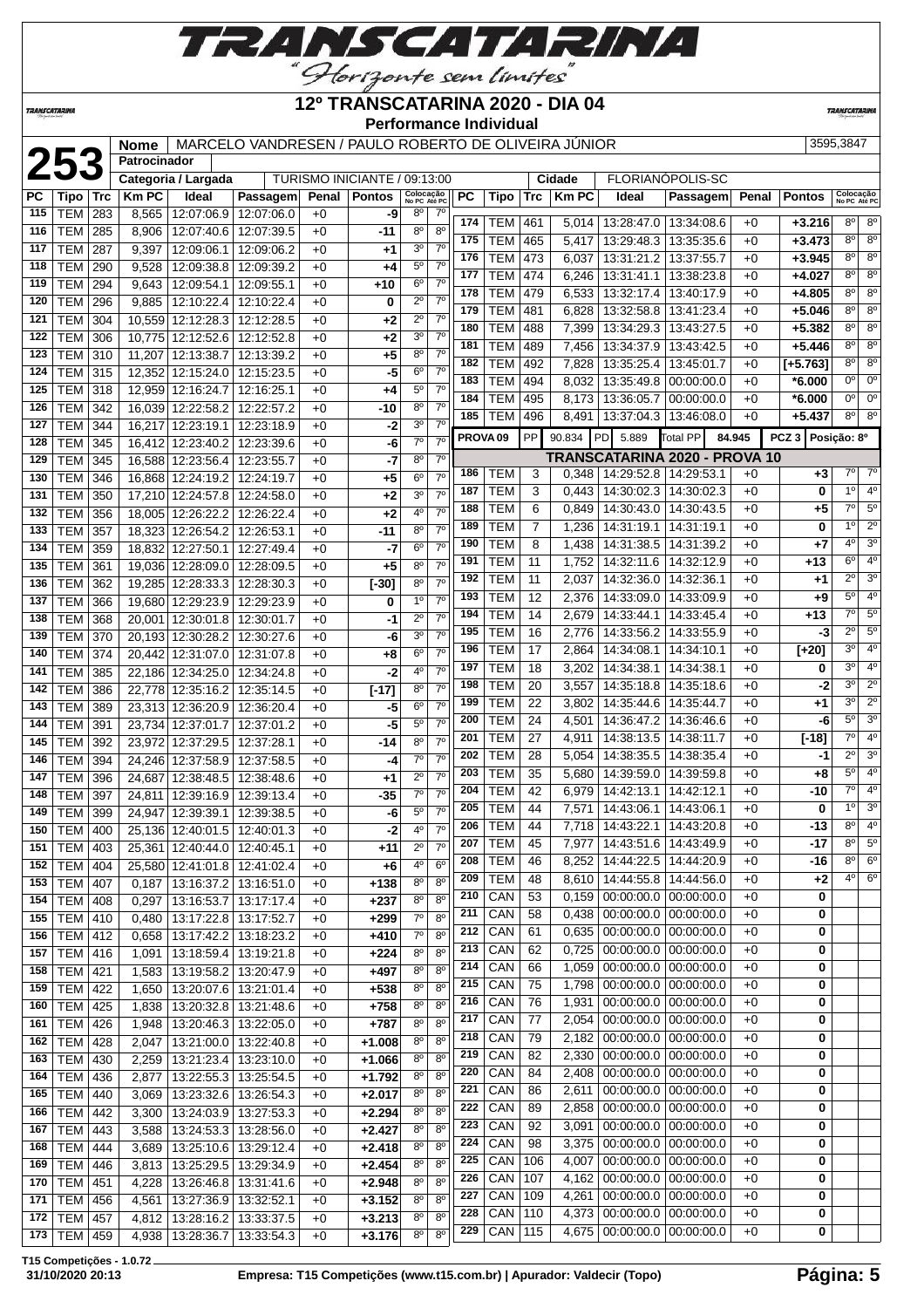

*TRANSCATARINI* 

**Patrocinador**

 TEM 397 24,811 12:39:16.9 12:39:13.4 +0 **-35** 7º 7º TEM 399 24,947 12:39:39.1 12:39:38.5 +0 **-6** 5º 7º TEM 400 25,136 12:40:01.5 12:40:01.3 +0 **-2** 4º 7º TEM 403 25,361 12:40:44.0 12:40:45.1 +0 **+11** 2º 7º | TEM | 404 | 25,580 | 12:41:01.8 | 12:41:02.4 | +0 | +6 | 4<sup>o</sup> | 6<sup>o</sup> TEM 407 0,187 13:16:37.2 13:16:51.0 +0 **+138** 8º 8º TEM 408 0,297 13:16:53.7 13:17:17.4 +0 **+237** 8º 8º TEM 410 0,480 13:17:22.8 13:17:52.7 +0 **+299** 7º 8º TEM 412 0,658 13:17:42.2 13:18:23.2 +0 **+410** 7º 8º TEM 416 1,091 13:18:59.4 13:19:21.8 +0 **+224** 8º 8º TEM 421 1,583 13:19:58.2 13:20:47.9 +0 **+497** 8º 8º TEM 422 1,650 13:20:07.6 13:21:01.4 +0 **+538** 8º 8º TEM 425 1,838 13:20:32.8 13:21:48.6 +0 **+758** 8º 8º TEM 426 1,948 13:20:46.3 13:22:05.0 +0 **+787** 8º 8º TEM 428 2,047 13:21:00.0 13:22:40.8 +0 **+1.008** 8º 8º TEM 430 2,259 13:21:23.4 13:23:10.0 +0 **+1.066** 8º 8º TEM 436 2,877 13:22:55.3 13:25:54.5 +0 **+1.792** 8º 8º TEM 440 3,069 13:23:32.6 13:26:54.3 +0 **+2.017** 8º 8º TEM 442 3,300 13:24:03.9 13:27:53.3 +0 **+2.294** 8º 8º TEM 443 3,588 13:24:53.3 13:28:56.0 +0 **+2.427** 8º 8º TEM 444 3,689 13:25:10.6 13:29:12.4 +0 **+2.418** 8º 8º TEM 446 3,813 13:25:29.5 13:29:34.9 +0 **+2.454** 8º 8º TEM 451 4,228 13:26:46.8 13:31:41.6 +0 **+2.948** 8º 8º TEM 456 4,561 13:27:36.9 13:32:52.1 +0 **+3.152** 8º 8º TEM 457 4,812 13:28:16.2 13:33:37.5 +0 **+3.213** 8º 8º TEM 459 4,938 13:28:36.7 13:33:54.3 +0 **+3.176** 8º 8º

#### **12º TRANSCATARINA 2020 - DIA 04 Performance Individual**

PC | Tipo | Trc | Km PC | Ideal | Passagem| Penal | Pontos | <sup>လွှ</sup>oleα<sub>té PC</sub> | PC | Tipo | Trc | Km PC | Ideal | Passagem| Penal |Pontos | လpecataer

**TRANSCATARI** 

**Passagem Penal Pontos Solocação** 

 TEM 42 6,979 14:42:13.1 14:42:12.1 +0 **-10** 7º 4º TEM 44 7,571 14:43:06.1 14:43:06.1 +0 **0** 1º 3º TEM 44 7,718 14:43:22.1 14:43:20.8 +0 **-13** 8º 4º TEM 45 7,977 14:43:51.6 14:43:49.9 +0 **-17** 8º 5º TEM 46 8,252 14:44:22.5 14:44:20.9 +0 **-16** 8º 6º TEM 48 8,610 14:44:55.8 14:44:56.0 +0 **+2** 4º 6º CAN 53 0,159 00:00:00.0 00:00:00.0 +0 **0**  $|$  CAN  $|$  58  $|$  0,438 00:00:00.0 00:00:00.0 +0  $|$  **0**  CAN 61 0,635 00:00:00.0 00:00:00.0 +0 **0**  CAN 62 0,725 00:00:00.0 00:00:00.0 +0 **0**  CAN 66 1,059 00:00:00.0 00:00:00.0 +0 **0** CAN 75 1,798 00:00:00.0 00:00:00.0 +0 **0** CAN 76 1,931 00:00:00.0 00:00:00.0 +0 **0** CAN 77 2,054 00:00:00.0 00:00:00.0 +0 **0** CAN 79 2,182 00:00:00.0 00:00:00.0 +0 **0**  $|$  CAN  $|$  82  $|$  2,330  $|$  00:00:00.0  $|$  00:00:00.0 +0  $|$  **0**  CAN 84 2,408 00:00:00.0 00:00:00.0 +0 CAN 86 2,611 00:00:00.0 00:00:00.0 +0 **0** CAN 89 2,858 00:00:00.0 00:00:00.0 +0 **0** CAN 92 3,091 00:00:00.0 00:00:00.0 +0 **0** CAN 98 3,375 00:00:00.0 00:00:00.0 +0 **0** CAN 106 4,007 00:00:00.0 00:00:00.0 +0 **0** CAN 107 4,162 00:00:00.0 00:00:00.0 +0 **0** CAN 109 4,261 00:00:00.0 00:00:00.0 +0 **0** CAN 110 4,373 00:00:00.0 00:00:00.0 +0 **0** CAN 115 4,675 00:00:00.0 00:00:00.0 +0 **0**

# **Nome** MARCELO VANDRESEN / PAULO ROBERTO DE OLIVEIRA JÚNIOR 3595,3847

**TURISMO INICIANTE / 09:13:00** 

| 115 | <b>TEM</b> | 283 | 8,565  | 12:07:06.9          | 12:07:06.0 | $+0$ | -9       | $8^{\circ}$            | 70               | 174        | TEM   461                |                |           | 5.014   13:28:47.0   13:34:08.6               |            |        | $+0$         | $+3.216$          | $8^{\circ}$                   | $\overline{8^{\circ}}$                                     |
|-----|------------|-----|--------|---------------------|------------|------|----------|------------------------|------------------|------------|--------------------------|----------------|-----------|-----------------------------------------------|------------|--------|--------------|-------------------|-------------------------------|------------------------------------------------------------|
| 116 | <b>TEM</b> | 285 | 8.906  | 12:07:40.6          | 12:07:39.5 | $+0$ | $-11$    | $8^{\circ}$            | $8^\circ$        | 175        | <b>TEM</b>               | 465            | 5.417     | 13:29:48.3                                    | 13:35:35.6 |        | $+0$         | $+3.473$          | $8^{\circ}$                   | 8 <sup>o</sup>                                             |
| 117 | <b>TEM</b> | 287 | 9.397  | 12:09:06.1          | 12:09:06.2 | $+0$ | $+1$     | 3 <sup>o</sup>         | $\overline{7^0}$ | 176        | <b>TEM 473</b>           |                | 6,037     | 13:31:21.2 13:37:55.7                         |            |        | $+0$         | $+3.945$          | $8^{\circ}$                   | $\overline{8}$ <sup>o</sup>                                |
| 118 | <b>TEM</b> | 290 | 9.528  | 12:09:38.8          | 12:09:39.2 | $+0$ | $+4$     | $5^{\circ}$            | $7^\circ$        | 177        | <b>TEM</b>               | 474            | 6,246     | 13:31:41.1                                    | 13:38:23.8 |        | $+0$         | $+4.027$          | $8^{\circ}$                   | $\overline{8^{\circ}}$                                     |
| 119 | <b>TEM</b> | 294 | 9,643  | 12:09:54.1          | 12:09:55.1 | $+0$ | $+10$    | $6^{\circ}$            | $7^\circ$        | 178        | <b>TEM</b>               | 479            |           | 6,533   13:32:17.4                            | 13:40:17.9 |        | $+0$         | $+4.805$          | $8^\circ$                     | 8 <sup>o</sup>                                             |
| 120 | <b>TEM</b> | 296 | 9.885  | 12:10:22.4          | 12:10:22.4 | $+0$ | 0        | $2^{\circ}$            | 70               | 179        | <b>TEM</b>               | 481            |           | 6.828 13:32:58.8                              | 13:41:23.4 |        | $+0$         | $+5.046$          | $8^{\circ}$                   | $\overline{8}$ <sup>o</sup>                                |
| 121 | <b>TEM</b> | 304 |        | 10,559 12:12:28.3   | 12:12:28.5 | $+0$ | $+2$     | $2^{\circ}$            | $\overline{7^0}$ | 180        | <b>TEM</b>               | 488            | 7,399     | $13:34:29.3$ 13:43:27.5                       |            |        | $+0$         | $+5.382$          | $\overline{8^{\circ}}$        | $\overline{8^{\circ}}$                                     |
| 122 | <b>TEM</b> | 306 |        | $10,775$ 12:12:52.6 | 12:12:52.8 | $+0$ | $+2$     | 3 <sup>o</sup>         | $7^\circ$        | 181        | <b>TEM 489</b>           |                |           | 7,456   13:34:37.9                            | 13:43:42.5 |        | $+0$         | $+5.446$          | $\overline{8^{\circ}}$        | $\overline{8^{\circ}}$                                     |
| 123 | <b>TEM</b> | 310 | 11.207 | 12:13:38.7          | 12:13:39.2 | $+0$ | $+5$     | $8^{\circ}$            | $7^\circ$        | 182        | <b>TEM</b>               | 492            | 7,828     | 13:35:25.4                                    | 13:45:01.7 |        | $+0$         | $[-5.763]$        | $8^{\circ}$                   | 8 <sup>o</sup>                                             |
| 124 | <b>TEM</b> | 315 |        | 12,352 12:15:24.0   | 12:15:23.5 | $+0$ | $-5$     | $6^{\circ}$            | $7^\circ$        | 183        | <b>TEM 494</b>           |                |           | 8,032 13:35:49.8                              | 00:00:00.0 |        | $+0$         | $*6.000$          | 0 <sup>o</sup>                | $\overline{0}$                                             |
| 125 | <b>TEM</b> | 318 |        | 12,959 12:16:24.7   | 12:16:25.1 | $+0$ | $+4$     | 5 <sup>o</sup>         | $7^\circ$        | 184        | <b>TEM</b>               | 495            |           | $8.173 \mid 13:36:05.7$                       | 00:00:00.0 |        | $+0$         | $*6.000$          | $0^{\circ}$                   | $\overline{0}$                                             |
| 126 | <b>TEM</b> | 342 |        | 16,039 12:22:58.2   | 12:22:57.2 | $+0$ | $-10$    | $8^{\circ}$            | $7^\circ$        |            | 185   TEM   496          |                |           | 8.491   13:37:04.3   13:46:08.0               |            |        | $+0$         | $+5.437$          | $\overline{8^\circ}$          | $\overline{8^{\circ}}$                                     |
| 127 | <b>TEM</b> | 344 |        | 16,217 12:23:19.1   | 12:23:18.9 | $+0$ | $-2$     | 3 <sup>o</sup>         | 70               |            |                          |                |           |                                               |            |        |              |                   |                               |                                                            |
| 128 | <b>TEM</b> | 345 |        | 16,412 12:23:40.2   | 12:23:39.6 | $+0$ | $-6$     | $7^\circ$              | 70               |            | PROVA <sub>09</sub>      | <b>PP</b>      | 90.834 PD | 5.889                                         | Total PP   | 84.945 |              | PCZ 3 Posição: 8º |                               |                                                            |
| 129 | <b>TEM</b> | 345 |        | 16,588 12:23:56.4   | 12:23:55.7 | $+0$ | $-7$     | $8^{\circ}$            | $7^\circ$        |            |                          |                |           | <b>TRANSCATARINA 2020 - PROVA 10</b>          |            |        |              |                   |                               |                                                            |
| 130 | <b>TEM</b> | 346 |        | 16,868 12:24:19.2   | 12:24:19.7 | $+0$ | $+5$     | $6^{\circ}$            | 7 <sup>0</sup>   | 186        | <b>TEM</b>               | 3              |           | $0.348$   14:29:52.8   14:29:53.1             |            |        | $+0$         | $+3$              | $7^\circ$                     | $\overline{7}^{\circ}$                                     |
| 131 | <b>TEM</b> | 350 |        | 17.210 12:24:57.8   | 12:24:58.0 | $+0$ | $+2$     | $3^{\circ}$            | $7^\circ$        | 187        | <b>TEM</b>               | 3              |           | $0.443 \mid 14:30:02.3 \mid 14:30:02.3$       |            |        | $+0$         | $\mathbf 0$       | 1 <sup>°</sup>                | 4 <sup>0</sup>                                             |
| 132 | <b>TEM</b> | 356 |        | 18,005 12:26:22.2   | 12:26:22.4 | $+0$ | $+2$     | 4 <sup>0</sup>         | 70               | 188        | <b>TEM</b>               | 6              |           | $0,849$   14:30:43.0   14:30:43.5             |            |        | $+0$         | $+5$              | $7^{\circ}$                   | 5 <sup>o</sup>                                             |
| 133 | <b>TEM</b> | 357 |        | 18,323 12:26:54.2   | 12:26:53.1 | $+0$ | $-11$    | $8^\circ$              | $7^\circ$        | 189        | <b>TEM</b>               | $\overline{7}$ |           | 1,236 14:31:19.1                              | 14:31:19.1 |        | $+0$         | $\bf{0}$          | 1 <sup>0</sup>                | $\overline{2^0}$                                           |
| 134 | <b>TEM</b> | 359 |        | 18,832 12:27:50.1   | 12:27:49.4 | $+0$ | $-7$     | $6^{\circ}$            | $7^\circ$        | 190        | <b>TEM</b>               | 8              |           | 1,438   14:31:38.5   14:31:39.2               |            |        | $+0$         | $+7$              | 4 <sup>0</sup>                | $\overline{3^{\circ}}$                                     |
| 135 | <b>TEM</b> | 361 |        | 19,036 12:28:09.0   | 12:28:09.5 | $+0$ | $+5$     | $8^{\circ}$            | 7 <sup>0</sup>   | 191        |                          |                |           |                                               | 14:32:12.9 |        | $+0$         | $+13$             | $6^{\circ}$                   | $\overline{4^0}$                                           |
| 136 | <b>TEM</b> |     |        |                     |            |      |          |                        |                  |            | <b>TEM</b>               | 11             | 1,752     | 14:32:11.6                                    |            |        |              |                   |                               |                                                            |
|     |            | 362 |        | 19,285 12:28:33.3   | 12:28:30.3 | $+0$ | $[-30]$  | $8^\circ$              | $7^\circ$        | 192        | <b>TEM</b>               | 11             | 2,037     | 14:32:36.0                                    | 14:32:36.1 |        | $+0$         | $+1$              | $\overline{2^{\circ}}$        |                                                            |
| 137 | <b>TEM</b> | 366 |        | 19.680 12:29:23.9   | 12:29:23.9 | $+0$ | $\bf{0}$ | $\overline{1^{\circ}}$ | $\overline{7^0}$ | 193        | <b>TEM</b>               | 12             |           | 2,376   14:33:09.0   14:33:09.9               |            |        | $+0$         | $+9$              | $5^{\circ}$                   |                                                            |
| 138 | <b>TEM</b> | 368 |        | 20.001 12:30:01.8   | 12:30:01.7 | $+0$ | $-1$     | $2^{\circ}$            | $7^\circ$        | 194        | <b>TEM</b>               | 14             |           | 2,679   14:33:44.1                            | 14:33:45.4 |        | $+0$         | $+13$             | $\overline{7^{\circ}}$        | $\overline{3^{\circ}}$<br>4 <sup>°</sup><br>5 <sup>o</sup> |
| 139 | <b>TEM</b> | 370 |        | 20,193 12:30:28.2   | 12:30:27.6 | $+0$ | -6       | 3 <sup>o</sup>         | 70               | 195        | <b>TEM</b>               | 16             | 2.776     | 14:33:56.2   14:33:55.9                       |            |        | $+0$         | -3                | $2^{\circ}$                   | 5 <sup>0</sup>                                             |
| 140 | <b>TEM</b> | 374 |        | 20,442 12:31:07.0   | 12:31:07.8 | $+0$ | $+8$     | $6^{\circ}$            | 70               | 196        | <b>TEM</b>               | 17             | 2.864     | 14:34:08.1                                    | 14:34:10.1 |        | $+0$         | $[+20]$           | 3 <sup>0</sup>                | $\overline{4^0}$                                           |
| 141 | <b>TEM</b> | 385 |        | 22.186 12:34:25.0   | 12:34:24.8 | $+0$ | $-2$     | 4 <sup>0</sup>         | 70               | 197        | <b>TEM</b>               | 18             |           | 3,202   14:34:38.1   14:34:38.1               |            |        | $+0$         | 0                 | 3 <sup>o</sup>                | 4 <sup>°</sup>                                             |
| 142 | <b>TEM</b> | 386 |        | 22,778 12:35:16.2   | 12:35:14.5 | $+0$ | $[-17]$  | $8^{\circ}$            | $7^\circ$        | 198        | <b>TEM</b>               | 20             | 3,557     | 14:35:18.8   14:35:18.6                       |            |        | $+0$         | -2                | 3 <sup>0</sup>                | $\overline{2^{\circ}}$                                     |
| 143 | <b>TEM</b> | 389 |        | 23,313 12:36:20.9   | 12:36:20.4 | $+0$ | $-5$     | $6^{\circ}$            | $7^\circ$        | 199        | <b>TEM</b>               | 22             | 3,802     | 14:35:44.6                                    | 14:35:44.7 |        | $+0$         | $+1$              | 3 <sup>o</sup>                | $\overline{2^{\circ}}$                                     |
| 144 | <b>TEM</b> | 391 |        | 23,734 12:37:01.7   | 12:37:01.2 | $+0$ | $-5$     | 5 <sup>o</sup>         | 7 <sup>o</sup>   | 200        | <b>TEM</b>               | 24             | 4.501     | 14:36:47.2                                    | 14:36:46.6 |        | $+0$         | -6                | $\overline{5^0}$              | $\overline{3^{\circ}}$                                     |
| 145 | <b>TEM</b> | 392 |        | 23,972 12:37:29.5   | 12:37:28.1 | $+0$ | $-14$    | $8^{\circ}$            | $7^\circ$        | 201        | <b>TEM</b>               | 27             | 4,911     | 14:38:13.5   14:38:11.7                       |            |        | $+0$         | $[-18]$           | $7^\circ$                     |                                                            |
| 146 | <b>TEM</b> | 394 |        | 24.246 12:37:58.9   | 12:37:58.5 | $+0$ | $-4$     | $7^\circ$              | 7 <sup>0</sup>   | 202<br>203 | <b>TEM</b><br><b>TEM</b> | 28<br>35       | 5.054     | 14:38:35.5<br>5,680   14:39:59.0   14:39:59.8 | 14:38:35.4 |        | $+0$<br>$+0$ | $-1$<br>$+8$      | $\overline{2^0}$<br>$5^\circ$ | 4 <sup>0</sup><br>$\overline{3^{\circ}}$<br>$4^\circ$      |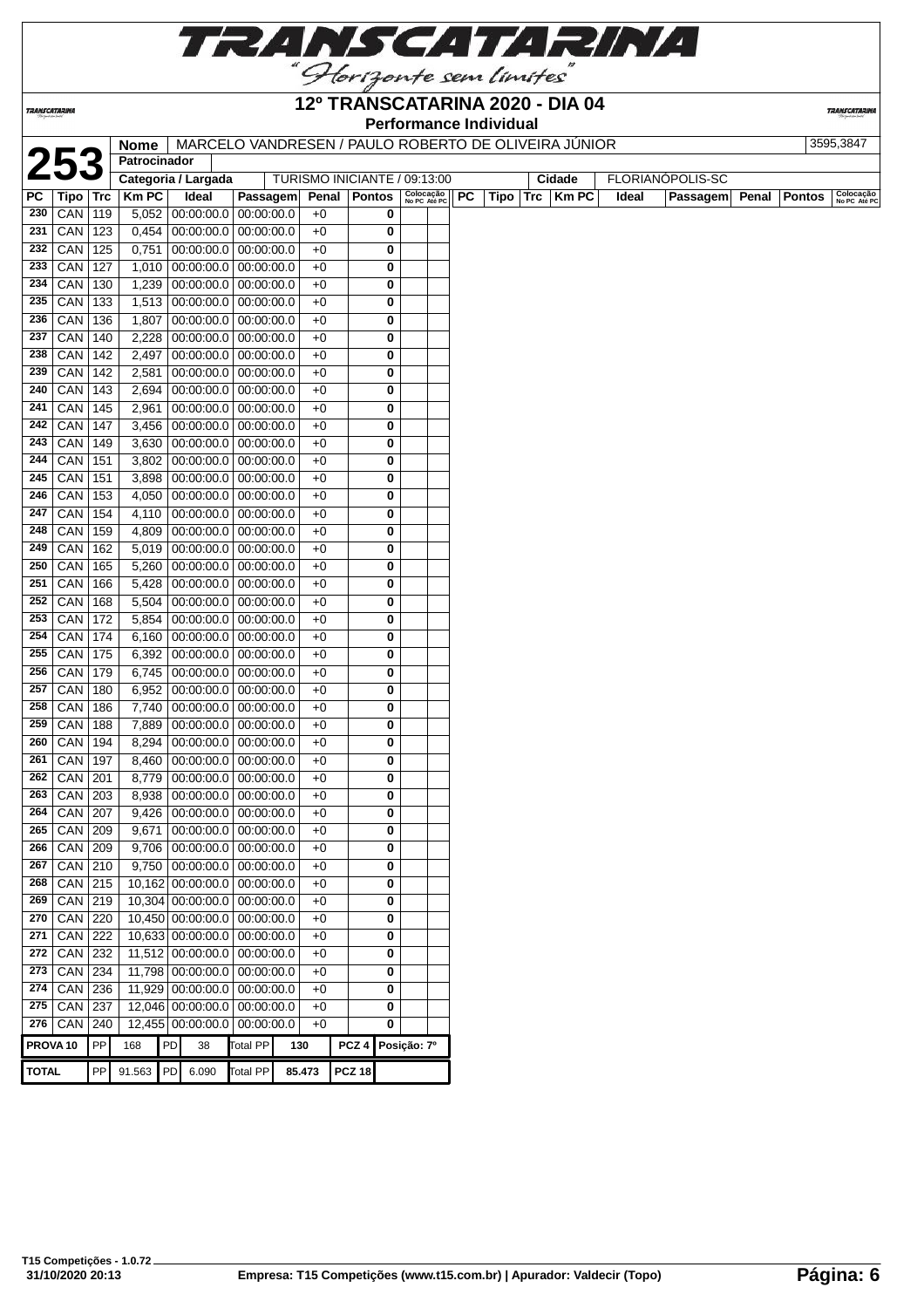

| 12º TRANSCATARINA 2020 - DIA 04<br>TRANSCATARINA<br><b>Performance Individual</b><br>MARCELO VANDRESEN / PAULO ROBERTO DE OLIVEIRA JUNIOR<br>3595,3847<br>Nome<br>25<br>Patrocinador<br>FLORIANÓPOLIS-SC<br>Categoria / Largada<br>TURISMO INICIANTE / 09:13:00<br>Cidade<br>Colocação<br><b>Km PC</b><br>Ideal<br><b>PC</b><br><b>Km PC</b><br>Tipo<br>Passagem<br>Penal<br><b>Pontos</b><br>Trc<br>Ideal<br>Passagem<br>Penal<br><b>Pontos</b><br>Trc<br>Tipo<br>No PC Até PC<br>CAN<br>5,052<br>00:00:00.0<br> 00:00:00.0<br>0<br>119<br>$+0$<br>CAN<br>123<br>0,454<br>00:00:00.0<br>00:00:00.0<br>$+0$<br>0<br>CAN<br>125<br>0,751<br>00:00:00.0<br>00:00:00.0<br>$+0$<br>0<br>CAN<br>127<br>00:00:00.0<br>1,010<br>00:00:00.0<br>0<br>+0<br>CAN<br>130<br>1,239<br>$00:00:00.0$   $00:00:00.0$<br>$+0$<br>0<br>CAN<br>133<br>1,513<br>00:00:00.0<br>00:00:00.0<br>$+0$<br>0<br>CAN<br>136<br>1,807<br>00:00:00.0<br>00:00:00.0<br>$+0$<br>0<br>00:00:00.0<br>CAN<br>140<br>2,228<br>00:00:00.0<br>$+0$<br>0<br>CAN<br>142<br>2,497<br>00:00:00.0<br> 00:00:00.0<br>$+0$<br>0<br>CAN<br>142<br>2,581<br>00:00:00.0<br> 00:00:00.0<br>$+0$<br>0<br>CAN<br>00:00:00.0<br>143<br>2,694<br>00:00:00.0<br>0<br>+0<br>CAN<br>00:00:00.0<br>145<br>2,961<br> 00:00:00.0<br>$+0$<br>0<br>00:00:00.0<br>CAN<br>147<br>3,456<br>00:00:00.0<br>+0<br>0<br>CAN<br>149<br>3,630<br>$00:00:00.0$   $00:00:00.0$<br>$+0$<br>0<br>CAN<br>151<br>00:00:00.0<br>3,802<br> 00:00:00.0<br>0<br>$+0$<br>CAN<br>151<br>3,898 00:00:00.0<br> 00:00:00.0<br>0<br>$+0$<br>153<br>$00:00:00.0$   $00:00:00.0$<br>CAN<br>4,050<br>$+0$<br>0<br>CAN<br>154<br>4,110<br>00:00:00.0<br> 00:00:00.0<br>0<br>$+0$<br>CAN<br>159<br>4,809<br>$00:00:00.0$   $00:00:00.0$<br>$+0$<br>0<br>CAN<br>162<br>00:00:00.0<br>5,019<br> 00:00:00.0<br>$+0$<br>0<br>CAN<br>00:00:00.0<br>165<br>5,260<br> 00:00:00.0<br>$+0$<br>0<br>00:00:00.0<br>CAN<br>166<br>5,428<br>00:00:00.0<br>0<br>+0<br>CAN<br>168<br>5,504<br>00:00:00.0<br>00:00:00.0<br>0<br>$+0$<br>CAN<br>172<br>5,854 00:00:00.0<br>0<br> 00:00:00.0<br>$+0$<br>CAN<br>174<br>6,160 00:00:00.0<br>00:00:00.0<br>$+0$<br>0<br>CAN<br>175<br>00:00:00.0<br>6,392<br> 00:00:00.0<br>$+0$<br>0<br>CAN<br>179<br>6,745<br>00:00:00.0<br>00:00:00.0<br>0<br>$+0$<br>CAN<br>$00:00:00.0$   $00:00:00.0$<br>180<br>6,952<br>$+0$<br>0<br>CAN<br>186<br>7,740<br>00:00:00.0<br> 00:00:00.0<br>0<br>+0<br>CAN<br>188<br>7,889<br>00:00:00.0<br>00:00:00.0<br>+0<br>0<br>CAN<br>$00:00:00.0$   $00:00:00.0$<br>194<br>8,294<br>+0<br>0<br>261 CAN 197<br>8,460 00:00:00.0 00:00:00.0<br>$+0$<br>0<br>$CAN$ 201<br>0<br>8,779   00:00:00.0   00:00:00.0<br>$+0$<br>CAN<br>203<br>8,938<br>00:00:00.0<br> 00:00:00.0<br>$+0$<br>0<br>CAN<br>207<br>9,426<br>00:00:00.0<br> 00:00:00.0<br>+0<br>0<br>CAN<br>00:00:00.0<br>209<br>9,671<br> 00:00:00.0<br>$+0$<br>0<br>CAN<br>$00:00:00.0$ 00:00:00.0<br>209<br>9,706<br>$+0$<br>0<br>9,750 00:00:00.0<br>CAN<br>210<br> 00:00:00.0<br>$+0$<br>0<br>CAN<br>10,162 00:00:00.0<br>215<br> 00:00:00.0<br>$+0$<br>0<br>CAN<br>10,304 00:00:00.0<br>219<br>00:00:00.0<br>$+0$<br>0<br>CAN<br>220<br>10,450 00:00:00.0 00:00:00.0<br>0<br>$+0$<br>CAN<br>222<br>10,633 00:00:00.0 00:00:00.0<br>0<br>$+0$<br>CAN<br>232<br>11,512 00:00:00.0 00:00:00.0<br>0<br>$+0$<br>CAN<br>11,798 00:00:00.0 00:00:00.0<br>234<br>$+0$<br>0<br>CAN<br>236<br>11,929 00:00:00.0 00:00:00.0<br>$+0$<br>0<br>CAN<br>12,046 00:00:00.0 00:00:00.0<br>237<br>$+0$<br>0<br>$276$ CAN<br>240<br>12,455 00:00:00.0 00:00:00.0<br>0<br>$+0$<br>PP<br>PD<br>Total PP<br>PCZ 4 Posição: 7º<br>PROVA 10<br>168<br>38<br>130<br>91.563 PD 6.090<br><b>PCZ 18</b><br>Total PP |              |    |  |  |        | Horizonte sem limites |  |  |  |  |  |  |                      |
|-----------------------------------------------------------------------------------------------------------------------------------------------------------------------------------------------------------------------------------------------------------------------------------------------------------------------------------------------------------------------------------------------------------------------------------------------------------------------------------------------------------------------------------------------------------------------------------------------------------------------------------------------------------------------------------------------------------------------------------------------------------------------------------------------------------------------------------------------------------------------------------------------------------------------------------------------------------------------------------------------------------------------------------------------------------------------------------------------------------------------------------------------------------------------------------------------------------------------------------------------------------------------------------------------------------------------------------------------------------------------------------------------------------------------------------------------------------------------------------------------------------------------------------------------------------------------------------------------------------------------------------------------------------------------------------------------------------------------------------------------------------------------------------------------------------------------------------------------------------------------------------------------------------------------------------------------------------------------------------------------------------------------------------------------------------------------------------------------------------------------------------------------------------------------------------------------------------------------------------------------------------------------------------------------------------------------------------------------------------------------------------------------------------------------------------------------------------------------------------------------------------------------------------------------------------------------------------------------------------------------------------------------------------------------------------------------------------------------------------------------------------------------------------------------------------------------------------------------------------------------------------------------------------------------------------------------------------------------------------------------------------------------------------------------------------------------------------------------------------------------------------------------------------------------------------------------------------------------------------------------------------------------------------------------------------------------------------------------------------------------------------------------------------------------------------------------------------------------------------------------------------------------------------------------------------------------------------------------------------------------------------------------------------------------------------------------------------|--------------|----|--|--|--------|-----------------------|--|--|--|--|--|--|----------------------|
|                                                                                                                                                                                                                                                                                                                                                                                                                                                                                                                                                                                                                                                                                                                                                                                                                                                                                                                                                                                                                                                                                                                                                                                                                                                                                                                                                                                                                                                                                                                                                                                                                                                                                                                                                                                                                                                                                                                                                                                                                                                                                                                                                                                                                                                                                                                                                                                                                                                                                                                                                                                                                                                                                                                                                                                                                                                                                                                                                                                                                                                                                                                                                                                                                                                                                                                                                                                                                                                                                                                                                                                                                                                                                                           |              |    |  |  |        |                       |  |  |  |  |  |  | <b>TRANSCATARINA</b> |
|                                                                                                                                                                                                                                                                                                                                                                                                                                                                                                                                                                                                                                                                                                                                                                                                                                                                                                                                                                                                                                                                                                                                                                                                                                                                                                                                                                                                                                                                                                                                                                                                                                                                                                                                                                                                                                                                                                                                                                                                                                                                                                                                                                                                                                                                                                                                                                                                                                                                                                                                                                                                                                                                                                                                                                                                                                                                                                                                                                                                                                                                                                                                                                                                                                                                                                                                                                                                                                                                                                                                                                                                                                                                                                           |              |    |  |  |        |                       |  |  |  |  |  |  |                      |
|                                                                                                                                                                                                                                                                                                                                                                                                                                                                                                                                                                                                                                                                                                                                                                                                                                                                                                                                                                                                                                                                                                                                                                                                                                                                                                                                                                                                                                                                                                                                                                                                                                                                                                                                                                                                                                                                                                                                                                                                                                                                                                                                                                                                                                                                                                                                                                                                                                                                                                                                                                                                                                                                                                                                                                                                                                                                                                                                                                                                                                                                                                                                                                                                                                                                                                                                                                                                                                                                                                                                                                                                                                                                                                           |              |    |  |  |        |                       |  |  |  |  |  |  |                      |
|                                                                                                                                                                                                                                                                                                                                                                                                                                                                                                                                                                                                                                                                                                                                                                                                                                                                                                                                                                                                                                                                                                                                                                                                                                                                                                                                                                                                                                                                                                                                                                                                                                                                                                                                                                                                                                                                                                                                                                                                                                                                                                                                                                                                                                                                                                                                                                                                                                                                                                                                                                                                                                                                                                                                                                                                                                                                                                                                                                                                                                                                                                                                                                                                                                                                                                                                                                                                                                                                                                                                                                                                                                                                                                           |              |    |  |  |        |                       |  |  |  |  |  |  |                      |
|                                                                                                                                                                                                                                                                                                                                                                                                                                                                                                                                                                                                                                                                                                                                                                                                                                                                                                                                                                                                                                                                                                                                                                                                                                                                                                                                                                                                                                                                                                                                                                                                                                                                                                                                                                                                                                                                                                                                                                                                                                                                                                                                                                                                                                                                                                                                                                                                                                                                                                                                                                                                                                                                                                                                                                                                                                                                                                                                                                                                                                                                                                                                                                                                                                                                                                                                                                                                                                                                                                                                                                                                                                                                                                           | РC           |    |  |  |        |                       |  |  |  |  |  |  | Colocação            |
|                                                                                                                                                                                                                                                                                                                                                                                                                                                                                                                                                                                                                                                                                                                                                                                                                                                                                                                                                                                                                                                                                                                                                                                                                                                                                                                                                                                                                                                                                                                                                                                                                                                                                                                                                                                                                                                                                                                                                                                                                                                                                                                                                                                                                                                                                                                                                                                                                                                                                                                                                                                                                                                                                                                                                                                                                                                                                                                                                                                                                                                                                                                                                                                                                                                                                                                                                                                                                                                                                                                                                                                                                                                                                                           | 230          |    |  |  |        |                       |  |  |  |  |  |  | No PC Até PC         |
|                                                                                                                                                                                                                                                                                                                                                                                                                                                                                                                                                                                                                                                                                                                                                                                                                                                                                                                                                                                                                                                                                                                                                                                                                                                                                                                                                                                                                                                                                                                                                                                                                                                                                                                                                                                                                                                                                                                                                                                                                                                                                                                                                                                                                                                                                                                                                                                                                                                                                                                                                                                                                                                                                                                                                                                                                                                                                                                                                                                                                                                                                                                                                                                                                                                                                                                                                                                                                                                                                                                                                                                                                                                                                                           | 231          |    |  |  |        |                       |  |  |  |  |  |  |                      |
|                                                                                                                                                                                                                                                                                                                                                                                                                                                                                                                                                                                                                                                                                                                                                                                                                                                                                                                                                                                                                                                                                                                                                                                                                                                                                                                                                                                                                                                                                                                                                                                                                                                                                                                                                                                                                                                                                                                                                                                                                                                                                                                                                                                                                                                                                                                                                                                                                                                                                                                                                                                                                                                                                                                                                                                                                                                                                                                                                                                                                                                                                                                                                                                                                                                                                                                                                                                                                                                                                                                                                                                                                                                                                                           | 232          |    |  |  |        |                       |  |  |  |  |  |  |                      |
|                                                                                                                                                                                                                                                                                                                                                                                                                                                                                                                                                                                                                                                                                                                                                                                                                                                                                                                                                                                                                                                                                                                                                                                                                                                                                                                                                                                                                                                                                                                                                                                                                                                                                                                                                                                                                                                                                                                                                                                                                                                                                                                                                                                                                                                                                                                                                                                                                                                                                                                                                                                                                                                                                                                                                                                                                                                                                                                                                                                                                                                                                                                                                                                                                                                                                                                                                                                                                                                                                                                                                                                                                                                                                                           | 233          |    |  |  |        |                       |  |  |  |  |  |  |                      |
|                                                                                                                                                                                                                                                                                                                                                                                                                                                                                                                                                                                                                                                                                                                                                                                                                                                                                                                                                                                                                                                                                                                                                                                                                                                                                                                                                                                                                                                                                                                                                                                                                                                                                                                                                                                                                                                                                                                                                                                                                                                                                                                                                                                                                                                                                                                                                                                                                                                                                                                                                                                                                                                                                                                                                                                                                                                                                                                                                                                                                                                                                                                                                                                                                                                                                                                                                                                                                                                                                                                                                                                                                                                                                                           |              |    |  |  |        |                       |  |  |  |  |  |  |                      |
|                                                                                                                                                                                                                                                                                                                                                                                                                                                                                                                                                                                                                                                                                                                                                                                                                                                                                                                                                                                                                                                                                                                                                                                                                                                                                                                                                                                                                                                                                                                                                                                                                                                                                                                                                                                                                                                                                                                                                                                                                                                                                                                                                                                                                                                                                                                                                                                                                                                                                                                                                                                                                                                                                                                                                                                                                                                                                                                                                                                                                                                                                                                                                                                                                                                                                                                                                                                                                                                                                                                                                                                                                                                                                                           | 234          |    |  |  |        |                       |  |  |  |  |  |  |                      |
|                                                                                                                                                                                                                                                                                                                                                                                                                                                                                                                                                                                                                                                                                                                                                                                                                                                                                                                                                                                                                                                                                                                                                                                                                                                                                                                                                                                                                                                                                                                                                                                                                                                                                                                                                                                                                                                                                                                                                                                                                                                                                                                                                                                                                                                                                                                                                                                                                                                                                                                                                                                                                                                                                                                                                                                                                                                                                                                                                                                                                                                                                                                                                                                                                                                                                                                                                                                                                                                                                                                                                                                                                                                                                                           | 235          |    |  |  |        |                       |  |  |  |  |  |  |                      |
|                                                                                                                                                                                                                                                                                                                                                                                                                                                                                                                                                                                                                                                                                                                                                                                                                                                                                                                                                                                                                                                                                                                                                                                                                                                                                                                                                                                                                                                                                                                                                                                                                                                                                                                                                                                                                                                                                                                                                                                                                                                                                                                                                                                                                                                                                                                                                                                                                                                                                                                                                                                                                                                                                                                                                                                                                                                                                                                                                                                                                                                                                                                                                                                                                                                                                                                                                                                                                                                                                                                                                                                                                                                                                                           | 236          |    |  |  |        |                       |  |  |  |  |  |  |                      |
|                                                                                                                                                                                                                                                                                                                                                                                                                                                                                                                                                                                                                                                                                                                                                                                                                                                                                                                                                                                                                                                                                                                                                                                                                                                                                                                                                                                                                                                                                                                                                                                                                                                                                                                                                                                                                                                                                                                                                                                                                                                                                                                                                                                                                                                                                                                                                                                                                                                                                                                                                                                                                                                                                                                                                                                                                                                                                                                                                                                                                                                                                                                                                                                                                                                                                                                                                                                                                                                                                                                                                                                                                                                                                                           | 237          |    |  |  |        |                       |  |  |  |  |  |  |                      |
|                                                                                                                                                                                                                                                                                                                                                                                                                                                                                                                                                                                                                                                                                                                                                                                                                                                                                                                                                                                                                                                                                                                                                                                                                                                                                                                                                                                                                                                                                                                                                                                                                                                                                                                                                                                                                                                                                                                                                                                                                                                                                                                                                                                                                                                                                                                                                                                                                                                                                                                                                                                                                                                                                                                                                                                                                                                                                                                                                                                                                                                                                                                                                                                                                                                                                                                                                                                                                                                                                                                                                                                                                                                                                                           | 238          |    |  |  |        |                       |  |  |  |  |  |  |                      |
|                                                                                                                                                                                                                                                                                                                                                                                                                                                                                                                                                                                                                                                                                                                                                                                                                                                                                                                                                                                                                                                                                                                                                                                                                                                                                                                                                                                                                                                                                                                                                                                                                                                                                                                                                                                                                                                                                                                                                                                                                                                                                                                                                                                                                                                                                                                                                                                                                                                                                                                                                                                                                                                                                                                                                                                                                                                                                                                                                                                                                                                                                                                                                                                                                                                                                                                                                                                                                                                                                                                                                                                                                                                                                                           | 239          |    |  |  |        |                       |  |  |  |  |  |  |                      |
|                                                                                                                                                                                                                                                                                                                                                                                                                                                                                                                                                                                                                                                                                                                                                                                                                                                                                                                                                                                                                                                                                                                                                                                                                                                                                                                                                                                                                                                                                                                                                                                                                                                                                                                                                                                                                                                                                                                                                                                                                                                                                                                                                                                                                                                                                                                                                                                                                                                                                                                                                                                                                                                                                                                                                                                                                                                                                                                                                                                                                                                                                                                                                                                                                                                                                                                                                                                                                                                                                                                                                                                                                                                                                                           | 240          |    |  |  |        |                       |  |  |  |  |  |  |                      |
|                                                                                                                                                                                                                                                                                                                                                                                                                                                                                                                                                                                                                                                                                                                                                                                                                                                                                                                                                                                                                                                                                                                                                                                                                                                                                                                                                                                                                                                                                                                                                                                                                                                                                                                                                                                                                                                                                                                                                                                                                                                                                                                                                                                                                                                                                                                                                                                                                                                                                                                                                                                                                                                                                                                                                                                                                                                                                                                                                                                                                                                                                                                                                                                                                                                                                                                                                                                                                                                                                                                                                                                                                                                                                                           | 241          |    |  |  |        |                       |  |  |  |  |  |  |                      |
|                                                                                                                                                                                                                                                                                                                                                                                                                                                                                                                                                                                                                                                                                                                                                                                                                                                                                                                                                                                                                                                                                                                                                                                                                                                                                                                                                                                                                                                                                                                                                                                                                                                                                                                                                                                                                                                                                                                                                                                                                                                                                                                                                                                                                                                                                                                                                                                                                                                                                                                                                                                                                                                                                                                                                                                                                                                                                                                                                                                                                                                                                                                                                                                                                                                                                                                                                                                                                                                                                                                                                                                                                                                                                                           | 242          |    |  |  |        |                       |  |  |  |  |  |  |                      |
|                                                                                                                                                                                                                                                                                                                                                                                                                                                                                                                                                                                                                                                                                                                                                                                                                                                                                                                                                                                                                                                                                                                                                                                                                                                                                                                                                                                                                                                                                                                                                                                                                                                                                                                                                                                                                                                                                                                                                                                                                                                                                                                                                                                                                                                                                                                                                                                                                                                                                                                                                                                                                                                                                                                                                                                                                                                                                                                                                                                                                                                                                                                                                                                                                                                                                                                                                                                                                                                                                                                                                                                                                                                                                                           | 243          |    |  |  |        |                       |  |  |  |  |  |  |                      |
|                                                                                                                                                                                                                                                                                                                                                                                                                                                                                                                                                                                                                                                                                                                                                                                                                                                                                                                                                                                                                                                                                                                                                                                                                                                                                                                                                                                                                                                                                                                                                                                                                                                                                                                                                                                                                                                                                                                                                                                                                                                                                                                                                                                                                                                                                                                                                                                                                                                                                                                                                                                                                                                                                                                                                                                                                                                                                                                                                                                                                                                                                                                                                                                                                                                                                                                                                                                                                                                                                                                                                                                                                                                                                                           | 244          |    |  |  |        |                       |  |  |  |  |  |  |                      |
|                                                                                                                                                                                                                                                                                                                                                                                                                                                                                                                                                                                                                                                                                                                                                                                                                                                                                                                                                                                                                                                                                                                                                                                                                                                                                                                                                                                                                                                                                                                                                                                                                                                                                                                                                                                                                                                                                                                                                                                                                                                                                                                                                                                                                                                                                                                                                                                                                                                                                                                                                                                                                                                                                                                                                                                                                                                                                                                                                                                                                                                                                                                                                                                                                                                                                                                                                                                                                                                                                                                                                                                                                                                                                                           | 245          |    |  |  |        |                       |  |  |  |  |  |  |                      |
|                                                                                                                                                                                                                                                                                                                                                                                                                                                                                                                                                                                                                                                                                                                                                                                                                                                                                                                                                                                                                                                                                                                                                                                                                                                                                                                                                                                                                                                                                                                                                                                                                                                                                                                                                                                                                                                                                                                                                                                                                                                                                                                                                                                                                                                                                                                                                                                                                                                                                                                                                                                                                                                                                                                                                                                                                                                                                                                                                                                                                                                                                                                                                                                                                                                                                                                                                                                                                                                                                                                                                                                                                                                                                                           | 246          |    |  |  |        |                       |  |  |  |  |  |  |                      |
|                                                                                                                                                                                                                                                                                                                                                                                                                                                                                                                                                                                                                                                                                                                                                                                                                                                                                                                                                                                                                                                                                                                                                                                                                                                                                                                                                                                                                                                                                                                                                                                                                                                                                                                                                                                                                                                                                                                                                                                                                                                                                                                                                                                                                                                                                                                                                                                                                                                                                                                                                                                                                                                                                                                                                                                                                                                                                                                                                                                                                                                                                                                                                                                                                                                                                                                                                                                                                                                                                                                                                                                                                                                                                                           | 247          |    |  |  |        |                       |  |  |  |  |  |  |                      |
|                                                                                                                                                                                                                                                                                                                                                                                                                                                                                                                                                                                                                                                                                                                                                                                                                                                                                                                                                                                                                                                                                                                                                                                                                                                                                                                                                                                                                                                                                                                                                                                                                                                                                                                                                                                                                                                                                                                                                                                                                                                                                                                                                                                                                                                                                                                                                                                                                                                                                                                                                                                                                                                                                                                                                                                                                                                                                                                                                                                                                                                                                                                                                                                                                                                                                                                                                                                                                                                                                                                                                                                                                                                                                                           | 248          |    |  |  |        |                       |  |  |  |  |  |  |                      |
|                                                                                                                                                                                                                                                                                                                                                                                                                                                                                                                                                                                                                                                                                                                                                                                                                                                                                                                                                                                                                                                                                                                                                                                                                                                                                                                                                                                                                                                                                                                                                                                                                                                                                                                                                                                                                                                                                                                                                                                                                                                                                                                                                                                                                                                                                                                                                                                                                                                                                                                                                                                                                                                                                                                                                                                                                                                                                                                                                                                                                                                                                                                                                                                                                                                                                                                                                                                                                                                                                                                                                                                                                                                                                                           | 249          |    |  |  |        |                       |  |  |  |  |  |  |                      |
|                                                                                                                                                                                                                                                                                                                                                                                                                                                                                                                                                                                                                                                                                                                                                                                                                                                                                                                                                                                                                                                                                                                                                                                                                                                                                                                                                                                                                                                                                                                                                                                                                                                                                                                                                                                                                                                                                                                                                                                                                                                                                                                                                                                                                                                                                                                                                                                                                                                                                                                                                                                                                                                                                                                                                                                                                                                                                                                                                                                                                                                                                                                                                                                                                                                                                                                                                                                                                                                                                                                                                                                                                                                                                                           | 250          |    |  |  |        |                       |  |  |  |  |  |  |                      |
|                                                                                                                                                                                                                                                                                                                                                                                                                                                                                                                                                                                                                                                                                                                                                                                                                                                                                                                                                                                                                                                                                                                                                                                                                                                                                                                                                                                                                                                                                                                                                                                                                                                                                                                                                                                                                                                                                                                                                                                                                                                                                                                                                                                                                                                                                                                                                                                                                                                                                                                                                                                                                                                                                                                                                                                                                                                                                                                                                                                                                                                                                                                                                                                                                                                                                                                                                                                                                                                                                                                                                                                                                                                                                                           | 251          |    |  |  |        |                       |  |  |  |  |  |  |                      |
|                                                                                                                                                                                                                                                                                                                                                                                                                                                                                                                                                                                                                                                                                                                                                                                                                                                                                                                                                                                                                                                                                                                                                                                                                                                                                                                                                                                                                                                                                                                                                                                                                                                                                                                                                                                                                                                                                                                                                                                                                                                                                                                                                                                                                                                                                                                                                                                                                                                                                                                                                                                                                                                                                                                                                                                                                                                                                                                                                                                                                                                                                                                                                                                                                                                                                                                                                                                                                                                                                                                                                                                                                                                                                                           |              |    |  |  |        |                       |  |  |  |  |  |  |                      |
|                                                                                                                                                                                                                                                                                                                                                                                                                                                                                                                                                                                                                                                                                                                                                                                                                                                                                                                                                                                                                                                                                                                                                                                                                                                                                                                                                                                                                                                                                                                                                                                                                                                                                                                                                                                                                                                                                                                                                                                                                                                                                                                                                                                                                                                                                                                                                                                                                                                                                                                                                                                                                                                                                                                                                                                                                                                                                                                                                                                                                                                                                                                                                                                                                                                                                                                                                                                                                                                                                                                                                                                                                                                                                                           | 252          |    |  |  |        |                       |  |  |  |  |  |  |                      |
|                                                                                                                                                                                                                                                                                                                                                                                                                                                                                                                                                                                                                                                                                                                                                                                                                                                                                                                                                                                                                                                                                                                                                                                                                                                                                                                                                                                                                                                                                                                                                                                                                                                                                                                                                                                                                                                                                                                                                                                                                                                                                                                                                                                                                                                                                                                                                                                                                                                                                                                                                                                                                                                                                                                                                                                                                                                                                                                                                                                                                                                                                                                                                                                                                                                                                                                                                                                                                                                                                                                                                                                                                                                                                                           | 253          |    |  |  |        |                       |  |  |  |  |  |  |                      |
|                                                                                                                                                                                                                                                                                                                                                                                                                                                                                                                                                                                                                                                                                                                                                                                                                                                                                                                                                                                                                                                                                                                                                                                                                                                                                                                                                                                                                                                                                                                                                                                                                                                                                                                                                                                                                                                                                                                                                                                                                                                                                                                                                                                                                                                                                                                                                                                                                                                                                                                                                                                                                                                                                                                                                                                                                                                                                                                                                                                                                                                                                                                                                                                                                                                                                                                                                                                                                                                                                                                                                                                                                                                                                                           | 254          |    |  |  |        |                       |  |  |  |  |  |  |                      |
|                                                                                                                                                                                                                                                                                                                                                                                                                                                                                                                                                                                                                                                                                                                                                                                                                                                                                                                                                                                                                                                                                                                                                                                                                                                                                                                                                                                                                                                                                                                                                                                                                                                                                                                                                                                                                                                                                                                                                                                                                                                                                                                                                                                                                                                                                                                                                                                                                                                                                                                                                                                                                                                                                                                                                                                                                                                                                                                                                                                                                                                                                                                                                                                                                                                                                                                                                                                                                                                                                                                                                                                                                                                                                                           | 255          |    |  |  |        |                       |  |  |  |  |  |  |                      |
|                                                                                                                                                                                                                                                                                                                                                                                                                                                                                                                                                                                                                                                                                                                                                                                                                                                                                                                                                                                                                                                                                                                                                                                                                                                                                                                                                                                                                                                                                                                                                                                                                                                                                                                                                                                                                                                                                                                                                                                                                                                                                                                                                                                                                                                                                                                                                                                                                                                                                                                                                                                                                                                                                                                                                                                                                                                                                                                                                                                                                                                                                                                                                                                                                                                                                                                                                                                                                                                                                                                                                                                                                                                                                                           | 256          |    |  |  |        |                       |  |  |  |  |  |  |                      |
|                                                                                                                                                                                                                                                                                                                                                                                                                                                                                                                                                                                                                                                                                                                                                                                                                                                                                                                                                                                                                                                                                                                                                                                                                                                                                                                                                                                                                                                                                                                                                                                                                                                                                                                                                                                                                                                                                                                                                                                                                                                                                                                                                                                                                                                                                                                                                                                                                                                                                                                                                                                                                                                                                                                                                                                                                                                                                                                                                                                                                                                                                                                                                                                                                                                                                                                                                                                                                                                                                                                                                                                                                                                                                                           | 257          |    |  |  |        |                       |  |  |  |  |  |  |                      |
|                                                                                                                                                                                                                                                                                                                                                                                                                                                                                                                                                                                                                                                                                                                                                                                                                                                                                                                                                                                                                                                                                                                                                                                                                                                                                                                                                                                                                                                                                                                                                                                                                                                                                                                                                                                                                                                                                                                                                                                                                                                                                                                                                                                                                                                                                                                                                                                                                                                                                                                                                                                                                                                                                                                                                                                                                                                                                                                                                                                                                                                                                                                                                                                                                                                                                                                                                                                                                                                                                                                                                                                                                                                                                                           | 258          |    |  |  |        |                       |  |  |  |  |  |  |                      |
|                                                                                                                                                                                                                                                                                                                                                                                                                                                                                                                                                                                                                                                                                                                                                                                                                                                                                                                                                                                                                                                                                                                                                                                                                                                                                                                                                                                                                                                                                                                                                                                                                                                                                                                                                                                                                                                                                                                                                                                                                                                                                                                                                                                                                                                                                                                                                                                                                                                                                                                                                                                                                                                                                                                                                                                                                                                                                                                                                                                                                                                                                                                                                                                                                                                                                                                                                                                                                                                                                                                                                                                                                                                                                                           | 259          |    |  |  |        |                       |  |  |  |  |  |  |                      |
|                                                                                                                                                                                                                                                                                                                                                                                                                                                                                                                                                                                                                                                                                                                                                                                                                                                                                                                                                                                                                                                                                                                                                                                                                                                                                                                                                                                                                                                                                                                                                                                                                                                                                                                                                                                                                                                                                                                                                                                                                                                                                                                                                                                                                                                                                                                                                                                                                                                                                                                                                                                                                                                                                                                                                                                                                                                                                                                                                                                                                                                                                                                                                                                                                                                                                                                                                                                                                                                                                                                                                                                                                                                                                                           | 260          |    |  |  |        |                       |  |  |  |  |  |  |                      |
|                                                                                                                                                                                                                                                                                                                                                                                                                                                                                                                                                                                                                                                                                                                                                                                                                                                                                                                                                                                                                                                                                                                                                                                                                                                                                                                                                                                                                                                                                                                                                                                                                                                                                                                                                                                                                                                                                                                                                                                                                                                                                                                                                                                                                                                                                                                                                                                                                                                                                                                                                                                                                                                                                                                                                                                                                                                                                                                                                                                                                                                                                                                                                                                                                                                                                                                                                                                                                                                                                                                                                                                                                                                                                                           |              |    |  |  |        |                       |  |  |  |  |  |  |                      |
|                                                                                                                                                                                                                                                                                                                                                                                                                                                                                                                                                                                                                                                                                                                                                                                                                                                                                                                                                                                                                                                                                                                                                                                                                                                                                                                                                                                                                                                                                                                                                                                                                                                                                                                                                                                                                                                                                                                                                                                                                                                                                                                                                                                                                                                                                                                                                                                                                                                                                                                                                                                                                                                                                                                                                                                                                                                                                                                                                                                                                                                                                                                                                                                                                                                                                                                                                                                                                                                                                                                                                                                                                                                                                                           | 262          |    |  |  |        |                       |  |  |  |  |  |  |                      |
|                                                                                                                                                                                                                                                                                                                                                                                                                                                                                                                                                                                                                                                                                                                                                                                                                                                                                                                                                                                                                                                                                                                                                                                                                                                                                                                                                                                                                                                                                                                                                                                                                                                                                                                                                                                                                                                                                                                                                                                                                                                                                                                                                                                                                                                                                                                                                                                                                                                                                                                                                                                                                                                                                                                                                                                                                                                                                                                                                                                                                                                                                                                                                                                                                                                                                                                                                                                                                                                                                                                                                                                                                                                                                                           | 263          |    |  |  |        |                       |  |  |  |  |  |  |                      |
|                                                                                                                                                                                                                                                                                                                                                                                                                                                                                                                                                                                                                                                                                                                                                                                                                                                                                                                                                                                                                                                                                                                                                                                                                                                                                                                                                                                                                                                                                                                                                                                                                                                                                                                                                                                                                                                                                                                                                                                                                                                                                                                                                                                                                                                                                                                                                                                                                                                                                                                                                                                                                                                                                                                                                                                                                                                                                                                                                                                                                                                                                                                                                                                                                                                                                                                                                                                                                                                                                                                                                                                                                                                                                                           | 264          |    |  |  |        |                       |  |  |  |  |  |  |                      |
|                                                                                                                                                                                                                                                                                                                                                                                                                                                                                                                                                                                                                                                                                                                                                                                                                                                                                                                                                                                                                                                                                                                                                                                                                                                                                                                                                                                                                                                                                                                                                                                                                                                                                                                                                                                                                                                                                                                                                                                                                                                                                                                                                                                                                                                                                                                                                                                                                                                                                                                                                                                                                                                                                                                                                                                                                                                                                                                                                                                                                                                                                                                                                                                                                                                                                                                                                                                                                                                                                                                                                                                                                                                                                                           | 265          |    |  |  |        |                       |  |  |  |  |  |  |                      |
|                                                                                                                                                                                                                                                                                                                                                                                                                                                                                                                                                                                                                                                                                                                                                                                                                                                                                                                                                                                                                                                                                                                                                                                                                                                                                                                                                                                                                                                                                                                                                                                                                                                                                                                                                                                                                                                                                                                                                                                                                                                                                                                                                                                                                                                                                                                                                                                                                                                                                                                                                                                                                                                                                                                                                                                                                                                                                                                                                                                                                                                                                                                                                                                                                                                                                                                                                                                                                                                                                                                                                                                                                                                                                                           | 266          |    |  |  |        |                       |  |  |  |  |  |  |                      |
|                                                                                                                                                                                                                                                                                                                                                                                                                                                                                                                                                                                                                                                                                                                                                                                                                                                                                                                                                                                                                                                                                                                                                                                                                                                                                                                                                                                                                                                                                                                                                                                                                                                                                                                                                                                                                                                                                                                                                                                                                                                                                                                                                                                                                                                                                                                                                                                                                                                                                                                                                                                                                                                                                                                                                                                                                                                                                                                                                                                                                                                                                                                                                                                                                                                                                                                                                                                                                                                                                                                                                                                                                                                                                                           | 267          |    |  |  |        |                       |  |  |  |  |  |  |                      |
|                                                                                                                                                                                                                                                                                                                                                                                                                                                                                                                                                                                                                                                                                                                                                                                                                                                                                                                                                                                                                                                                                                                                                                                                                                                                                                                                                                                                                                                                                                                                                                                                                                                                                                                                                                                                                                                                                                                                                                                                                                                                                                                                                                                                                                                                                                                                                                                                                                                                                                                                                                                                                                                                                                                                                                                                                                                                                                                                                                                                                                                                                                                                                                                                                                                                                                                                                                                                                                                                                                                                                                                                                                                                                                           | 268          |    |  |  |        |                       |  |  |  |  |  |  |                      |
|                                                                                                                                                                                                                                                                                                                                                                                                                                                                                                                                                                                                                                                                                                                                                                                                                                                                                                                                                                                                                                                                                                                                                                                                                                                                                                                                                                                                                                                                                                                                                                                                                                                                                                                                                                                                                                                                                                                                                                                                                                                                                                                                                                                                                                                                                                                                                                                                                                                                                                                                                                                                                                                                                                                                                                                                                                                                                                                                                                                                                                                                                                                                                                                                                                                                                                                                                                                                                                                                                                                                                                                                                                                                                                           | 269          |    |  |  |        |                       |  |  |  |  |  |  |                      |
|                                                                                                                                                                                                                                                                                                                                                                                                                                                                                                                                                                                                                                                                                                                                                                                                                                                                                                                                                                                                                                                                                                                                                                                                                                                                                                                                                                                                                                                                                                                                                                                                                                                                                                                                                                                                                                                                                                                                                                                                                                                                                                                                                                                                                                                                                                                                                                                                                                                                                                                                                                                                                                                                                                                                                                                                                                                                                                                                                                                                                                                                                                                                                                                                                                                                                                                                                                                                                                                                                                                                                                                                                                                                                                           | 270          |    |  |  |        |                       |  |  |  |  |  |  |                      |
|                                                                                                                                                                                                                                                                                                                                                                                                                                                                                                                                                                                                                                                                                                                                                                                                                                                                                                                                                                                                                                                                                                                                                                                                                                                                                                                                                                                                                                                                                                                                                                                                                                                                                                                                                                                                                                                                                                                                                                                                                                                                                                                                                                                                                                                                                                                                                                                                                                                                                                                                                                                                                                                                                                                                                                                                                                                                                                                                                                                                                                                                                                                                                                                                                                                                                                                                                                                                                                                                                                                                                                                                                                                                                                           | 271          |    |  |  |        |                       |  |  |  |  |  |  |                      |
|                                                                                                                                                                                                                                                                                                                                                                                                                                                                                                                                                                                                                                                                                                                                                                                                                                                                                                                                                                                                                                                                                                                                                                                                                                                                                                                                                                                                                                                                                                                                                                                                                                                                                                                                                                                                                                                                                                                                                                                                                                                                                                                                                                                                                                                                                                                                                                                                                                                                                                                                                                                                                                                                                                                                                                                                                                                                                                                                                                                                                                                                                                                                                                                                                                                                                                                                                                                                                                                                                                                                                                                                                                                                                                           | 272          |    |  |  |        |                       |  |  |  |  |  |  |                      |
|                                                                                                                                                                                                                                                                                                                                                                                                                                                                                                                                                                                                                                                                                                                                                                                                                                                                                                                                                                                                                                                                                                                                                                                                                                                                                                                                                                                                                                                                                                                                                                                                                                                                                                                                                                                                                                                                                                                                                                                                                                                                                                                                                                                                                                                                                                                                                                                                                                                                                                                                                                                                                                                                                                                                                                                                                                                                                                                                                                                                                                                                                                                                                                                                                                                                                                                                                                                                                                                                                                                                                                                                                                                                                                           | 273          |    |  |  |        |                       |  |  |  |  |  |  |                      |
|                                                                                                                                                                                                                                                                                                                                                                                                                                                                                                                                                                                                                                                                                                                                                                                                                                                                                                                                                                                                                                                                                                                                                                                                                                                                                                                                                                                                                                                                                                                                                                                                                                                                                                                                                                                                                                                                                                                                                                                                                                                                                                                                                                                                                                                                                                                                                                                                                                                                                                                                                                                                                                                                                                                                                                                                                                                                                                                                                                                                                                                                                                                                                                                                                                                                                                                                                                                                                                                                                                                                                                                                                                                                                                           | 274          |    |  |  |        |                       |  |  |  |  |  |  |                      |
|                                                                                                                                                                                                                                                                                                                                                                                                                                                                                                                                                                                                                                                                                                                                                                                                                                                                                                                                                                                                                                                                                                                                                                                                                                                                                                                                                                                                                                                                                                                                                                                                                                                                                                                                                                                                                                                                                                                                                                                                                                                                                                                                                                                                                                                                                                                                                                                                                                                                                                                                                                                                                                                                                                                                                                                                                                                                                                                                                                                                                                                                                                                                                                                                                                                                                                                                                                                                                                                                                                                                                                                                                                                                                                           | 275          |    |  |  |        |                       |  |  |  |  |  |  |                      |
|                                                                                                                                                                                                                                                                                                                                                                                                                                                                                                                                                                                                                                                                                                                                                                                                                                                                                                                                                                                                                                                                                                                                                                                                                                                                                                                                                                                                                                                                                                                                                                                                                                                                                                                                                                                                                                                                                                                                                                                                                                                                                                                                                                                                                                                                                                                                                                                                                                                                                                                                                                                                                                                                                                                                                                                                                                                                                                                                                                                                                                                                                                                                                                                                                                                                                                                                                                                                                                                                                                                                                                                                                                                                                                           |              |    |  |  |        |                       |  |  |  |  |  |  |                      |
|                                                                                                                                                                                                                                                                                                                                                                                                                                                                                                                                                                                                                                                                                                                                                                                                                                                                                                                                                                                                                                                                                                                                                                                                                                                                                                                                                                                                                                                                                                                                                                                                                                                                                                                                                                                                                                                                                                                                                                                                                                                                                                                                                                                                                                                                                                                                                                                                                                                                                                                                                                                                                                                                                                                                                                                                                                                                                                                                                                                                                                                                                                                                                                                                                                                                                                                                                                                                                                                                                                                                                                                                                                                                                                           |              |    |  |  |        |                       |  |  |  |  |  |  |                      |
|                                                                                                                                                                                                                                                                                                                                                                                                                                                                                                                                                                                                                                                                                                                                                                                                                                                                                                                                                                                                                                                                                                                                                                                                                                                                                                                                                                                                                                                                                                                                                                                                                                                                                                                                                                                                                                                                                                                                                                                                                                                                                                                                                                                                                                                                                                                                                                                                                                                                                                                                                                                                                                                                                                                                                                                                                                                                                                                                                                                                                                                                                                                                                                                                                                                                                                                                                                                                                                                                                                                                                                                                                                                                                                           |              |    |  |  |        |                       |  |  |  |  |  |  |                      |
|                                                                                                                                                                                                                                                                                                                                                                                                                                                                                                                                                                                                                                                                                                                                                                                                                                                                                                                                                                                                                                                                                                                                                                                                                                                                                                                                                                                                                                                                                                                                                                                                                                                                                                                                                                                                                                                                                                                                                                                                                                                                                                                                                                                                                                                                                                                                                                                                                                                                                                                                                                                                                                                                                                                                                                                                                                                                                                                                                                                                                                                                                                                                                                                                                                                                                                                                                                                                                                                                                                                                                                                                                                                                                                           | <b>TOTAL</b> | PP |  |  | 85.473 |                       |  |  |  |  |  |  |                      |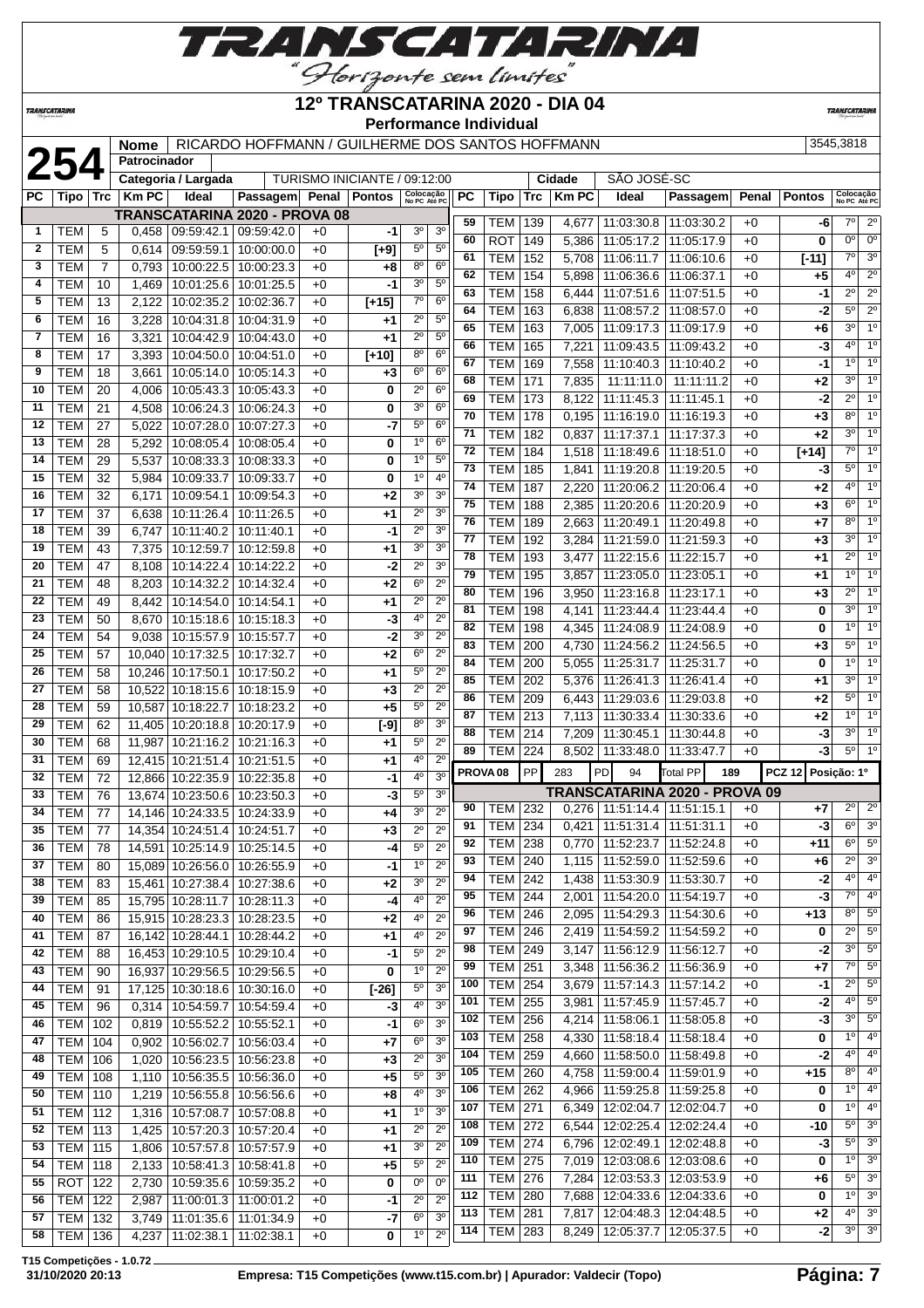

#### **TRANSCATARINA**

#### **12º TRANSCATARINA 2020 - DIA 04 Performance Individual**

**TRANSCATARIN** 

|                     | Nome   RICARDO HOFFMANN / GUILHERME DOS SANTOS H |  |  |  |
|---------------------|--------------------------------------------------|--|--|--|
| <b>Dotropinador</b> |                                                  |  |  |  |

|              |                  |                | <b>Nome</b>  |                              | RICARDO HOFFMANN / GUILHERME DOS SANTOS HOFFMANN |      |                              |                           |                  |                 |                     |     |              |                                   |                               |       |                | 3545,3818                 |                        |
|--------------|------------------|----------------|--------------|------------------------------|--------------------------------------------------|------|------------------------------|---------------------------|------------------|-----------------|---------------------|-----|--------------|-----------------------------------|-------------------------------|-------|----------------|---------------------------|------------------------|
|              | 254              |                | Patrocinador |                              |                                                  |      |                              |                           |                  |                 |                     |     |              |                                   |                               |       |                |                           |                        |
|              |                  |                |              | Categoria / Largada          |                                                  |      | TURISMO INICIANTE / 09:12:00 |                           |                  |                 |                     |     | Cidade       | SÃO JOSÉ-SC                       |                               |       |                |                           |                        |
| PC           | Tipo   Trc       |                | <b>Km PC</b> | Ideal                        | Passagem Penal Pontos                            |      |                              | Colocação<br>No PC Até PC |                  | PC              | Tipo   Trc          |     | <b>Km PC</b> | Ideal                             | Passagem                      | Penal | <b>Pontos</b>  | Colocação<br>No PC Até PC |                        |
|              |                  |                |              |                              | <b>TRANSCATARINA 2020 - PROVA 08</b>             |      |                              |                           |                  | 59              | TEM   139           |     | 4,677        | 11:03:30.8                        | 11:03:30.2                    | $+0$  | -6             | 7°                        | $2^{\circ}$            |
| 1            | TEM              | 5              | 0,458        | 09:59:42.1 09:59:42.0        |                                                  | $+0$ | -1                           | 3 <sup>o</sup>            | 3 <sup>o</sup>   | 60              | ROT                 | 149 | 5,386        | 11:05:17.2                        | 11:05:17.9                    | $+0$  | 0              | $0^{\circ}$               | $0^{\circ}$            |
| $\mathbf{2}$ | <b>TEM</b>       | 5              | 0,614        | 09:59:59.1                   | 10:00:00.0                                       | $+0$ | $[+9]$                       | $5^{\circ}$               | $5^{\circ}$      | 61              | <b>TEM</b>          | 152 | 5,708        | 11:06:11.7                        | 11:06:10.6                    | $+0$  | $[-11]$        | $7^\circ$                 | 3 <sup>o</sup>         |
| 3            | <b>TEM</b>       | $\overline{7}$ | 0,793        | 10:00:22.5                   | 10:00:23.3                                       | $+0$ | $+8$                         | 80                        | $6^{\circ}$      | 62              | <b>TEM</b>          | 154 | 5,898        | 11:06:36.6                        | 11:06:37.1                    | $+0$  | $+5$           | $4^{\circ}$               | $2^{\circ}$            |
| 4            | <b>TEM</b>       | 10             | 1,469        | 10:01:25.6                   | 10:01:25.5                                       | $+0$ | -1                           | 3 <sup>o</sup>            | $5^{\circ}$      | 63              | TEM                 |     |              |                                   | 11:07:51.5                    |       | $-1$           | $\overline{2^{\circ}}$    | $\overline{2^{\circ}}$ |
| 5            | TEM              | 13             | 2,122        | 10:02:35.2                   | 10:02:36.7                                       | $+0$ | $[+15]$                      | $7^\circ$                 | 6 <sup>o</sup>   | 64              |                     | 158 | 6,444        | 11:07:51.6                        |                               | $+0$  |                | $5^\circ$                 | $2^{\circ}$            |
| 6            | <b>TEM</b>       | 16             | 3,228        | 10:04:31.8                   | 10:04:31.9                                       | $+0$ | $+1$                         | $2^{\circ}$               | $5^{\circ}$      | 65              | TEM                 | 163 | 6,838        | 11:08:57.2                        | 11:08:57.0                    | $+0$  | -2             | $3^{\circ}$               | $\overline{1^0}$       |
| 7            | <b>TEM</b>       | 16             | 3,321        | 10:04:42.9                   | 10:04:43.0                                       | $+0$ | $+1$                         | $2^{\circ}$               | $5^{\circ}$      |                 | <b>TEM</b>          | 163 | 7,005        | 11:09:17.3                        | 11:09:17.9                    | $+0$  | +6             | $4^{\circ}$               | 1 <sup>0</sup>         |
| 8            | <b>TEM</b>       | 17             | 3.393        | 10:04:50.0                   | 10:04:51.0                                       | +0   | $[t+10]$                     | $8^{\circ}$               | 6 <sup>o</sup>   | 66              | <b>TEM</b>          | 165 | 7,221        | 11:09:43.5                        | 11:09:43.2                    | $+0$  | -3             |                           |                        |
| 9            | <b>TEM</b>       | 18             | 3,661        | 10:05:14.0                   | 10:05:14.3                                       | $+0$ | $+3$                         | 6 <sup>o</sup>            | 6 <sup>o</sup>   | 67              | <b>TEM</b>          | 169 | 7,558        | 11:10:40.3                        | 11:10:40.2                    | $+0$  | -1             | $1^{\circ}$               | 1 <sup>0</sup>         |
| 10           | <b>TEM</b>       | 20             | 4,006        | 10:05:43.3                   | 10:05:43.3                                       | $+0$ | 0                            | $2^{\circ}$               | 6 <sup>0</sup>   | 68              | <b>TEM</b>          | 171 | 7,835        | 11:11:11.0                        | 11:11:11.2                    | $+0$  | $+2$           | $3^{\circ}$               | $1^\circ$              |
| 11           | <b>TEM</b>       | 21             | 4,508        | 10:06:24.3                   | 10:06:24.3                                       | $+0$ | 0                            | 30                        | 6 <sup>o</sup>   | 69              | TEM                 | 173 | 8,122        | 11:11:45.3                        | 11:11:45.1                    | $+0$  | $-2$           | $2^{\circ}$               | 1 <sup>0</sup>         |
| 12           | <b>TEM</b>       | 27             | 5,022        | 10:07:28.0                   | 10:07:27.3                                       | $+0$ | -7                           | $5^{\circ}$               | 6 <sup>o</sup>   | 70              | <b>TEM</b>          | 178 | 0,195        | 11:16:19.0                        | 11:16:19.3                    | $+0$  | $+3$           | $8^{\circ}$               | 1 <sup>0</sup>         |
| 13           | <b>TEM</b>       | 28             | 5,292        | 10:08:05.4                   | 10:08:05.4                                       | $+0$ | 0                            | 1 <sup>0</sup>            | 6 <sup>o</sup>   | 71              | TEM                 | 182 | 0,837        | 11:17:37.1                        | 11:17:37.3                    | $+0$  | $+2$           | 3 <sup>0</sup>            | 1 <sup>0</sup>         |
| 14           | <b>TEM</b>       | 29             | 5,537        | 10:08:33.3                   | 10:08:33.3                                       | $+0$ | 0                            | 1 <sup>0</sup>            | 5 <sup>0</sup>   | $\overline{72}$ | <b>TEM</b>          | 184 | 1,518        | 11:18:49.6                        | 11:18:51.0                    | $+0$  | $\sqrt{[+14]}$ | $7^\circ$                 | $\overline{1^0}$       |
| 15           | <b>TEM</b>       | 32             | 5,984        | 10:09:33.7                   | 10:09:33.7                                       | $+0$ | 0                            | $1^{\circ}$               | $4^{\circ}$      | 73              | TEM                 | 185 | 1,841        | 11:19:20.8                        | 11:19:20.5                    | $+0$  | -3             | $5^{\circ}$               | 1 <sup>0</sup>         |
| 16           | <b>TEM</b>       | 32             | 6,171        | 10:09:54.1                   | 10:09:54.3                                       | $+0$ | $+2$                         | 30                        | 3 <sup>0</sup>   | 74              | <b>TEM</b>          | 187 | 2,220        | 11:20:06.2                        | 11:20:06.4                    | $+0$  | $+2$           | $4^{\circ}$               | $\overline{1^0}$       |
| 17           | <b>TEM</b>       | 37             | 6,638        | 10:11:26.4                   | 10:11:26.5                                       | $+0$ | $^{+1}$                      | $2^{\circ}$               | 3 <sup>0</sup>   | 75              | <b>TEM</b>          | 188 | 2,385        | 11:20:20.6                        | 11:20:20.9                    | $+0$  | $+3$           | $6^{\circ}$               | 1 <sup>0</sup>         |
| 18           | <b>TEM</b>       |                |              |                              |                                                  |      |                              | $2^{\circ}$               | 3 <sup>0</sup>   | 76              | <b>TEM</b>          | 189 | 2,663        | 11:20:49.1                        | 11:20:49.8                    | $+0$  | +7             | $8^{\circ}$               | 1 <sup>0</sup>         |
|              |                  | 39             | 6,747        | 10:11:40.2                   | 10:11:40.1                                       | $+0$ | -1                           | 30                        | 3 <sup>0</sup>   | 77              | <b>TEM</b>          | 192 | 3,284        | 11:21:59.0                        | 11:21:59.3                    | $+0$  | $+3$           | $3^{\circ}$               | 1 <sup>°</sup>         |
| 19           | <b>TEM</b>       | 43             | 7,375        | 10:12:59.7                   | 10:12:59.8                                       | $+0$ | $+1$                         |                           |                  | 78              | <b>TEM</b>          | 193 | 3,477        | 11:22:15.6                        | 11:22:15.7                    | $+0$  | $+1$           | $2^{\circ}$               | 1 <sup>0</sup>         |
| 20           | <b>TEM</b>       | 47             | 8,108        | 10:14:22.4                   | 10:14:22.2                                       | $+0$ | -2                           | $2^{\circ}$               | 3 <sup>0</sup>   | 79              | <b>TEM</b>          | 195 | 3,857        | 11:23:05.0                        | 11:23:05.1                    | $+0$  | $+1$           | 1 <sup>°</sup>            | 1 <sup>0</sup>         |
| 21           | <b>TEM</b>       | 48             | 8,203        | 10:14:32.2                   | 10:14:32.4                                       | $+0$ | $+2$                         | $6^{\circ}$               | $2^{\circ}$      | 80              | <b>TEM</b>          | 196 | 3,950        | 11:23:16.8                        | 11:23:17.1                    | $+0$  | $+3$           | $2^{\circ}$               | 1 <sup>0</sup>         |
| 22           | <b>TEM</b>       | 49             | 8,442        | 10:14:54.0                   | 10:14:54.1                                       | $+0$ | $+1$                         | $2^{\circ}$               | $2^{\circ}$      | 81              | TEM                 | 198 | 4,141        | 11:23:44.4                        | 11:23:44.4                    | $+0$  | 0              | $3^{\circ}$               | $\overline{1^0}$       |
| 23           | <b>TEM</b>       | 50             | 8,670        | 10:15:18.6                   | 10:15:18.3                                       | $+0$ | -3                           | 4°                        | $2^{\circ}$      | 82              | <b>TEM</b>          | 198 | 4,345        | 11:24:08.9                        | 11:24:08.9                    | $+0$  | 0              | $1^{\circ}$               | $\overline{1^0}$       |
| 24           | <b>TEM</b>       | 54             | 9,038        | 10:15:57.9                   | 10:15:57.7                                       | $+0$ | -2                           | 3 <sup>o</sup>            | $2^{\circ}$      | 83              | <b>TEM</b>          | 200 | 4,730        | 11:24:56.2                        | 11:24:56.5                    | $+0$  | $+3$           | $5^{\circ}$               | 1 <sup>0</sup>         |
| 25           | <b>TEM</b>       | 57             |              | 10,040 10:17:32.5            | 10:17:32.7                                       | $+0$ | $+2$                         | $6^{\circ}$               | $2^{\circ}$      | 84              | <b>TEM</b>          | 200 | 5,055        | 11:25:31.7                        | 11:25:31.7                    | $+0$  | 0              | 1 <sup>°</sup>            | 1 <sup>0</sup>         |
| 26           | <b>TEM</b>       | 58             | 10,246       | 10:17:50.1                   | 10:17:50.2                                       | $+0$ | $+1$                         | $5^{\circ}$               | $2^{\circ}$      | 85              | <b>TEM</b>          | 202 | 5,376        | 11:26:41.3                        | 11:26:41.4                    | $+0$  | $+1$           | 3 <sup>0</sup>            | 1 <sup>0</sup>         |
| 27           | <b>TEM</b>       | 58             | 10,522       | 10:18:15.6                   | 10:18:15.9                                       | $+0$ | $+3$                         | $2^{\circ}$               | $\overline{2^0}$ | 86              | <b>TEM</b>          | 209 | 6,443        | 11:29:03.6                        | 11:29:03.8                    | $+0$  | $+2$           | $5^{\circ}$               | $\overline{1^{\circ}}$ |
| 28           | <b>TEM</b>       | 59             |              | 10,587 10:18:22.7            | 10:18:23.2                                       | $+0$ | $+5$                         | $5^{\circ}$               | 2 <sup>0</sup>   | 87              | TEM                 | 213 | 7,113        | 11:30:33.4                        | 11:30:33.6                    | $+0$  | +2             | 1 <sup>°</sup>            | 1 <sup>0</sup>         |
| 29           | <b>TEM</b>       | 62             |              | 11,405 10:20:18.8            | 10:20:17.9                                       | $+0$ | $\overline{[-9]}$            | 80                        | 3 <sup>0</sup>   | 88              | <b>TEM 214</b>      |     | 7,209        | 11:30:45.1                        | 11:30:44.8                    | $+0$  | -3             | $3^{\circ}$               | 1 <sup>0</sup>         |
| 30           | <b>TEM</b>       | 68             | 11,987       | 10:21:16.2                   | 10:21:16.3                                       | $+0$ | $+1$                         | $5^{\circ}$               | $2^{\circ}$      | 89              | TEM                 | 224 | 8,502        | 11:33:48.0                        | 11:33:47.7                    | $+0$  | -3             | $5^{\circ}$               | 1 <sup>°</sup>         |
| 31           | <b>TEM</b>       | 69             |              | 12,415 10:21:51.4            | 10:21:51.5                                       | $+0$ | $+1$                         | 4º                        | $2^{\circ}$      |                 |                     |     |              |                                   |                               |       |                |                           |                        |
| 32           | <b>TEM</b>       | 72             |              | 12,866 10:22:35.9            | 10:22:35.8                                       | $+0$ | -1                           | 4°                        | 3 <sup>o</sup>   |                 | PROVA <sub>08</sub> | PP  | 283          | <b>PD</b><br>94                   | Total PP                      | 189   | <b>PCZ 12</b>  | Posição: 1º               |                        |
| 33           | <b>TEM</b>       | 76             | 13,674       | 10:23:50.6                   | 10:23:50.3                                       | $+0$ | -3                           | 5°                        | 3 <sup>0</sup>   |                 |                     |     |              |                                   | TRANSCATARINA 2020 - PROVA 09 |       |                |                           |                        |
| 34           | <b>TEM</b>       | 77             |              | 14,146 10:24:33.5            | 10:24:33.9                                       | $+0$ | $+4$                         | 30                        | $2^{\circ}$      | 90              | TEM                 | 232 |              | $0,276$   11:51:14.4              | 11:51:15.1                    | $+0$  | +7             | $2^{\circ}$               | 2 <sup>0</sup>         |
| 35           | TEM              | 77             |              | 14,354 10:24:51.4 10:24:51.7 |                                                  | $+0$ | $+3$                         | $2^{\circ}$               | $2^{\circ}$      | 91              | TEM 234             |     |              | $0,421$   11:51:31.4   11:51:31.1 |                               | $+0$  | $-3$           | $6^{\circ}$               | 3 <sup>o</sup>         |
| 36           | TEM              | 78             |              | 14,591 10:25:14.9 10:25:14.5 |                                                  | +0   | -4                           | $5^{\circ}$               | $2^{\circ}$      | 92              | TEM   238           |     |              | $0,770$   11:52:23.7   11:52:24.8 |                               | $+0$  | +11            | $6^{\circ}$               | $5^{\circ}$            |
| 37           | <b>TEM</b>       | 80             |              | 15,089 10:26:56.0            | 10:26:55.9                                       | $+0$ | -1                           | 1 <sup>0</sup>            | $2^{\circ}$      | 93              | <b>TEM 240</b>      |     | 1,115        | 11:52:59.0                        | 11:52:59.6                    | $+0$  | +6             | $2^{\circ}$               | 3 <sup>o</sup>         |
| 38           | <b>TEM</b>       | 83             |              | 15,461 10:27:38.4            | 10:27:38.6                                       | $+0$ | $+2$                         | 30                        | $2^{\circ}$      | 94              | <b>TEM 242</b>      |     | 1,438        | 11:53:30.9                        | 11:53:30.7                    | $+0$  | $-2$           | $4^{\circ}$               | 4 <sup>0</sup>         |
| 39           | TEM              | 85             |              | 15,795 10:28:11.7            | 10:28:11.3                                       | $+0$ | -4                           | 4º                        | $2^{\circ}$      | 95              | <b>TEM 244</b>      |     | 2,001        | 11:54:20.0                        | 11:54:19.7                    | $+0$  | -3             | $7^\circ$                 | 4 <sup>0</sup>         |
| 40           | <b>TEM</b>       | 86             |              | 15,915 10:28:23.3            | 10:28:23.5                                       | $+0$ | $+2$                         | 40                        | $2^{\circ}$      | 96              | <b>TEM 246</b>      |     | 2,095        | 11:54:29.3                        | 11:54:30.6                    | $+0$  | +13            | $8^{\circ}$               | $5^{\circ}$            |
| 41           | <b>TEM</b>       | 87             |              | 16,142 10:28:44.1            | 10:28:44.2                                       | $+0$ | $+1$                         | 40                        | $2^{\circ}$      | 97              | <b>TEM 246</b>      |     | 2,419        | 11:54:59.2                        | 11:54:59.2                    | $+0$  | 0              | $2^{\circ}$               | $5^\circ$              |
| 42           | <b>TEM</b>       | 88             |              | 16,453 10:29:10.5            | 10:29:10.4                                       | $+0$ | -1                           | $5^{\circ}$               | $2^{\circ}$      | 98              | <b>TEM 249</b>      |     | 3,147        | 11:56:12.9                        | 11:56:12.7                    | $+0$  | -2             | $3^{\circ}$               | $5^{\circ}$            |
| 43           | <b>TEM</b>       | 90             |              | 16,937 10:29:56.5            | 10:29:56.5                                       | $+0$ | 0                            | $1^{\circ}$               | $2^{\circ}$      | 99              | <b>TEM 251</b>      |     | 3,348        | 11:56:36.2                        | 11:56:36.9                    | $+0$  | $+7$           | $7^\circ$                 | $5^{\circ}$            |
| 44           | <b>TEM</b>       | 91             |              | 17,125 10:30:18.6            | 10:30:16.0                                       | $+0$ | $[-26]$                      | 5°                        | 3 <sup>0</sup>   | 100             | <b>TEM 254</b>      |     | 3,679        | 11:57:14.3                        | 11:57:14.2                    | $+0$  | -1             | $2^{\circ}$               | $5^{\circ}$            |
| 45           | <b>TEM</b>       | 96             | 0,314        | 10:54:59.7                   | 10:54:59.4                                       | $+0$ | -3                           | 40                        | 3 <sup>0</sup>   | 101             | <b>TEM 255</b>      |     | 3,981        | 11:57:45.9                        | 11:57:45.7                    | $+0$  | $-2$           | $4^{\circ}$               | $5^{\circ}$            |
| 46           | TEM              | 102            | 0,819        | 10:55:52.2                   | 10:55:52.1                                       | $+0$ | $-1$                         | 6 <sup>o</sup>            | 3 <sup>0</sup>   | 102             | <b>TEM 256</b>      |     | 4,214        | 11:58:06.1                        | 11:58:05.8                    | $+0$  | -3             | $3^{\circ}$               | $5^\circ$              |
| 47           | TEM              | 104            |              | 10:56:02.7                   | 10:56:03.4                                       |      | $+7$                         | $6^{\circ}$               | 3 <sup>0</sup>   | 103             | <b>TEM</b>          | 258 | 4,330        | 11:58:18.4                        | 11:58:18.4                    | $+0$  | 0              | $1^{\circ}$               | $4^{\circ}$            |
|              |                  |                | 0,902        |                              |                                                  | $+0$ |                              | $2^{\circ}$               | 3 <sup>0</sup>   | 104             | TEM                 | 259 | 4,660        | 11:58:50.0                        | 11:58:49.8                    | $+0$  | $-2$           | $4^{\circ}$               | 4 <sup>o</sup>         |
| 48           | <b>TEM   106</b> |                | 1,020        | 10:56:23.5                   | 10:56:23.8                                       | $+0$ | $+3$                         |                           | 3 <sup>o</sup>   | 105             | <b>TEM 260</b>      |     | 4,758        | 11:59:00.4                        | 11:59:01.9                    | $+0$  | +15            | $8^{\circ}$               | $4^{\circ}$            |
| 49           | <b>TEM   108</b> |                | 1,110        | 10:56:35.5                   | 10:56:36.0                                       | $+0$ | $+5$                         | $5^{\circ}$               |                  | 106             | <b>TEM 262</b>      |     | 4,966        | 11:59:25.8                        | 11:59:25.8                    | $+0$  | 0              | 10                        | 4 <sup>o</sup>         |
| 50           | <b>TEM 110</b>   |                | 1,219        | 10:56:55.8                   | 10:56:56.6                                       | $+0$ | $+8$                         | 4º                        | 3 <sup>o</sup>   | 107             | <b>TEM 271</b>      |     | 6,349        |                                   | 12:02:04.7   12:02:04.7       | $+0$  | 0              | 10                        | 4 <sup>o</sup>         |
| 51           | <b>TEM 112</b>   |                | 1,316        | 10:57:08.7                   | 10:57:08.8                                       | $+0$ | $+1$                         | $1^{\circ}$               | 3 <sup>o</sup>   | 108             | <b>TEM 272</b>      |     | 6,544        |                                   | 12:02:25.4   12:02:24.4       | $+0$  | $-10$          | $5^{\circ}$               | 3 <sup>o</sup>         |
| 52           | <b>TEM 113</b>   |                | 1,425        | 10:57:20.3 10:57:20.4        |                                                  | $+0$ | $+1$                         | $2^{\circ}$               | $2^{\circ}$      | 109             | <b>TEM 274</b>      |     | 6,796        |                                   | 12:02:49.1   12:02:48.8       | $+0$  | -3             | $5^\circ$                 | 3 <sup>o</sup>         |
| 53           | <b>TEM 115</b>   |                | 1,806        | 10:57:57.8                   | 10:57:57.9                                       | $+0$ | $+1$                         | $3^{\circ}$               | $2^{\circ}$      | 110             | <b>TEM 275</b>      |     | 7,019        |                                   | 12:03:08.6   12:03:08.6       | $+0$  | 0              | $1^{\circ}$               | 3 <sup>o</sup>         |
| 54           | <b>TEM 118</b>   |                | 2,133        | 10:58:41.3                   | 10:58:41.8                                       | +0   | $+5$                         | $5^{\circ}$               | $2^{\circ}$      |                 |                     |     |              |                                   |                               |       |                | $5^{\circ}$               | 3 <sup>o</sup>         |
| 55           | ROT              | 122            | 2,730        | 10:59:35.6                   | 10:59:35.2                                       | $+0$ | 0                            | 0°                        | $0^{\circ}$      | 111             | <b>TEM 276</b>      |     | 7,284        | 12:03:53.3                        | 12:03:53.9                    | $+0$  | $+6$           | $1^{\circ}$               | 3 <sup>o</sup>         |
| 56           | <b>TEM 122</b>   |                | 2,987        | 11:00:01.3   11:00:01.2      |                                                  | $+0$ | -1                           | $2^{\circ}$               | $2^{\circ}$      | 112             | <b>TEM 280</b>      |     | 7,688        | 12:04:33.6                        | 12:04:33.6                    | $+0$  | 0              |                           | 3 <sup>o</sup>         |
| 57           | <b>TEM 132</b>   |                | 3,749        | 11:01:35.6                   | 11:01:34.9                                       | $+0$ | -7                           | 6°                        | 3 <sup>o</sup>   | 113             | <b>TEM 281</b>      |     | 7,817        | 12:04:48.3                        | 12:04:48.5                    | $+0$  | $+2$           | $4^{\circ}$               |                        |
| 58           | TEM   136        |                | 4,237        | 11:02:38.1                   | 11:02:38.1                                       | $+0$ | 0                            | $1^{\circ}$               | $2^{\circ}$      | 114             | <b>TEM 283</b>      |     | 8,249        | 12:05:37.7                        | 12:05:37.5                    | $+0$  | -21            | $3^{\circ}$               | 3 <sup>o</sup>         |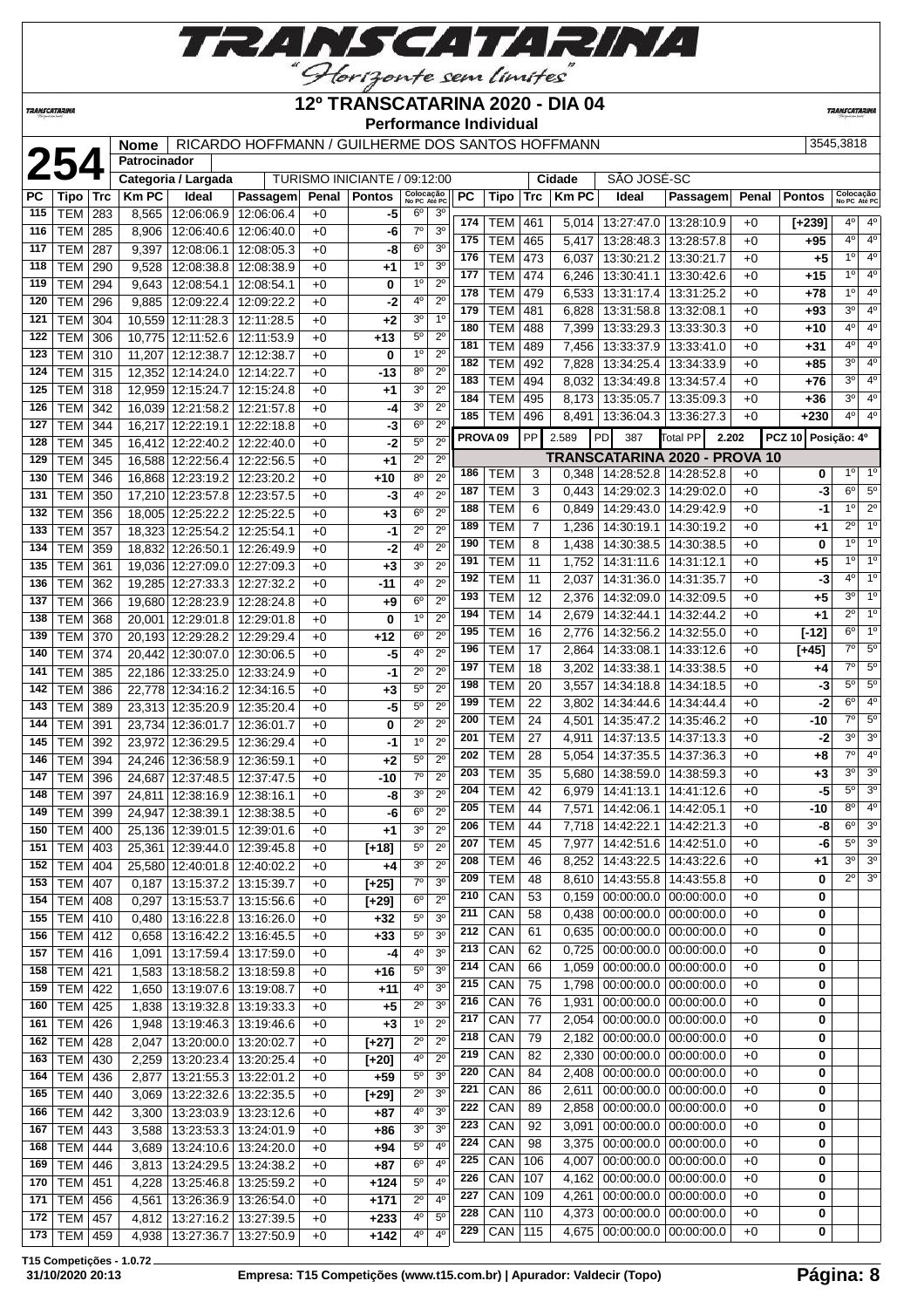

## **12º TRANSCATARINA 2020 - DIA 04**

**TRANSCATARIN** 

**TRANSCATARINA** 

#### **Performance Individual**

|     |                  |       | <b>Nome</b>  |                              | RICARDO HOFFMANN / GUILHERME DOS SANTOS HOFFMANN |       |                              |                           |                  |     |                     |            |             |                             |                               |       |                    | 3545,3818                 |                |
|-----|------------------|-------|--------------|------------------------------|--------------------------------------------------|-------|------------------------------|---------------------------|------------------|-----|---------------------|------------|-------------|-----------------------------|-------------------------------|-------|--------------------|---------------------------|----------------|
|     | 254              |       | Patrocinador |                              |                                                  |       |                              |                           |                  |     |                     |            |             |                             |                               |       |                    |                           |                |
|     |                  |       |              | Categoria / Largada          |                                                  |       | TURISMO INICIANTE / 09:12:00 |                           |                  |     |                     |            | Cidade      | SÃO JOSÉ-SC                 |                               |       |                    |                           |                |
| PC  | Tipo             | ∣ Trc | <b>KmPC</b>  | Ideal                        | Passagem                                         | Penal | <b>Pontos</b>                | Colocação<br>No PC Até PC |                  | PC  | Tipo                | <b>Trc</b> | <b>KmPC</b> | Ideal                       | Passagem                      | Penal | <b>Pontos</b>      | Colocação<br>No PC Até PC |                |
| 115 | <b>TEM</b>       | 283   | 8,565        | 12:06:06.9                   | 12:06:06.4                                       | $+0$  | -5                           | $6^{\circ}$               | 3 <sup>o</sup>   | 174 |                     |            |             |                             |                               |       |                    | $4^{\circ}$               | $4^{\circ}$    |
| 116 | TEM              | 285   | 8,906        | 12:06:40.6                   | 12:06:40.0                                       | $+0$  | -6                           | $7^\circ$                 | 3 <sup>0</sup>   | 175 | <b>TEM</b>          | 461        | 5,014       |                             | 13:27:47.0   13:28:10.9       | $+0$  | $[+239]$           | $4^{\circ}$               | $4^{\circ}$    |
| 117 | <b>TEM</b>       | 287   | 9,397        | 12:08:06.1                   | 12:08:05.3                                       | $+0$  | -8                           | $6^{\circ}$               | 3 <sup>o</sup>   | 176 | <b>TEM</b>          | 465        | 5,417       | 13:28:48.3                  | 13:28:57.8                    | $+0$  | +95                | $1^{\circ}$               | $4^{\circ}$    |
| 118 | <b>TEM</b>       | 290   | 9,528        | 12:08:38.8                   | 12:08:38.9                                       | $+0$  | +1                           | 1 <sup>0</sup>            | 3 <sup>o</sup>   |     | <b>TEM</b>          | 473        | 6,037       | 13:30:21.2   13:30:21.7     |                               | $+0$  | $+5$               | $1^{\circ}$               | $4^{\circ}$    |
| 119 | <b>TEM</b>       | 294   | 9,643        | 12:08:54.1                   | 12:08:54.1                                       | $+0$  | 0                            | 1 <sup>0</sup>            | $2^{\circ}$      | 177 | <b>TEM</b>          | 474        | 6,246       | 13:30:41.1                  | 13:30:42.6                    | $+0$  | $+15$              |                           |                |
| 120 | TEM              | 296   | 9,885        | 12:09:22.4                   | 12:09:22.2                                       | $+0$  | -2                           | 4 <sup>0</sup>            | 2 <sup>0</sup>   | 178 | <b>TEM</b>          | 479        | 6,533       | 13:31:17.4                  | 13:31:25.2                    | $+0$  | $+78$              | 1 <sup>0</sup>            | $4^{\circ}$    |
| 121 | <b>TEM</b>       | 304   | 10,559       | 12:11:28.3                   | 12:11:28.5                                       | $+0$  | +2                           | 3 <sup>0</sup>            | 1 <sup>0</sup>   | 179 | <b>TEM</b>          | 481        | 6,828       | 13:31:58.8                  | 13:32:08.1                    | $+0$  | $+93$              | $3^{\circ}$               | $4^{\circ}$    |
| 122 | <b>TEM</b>       | 306   | 10,775       | 12:11:52.6                   | 12:11:53.9                                       | $+0$  | +13                          | $5^{\circ}$               | $2^{\circ}$      | 180 | <b>TEM</b>          | 488        | 7,399       | 13:33:29.3                  | 13:33:30.3                    | $+0$  | +10                | $4^{\circ}$               | $4^{\circ}$    |
| 123 | <b>TEM</b>       | 310   | 11,207       | 12:12:38.7                   | 12:12:38.7                                       | $+0$  | 0                            | 1 <sup>0</sup>            | $2^{\circ}$      | 181 | <b>TEM</b>          | 489        | 7,456       | 13:33:37.9                  | 13:33:41.0                    | $+0$  | +31                | $4^{\circ}$               | $4^{\circ}$    |
| 124 | <b>TEM</b>       | 315   |              | 12,352 12:14:24.0            | 12:14:22.7                                       | $+0$  | -13                          | 8 <sup>o</sup>            | $\overline{2^0}$ | 182 | <b>TEM</b>          | 492        | 7,828       | 13:34:25.4                  | 13:34:33.9                    | $+0$  | +85                | $3^{\circ}$               | 4 <sup>o</sup> |
| 125 | <b>TEM 318</b>   |       |              | 12,959 12:15:24.7            | 12:15:24.8                                       | $+0$  | +1                           | 3 <sup>0</sup>            | $\overline{2^0}$ | 183 | <b>TEM</b>          | 494        | 8,032       | 13:34:49.8                  | 13:34:57.4                    | $+0$  | $+76$              | $3^{\circ}$               | 4 <sup>o</sup> |
| 126 | <b>TEM</b>       | 342   |              | 16,039 12:21:58.2            | 12:21:57.8                                       | $+0$  | -4                           | 3 <sup>0</sup>            | $2^{\circ}$      | 184 | <b>TEM</b>          | 495        | 8,173       | 13:35:05.7                  | 13:35:09.3                    | $+0$  | $+36$              | $3^{\circ}$               | $4^{\circ}$    |
| 127 | <b>TEM</b>       | 344   |              | 16,217 12:22:19.1            | 12:22:18.8                                       | $+0$  | -3                           | 6 <sup>o</sup>            | 2 <sup>0</sup>   | 185 | <b>TEM</b>          | 496        | 8,491       |                             | 13:36:04.3   13:36:27.3       | $+0$  | $+230$             | $4^{\circ}$               | $4^{\circ}$    |
| 128 | <b>TEM</b>       | 345   | 16,412       | 12:22:40.2                   | 12:22:40.0                                       | $+0$  | $-2$                         | $5^{\circ}$               | $2^{\circ}$      |     | PROVA <sub>09</sub> | PP         | 2.589       | PD<br>387                   | <b>Total PP</b><br>2.202      |       | PCZ 10 Posicão: 4º |                           |                |
|     |                  |       |              |                              |                                                  |       |                              | $2^{\circ}$               | $2^{\circ}$      |     |                     |            |             |                             | TRANSCATARINA 2020 - PROVA 10 |       |                    |                           |                |
| 129 | <b>TEM</b>       | 345   | 16,588       | 12:22:56.4                   | 12:22:56.5                                       | $+0$  | +1                           |                           |                  | 186 | <b>TEM</b>          | 3          | 0,348       |                             | 14:28:52.8   14:28:52.8       | $+0$  | 0                  | $1^{\circ}$               | $1^{\circ}$    |
| 130 | <b>TEM</b>       | 346   | 16,868       | 12:23:19.2                   | 12:23:20.2                                       | $+0$  | $+10$                        | $8^{\circ}$               | $2^{\circ}$      | 187 | <b>TEM</b>          | 3          | 0,443       | 14:29:02.3                  | 14:29:02.0                    | $+0$  | $-3$               | $6^{\circ}$               | $5^\circ$      |
| 131 | TEM              | 350   | 17,210       | 12:23:57.8                   | 12:23:57.5                                       | $+0$  | -3                           | 4°                        | $2^{\circ}$      | 188 | <b>TEM</b>          | 6          | 0,849       | 14:29:43.0                  | 14:29:42.9                    | $+0$  | $-1$               | $1^{\circ}$               | $2^{\circ}$    |
| 132 | <b>TEM</b>       | 356   | 18,005       | 12:25:22.2                   | 12:25:22.5                                       | $+0$  | $+3$                         | 6 <sup>o</sup>            | $2^{\circ}$      | 189 | <b>TEM</b>          | 7          | 1,236       | 14:30:19.1                  | 14:30:19.2                    | $+0$  | +1                 | $2^{\circ}$               | 1 <sup>°</sup> |
| 133 | <b>TEM</b>       | 357   | 18,323       | 12:25:54.2                   | 12:25:54.1                                       | $+0$  | $-1$                         | $2^{\circ}$               | $\overline{2^0}$ | 190 | <b>TEM</b>          | 8          |             |                             |                               |       | 0                  | 1 <sup>0</sup>            | 1 <sup>0</sup> |
| 134 | TEM              | 359   |              | 18,832 12:26:50.1            | 12:26:49.9                                       | $+0$  | $-2$                         | 4 <sup>0</sup>            | $2^{\circ}$      | 191 |                     |            | 1,438       | 14:30:38.5                  | 14:30:38.5                    | $+0$  |                    | 10                        | 1 <sup>°</sup> |
| 135 | <b>TEM</b>       | 361   |              | 19,036 12:27:09.0            | 12:27:09.3                                       | $+0$  | $+3$                         | 3 <sup>0</sup>            | $2^{\circ}$      |     | <b>TEM</b>          | 11         | 1,752       | 14:31:11.6                  | 14:31:12.1                    | $+0$  | $+5$               | $4^{\circ}$               | 1 <sup>°</sup> |
| 136 | <b>TEM</b>       | 362   |              | 19,285 12:27:33.3            | 12:27:32.2                                       | $+0$  | $-11$                        | 4 <sup>0</sup>            | $2^{\circ}$      | 192 | <b>TEM</b>          | 11         | 2,037       | 14:31:36.0                  | 14:31:35.7                    | $+0$  | -3                 |                           |                |
| 137 | <b>TEM</b>       | 366   |              | 19,680 12:28:23.9            | 12:28:24.8                                       | $+0$  | +9                           | $6^{\circ}$               | $2^{\circ}$      | 193 | <b>TEM</b>          | 12         | 2,376       | 14:32:09.0                  | 14:32:09.5                    | $+0$  | $+5$               | $3^{\circ}$               | 1 <sup>°</sup> |
| 138 | <b>TEM</b>       | 368   | 20,001       | 12:29:01.8                   | 12:29:01.8                                       | $+0$  | 0                            | 1 <sup>0</sup>            | $2^{\circ}$      | 194 | <b>TEM</b>          | 14         | 2,679       | 14:32:44.1                  | 14:32:44.2                    | $+0$  | +1                 | $2^{\circ}$               | 1 <sup>0</sup> |
| 139 | <b>TEM</b>       | 370   | 20,193       | 12:29:28.2                   | 12:29:29.4                                       | $+0$  | $+12$                        | 6 <sup>o</sup>            | $2^{\circ}$      | 195 | <b>TEM</b>          | 16         | 2,776       | 14:32:56.2                  | 14:32:55.0                    | $+0$  | $[-12]$            | $6^{\circ}$               | 1 <sup>°</sup> |
| 140 | TEM              | 374   |              | 20,442 12:30:07.0            | 12:30:06.5                                       | $+0$  | -5                           | $4^{\circ}$               | $2^{\circ}$      | 196 | <b>TEM</b>          | 17         | 2,864       | 14:33:08.1                  | 14:33:12.6                    | $+0$  | $[+45]$            | $7^\circ$                 | $5^\circ$      |
| 141 | <b>TEM</b>       | 385   |              | 22,186 12:33:25.0            | 12:33:24.9                                       | $+0$  | $-1$                         | $2^{\circ}$               | $2^{\circ}$      | 197 | <b>TEM</b>          | 18         | 3,202       | 14:33:38.1                  | 14:33:38.5                    | $+0$  | +4                 | 7°                        | 5 <sup>o</sup> |
| 142 | <b>TEM</b>       | 386   | 22,778       | 12:34:16.2                   | 12:34:16.5                                       | $+0$  | $+3$                         | $5^{\circ}$               | $2^{\circ}$      | 198 | <b>TEM</b>          | 20         | 3,557       | 14:34:18.8                  | 14:34:18.5                    | $+0$  | $-3$               | $5^{\circ}$               | $5^\circ$      |
| 143 | <b>TEM</b>       | 389   |              | 23,313 12:35:20.9            | 12:35:20.4                                       | $+0$  | $-5$                         | $5^{\circ}$               | 2 <sup>0</sup>   | 199 | <b>TEM</b>          | 22         | 3,802       | 14:34:44.6                  | 14:34:44.4                    | $+0$  | $-2$               | $6^{\circ}$               | $4^{\circ}$    |
| 144 | <b>TEM</b>       | 391   | 23,734       | 12:36:01.7                   | 12:36:01.7                                       | $+0$  | 0                            | $2^{\circ}$               | $2^{\circ}$      | 200 | <b>TEM</b>          | 24         | 4,501       | 14:35:47.2                  | 14:35:46.2                    | $+0$  | -10                | $7^\circ$                 | $5^{\circ}$    |
| 145 | <b>TEM</b>       | 392   | 23,972       | 12:36:29.5                   | 12:36:29.4                                       | $+0$  | $-1$                         | 1 <sup>0</sup>            | $2^{\circ}$      | 201 | <b>TEM</b>          | 27         | 4,911       | 14:37:13.5                  | 14:37:13.3                    | $+0$  | -2                 | $3^{\circ}$               | 3 <sup>o</sup> |
| 146 | <b>TEM</b>       | 394   |              | 24,246 12:36:58.9            | 12:36:59.1                                       | $+0$  | +2                           | $5^{\circ}$               | $2^{\circ}$      | 202 | <b>TEM</b>          | 28         | 5,054       | 14:37:35.5                  | 14:37:36.3                    | $+0$  | +8                 | $7^\circ$                 | 4 <sup>o</sup> |
| 147 | <b>TEM</b>       | 396   | 24.687       | 12:37:48.5                   | 12:37:47.5                                       | $+0$  | $-10$                        | $7^\circ$                 | $2^{\circ}$      | 203 | <b>TEM</b>          | 35         | 5,680       | 14:38:59.0                  | 14:38:59.3                    | $+0$  | +3                 | $3^{\circ}$               | 3 <sup>0</sup> |
| 148 | TEM              | 397   | 24,811       | 12:38:16.9                   | 12:38:16.1                                       | $+0$  | -8                           | 3 <sup>o</sup>            | $2^{\circ}$      | 204 | <b>TEM</b>          | 42         | 6,979       | $\overline{14:}41:13.1$     | 14:41:12.6                    | $+0$  | -5                 | $5^{\circ}$               | 3 <sup>o</sup> |
| 149 | <b>TEM</b>       | 399   | 24.947       | 12:38:39.1                   | 12:38:38.5                                       | $+0$  | -6                           | 6 <sup>o</sup>            | $2^{\circ}$      | 205 | <b>TEM</b>          | 44         | 7,571       | 14:42:06.1                  | 14:42:05.1                    | $+0$  | -10                | $8^{\circ}$               | 4 <sup>o</sup> |
| 150 | <b>TEM 400</b>   |       |              | 25,136 12:39:01.5            | 12:39:01.6                                       | $+0$  | $+1$                         | 3 <sup>o</sup>            | $2^{\circ}$      | 206 | <b>TEM</b>          | 44         | 7,718       |                             | 14:42:22.1   14:42:21.3       | $+0$  | -8                 | $6^{\circ}$               | 3 <sup>o</sup> |
|     | 151   TEM   403  |       |              | 25,361 12:39:44.0 12:39:45.8 |                                                  | $+0$  | $[+18]$                      | $5^{\circ}$               | $2^{\circ}$      | 207 | TEM                 | 45         | 7,977       | 14:42:51.6   14:42:51.0     |                               | $+0$  | -6                 | $5^{\circ}$               | $3^{\circ}$    |
| 152 | <b>TEM   404</b> |       |              | 25,580 12:40:01.8            | 12:40:02.2                                       | $+0$  | $+4$                         | 3 <sup>o</sup>            | $\overline{2^0}$ | 208 | <b>TEM</b>          | 46         | 8,252       | 14:43:22.5                  | 14:43:22.6                    | $+0$  | $+1$               | $3^{\circ}$               | 3 <sup>o</sup> |
| 153 | <b>TEM 407</b>   |       |              |                              |                                                  |       |                              | $7^\circ$                 | 3 <sup>o</sup>   | 209 | <b>TEM</b>          | 48         | 8,610       |                             | 14:43:55.8 14:43:55.8         | $+0$  | 0                  | $2^{\circ}$               | $3^{\circ}$    |
|     | <b>TEM 408</b>   |       | 0,187        |                              | 13:15:37.2 13:15:39.7                            | $+0$  | $[+25]$                      | $6^{\circ}$               | $2^{\circ}$      | 210 | CAN                 | 53         | 0,159       | $00:00:00.0$ 00:00:00.0     |                               | $+0$  | 0                  |                           |                |
| 154 |                  |       | 0,297        | 13:15:53.7                   | 13:15:56.6                                       | $+0$  | $[+29]$                      | $5^{\circ}$               | 3 <sup>0</sup>   | 211 | CAN                 | 58         | 0,438       | $00:00:00.0$   $00:00:00.0$ |                               | $+0$  | 0                  |                           |                |
| 155 | $TEM$ 410        |       | 0,480        | 13:16:22.8                   | 13:16:26.0                                       | $+0$  | $+32$                        | $5^{\circ}$               | 3 <sup>o</sup>   | 212 | CAN                 | 61         | 0,635       | $00:00:00.0$ 00:00:00.0     |                               | $+0$  | 0                  |                           |                |
| 156 | $TEM$ 412        |       | 0,658        | 13:16:42.2                   | 13:16:45.5                                       | $+0$  | $+33$                        | 4 <sup>o</sup>            | 3 <sup>o</sup>   | 213 | CAN                 | 62         | 0,725       | $00:00:00.0$ 00:00:00.0     |                               | $+0$  | 0                  |                           |                |
| 157 | <b>TEM 416</b>   |       | 1,091        | 13:17:59.4                   | 13:17:59.0                                       | $+0$  | -4                           |                           |                  | 214 | CAN                 | 66         | 1,059       | $00:00:00.0$   $00:00:00.0$ |                               | $+0$  | 0                  |                           |                |
| 158 | TEM   421        |       | 1,583        | 13:18:58.2                   | 13:18:59.8                                       | $+0$  | +16                          | $5^{\circ}$               | 3 <sup>o</sup>   | 215 | CAN                 | 75         | 1,798       | $00:00:00.0$   $00:00:00.0$ |                               | $+0$  | 0                  |                           |                |
| 159 | TEM              | 422   | 1,650        | 13:19:07.6                   | 13:19:08.7                                       | $+0$  | +11                          | 40                        | 3 <sup>0</sup>   | 216 | CAN                 | 76         | 1,931       |                             | $00:00:00.0$ 00:00:00.00      | $+0$  | 0                  |                           |                |
| 160 | TEM              | 425   | 1,838        | 13:19:32.8                   | 13:19:33.3                                       | $+0$  | $+5$                         | $2^{\circ}$               | 3 <sup>o</sup>   | 217 | CAN                 | 77         |             |                             | 00:00:00.0 00:00:00.0         | $+0$  | 0                  |                           |                |
| 161 | TEM 426          |       | 1,948        | 13:19:46.3                   | 13:19:46.6                                       | $+0$  | $+3$                         | 1 <sup>0</sup>            | $2^{\circ}$      |     |                     |            | 2,054       |                             |                               |       |                    |                           |                |
| 162 | TEM 428          |       | 2,047        | 13:20:00.0                   | 13:20:02.7                                       | $+0$  | $\boxed{+27}$                | $2^{\circ}$               | $2^{\circ}$      | 218 | CAN                 | 79         | 2,182       | $00:00:00.0$   $00:00:00.0$ |                               | $+0$  | 0                  |                           |                |
| 163 | TEM 430          |       | 2,259        | 13:20:23.4                   | 13:20:25.4                                       | $+0$  | $[+20]$                      | 40                        | $2^{\circ}$      | 219 | CAN                 | 82         | 2,330       | $00:00:00.0$   $00:00:00.0$ |                               | $+0$  | 0                  |                           |                |
| 164 | TEM   436        |       | 2,877        | 13:21:55.3                   | 13:22:01.2                                       | $+0$  | $+59$                        | $5^{\circ}$               | 3 <sup>o</sup>   | 220 | CAN                 | 84         | 2,408       | $00:00:00.0$   $00:00:00.0$ |                               | $+0$  | 0                  |                           |                |
| 165 | <b>TEM</b>       | 440   | 3,069        | 13:22:32.6                   | 13:22:35.5                                       | $+0$  | $[+29]$                      | $2^{\circ}$               | 3 <sup>o</sup>   | 221 | CAN                 | 86         | 2,611       | $00:00:00.0$   $00:00:00.0$ |                               | $+0$  | 0                  |                           |                |
| 166 | <b>TEM 442</b>   |       | 3,300        | 13:23:03.9                   | 13:23:12.6                                       | $+0$  | +87                          | 4 <sup>0</sup>            | 3 <sup>o</sup>   | 222 | CAN                 | 89         | 2,858       |                             | $00:00:00.0$ 00:00:00.0       | $+0$  | 0                  |                           |                |
| 167 | $TEM$ 443        |       | 3,588        | 13:23:53.3                   | 13:24:01.9                                       | $+0$  | +86                          | 3 <sup>o</sup>            | 3 <sup>o</sup>   | 223 | CAN                 | 92         | 3,091       | $00:00:00.0$   $00:00:00.0$ |                               | $+0$  | 0                  |                           |                |
| 168 | <b>TEM</b>       | 444   | 3,689        | 13:24:10.6                   | 13:24:20.0                                       | $+0$  | +94                          | $5^{\circ}$               | $4^{\circ}$      | 224 | CAN                 | 98         | 3,375       | $00:00:00.0$   $00:00:00.0$ |                               | $+0$  | 0                  |                           |                |
| 169 | <b>TEM 446</b>   |       | 3,813        | 13:24:29.5                   | 13:24:38.2                                       | $+0$  | +87                          | 6 <sup>o</sup>            | 4 <sup>0</sup>   | 225 | CAN                 | 106        | 4,007       | $00:00:00.0$ 00:00:00.00    |                               | $+0$  | 0                  |                           |                |
| 170 | $TEM$ 451        |       | 4,228        | 13:25:46.8                   | 13:25:59.2                                       | $+0$  | $+124$                       | $5^{\rm o}$               | 4 <sup>0</sup>   | 226 | CAN                 | 107        | 4,162       | $00:00:00.0$ 00:00:00.0     |                               | $+0$  | 0                  |                           |                |
| 171 | $TEM$ 456        |       | 4,561        | 13:26:36.9                   | 13:26:54.0                                       | $+0$  | $+171$                       | $2^{\circ}$               | 4 <sup>0</sup>   | 227 | CAN                 | 109        | 4,261       | $00:00:00.0$   $00:00:00.0$ |                               | $+0$  | 0                  |                           |                |
| 172 | <b>TEM 457</b>   |       | 4,812        | 13:27:16.2                   | 13:27:39.5                                       | $+0$  | $+233$                       | 40                        | $5^{\circ}$      | 228 | CAN                 | 110        | 4,373       | $00:00:00.0$   $00:00:00.0$ |                               | $+0$  | 0                  |                           |                |
| 173 | TEM 459          |       | 4,938        | 13:27:36.7                   | 13:27:50.9                                       | $+0$  | $+142$                       | 4º                        | $4^{\circ}$      | 229 | CAN 115             |            | 4,675       | $00:00:00.0$   $00:00:00.0$ |                               | $+0$  | 0                  |                           |                |
|     |                  |       |              |                              |                                                  |       |                              |                           |                  |     |                     |            |             |                             |                               |       |                    |                           |                |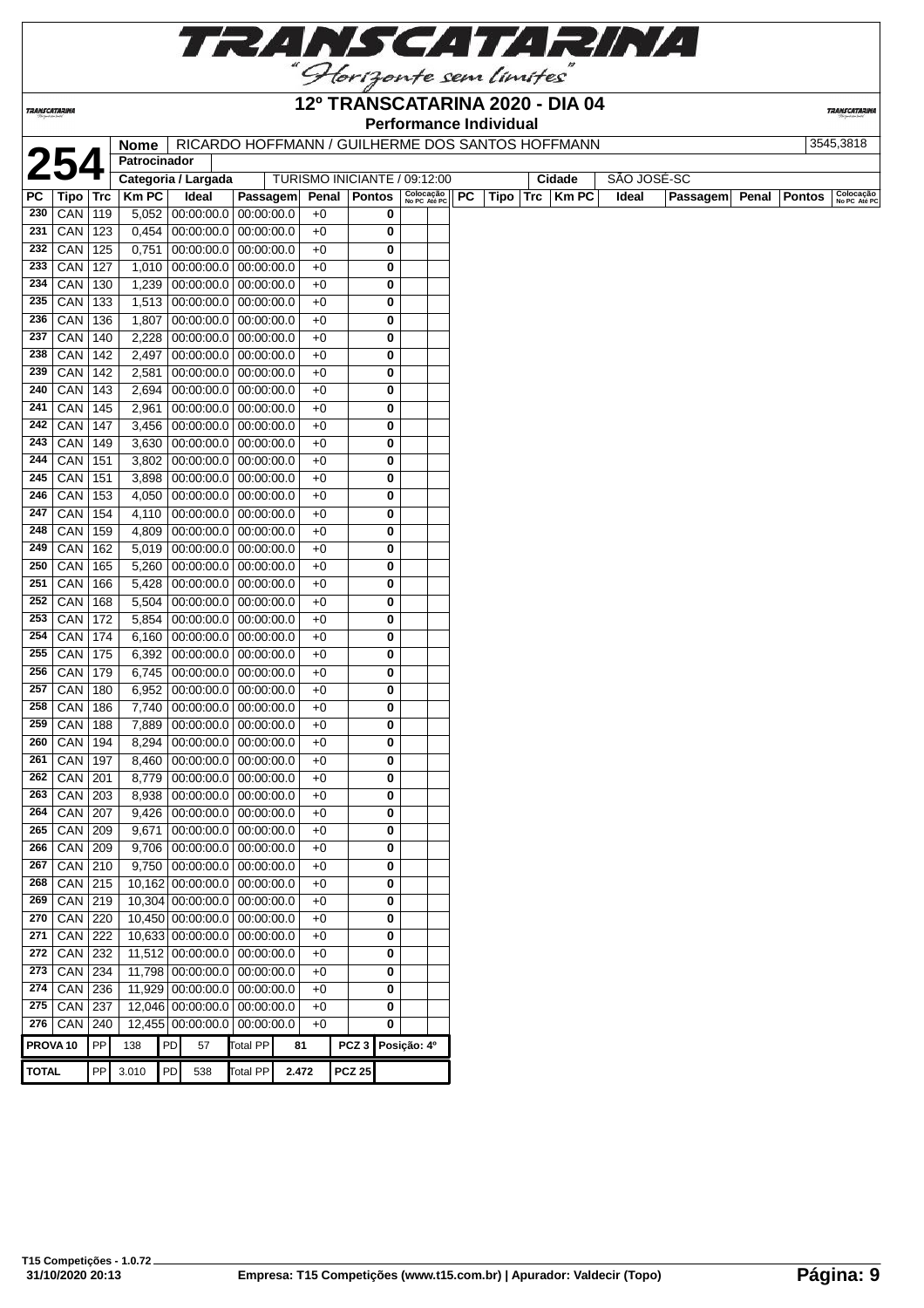

*TRANSCATARINA* 

# **12º TRANSCATARINA 2020 - DIA 04**

**TRANSCATARI** 

**Performance Individual 2545,3818**<br>
Patrocinador | Categoria / Largada | TURISMO INICIANTE / 09:12:00 | Cidade | SÃO JOSÉ-SC<br>
Tipo | Trc | Km PC | Ideal | Passagem| Penal | Pontos | Sepecada | Pontos | Santa | Pontos | Colocada | Penal<br>
Bassagem **Patrocinador** TURISMO INICIANTE / 09:12:00 **Penal Pontos**  $\begin{bmatrix} \text{Colocação} \\ \text{NePE} \end{bmatrix}$  **PC Tipo Trc Km PC No PC Até PC PC Tipo Trc Km PC Ideal Passagem Penal Pontos Colocação No PC Até PC** CAN 119 5,052 00:00:00.0 00:00:00.0 +0 **0** CAN 123 0,454 00:00:00.0 00:00:00.0 +0 **0** CAN 125 0,751 00:00:00.0 00:00:00.0 +0 **0** CAN 127 1,010 00:00:00.0 00:00:00.0 +0 **0** CAN 130 1,239 00:00:00.0 00:00:00.0 +0 **0** CAN 133 1,513 00:00:00.0 00:00:00.0 +0 **0**  CAN 136 1,807 00:00:00.0 00:00:00.0 +0 **0** CAN 140 2,228 00:00:00.0 00:00:00.0 +0 **0** CAN 142 2,497 00:00:00.0 00:00:00.0 +0 **0** CAN 142 2,581 00:00:00.0 00:00:00.0 +0 **0** CAN 143 2,694 00:00:00.0 00:00:00.0 +0 **0** CAN 145 2,961 00:00:00.0 00:00:00.0 +0 **0** CAN 147 3,456 00:00:00.0 00:00:00.0 +0 **0** CAN 149 3,630 00:00:00.0 00:00:00.0 +0 **0** CAN 151 3,802 00:00:00.0 00:00:00.0 +0 **0** CAN 151 3,898 00:00:00.0 00:00:00.0 +0 **0** CAN 153 4,050 00:00:00.0 00:00:00.0 +0 **0** CAN 154 4,110 00:00:00.0 00:00:00.0 +0 **0** CAN 159 4,809 00:00:00.0 00:00:00.0 +0 **0** CAN 162 5,019 00:00:00.0 00:00:00.0 +0 **0**  CAN 165 5,260 00:00:00.0 00:00:00.0 +0 **0** CAN 166 5,428 00:00:00.0 00:00:00.0 +0 **0** CAN 168 5,504 00:00:00.0 00:00:00.0 +0 **0** CAN 172 5,854 00:00:00.0 00:00:00.0 +0 **0** CAN 174 6,160 00:00:00.0 00:00:00.0 +0 **0** CAN 175 6,392 00:00:00.0 00:00:00.0 +0 **0** CAN 179 6,745 00:00:00.0 00:00:00.0 +0 **0** CAN 180 6,952 00:00:00.0 00:00:00.0 +0 **0** CAN 186 7,740 00:00:00.0 00:00:00.0 +0 **0** CAN 188 7,889 00:00:00.0 00:00:00.0 +0 **0** CAN 194 8,294 00:00:00.0 00:00:00.0 +0 **0** CAN 197 8,460 00:00:00.0 00:00:00.0 +0 **0** CAN 201 8,779 00:00:00.0 00:00:00.0 +0 **0** CAN 203 8,938 00:00:00.0 00:00:00.0 +0 **0** CAN 207 9,426 00:00:00.0 00:00:00.0 +0 **0** CAN 209 9671 00:00:00.0 00:00:00.0 +0 **0**  CAN 209 9,706 00:00:00.0 00:00:00.0 +0 **0** CAN 210 9,750 00:00:00.0 00:00:00.0 +0 **0** CAN 215 10,162 00:00:00.0 00:00:00.0 +0 **0** CAN 219 10,304 00:00:00.0 00:00:00.0 +0 **0** CAN 220 10,450 00:00:00.0 00:00:00.0 +0 **0**  CAN 222 10,633 00:00:00.0 00:00:00.0 +0 **0**  CAN 232 11,512 00:00:00.0 00:00:00.0 +0 **0** CAN 234 11,798 00:00:00.0 00:00:00.0 +0 **0** CAN 236 11,929 00:00:00.0 00:00:00.0 +0 **0** CAN 237 12,046 00:00:00.0 00:00:00.0 +0 **0** CAN 240 12,455 00:00:00.0 00:00:00.0 +0 **0 PROVA 10** PP 138 PD 57 Total PP **81 PCZ 3 Posição: 4º TOTAL** PP 3.010 PD 538 Total PP **2.472 PCZ 25**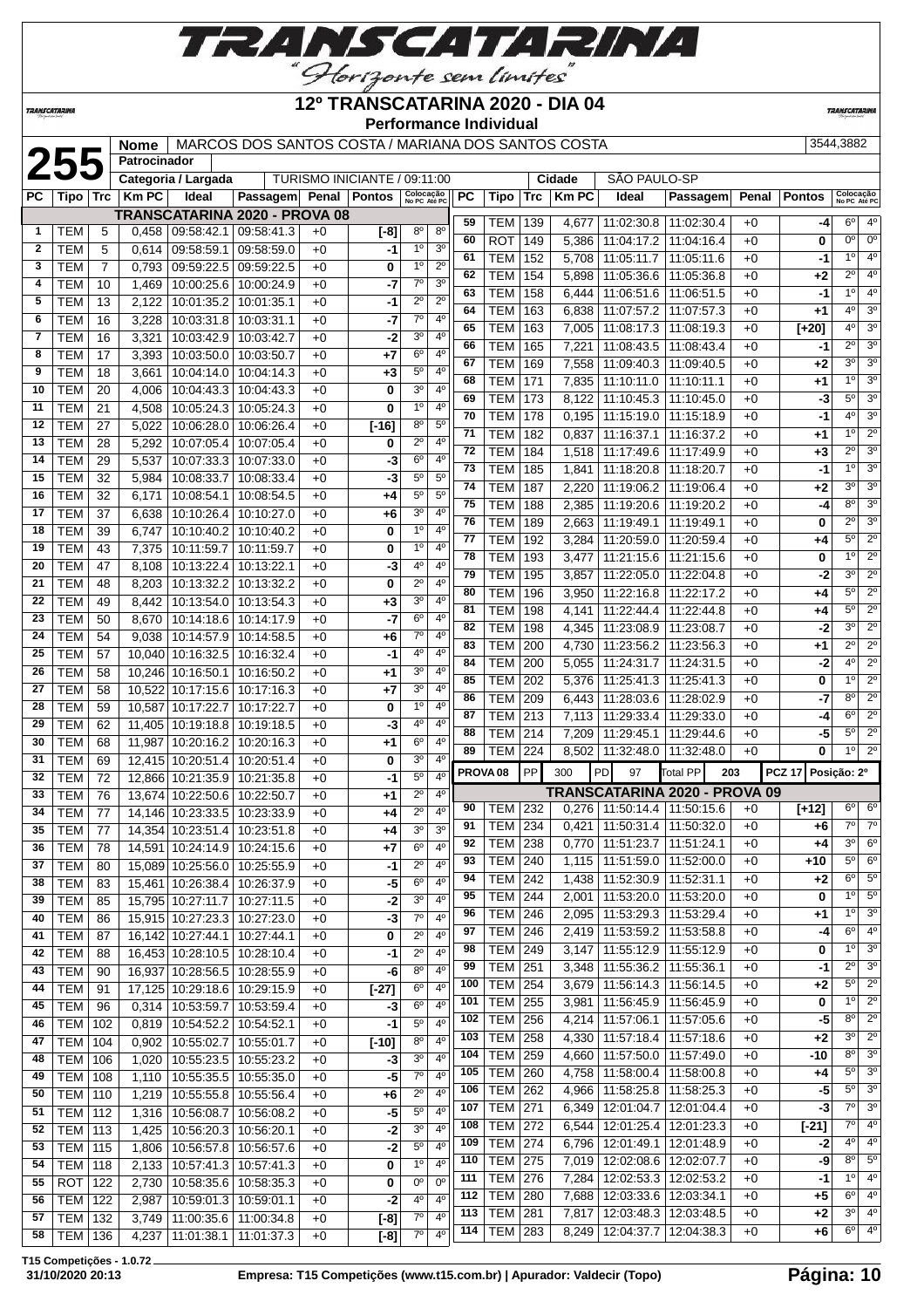

#### *TRANSCATARINA*

#### **12º TRANSCATARINA 2020 - DIA 04 Performance Individual**

**TRANSCATARI** 

|                |            |                | Nome         |                     | MARCOS DOS SANTOS COSTA / MARIANA DOS SANTOS COSTA |      |                              |                           |                  |                       |                     |            |              |                                 |                               |              |               | 3544,3882                             |                                 |
|----------------|------------|----------------|--------------|---------------------|----------------------------------------------------|------|------------------------------|---------------------------|------------------|-----------------------|---------------------|------------|--------------|---------------------------------|-------------------------------|--------------|---------------|---------------------------------------|---------------------------------|
|                | 255        |                | Patrocinador |                     |                                                    |      |                              |                           |                  |                       |                     |            |              |                                 |                               |              |               |                                       |                                 |
|                |            |                |              | Categoria / Largada |                                                    |      | TURISMO INICIANTE / 09:11:00 |                           |                  |                       |                     |            | Cidade       | SÃO PAULO-SP                    |                               |              |               |                                       |                                 |
| PC             | Tipo   Trc |                | <b>Km PC</b> | Ideal               | <b>Passagem</b>                                    |      | Penal   Pontos               | Colocação<br>No PC Até PC |                  | <b>PC</b>             | Tipo                | <b>Trc</b> | <b>Km PC</b> | Ideal                           | Passagem                      | Penal        | <b>Pontos</b> | Colocação<br>No PC Até PO             |                                 |
|                |            |                |              |                     | TRANSCATARINA 2020 - PROVA 08                      |      |                              |                           |                  | 59                    | TEM                 | 139        | 4,677        | 11:02:30.8                      | 11:02:30.4                    | $+0$         | -4            | $6^{\circ}$                           | 4 <sup>0</sup>                  |
| $\mathbf{1}$   | <b>TEM</b> | 5              | 0,458        | 09:58:42.1          | 09:58:41.3                                         | $+0$ | $[-8]$                       | 8 <sup>o</sup>            | $8^{\circ}$      | 60                    | <b>ROT</b>          | 149        | 5,386        | 11:04:17.2                      | 11:04:16.4                    | $+0$         | 0             | $0^{\circ}$                           | $\overline{0}$ <sup>c</sup>     |
| $\mathbf{2}$   | <b>TEM</b> | 5              | 0,614        | 09:58:59.1          | 09:58:59.0                                         | $+0$ | -1                           | 1 <sup>0</sup>            | 3 <sup>o</sup>   | 61                    | <b>TEM</b>          | 152        | 5.708        | 11:05:11.7                      | 11:05:11.6                    | $+0$         | -1            | 1 <sup>0</sup>                        | $4^\circ$                       |
| 3              | <b>TEM</b> | $\overline{7}$ | 0.793        | 09:59:22.5          | 09:59:22.5                                         | $+0$ | 0                            | 1 <sup>0</sup>            | $2^{\circ}$      | 62                    | <b>TEM</b>          | 154        | 5,898        | 11:05:36.6                      | 11:05:36.8                    | $+0$         | +2            | $2^{\circ}$                           | $4^\circ$                       |
| 4              | <b>TEM</b> | 10             | 1.469        | 10:00:25.6          | 10:00:24.9                                         | $+0$ | -7                           | $\overline{7}^{\circ}$    | 3 <sup>o</sup>   | 63                    | TEM                 | 158        | 6,444        | 11:06:51.6                      | 11:06:51.5                    | $+0$         | $-1$          | 1 <sup>0</sup>                        | 4 <sup>c</sup>                  |
| 5              | <b>TEM</b> | 13             | 2,122        | 10:01:35.2          | 10:01:35.1                                         | $+0$ | $-1$                         | $2^{\circ}$               | $\overline{2^0}$ | 64                    | <b>TEM</b>          | 163        | 6,838        | 11:07:57.2                      | 11:07:57.3                    | $+0$         | +1            | 4 <sup>0</sup>                        | 3 <sup>0</sup>                  |
| 6              | <b>TEM</b> | 16             | 3,228        | 10:03:31.8          | 10:03:31.1                                         | $+0$ | -7                           | $7^\circ$                 | $4^{\circ}$      | 65                    | TEM                 | 163        | 7,005        | 11:08:17.3                      | 11:08:19.3                    | $+0$         | $[+20]$       | 4 <sup>0</sup>                        | 3 <sup>o</sup>                  |
| $\overline{7}$ | <b>TEM</b> | 16             | 3,321        | 10:03:42.9          | 10:03:42.7                                         | $+0$ | $-2$                         | 3 <sup>0</sup>            | 4 <sup>0</sup>   | 66                    | <b>TEM</b>          | 165        | 7,221        | 11:08:43.5                      | 11:08:43.4                    | $+0$         | $-1$          | $\overline{2^{\circ}}$                | 3 <sup>o</sup>                  |
| 8              | <b>TEM</b> | 17             | 3,393        | 10:03:50.0          | 10:03:50.7                                         | $+0$ | $+7$                         | $6^{\circ}$               | $4^{\circ}$      | 67                    |                     |            |              |                                 |                               |              |               | 3 <sup>o</sup>                        | 3 <sup>o</sup>                  |
| $\overline{9}$ | <b>TEM</b> | 18             | 3,661        |                     | 10:04:14.0   10:04:14.3                            | $+0$ | $+3$                         | $5^{\circ}$               | 4 <sup>0</sup>   | 68                    | <b>TEM</b>          | 169        | 7,558        | 11:09:40.3                      | 11:09:40.5                    | $+0$<br>$+0$ | +2            | 1 <sup>0</sup>                        | 3 <sup>o</sup>                  |
| 10             | <b>TEM</b> | 20             | 4.006        | 10:04:43.3          | 10:04:43.3                                         | $+0$ | 0                            | 30                        | $4^{\circ}$      | 69                    | <b>TEM</b>          | 171        | 7,835        | 11:10:11.0                      | 11:10:11.1                    |              | +1            | $5^{\circ}$                           | 3 <sup>o</sup>                  |
| 11             | <b>TEM</b> | 21             | 4,508        | 10:05:24.3          | 10:05:24.3                                         | $+0$ | 0                            | 1 <sup>0</sup>            | $4^{\circ}$      | 70                    | <b>TEM</b>          | 173        | 8,122        | 11:10:45.3                      | 11:10:45.0                    | $+0$         | -3            | $\overline{4^0}$                      | $\overline{3^0}$                |
| 12             | <b>TEM</b> | 27             | 5,022        | 10:06:28.0          | 10:06:26.4                                         | $+0$ | $[-16]$                      | $8^{\circ}$               | $5^{\circ}$      | 71                    | <b>TEM</b>          | 178        | 0,195        | 11:15:19.0                      | 11:15:18.9                    | $+0$         | $-1$          | 1 <sup>0</sup>                        | $\overline{2^{\circ}}$          |
| 13             | <b>TEM</b> | 28             | 5,292        | 10:07:05.4          | 10:07:05.4                                         | $+0$ | 0                            | $2^{\circ}$               | 4 <sup>0</sup>   | 72                    | TEM                 | 182        | 0,837        | 11:16:37.1                      | 11:16:37.2                    | $+0$         | $+1$          | $2^{\circ}$                           | 3 <sup>o</sup>                  |
| 14             | TEM        | 29             | 5,537        | 10:07:33.3          | 10:07:33.0                                         | $+0$ | -3                           | $6^{\circ}$               | 4 <sup>0</sup>   | 73                    | <b>TEM</b>          | 184        | 1,518        | 11:17:49.6                      | 11:17:49.9                    | $+0$         | $+3$          | 1 <sup>0</sup>                        | $\overline{3^0}$                |
| 15             | <b>TEM</b> | 32             | 5,984        | 10:08:33.7          | 10:08:33.4                                         | $+0$ | -3                           | $5^{\circ}$               | $5^{\circ}$      | 74                    | <b>TEM</b>          | 185        | 1,841        |                                 | 11:18:20.8   11:18:20.7       | $+0$         | $-1$          | 3 <sup>o</sup>                        | 3 <sup>o</sup>                  |
| 16             | TEM        | 32             | 6,171        | 10:08:54.1          | 10:08:54.5                                         | $+0$ | $+4$                         | $5^{\circ}$               | $5^{\circ}$      | 75                    | TEM                 | 187        | 2,220        | 11:19:06.2                      | 11:19:06.4                    | $+0$         | +2            | 8 <sup>o</sup>                        | 3 <sup>o</sup>                  |
| 17             | TEM        | 37             | 6,638        | 10:10:26.4          | 10:10:27.0                                         | $+0$ | $+6$                         | 3 <sup>o</sup>            | 4 <sup>0</sup>   |                       | <b>TEM</b>          | 188        | 2,385        | 11:19:20.6                      | 11:19:20.2                    | $+0$         | $-4$          |                                       | 3 <sup>o</sup>                  |
| 18             | <b>TEM</b> | 39             | 6,747        | 10:10:40.2          | 10:10:40.2                                         | $+0$ | 0                            | 1 <sup>0</sup>            | 4 <sup>0</sup>   | 76<br>$\overline{77}$ | TEM                 | 189        | 2,663        | 11:19:49.1                      | 11:19:49.1                    | $+0$         | 0             | $\overline{2^{\circ}}$<br>$5^{\circ}$ | $\overline{2^{\circ}}$          |
| 19             | <b>TEM</b> | 43             | 7,375        | 10:11:59.7          | 10:11:59.7                                         | $+0$ | 0                            | 1 <sup>0</sup>            | $4^{\circ}$      |                       | <b>TEM</b>          | 192        | 3,284        | 11:20:59.0                      | 11:20:59.4                    | $+0$         | +4            | 1 <sup>0</sup>                        | $\overline{2^{\circ}}$          |
| 20             | <b>TEM</b> | 47             | 8,108        | 10:13:22.4          | 10:13:22.1                                         | $+0$ | -3                           | 4 <sup>0</sup>            | 4 <sup>0</sup>   | 78                    | TEM                 | 193        | 3,477        | 11:21:15.6                      | 11:21:15.6                    | $+0$         | 0             |                                       |                                 |
| 21             | <b>TEM</b> | 48             | 8,203        | 10:13:32.2          | 10:13:32.2                                         | $+0$ | 0                            | $2^{\circ}$               | $4^{\circ}$      | 79                    | TEM                 | 195        | 3,857        | 11:22:05.0                      | 11:22:04.8                    | $+0$         | -2            | 3 <sup>o</sup><br>$\overline{5^0}$    | $2^{\circ}$<br>$\overline{2^0}$ |
| 22             | TEM        | 49             | 8,442        | 10:13:54.0          | 10:13:54.3                                         | $+0$ | $+3$                         | 3 <sup>o</sup>            | 4 <sup>0</sup>   | 80                    | TEM                 | 196        | 3,950        | 11:22:16.8                      | 11:22:17.2                    | $+0$         | +4            |                                       | $\overline{2^{\circ}}$          |
| 23             | <b>TEM</b> | 50             | 8.670        | 10:14:18.6          | 10:14:17.9                                         | $+0$ | -7                           | 6 <sup>o</sup>            | 4 <sup>0</sup>   | 81                    | TEM                 | 198        | 4,141        |                                 | 11:22:44.4   11:22:44.8       | $+0$         | +4            | 5 <sup>0</sup>                        |                                 |
| 24             | <b>TEM</b> | 54             | 9.038        |                     | 10:14:57.9   10:14:58.5                            | $+0$ | $+6$                         | $7^\circ$                 | 4 <sup>0</sup>   | 82                    | TEM                 | 198        | 4,345        | 11:23:08.9                      | 11:23:08.7                    | $+0$         | $-2$          | 3 <sup>o</sup>                        | $2^{\circ}$                     |
| 25             | TEM        | 57             |              | 10,040 10:16:32.5   | 10:16:32.4                                         | $+0$ | -1                           | 40                        | 4 <sup>0</sup>   | 83                    | <b>TEM</b>          | 200        | 4,730        | 11:23:56.2                      | 11:23:56.3                    | $+0$         | +1            | $2^{\circ}$                           | $\overline{2^{\circ}}$          |
| 26             | <b>TEM</b> | 58             |              | 10,246 10:16:50.1   | 10:16:50.2                                         | $+0$ | $+1$                         | $3^{\circ}$               | $4^{\circ}$      | 84                    | <b>TEM</b>          | 200        | 5,055        |                                 | 11:24:31.7   11:24:31.5       | $+0$         | $-2$          | 4 <sup>0</sup>                        | $\overline{2^0}$                |
| 27             | TEM        | 58             |              | 10,522 10:17:15.6   | 10:17:16.3                                         | $+0$ | $+7$                         | 3 <sup>0</sup>            | $4^{\circ}$      | 85                    | <b>TEM</b>          | 202        | 5,376        | 11:25:41.3                      | 11:25:41.3                    | $+0$         | 0             | 1 <sup>0</sup>                        | 2 <sup>o</sup>                  |
| 28             | <b>TEM</b> | 59             |              | 10,587 10:17:22.7   | 10:17:22.7                                         | $+0$ | 0                            | 1 <sup>0</sup>            | 4 <sup>0</sup>   | 86                    | <b>TEM</b>          | 209        | 6,443        | 11:28:03.6                      | 11:28:02.9                    | $+0$         | $-7$          | 8 <sup>o</sup>                        | 2 <sup>o</sup>                  |
| 29             | <b>TEM</b> | 62             |              | 11,405 10:19:18.8   | 10:19:18.5                                         | $+0$ | -3                           | $4^{\circ}$               | 4 <sup>0</sup>   | 87                    | TEM                 | 213        | 7,113        | 11:29:33.4                      | 11:29:33.0                    | $+0$         | $-4$          | $6^{\circ}$                           | $\overline{2^{\circ}}$          |
| 30             | TEM        | 68             | 11,987       | 10:20:16.2          | 10:20:16.3                                         | $+0$ | $+1$                         | $6^{\circ}$               | $4^{\circ}$      | 88                    | TEM                 | 214        | 7,209        | 11:29:45.1                      | 11:29:44.6                    | $+0$         | -5            | $5^{\circ}$                           | $\overline{2^0}$                |
| 31             | <b>TEM</b> | 69             |              | 12,415 10:20:51.4   | 10:20:51.4                                         | $+0$ | 0                            | 3 <sup>o</sup>            | $\overline{4^0}$ | 89                    | <b>TEM</b>          | 224        | 8,502        | 11:32:48.0                      | 11:32:48.0                    | $+0$         | 0             | 1 <sup>0</sup>                        | $\overline{2^{\circ}}$          |
| 32             | <b>TEM</b> | 72             |              | 12,866 10:21:35.9   | 10:21:35.8                                         | $+0$ | $-1$                         | $5^{\circ}$               | 4 <sup>0</sup>   |                       | PROVA <sub>08</sub> | PP         | 300          | PD<br>97                        | Total PP<br>203               |              | <b>PCZ 17</b> | Posição: 2º                           |                                 |
| 33             | TEM        | 76             |              | 13,674 10:22:50.6   | 10:22:50.7                                         | $+0$ | +1                           | $2^{\circ}$               | 4 <sup>0</sup>   |                       |                     |            |              |                                 | TRANSCATARINA 2020 - PROVA 09 |              |               |                                       |                                 |
| 34             | TEM        | 77             |              | 14,146 10:23:33.5   | 10:23:33.9                                         | $+0$ | $+4$                         | $2^{\circ}$               | $4^{\circ}$      | 90                    | TEM                 | 232        |              | 0,276   11:50:14.4   11:50:15.6 |                               | $+0$         | $[+12]$       | 6 <sup>o</sup>                        | 6 <sup>o</sup>                  |
| 35             | <b>TEM</b> | 77             |              | 14,354 10:23:51.4   | 10:23:51.8                                         | $+0$ | $+4$                         | 3 <sup>0</sup>            | 3 <sup>0</sup>   | 91                    | TEM                 | 234        | 0.421        |                                 | 11:50:31.4   11:50:32.0       | $+0$         | +6            | $7^\circ$                             | $\overline{7}$ <sup>o</sup>     |
| 36             | TEM        | 78             |              |                     | 14,591 10:24:14.9 10:24:15.6                       | $+0$ | $+7$                         | 6 <sup>o</sup>            | 4 <sup>0</sup>   | 92                    | <b>TEM</b>          | 238        | 0,770        | 11:51:23.7                      | 11:51:24.1                    | $+0$         | $+4$          | 3 <sup>o</sup>                        | 6 <sup>o</sup>                  |
| 37             | TEM        | 80             |              |                     | 15,089 10:25:56.0 10:25:55.9                       | $+0$ | $-1$                         | $2^{\circ}$               | 4 <sup>0</sup>   | 93                    | <b>TEM</b>          | 240        | 1,115        | 11:51:59.0                      | 11:52:00.0                    | $+0$         | $+10$         | $5^{\circ}$                           | 6 <sup>o</sup>                  |
| 38             | <b>TEM</b> | 83             |              | 15,461 10:26:38.4   | 10:26:37.9                                         | $+0$ | -5                           | $6^{\circ}$               | 4 <sup>0</sup>   | 94                    | <b>TEM</b>          | 242        |              | 1,438   11:52:30.9   11:52:31.1 |                               | $+0$         | +2            | $6^{\circ}$                           | 5 <sup>o</sup>                  |
| 39             | <b>TEM</b> | 85             |              | 15,795 10:27:11.7   | 10:27:11.5                                         | $+0$ | $-2$                         | 30                        | 4 <sup>0</sup>   | 95                    | TEM                 | 244        | 2,001        | 11:53:20.0                      | 11:53:20.0                    | $+0$         | 0             | 10                                    | 5 <sup>o</sup>                  |
| 40             | <b>TEM</b> | 86             |              | 15,915 10:27:23.3   | 10:27:23.0                                         | $+0$ | -3                           | 70                        | 4 <sup>0</sup>   | 96                    | <b>TEM</b>          | 246        | 2,095        | 11:53:29.3                      | 11:53:29.4                    | $+0$         | +1            | 1 <sup>0</sup>                        | $\overline{3^0}$                |
| 41             | <b>TEM</b> | 87             |              |                     | 16,142 10:27:44.1 10:27:44.1                       | $+0$ | $\overline{\mathbf{0}}$      | $2^{\circ}$               | 4 <sup>0</sup>   | 97                    | TEM                 | 246        |              | 2,419   11:53:59.2   11:53:58.8 |                               | $+0$         | $-4$          | $6^{\circ}$                           | 4 <sup>c</sup>                  |
|                |            |                |              |                     |                                                    |      |                              |                           |                  |                       |                     |            |              |                                 |                               |              |               |                                       |                                 |

 TEM 88 16,453 10:28:10.5 10:28:10.4 +0 **-1** 2º 4º TEM 90 16,937 10:28:56.5 10:28:55.9 +0 **-6** 8º 4º TEM 91 17,125 10:29:18.6 10:29:15.9 +0 **[-27]** 6º 4º TEM 96 0,314 10:53:59.7 10:53:59.4 +0 **-3** 6º 4º TEM 102 0,819 10:54:52.2 10:54:52.1 +0 **-1** 5º 4º TEM 104 0,902 10:55:02.7 10:55:01.7 +0 **[-10]** 8º 4º TEM 106 1,020 10:55:23.5 10:55:23.2 +0 **-3** 3º 4º TEM 108 1,110 10:55:35.5 10:55:35.0 +0 **-5** 7º 4º TEM 110 1,219 10:55:55.8 10:55:56.4 +0 **+6** 2º 4º TEM 112 1,316 10:56:08.7 10:56:08.2 +0 **-5** 5º 4º TEM 113 1,425 10:56:20.3 10:56:20.1 +0 **-2** 3º 4º TEM 115 1,806 10:56:57.8 10:56:57.6 +0 **-2** 5º 4º TEM 118 2,133 10:57:41.3 10:57:41.3 +0 **0** 1º 4º ROT 122 2,730 10:58:35.6 10:58:35.3 +0 **0** 0º 0º TEM 122 2,987 10:59:01.3 10:59:01.1 +0 **-2** 4º 4º TEM 132 3,749 11:00:35.6 11:00:34.8 +0 **[-8]** 7º 4º TEM 136 4,237 11:01:38.1 11:01:37.3 +0 **[-8]** 7º 4º

 TEM 249 3,147 11:55:12.9 11:55:12.9 +0 **0** 1<sup>o</sup> 3<sup>o</sup> TEM 251 3,348 11:55:36.2 11:55:36.1 +0 **-1** 2º 3º TEM 254 3,679 11:56:14.3 11:56:14.5 +0 **+2** 5º 2º TEM 255 3,981 11:56:45.9 11:56:45.9 +0 **0** 1º 2º TEM 256 4,214 11:57:06.1 11:57:05.6 +0 **-5** 8º 2º TEM 258 4,330 11:57:18.4 11:57:18.6 +0 **+2** 3º 2º TEM 259 4,660 11:57:50.0 11:57:49.0 +0 **-10** 8º 3º TEM 260 4,758 11:58:00.4 11:58:00.8 +0 **+4** 5º 3º TEM 262 4,966 11:58:25.8 11:58:25.3 +0 **-5** 5º 3º TEM 271 6,349 12:01:04.7 12:01:04.4 +0 **-3** 7º 3º TEM 272 6,544 12:01:25.4 12:01:23.3 +0 **[-21]** 7º 4º TEM 274 6,796 12:01:49.1 12:01:48.9 +0 **-2** 4º 4º TEM 275 7,019 12:02:08.6 12:02:07.7 +0 **-9** 8º 5º TEM 276 7,284 12:02:53.3 12:02:53.2 +0 **-1** 1º 4º TEM 280 7,688 12:03:33.6 12:03:34.1 +0 **+5** 6º 4º TEM 281 7,817 12:03:48.3 12:03:48.5 +0 **+2** 3º 4º TEM 283 8,249 12:04:37.7 12:04:38.3 +0 **+6** 6º 4º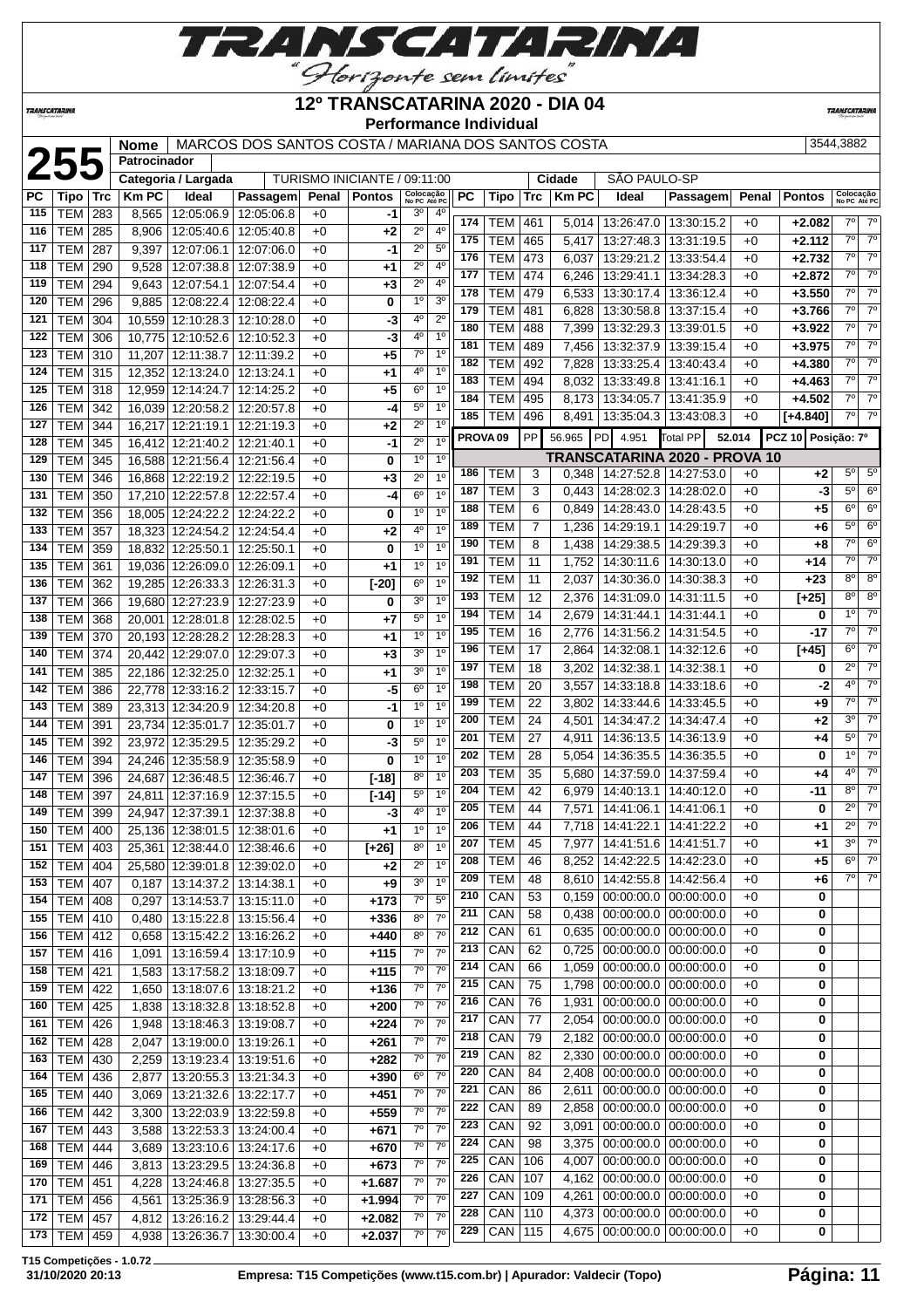

#### **12º TRANSCATARINA 2020 - DIA 04**

**Performance Individual**

**TRANSCATARI** 

**TRANSCATARINA** 

**Patrocinador**

# **255 Nome** MARCOS DOS SANTOS COSTA / MARIANA DOS SANTOS COSTA 3544,3882<br> **2544,3882**<br>
Patrocinador Categoria / Largada TURISMO INICIANTE / 09:11:00 Cidade SÃO PAULO-SP<br>
PC Tipo Trc | Km PC | Ideal | Passagem| Penal | Pon

TURISMO INICIANTE / 09:11:00

| <b>PC</b>  | Tipo                     | Trc        | <b>KmPC</b> | Ideal                           | Passagem                                           | Penal        | <b>Pontos</b>    | Colocação                           |                                  | <b>PC</b> | Tipo                | Trc            | <b>Km PC</b> | Ideal                             | Passagem                      | Penal  | <b>Pontos</b>      | Colocação      |                |
|------------|--------------------------|------------|-------------|---------------------------------|----------------------------------------------------|--------------|------------------|-------------------------------------|----------------------------------|-----------|---------------------|----------------|--------------|-----------------------------------|-------------------------------|--------|--------------------|----------------|----------------|
| 115        | <b>TEM</b>               | 283        | 8,565       | 12:05:06.9 12:05:06.8           |                                                    | $+0$         | -1               | No PC Até PC<br>30                  | $4^{\circ}$                      |           |                     |                |              |                                   |                               |        |                    | No PC Até PO   |                |
| 116        | <b>TEM</b>               | 285        | 8,906       | 12:05:40.6   12:05:40.8         |                                                    | $+0$         | $+2$             | $2^{\circ}$                         | $4^{\circ}$                      | 174       | TEM                 | 461            |              | 5,014   13:26:47.0   13:30:15.2   |                               | $+0$   | $+2.082$           | $7^\circ$      | $7^\circ$      |
| 117        | <b>TEM</b>               | 287        | 9,397       | 12:07:06.1                      | 12:07:06.0                                         | $+0$         | -1               | 2º                                  | $5^{\circ}$                      | 175       | TEM                 | 465            | 5,417        | 13:27:48.3   13:31:19.5           |                               | $+0$   | $+2.112$           | $7^\circ$      | $7^\circ$      |
| 118        | <b>TEM</b>               | 290        | 9,528       | 12:07:38.8                      | 12:07:38.9                                         | $+0$         | $^{+1}$          | $2^{\circ}$                         | $4^{\circ}$                      | 176       | TEM                 | 473            | 6,037        | 13:29:21.2                        | 13:33:54.4                    | $+0$   | $+2.732$           | $7^{\circ}$    | $7^\circ$      |
| 119        | <b>TEM</b>               | 294        | 9,643       | 12:07:54.1                      | 12:07:54.4                                         | $+0$         | $+3$             | $2^{\circ}$                         | 4 <sup>0</sup>                   | 177       | <b>TEM</b>          | 474            | 6,246        | 13:29:41.1                        | 13:34:28.3                    | $+0$   | $+2.872$           | $7^\circ$      | $7^\circ$      |
| 120        | <b>TEM</b>               | 296        | 9,885       | 12:08:22.4                      | 12:08:22.4                                         | $+0$         | 0                | $1^{\circ}$                         | 3 <sup>o</sup>                   | 178       | <b>TEM</b>          | 479            | 6,533        | 13:30:17.4                        | 13:36:12.4                    | $+0$   | $+3.550$           | $7^\circ$      | $7^\circ$      |
| 121        | <b>TEM</b>               | 304        |             | 10,559 12:10:28.3 12:10:28.0    |                                                    | $+0$         | -3               | 4º                                  | $2^{\circ}$                      | 179       | TEM                 | 481            | 6,828        | 13:30:58.8   13:37:15.4           |                               | $+0$   | $+3.766$           | $7^\circ$      | $7^\circ$      |
| 122        | <b>TEM</b>               |            |             | 10,775 12:10:52.6               |                                                    | $+0$         |                  | 40                                  | 1 <sup>0</sup>                   | 180       | TEM                 | 488            | 7,399        | 13:32:29.3                        | 13:39:01.5                    | $+0$   | $+3.922$           | $7^\circ$      | $7^\circ$      |
| 123        |                          | 306        |             |                                 | 12:10:52.3                                         |              | -3               | $7^\circ$                           | 1 <sup>0</sup>                   | 181       | TEM                 | 489            | 7,456        | 13:32:37.9                        | 13:39:15.4                    | $+0$   | $+3.975$           | $7^\circ$      | $7^\circ$      |
| 124        | <b>TEM</b>               | 310        | 11,207      | 12:11:38.7                      | 12:11:39.2                                         | $+0$         | $+5$             | 4°                                  | 1 <sup>0</sup>                   | 182       | <b>TEM</b>          | 492            | 7,828        | 13:33:25.4                        | 13:40:43.4                    | $+0$   | $+4.380$           | $7^\circ$      | $7^\circ$      |
|            | <b>TEM</b>               | 315        |             | 12,352 12:13:24.0 12:13:24.1    |                                                    | $+0$         | $+1$             |                                     | 1 <sup>0</sup>                   | 183       | TEM                 | 494            | 8,032        | 13:33:49.8                        | 13:41:16.1                    | $+0$   | $+4.463$           | $7^{\circ}$    | $7^\circ$      |
| 125        | <b>TEM</b>               | 318        |             | 12,959 12:14:24.7               | 12:14:25.2                                         | $+0$         | $+5$             | $6^{\circ}$                         | $1^{\circ}$                      | 184       | TEM                 | 495            |              | 8,173   13:34:05.7   13:41:35.9   |                               | $+0$   | $+4.502$           | $7^\circ$      | $7^\circ$      |
| 126        | <b>TEM</b>               | 342        |             | 16,039 12:20:58.2 12:20:57.8    |                                                    | $+0$         | -4               | $5^{\circ}$                         | 1 <sup>0</sup>                   | 185       | <b>TEM</b>          | 496            |              | 8,491   13:35:04.3   13:43:08.3   |                               | $+0$   | [+4.840]           | $7^\circ$      | $7^\circ$      |
| 127        | <b>TEM</b>               | 344        |             | 16,217 12:21:19.1               | 12:21:19.3                                         | $+0$         | $+2$             | $2^{\circ}$<br>$2^{\circ}$          | 1 <sup>0</sup>                   |           | PROVA <sub>09</sub> | PP             | 56.965       | PD 4.951                          | Total PP                      | 52.014 | PCZ 10 Posição: 7º |                |                |
| 128        | <b>TEM</b>               | 345        |             | 16,412 12:21:40.2               | 12:21:40.1                                         | $+0$         | $-1$             |                                     |                                  |           |                     |                |              |                                   | TRANSCATARINA 2020 - PROVA 10 |        |                    |                |                |
| 129        | <b>TEM</b>               | 345        |             | 16,588 12:21:56.4   12:21:56.4  |                                                    | $+0$         | 0                | $1^{\circ}$                         | $1^{\circ}$                      | 186       | <b>TEM</b>          | 3              |              | $0,348$   14:27:52.8   14:27:53.0 |                               | $+0$   | +2                 | $5^{\circ}$    | 5 <sup>o</sup> |
| 130        | <b>TEM</b>               | 346        |             | 16,868 12:22:19.2 12:22:19.5    |                                                    | $+0$         | +3               | $2^{\circ}$                         | 1 <sup>0</sup><br>1 <sup>0</sup> | 187       | TEM                 | 3              | 0,443        | 14:28:02.3 14:28:02.0             |                               | $+0$   | -3                 | $5^{\circ}$    | 6 <sup>o</sup> |
| 131        | <b>TEM</b>               | 350        |             | 17,210 12:22:57.8               | 12:22:57.4                                         | $+0$         | -4               | 6°                                  |                                  | 188       | TEM                 | 6              | 0,849        |                                   | 14:28:43.0   14:28:43.5       | $+0$   | +5                 | $6^{\circ}$    | 6 <sup>o</sup> |
| 132        | <b>TEM</b>               | 356        |             | 18,005 12:24:22.2               | 12:24:22.2                                         | $+0$         | 0                | 1 <sup>0</sup>                      | 1 <sup>0</sup>                   | 189       | TEM                 | $\overline{7}$ | 1,236        | 14:29:19.1                        | 14:29:19.7                    | +0     | +6                 | 5 <sup>0</sup> | 6 <sup>o</sup> |
| 133        | <b>TEM</b>               | 357        |             | 18,323 12:24:54.2 12:24:54.4    |                                                    | $+0$         | $+2$             | 4º                                  | 1 <sup>0</sup>                   | 190       | TEM                 | 8              | 1,438        | 14:29:38.5                        | 14:29:39.3                    | $+0$   | +8                 | $7^\circ$      | 6 <sup>o</sup> |
| 134        | <b>TEM</b>               | 359        |             | 18,832 12:25:50.1               | 12:25:50.1                                         | $+0$         | 0                | 1 <sup>0</sup>                      | 1 <sup>0</sup>                   | 191       | TEM                 | 11             | 1,752        |                                   | 14:30:11.6   14:30:13.0       | $+0$   | +14                | $7^\circ$      | $7^\circ$      |
| 135        | <b>TEM</b>               | 361        |             | 19,036 12:26:09.0 12:26:09.1    |                                                    | $+0$         | $+1$             | $1^{\circ}$                         | 1 <sup>0</sup>                   | 192       | TEM                 | 11             | 2,037        | 14:30:36.0                        | 14:30:38.3                    | $+0$   | +23                | 8 <sup>o</sup> | 8 <sup>o</sup> |
| 136        | <b>TEM</b>               | 362        |             | 19,285 12:26:33.3 12:26:31.3    |                                                    | $+0$         | $[-20]$          | 60                                  | 1 <sup>0</sup>                   | 193       | TEM                 | 12             | 2,376        | 14:31:09.0                        | 14:31:11.5                    | $+0$   | $[+25]$            | 8 <sup>o</sup> | 8 <sup>o</sup> |
| 137        | <b>TEM</b>               | 366        |             | 19,680 12:27:23.9 12:27:23.9    |                                                    | $+0$         | 0                | 30                                  | 1 <sup>0</sup>                   | 194       | TEM                 | 14             | 2,679        | 14:31:44.1   14:31:44.1           |                               | $+0$   | 0                  | 1 <sup>0</sup> | $7^\circ$      |
| 138        | <b>TEM</b>               | 368        |             | 20,001 12:28:01.8 12:28:02.5    |                                                    | $+0$         | $+7$             | 50                                  | 1 <sup>0</sup>                   | 195       | TEM                 | 16             | 2,776        |                                   | 14:31:56.2   14:31:54.5       | $+0$   | $-17$              | $7^\circ$      | $7^\circ$      |
| 139        | <b>TEM</b>               | 370        |             | 20,193 12:28:28.2               | 12:28:28.3                                         | $+0$         | $+1$             | $1^{\circ}$                         | 1 <sup>0</sup>                   | 196       | TEM                 | 17             | 2,864        |                                   | 14:32:08.1   14:32:12.6       | $+0$   | $[+45]$            | $6^{\circ}$    | $7^\circ$      |
| 140        | <b>TEM</b>               | 374        |             | 20,442 12:29:07.0 12:29:07.3    |                                                    | $+0$         | $+3$             | 30                                  | 1 <sup>0</sup>                   | 197       | TEM                 | 18             | 3,202        | 14:32:38.1                        | 14:32:38.1                    | $+0$   | 0                  | $2^{\circ}$    | $7^\circ$      |
| 141        | <b>TEM</b>               | 385        |             | 22,186 12:32:25.0               | 12:32:25.1                                         | $+0$         | $^{+1}$          | 30                                  | 1 <sup>0</sup>                   | 198       | <b>TEM</b>          | 20             | 3,557        | 14:33:18.8                        | 14:33:18.6                    | $+0$   | -2                 | 4 <sup>0</sup> | $7^\circ$      |
| 142        | <b>TEM</b>               | 386        |             | 22,778 12:33:16.2 12:33:15.7    |                                                    | $+0$         | -5               | $6^{\circ}$                         | 1 <sup>0</sup>                   | 199       | TEM                 | 22             | 3,802        |                                   | 14:33:44.6   14:33:45.5       | $+0$   | +9                 | $7^{\circ}$    | $7^\circ$      |
| 143        | <b>TEM</b>               | 389        |             | 23,313 12:34:20.9 12:34:20.8    |                                                    | $+0$         | -1               | 1 <sup>0</sup>                      | 1 <sup>0</sup>                   | 200       | TEM                 | 24             | 4,501        |                                   | 14:34:47.2   14:34:47.4       | $+0$   | +2                 | 3 <sup>0</sup> | $7^\circ$      |
| 144        | <b>TEM</b>               | 391        |             | 23,734 12:35:01.7 12:35:01.7    |                                                    | $+0$         | 0                | 10                                  | $1^{\circ}$                      | 201       | TEM                 | 27             | 4,911        |                                   | 14:36:13.5   14:36:13.9       | $+0$   | +4                 | $5^{\circ}$    | $7^\circ$      |
| 145        | <b>TEM</b>               | 392        |             | 23,972 12:35:29.5               | 12:35:29.2                                         | $+0$         | -3               | $5^{\circ}$                         | 1 <sup>0</sup>                   | 202       | <b>TEM</b>          | 28             | 5,054        |                                   | 14:36:35.5   14:36:35.5       | $+0$   | 0                  | 1 <sup>0</sup> | $7^\circ$      |
| 146        | <b>TEM</b>               | 394        |             | 24,246 12:35:58.9 12:35:58.9    |                                                    | $+0$         | 0                | $1^{\circ}$                         | 1 <sup>0</sup>                   | 203       | TEM                 | 35             | 5,680        |                                   | 14:37:59.0   14:37:59.4       | $+0$   | +4                 | $4^{\circ}$    | $7^\circ$      |
| 147        | <b>TEM</b>               | 396        |             | 24,687 12:36:48.5               | 12:36:46.7                                         | $+0$         | $[-18]$          | $8^{\circ}$                         | 1 <sup>0</sup>                   | 204       | TEM                 | 42             | 6,979        |                                   | 14:40:13.1   14:40:12.0       | $+0$   | -11                | $8^{\circ}$    | $7^\circ$      |
| 148        | <b>TEM</b>               | 397        |             | 24,811 12:37:16.9 12:37:15.5    |                                                    | $+0$         | $[-14]$          | 5°                                  | $1^{\circ}$                      | 205       | TEM                 | 44             | 7,571        |                                   | 14:41:06.1   14:41:06.1       | $+0$   | 0                  | $2^{\circ}$    | $7^\circ$      |
| 149        | <b>TEM</b>               | 399        |             | 24,947 12:37:39.1               | 12:37:38.8                                         | $+0$         | -3               | 4º                                  | $1^{\circ}$                      | 206       | TEM                 | 44             |              | 7,718   14:41:22.1                | 14:41:22.2                    | $+0$   | +1                 | $2^{\circ}$    | $7^\circ$      |
| 150        | <b>TEM</b>               | 400        |             | 25,136 12:38:01.5               | 12:38:01.6                                         | $+0$         | $^{+1}$          | $1^{\circ}$                         | 1 <sup>0</sup><br>1 <sup>0</sup> | 207       | TEM                 | 45             | 7,977        | 14:41:51.6                        | 14:41:51.7                    | $+0$   | +1                 | 3 <sup>o</sup> | $7^\circ$      |
| 151        | <b>TEM</b>               | 403        |             | 25,361 12:38:44.0 12:38:46.6    |                                                    | $+0$         | $[+26]$          | $8^{\circ}$<br>$2^{\circ}$          | 1 <sup>0</sup>                   | 208       | TEM                 | 46             | 8,252        |                                   | 14:42:22.5 14:42:23.0         | $+0$   | +5                 | $6^{\circ}$    | $7^\circ$      |
|            | 152 TEM 404              |            |             | 25,580 12:39:01.8 12:39:02.0    |                                                    | $+0$         | $+2$             | $3^{\circ}$                         | 1 <sup>o</sup>                   | 209       | <b>TEM</b>          | 48             |              | 8,610 14:42:55.8 14:42:56.4       |                               | $+0$   | $+6$               | $7^\circ$      | $7^\circ$      |
|            | 153 TEM 407              |            |             | $0,187$ 13:14:37.2 13:14:38.1   |                                                    | $+0$         | $+9$             |                                     |                                  | 210       | CAN                 | 53             | 0,159        |                                   | $00:00:00.0$   $00:00:00.0$   | +0     | 0                  |                |                |
| 154        | TEM   408                |            | 0,297       | 13:14:53.7   13:15:11.0         |                                                    | $+0$         | $+173$           | $7^\circ$                           | $5^{\circ}$<br>7 <sup>0</sup>    | 211       | CAN                 | 58             | 0,438        |                                   | $00:00:00.0$ 00:00:00.0       | $+0$   | 0                  |                |                |
| 155        | <b>TEM 410</b>           |            | 0,480       |                                 | 13:15:22.8   13:15:56.4                            | $+0$         | $+336$           | 80                                  | 7 <sup>0</sup>                   | 212       | CAN                 | 61             | 0,635        | 00:00:00.0 00:00:00.0             |                               | $+0$   | 0                  |                |                |
| 156        | TEM   412                |            | 0,658       |                                 | 13:15:42.2   13:16:26.2                            | $+0$         | $+440$           | 80<br>$7^\circ$                     | $7^\circ$                        | 213       | CAN                 | 62             | 0,725        |                                   | $00:00:00.0$ 00:00:00.0       | $+0$   | 0                  |                |                |
| 157        | <b>TEM 416</b>           |            | 1,091       |                                 | 13:16:59.4   13:17:10.9                            | $+0$         | $+115$           |                                     |                                  | 214       | CAN                 | 66             | 1,059        |                                   | $00:00:00.0$   $00:00:00.0$   | $+0$   | 0                  |                |                |
| 158        | <b>TEM</b>               | 421        | 1,583       |                                 | 13:17:58.2 13:18:09.7                              | $+0$         | $+115$           | $7^\circ$<br>$\overline{7}^{\circ}$ | $7^\circ$<br>7 <sup>0</sup>      | 215       | CAN                 | 75             | 1,798        |                                   | $00:00:00.0$   $00:00:00.0$   | $+0$   | 0                  |                |                |
| 159        | <b>TEM</b>               | 422        | 1,650       |                                 | 13:18:07.6   13:18:21.2                            | $+0$         | $+136$           | $7^\circ$                           | 7 <sup>0</sup>                   | 216       | CAN                 | 76             | 1,931        |                                   | $00:00:00.0$ 00:00:00.0       | $+0$   | 0                  |                |                |
| $160 \mid$ | <b>TEM</b>               | 425        | 1,838       |                                 | 13:18:32.8 13:18:52.8                              | $+0$         | $+200$           | $7^\circ$                           | $7^\circ$                        | 217       | CAN                 | 77             | 2,054        |                                   | $00:00:00.0$   00:00:00.0     | $+0$   | 0                  |                |                |
| $161$      | TEM 426                  |            | 1,948       | 13:18:46.3 13:19:08.7           |                                                    | $+0$         | $+224$           |                                     | $7^\circ$                        | 218       | CAN                 | 79             | 2,182        |                                   | $00:00:00.0$   $00:00:00.0$   | $+0$   | 0                  |                |                |
| 162        | <b>TEM 428</b>           |            | 2,047       | 13:19:00.0 13:19:26.1           |                                                    | $+0$         | $+261$           | $7^\circ$                           | $7^{\circ}$                      | 219       | CAN                 | 82             | 2,330        |                                   | $00:00:00.0$   $00:00:00.0$   | $+0$   | 0                  |                |                |
| 163        | <b>TEM</b>               | 430        | 2,259       | 13:19:23.4 13:19:51.6           |                                                    | $+0$         | $+282$           | $7^\circ$                           | 7 <sup>0</sup>                   | 220       | CAN                 | 84             | 2,408        |                                   | 00:00:00.0 00:00:00.0         | $+0$   | 0                  |                |                |
| 164        | <b>TEM</b>               | 436        | 2,877       |                                 | 13:20:55.3 13:21:34.3                              | $+0$         | $+390$           | $6^{\circ}$                         |                                  | 221       | CAN                 | 86             | 2,611        |                                   | 00:00:00.0 00:00:00.0         | $+0$   | 0                  |                |                |
| 165        | <b>TEM</b>               | 440        | 3,069       |                                 | 13:21:32.6   13:22:17.7                            | $+0$         | $+451$           | $7^\circ$                           | $7^\circ$<br>$7^{\circ}$         | 222       | CAN                 | 89             | 2,858        |                                   | $00:00:00.0$   $00:00:00.0$   | $+0$   | 0                  |                |                |
| 166        | <b>TEM</b>               | 442        | 3,300       |                                 | 13:22:03.9 13:22:59.8                              | $+0$         | $+559$           | $7^\circ$<br>$7^\circ$              | $7^\circ$                        | 223       | CAN                 | 92             | 3,091        |                                   | $00:00:00.0$   $00:00:00.0$   | $+0$   | 0                  |                |                |
| 167        | <b>TEM</b>               | 443        | 3,588       |                                 | 13:22:53.3 13:24:00.4                              | $+0$         | $+671$           | $7^\circ$                           | 7 <sup>0</sup>                   | 224       | CAN                 | 98             | 3,375        |                                   | $00:00:00.0$ 00:00:00:00.0    | $+0$   | 0                  |                |                |
| 168<br>169 | <b>TEM</b><br><b>TEM</b> | 444<br>446 | 3,689       |                                 | 13:23:10.6   13:24:17.6                            | $+0$         | $+670$<br>$+673$ | $7^\circ$                           | 7 <sup>0</sup>                   | 225       | CAN                 | 106            | 4,007        |                                   | $00:00:00.0$ 00:00:00.0       | $+0$   | 0                  |                |                |
|            | TEM   451                |            | 3,813       |                                 | 13:23:29.5   13:24:36.8<br>13:24:46.8   13:27:35.5 | $+0$         | $+1.687$         | $7^\circ$                           | $7^\circ$                        | 226       | CAN                 | 107            | 4,162        |                                   | $00:00:00.0$ 00:00:00.0       | $+0$   | 0                  |                |                |
| 170        | 171   TEM   456          |            | 4,228       | 4,561   13:25:36.9   13:28:56.3 |                                                    | $+0$<br>$+0$ | $+1.994$         | $7^\circ$                           | $7^\circ$                        | 227       | CAN                 | 109            | 4,261        |                                   | $00:00:00.0$   $00:00:00.0$   | $+0$   | 0                  |                |                |
|            | 172   TEM   457          |            |             | 4,812   13:26:16.2   13:29:44.4 |                                                    | $+0$         | $+2.082$         | $7^\circ$                           | $7^\circ$                        | 228       | CAN                 | 110            |              | 4,373   00:00:00.0   00:00:00.0   |                               | $+0$   | 0                  |                |                |
|            |                          |            |             |                                 |                                                    |              |                  |                                     |                                  |           |                     |                |              |                                   |                               |        |                    |                |                |

**T15 Competições - 1.0.72**

TEM 459 4,938 13:26:36.7 13:30:00.4 +0 **+2.037** 7º 7º

CAN 115 4,675 00:00:00.0 00:00:00.0 +0 **0**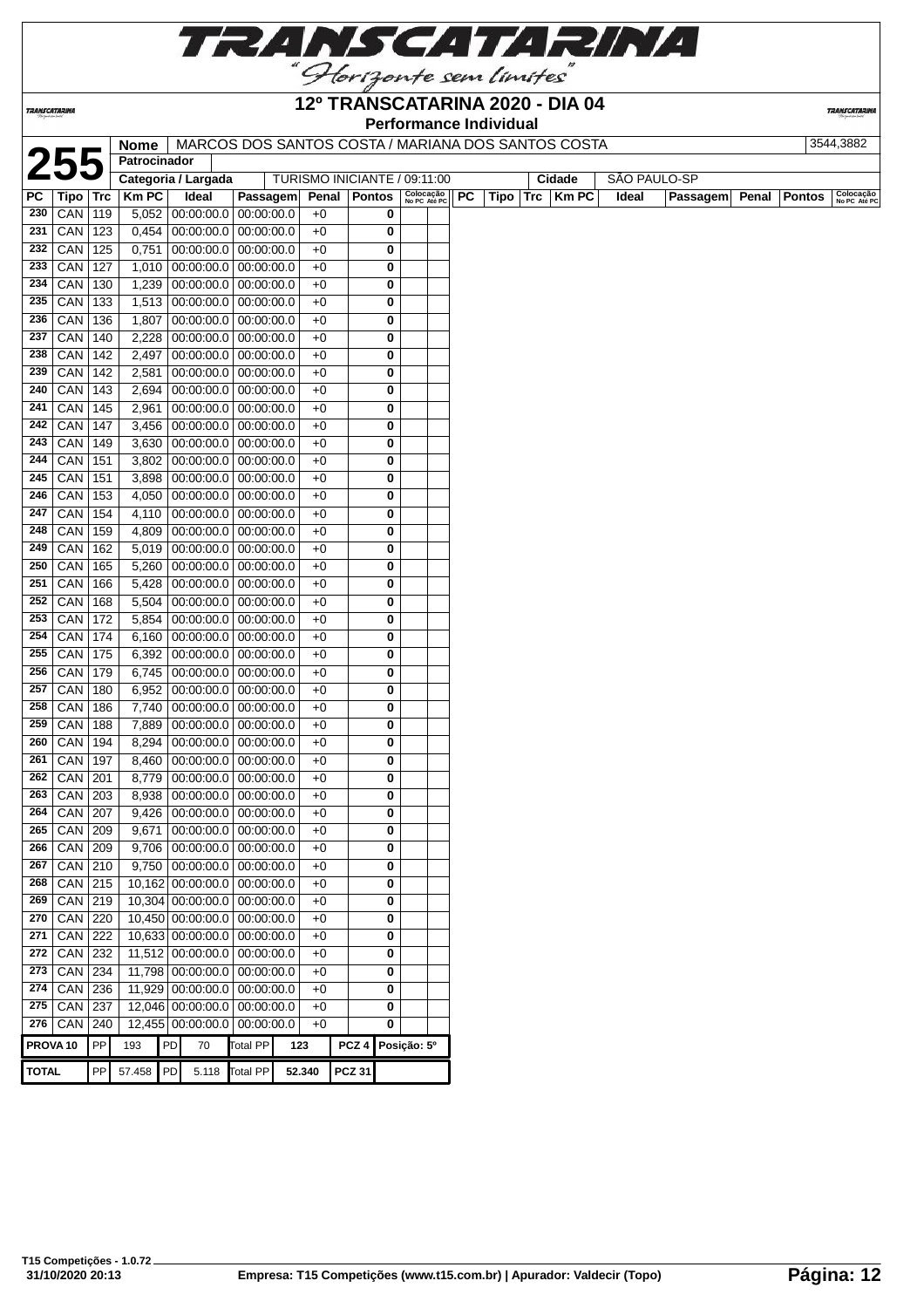

**TRANSCATARINA** 

#### **12º TRANSCATARINA 2020 - DIA 04 Performance Individual**

**TRANSCATARIN** 

|                     |                 |     | Nome         |                     | MARCOS DOS SANTOS COSTA / MARIANA DOS SANTOS COSTA           |                |                  |                         |                              |           |      |             |              |          |       |               | 3544,3882                 |
|---------------------|-----------------|-----|--------------|---------------------|--------------------------------------------------------------|----------------|------------------|-------------------------|------------------------------|-----------|------|-------------|--------------|----------|-------|---------------|---------------------------|
|                     | 255             |     | Patrocinador |                     |                                                              |                |                  |                         |                              |           |      |             |              |          |       |               |                           |
|                     |                 |     |              | Categoria / Largada |                                                              |                |                  |                         | TURISMO INICIANTE / 09:11:00 |           |      | Cidade      | SÃO PAULO-SP |          |       |               |                           |
| <b>PC</b>           | Tipo Trc        |     | <b>Km PC</b> | Ideal               | Passagem                                                     | Penal   Pontos |                  |                         | Colocação<br>No PC Até PC    | <b>PC</b> | Tipo | Trc   Km PC | Ideal        | Passagem | Penal | <b>Pontos</b> | Colocação<br>No PC Até PC |
| 230                 | $ $ CAN         | 119 | 5,052        |                     | $00:00:00.0$ 00:00:00.00                                     | $+0$           |                  | 0                       |                              |           |      |             |              |          |       |               |                           |
| 231                 | CAN             | 123 | 0,454        |                     | $00:00:00.0$ 00:00:00.0                                      | $+0$           |                  | 0                       |                              |           |      |             |              |          |       |               |                           |
| 232                 | CAN             | 125 | 0,751        |                     | $00:00:00.0$ 00:00:00.0                                      | $+0$           |                  | 0                       |                              |           |      |             |              |          |       |               |                           |
| 233                 | CAN             | 127 | 1,010        |                     | $00:00:00.0$ 00:00:00.0                                      | $+0$           |                  | 0                       |                              |           |      |             |              |          |       |               |                           |
| 234                 | CAN             | 130 | 1,239        |                     | $00:00:00.0$ 00:00:00.0                                      | $+0$           |                  | 0                       |                              |           |      |             |              |          |       |               |                           |
| 235                 | CAN             | 133 | 1,513        |                     | 00:00:00.0 00:00:00.0                                        | $+0$           |                  | 0                       |                              |           |      |             |              |          |       |               |                           |
| 236                 | CAN             | 136 | 1,807        |                     | $00:00:00.0$ 00:00:00.0                                      | $+0$           |                  | 0                       |                              |           |      |             |              |          |       |               |                           |
| 237                 | CAN             | 140 | 2,228        |                     | $00:00:00.0$ 00:00:00.0                                      | $+0$           |                  | 0                       |                              |           |      |             |              |          |       |               |                           |
| 238                 | CAN             | 142 | 2,497        |                     | $00:00:00.0$ 00:00:00.0                                      | $+0$           |                  | 0                       |                              |           |      |             |              |          |       |               |                           |
| 239                 | CAN             | 142 | 2,581        |                     | $00:00:00.0$ 00:00:00.0                                      | $+0$           |                  | 0                       |                              |           |      |             |              |          |       |               |                           |
| 240                 | CAN             | 143 | 2,694        |                     | $00:00:00.0$ 00:00:00.0                                      | $+0$           |                  | 0                       |                              |           |      |             |              |          |       |               |                           |
| 241                 | CAN             | 145 | 2,961        |                     | $00:00:00.0$ 00:00:00.0                                      | $+0$           |                  | 0                       |                              |           |      |             |              |          |       |               |                           |
| 242                 | CAN             | 147 | 3,456        |                     | $00:00:00.0$ 00:00:00.0                                      | $+0$           |                  | 0                       |                              |           |      |             |              |          |       |               |                           |
| 243                 | CAN             | 149 | 3,630        |                     | $00:00:00.0$ 00:00:00.0                                      | $+0$           |                  | 0                       |                              |           |      |             |              |          |       |               |                           |
| 244                 | CAN             | 151 | 3,802        |                     | $00:00:00.0$ 00:00:00.0                                      | $+0$           |                  | 0                       |                              |           |      |             |              |          |       |               |                           |
| 245                 | CAN             | 151 | 3,898        |                     | $00:00:00.0$ 00:00:00.00                                     | $+0$           |                  | 0                       |                              |           |      |             |              |          |       |               |                           |
|                     | $246$ CAN       | 153 | 4,050        |                     | $00:00:00.0$ 00:00:00.0                                      | $+0$           |                  | 0                       |                              |           |      |             |              |          |       |               |                           |
| 247                 | CAN             | 154 |              |                     | 4,110 00:00:00.0 00:00:00.0                                  | $+0$           |                  | 0                       |                              |           |      |             |              |          |       |               |                           |
| 248                 | CAN             | 159 | 4,809        |                     | $00:00:00.0$ 00:00:00.0                                      | $+0$           |                  | 0                       |                              |           |      |             |              |          |       |               |                           |
| 249                 | CAN             | 162 | 5,019        |                     | 00:00:00.0 00:00:00.0                                        | $+0$           |                  | 0                       |                              |           |      |             |              |          |       |               |                           |
| 250                 | CAN             | 165 | 5,260        |                     | $00:00:00.0$ 00:00:00.0                                      | $+0$           |                  | 0                       |                              |           |      |             |              |          |       |               |                           |
| 251                 | CAN             | 166 | 5,428        |                     | $00:00:00.0$ 00:00:00.0                                      | $+0$           |                  | 0                       |                              |           |      |             |              |          |       |               |                           |
| 252                 | CAN             | 168 | 5,504        |                     | $00:00:00.0$ 00:00:00.0                                      | $+0$           |                  | 0                       |                              |           |      |             |              |          |       |               |                           |
| 253                 | CAN             | 172 | 5,854        |                     | $00:00:00.0$ 00:00:00.0                                      | $+0$           |                  | 0                       |                              |           |      |             |              |          |       |               |                           |
| 254                 | CAN             | 174 | 6,160        |                     | $00:00:00.0$ 00:00:00.00                                     | $+0$           |                  | 0                       |                              |           |      |             |              |          |       |               |                           |
| 255                 | <b>CAN</b>      | 175 | 6,392        |                     | $00:00:00.0$ 00:00:00.0                                      | $+0$           |                  | 0                       |                              |           |      |             |              |          |       |               |                           |
| 256                 | CAN             | 179 | 6,745        |                     | $00:00:00.0$ 00:00:00.0                                      | $+0$           |                  | 0                       |                              |           |      |             |              |          |       |               |                           |
| 257                 | CAN             | 180 |              |                     | 6,952   00:00:00.0   00:00:00.0                              | $+0$           |                  | 0                       |                              |           |      |             |              |          |       |               |                           |
| 258                 | CAN             | 186 | 7,740        |                     | 00:00:00.0 00:00:00.0                                        | $+0$           |                  | 0                       |                              |           |      |             |              |          |       |               |                           |
| 259                 | CAN             | 188 | 7,889        |                     | $00:00:00.0$ 00:00:00.0                                      | $+0$           |                  | 0                       |                              |           |      |             |              |          |       |               |                           |
| 260                 | CAN             | 194 | 8,294        |                     | $00:00:00.0$ 00:00:00.0                                      | $+0$           |                  | 0                       |                              |           |      |             |              |          |       |               |                           |
| 261                 | CAN             | 197 | 8,460        |                     | $00:00:00.0$ 00:00:00.0                                      | $+0$           |                  | 0                       |                              |           |      |             |              |          |       |               |                           |
| 262                 | CAN             | 201 | 8,779        |                     | $00:00:00.0$ 00:00:00.0                                      | $+0$           |                  | 0                       |                              |           |      |             |              |          |       |               |                           |
| 263                 | CAN             | 203 | 8,938        |                     | $00:00:00.0$ 00:00:00.00                                     | $+0$           |                  | 0                       |                              |           |      |             |              |          |       |               |                           |
|                     | $264$ CAN 207   |     |              |                     | $9,426$ 00:00:00.0 00:00:00.0                                | $+0$           |                  | 0                       |                              |           |      |             |              |          |       |               |                           |
|                     | 265 CAN 209     |     |              |                     | $9,671$ 00:00:00.0 00:00:00.0                                | $+0$           |                  | $\overline{\mathbf{0}}$ |                              |           |      |             |              |          |       |               |                           |
| 266                 | $CAN$   209     |     |              |                     | $9,706$   00:00:00.0   00:00:00.0                            | $+0$           |                  | 0                       |                              |           |      |             |              |          |       |               |                           |
| 267                 | $CAN$ 210       |     | 9,750        |                     | $00:00:00.0$ 00:00:00.0                                      | +0             |                  | 0                       |                              |           |      |             |              |          |       |               |                           |
| 268                 | CAN 215         |     | 10,162       |                     | 00:00:00.0 00:00:00.0                                        | $+0$           |                  | 0                       |                              |           |      |             |              |          |       |               |                           |
| 269                 | $CAN$ 219       |     |              |                     | 10,304 00:00:00.0 00:00:00.0                                 | $+0$           |                  | 0                       |                              |           |      |             |              |          |       |               |                           |
| 270                 | CAN 220         |     |              |                     | 10,450 00:00:00.0 00:00:00.0                                 | $+0$           |                  | 0                       |                              |           |      |             |              |          |       |               |                           |
| 271                 | <b>CAN</b>      | 222 |              |                     | 10,633 00:00:00.0 00:00:00.0                                 | $+0$           |                  | 0                       |                              |           |      |             |              |          |       |               |                           |
| 272                 | $CAN$ 232       |     |              |                     | 11,512 00:00:00.0 00:00:00.0                                 | $+0$           |                  | 0                       |                              |           |      |             |              |          |       |               |                           |
| 273                 | CAN 234         |     |              |                     | 11,798 00:00:00.0 00:00:00.0                                 | $+0$           |                  | 0                       |                              |           |      |             |              |          |       |               |                           |
| 274<br>275          | CAN 236<br>CAN  | 237 |              |                     | 11,929 00:00:00.0 00:00:00.0<br>12,046 00:00:00.0 00:00:00.0 | $+0$<br>$+0$   |                  | 0                       |                              |           |      |             |              |          |       |               |                           |
|                     | 276   CAN   240 |     |              |                     | 12,455 00:00:00.0 00:00:00.0                                 | $+0$           |                  | 0<br>0                  |                              |           |      |             |              |          |       |               |                           |
|                     |                 |     |              |                     |                                                              |                |                  |                         |                              |           |      |             |              |          |       |               |                           |
| PROVA <sub>10</sub> |                 | PP  | 193          | PD<br>$70\,$        | <b>Total PP</b><br>123                                       |                | PCZ <sub>4</sub> |                         | Posição: 5º                  |           |      |             |              |          |       |               |                           |

**TOTAL** PP 57.458 PD 5.118 Total PP **52.340 PCZ 31**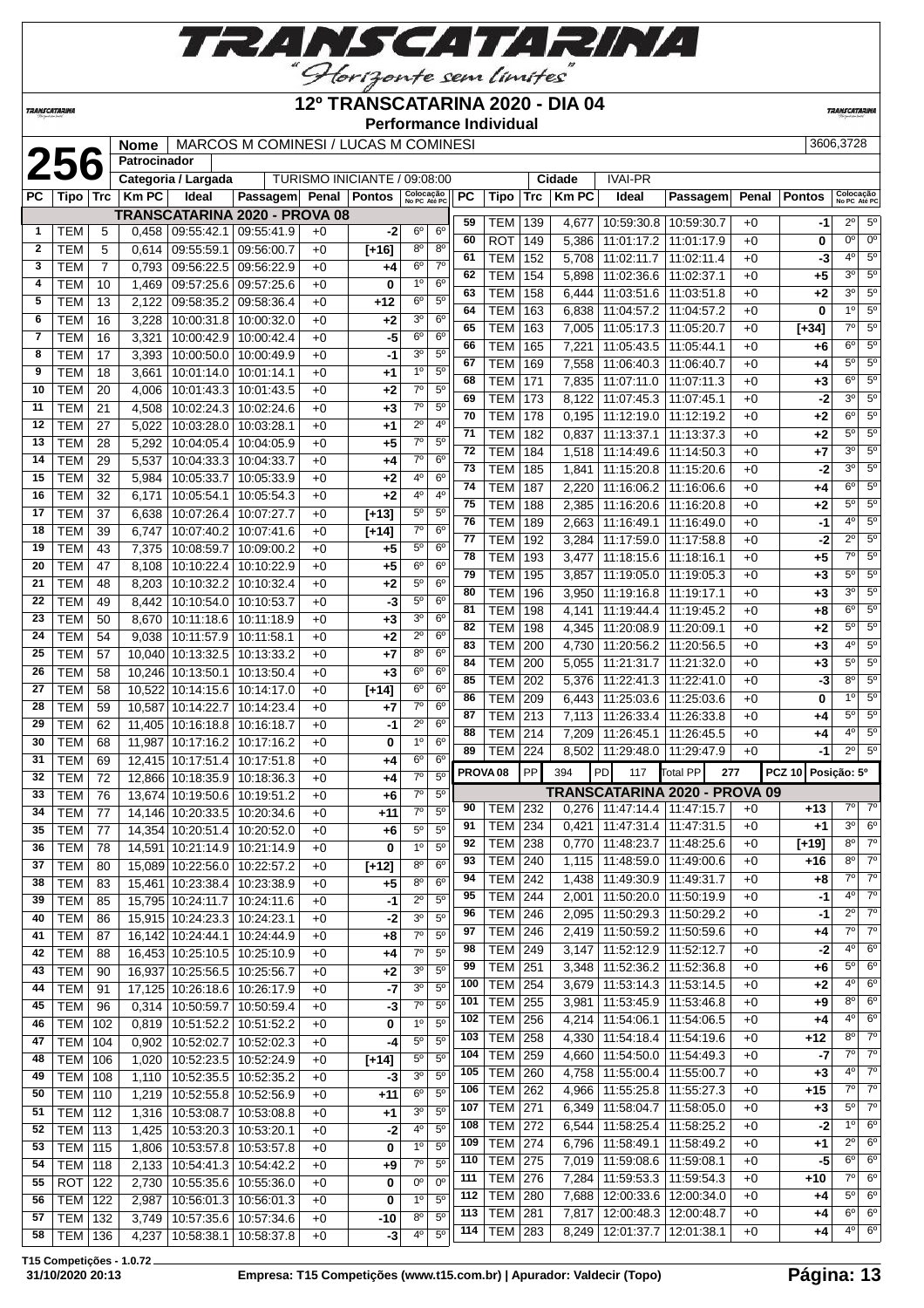

#### **12º TRANSCATARINA 2020 - DIA 04**

**Performance Individual**

**TRANSCATARIN** 

|                | 256              |            | <b>Nome</b><br>Patrocinador |                                 | MARCOS M COMINESI / LUCAS M COMINESI |      |                              |                           |                |           | <b>FULLO LITERITUS</b> ILIUIVIUUAI |     |               |                                   |                               |       |               | 3606,3728                 |                        |
|----------------|------------------|------------|-----------------------------|---------------------------------|--------------------------------------|------|------------------------------|---------------------------|----------------|-----------|------------------------------------|-----|---------------|-----------------------------------|-------------------------------|-------|---------------|---------------------------|------------------------|
|                |                  |            |                             | Categoria / Largada             |                                      |      | TURISMO INICIANTE / 09:08:00 |                           |                |           |                                    |     | <b>Cidade</b> | <b>IVAI-PR</b>                    |                               |       |               |                           |                        |
| PC             | Tipo             | <b>Trc</b> | <b>KmPC</b>                 | Ideal                           | Passagem Penal                       |      | <b>Pontos</b>                | Colocação<br>No PC Até PC |                | <b>PC</b> | Tipo                               | Trc | <b>KmPC</b>   | <b>Ideal</b>                      | Passagem                      | Penal | <b>Pontos</b> | Colocação<br>No PC Até PO |                        |
|                |                  |            |                             |                                 | <b>TRANSCATARINA 2020 - PROVA 08</b> |      |                              |                           |                |           |                                    |     |               |                                   |                               |       |               |                           |                        |
| $\mathbf{1}$   | TEM              | 5          | 0,458                       | 09:55:42.1                      | 09:55:41.9                           | $+0$ | -2                           | $6^{\circ}$               | $6^{\circ}$    | 59        | <b>TEM</b>                         | 139 | 4,677         | 10:59:30.8                        | 10:59:30.7                    | $+0$  | $-1$          | $2^{\circ}$               | 5 <sup>0</sup>         |
| $\overline{2}$ | <b>TEM</b>       | 5          | 0,614                       | 09:55:59.1                      | 09:56:00.7                           | $+0$ | $[+16]$                      | $8^{\circ}$               | $8^{\circ}$    | 60        | <b>ROT</b>                         | 149 | 5,386         | 11:01:17.2                        | 11:01:17.9                    | $+0$  | 0             | 0°                        | $0^{\circ}$            |
| 3              | <b>TEM</b>       | 7          | 0,793                       | 09:56:22.5                      | 09:56:22.9                           | $+0$ | +4                           | $6^{\circ}$               | $7^{\circ}$    | 61        | <b>TEM</b>                         | 152 | 5,708         | 11:02:11.7                        | 11:02:11.4                    | $+0$  | -3            | 40                        | $\overline{5^0}$       |
| 4              | <b>TEM</b>       | 10         | 1,469                       | 09:57:25.6                      | 09:57:25.6                           | +0   | 0                            | 1 <sup>0</sup>            | $6^{\circ}$    | 62        | <b>TEM</b>                         | 154 | 5,898         | 11:02:36.6                        | 11:02:37.1                    | $+0$  | +5            | 3 <sup>0</sup>            | $5^{\circ}$            |
| 5              | <b>TEM</b>       | 13         | 2,122                       | 09:58:35.2                      | 09:58:36.4                           | $+0$ | +12                          | 6 <sup>o</sup>            | 5 <sup>o</sup> | 63        | <b>TEM</b>                         | 158 | 6,444         | 11:03:51.6                        | 11:03:51.8                    | $+0$  | +2            | 3 <sup>0</sup>            | $\overline{5^0}$       |
| 6              | <b>TEM</b>       | 16         |                             | 10:00:31.8                      |                                      |      |                              | 3 <sup>o</sup>            | 6 <sup>o</sup> | 64        | <b>TEM</b>                         | 163 | 6,838         | 11:04:57.2                        | 11:04:57.2                    | $+0$  | 0             | 1 <sup>0</sup>            | $5^{\circ}$            |
|                |                  |            | 3,228                       |                                 | 10:00:32.0                           | $+0$ | $+2$                         | 6 <sup>o</sup>            | 6 <sup>o</sup> | 65        | <b>TEM</b>                         | 163 | 7,005         | 11:05:17.3                        | 11:05:20.7                    | $+0$  | $[+34]$       | $7^\circ$                 | $5^{\circ}$            |
| 7              | <b>TEM</b>       | 16         | 3,321                       | 10:00:42.9                      | 10:00:42.4                           | +0   | -5                           |                           |                | 66        | <b>TEM</b>                         | 165 | 7,221         | 11:05:43.5                        | 11:05:44.1                    | $+0$  | +6            | 6 <sup>o</sup>            | $5^{\circ}$            |
| 8              | <b>TEM</b>       | 17         | 3,393                       | 10:00:50.0                      | 10:00:49.9                           | $+0$ | -1                           | 3 <sup>o</sup>            | $5^{\circ}$    | 67        | <b>TEM</b>                         | 169 | 7,558         | 11:06:40.3                        | 11:06:40.7                    | $+0$  | +4            | $5^{\circ}$               | $5^{\circ}$            |
| 9              | <b>TEM</b>       | 18         | 3,661                       | 10:01:14.0                      | 10:01:14.1                           | $+0$ | $^{+1}$                      | 1 <sup>0</sup>            | 5 <sup>o</sup> | 68        | <b>TEM</b>                         | 171 | 7,835         | 11:07:11.0                        | 11:07:11.3                    | $+0$  | $+3$          | $6^{\circ}$               | $\overline{5^0}$       |
| 10             | <b>TEM</b>       | 20         | 4,006                       | 10:01:43.3                      | 10:01:43.5                           | $+0$ | $+2$                         | $7^\circ$                 | $5^{\circ}$    | 69        | <b>TEM</b>                         | 173 | 8,122         | 11:07:45.3                        | 11:07:45.1                    | $+0$  | -2            | 3 <sup>o</sup>            | $5^{\circ}$            |
| 11             | <b>TEM</b>       | 21         | 4,508                       | 10:02:24.3                      | 10:02:24.6                           | $+0$ | $+3$                         | $7^{\circ}$               | $5^{\circ}$    | 70        | <b>TEM</b>                         | 178 | 0,195         | 11:12:19.0                        | 11:12:19.2                    | $+0$  | +2            | $6^{\circ}$               | $\overline{5^0}$       |
| 12             | <b>TEM</b>       | 27         | 5,022                       | 10:03:28.0                      | 10:03:28.1                           | $+0$ | $+1$                         | $2^{\circ}$               | 4 <sup>0</sup> | 71        | <b>TEM</b>                         | 182 | 0,837         | 11:13:37.1                        | 11:13:37.3                    | $+0$  | +2            | $5^{\circ}$               | $5^{\circ}$            |
| 13             | <b>TEM</b>       | 28         | 5,292                       | 10:04:05.4                      | 10:04:05.9                           | +0   | $+5$                         | $7^\circ$                 | 5 <sup>0</sup> | 72        | <b>TEM</b>                         | 184 | 1,518         | 11:14:49.6                        | 11:14:50.3                    | $+0$  | $+7$          | 3 <sup>o</sup>            | $\overline{5^0}$       |
| 14             | <b>TEM</b>       | 29         | 5,537                       | 10:04:33.3                      | 10:04:33.7                           | $+0$ | $+4$                         | $7^\circ$                 | 6 <sup>o</sup> | 73        | <b>TEM</b>                         | 185 | 1,841         | 11:15:20.8                        | 11:15:20.6                    | $+0$  | -2            | 3 <sup>0</sup>            | $5^{\circ}$            |
| 15             | <b>TEM</b>       | 32         | 5,984                       | 10:05:33.7                      | 10:05:33.9                           | $+0$ | $+2$                         | 4°                        | 6 <sup>o</sup> | 74        | <b>TEM</b>                         | 187 | 2,220         | 11:16:06.2                        | 11:16:06.6                    | $+0$  |               | $6^{\circ}$               | $5^{\circ}$            |
| 16             | <b>TEM</b>       | 32         | 6,171                       | 10:05:54.1                      | 10:05:54.3                           | +0   | $+2$                         | 4 <sup>0</sup>            | 4 <sup>0</sup> | 75        |                                    |     |               |                                   |                               |       | +4            | $5^{\circ}$               | 5 <sup>o</sup>         |
| 17             | <b>TEM</b>       | 37         | 6,638                       | 10:07:26.4                      | 10:07:27.7                           | $+0$ | $[+13]$                      | $5^{\circ}$               | $5^{\circ}$    | 76        | <b>TEM</b>                         | 188 | 2,385         | 11:16:20.6                        | 11:16:20.8                    | $+0$  | +2            | $4^{\circ}$               | $5^{\circ}$            |
| 18             | TEM              | 39         | 6,747                       | 10:07:40.2                      | 10:07:41.6                           | $+0$ | $[+14]$                      | $7^\circ$                 | 6 <sup>o</sup> |           | <b>TEM</b>                         | 189 | 2,663         | 11:16:49.1                        | 11:16:49.0                    | $+0$  | -1            |                           | $\overline{5^0}$       |
| 19             | <b>TEM</b>       | 43         | 7,375                       | 10:08:59.7                      | 10:09:00.2                           | $+0$ | +5                           | $5^{\rm o}$               | 6 <sup>o</sup> | 77        | <b>TEM</b>                         | 192 | 3,284         | 11:17:59.0                        | 11:17:58.8                    | $+0$  | -2            | $2^{\circ}$               |                        |
| 20             | <b>TEM</b>       | 47         | 8,108                       | 10:10:22.4                      | 10:10:22.9                           | $+0$ | $+5$                         | $6^{\circ}$               | 6 <sup>o</sup> | 78        | <b>TEM</b>                         | 193 | 3,477         | 11:18:15.6                        | 11:18:16.1                    | $+0$  | $+5$          | $7^\circ$                 | $5^{\circ}$            |
| 21             | <b>TEM</b>       | 48         | 8,203                       | 10:10:32.2                      | 10:10:32.4                           | $+0$ | $+2$                         | $5^{\circ}$               | 6 <sup>o</sup> | 79        | <b>TEM</b>                         | 195 | 3,857         | 11:19:05.0                        | 11:19:05.3                    | $+0$  | +3            | $5^{\circ}$               | $\overline{5^0}$       |
| 22             | <b>TEM</b>       | 49         | 8,442                       | 10:10:54.0                      | 10:10:53.7                           | +0   | -3                           | $5^{\circ}$               | 6 <sup>o</sup> | 80        | <b>TEM</b>                         | 196 | 3,950         | 11:19:16.8                        | 11:19:17.1                    | $+0$  | $+3$          | 3 <sup>0</sup>            | $5^{\circ}$            |
| 23             | <b>TEM</b>       | 50         | 8,670                       | 10:11:18.6                      | 10:11:18.9                           | $+0$ | $+3$                         | 3 <sup>0</sup>            | 6 <sup>o</sup> | 81        | <b>TEM</b>                         | 198 | 4,141         | 11:19:44.4                        | 11:19:45.2                    | $+0$  | +8            | $6^{\circ}$               | $\overline{5^0}$       |
| 24             | <b>TEM</b>       | 54         |                             | 9,038 10:11:57.9                | 10:11:58.1                           | $+0$ | $+2$                         | $2^{\circ}$               | 6 <sup>o</sup> | 82        | <b>TEM</b>                         | 198 | 4,345         | 11:20:08.9                        | 11:20:09.1                    | $+0$  | +2            | $5^{\circ}$               | $5^{\circ}$            |
| 25             | <b>TEM</b>       | 57         |                             | 10,040 10:13:32.5               | 10:13:33.2                           | $+0$ | +7                           | 8 <sup>0</sup>            | 6 <sup>o</sup> | 83        | <b>TEM</b>                         | 200 | 4,730         | 11:20:56.2                        | 11:20:56.5                    | $+0$  | +3            | 40                        | $5^{\circ}$            |
| 26             | <b>TEM</b>       | 58         |                             | 10,246 10:13:50.1               | 10:13:50.4                           | $+0$ | $+3$                         | 6 <sup>o</sup>            | 6 <sup>o</sup> | 84        | <b>TEM</b>                         | 200 | 5,055         | 11:21:31.7                        | 11:21:32.0                    | $+0$  | +3            | $5^{\circ}$               | $5^{\circ}$            |
| 27             | <b>TEM</b>       | 58         |                             | 10,522 10:14:15.6               |                                      |      |                              | 6 <sup>o</sup>            | 6 <sup>o</sup> | 85        | <b>TEM</b>                         | 202 | 5,376         | 11:22:41.3                        | 11:22:41.0                    | $+0$  | -3            | $8^{\circ}$               | $5^{\circ}$            |
|                |                  |            |                             |                                 | 10:14:17.0                           | $+0$ | $[+14]$                      | $7^\circ$                 | 6 <sup>o</sup> | 86        | <b>TEM</b>                         | 209 | 6,443         | 11:25:03.6                        | 11:25:03.6                    | $+0$  | 0             | 1 <sup>0</sup>            | $5^{\circ}$            |
| 28             | <b>TEM</b>       | 59         |                             | 10,587 10:14:22.7               | 10:14:23.4                           | $+0$ | $+7$                         |                           |                | 87        | <b>TEM</b>                         | 213 | 7,113         | 11:26:33.4                        | 11:26:33.8                    | $+0$  | +4            | $5^{\circ}$               | 5 <sup>o</sup>         |
| 29             | <b>TEM</b>       | 62         |                             | 11,405 10:16:18.8               | 10:16:18.7                           | $+0$ | -1                           | $2^{\circ}$               | 6 <sup>o</sup> | 88        | <b>TEM</b>                         | 214 | 7,209         | 11:26:45.1                        | 11:26:45.5                    | $+0$  | +4            | 4°                        | $\overline{5^0}$       |
| 30             | <b>TEM</b>       | 68         | 11,987                      | 10:17:16.2                      | 10:17:16.2                           | $+0$ | 0                            | 1 <sup>0</sup>            | 6 <sup>o</sup> | 89        | <b>TEM</b>                         | 224 | 8,502         | 11:29:48.0                        | 11:29:47.9                    | $+0$  | -1            | $2^{\circ}$               | $5^{\circ}$            |
| 31             | <b>TEM</b>       | 69         |                             | 12,415 10:17:51.4               | 10:17:51.8                           | +0   | +4                           | $6^{\circ}$               | 6 <sup>o</sup> |           | PROVA <sub>08</sub>                | PP  | 394           | PD<br>117                         | <b>Total PP</b><br>277        |       | <b>PCZ 10</b> | Posição: 5º               |                        |
| 32             | <b>TEM</b>       | 72         |                             | 12,866 10:18:35.9               | 10:18:36.3                           | $+0$ | $+4$                         | 7 <sup>0</sup>            | 5 <sup>0</sup> |           |                                    |     |               |                                   |                               |       |               |                           |                        |
| 33             | <b>TEM</b>       | 76         |                             | 13,674 10:19:50.6               | 10:19:51.2                           | $+0$ | +6                           | $7^\circ$                 | 5 <sup>o</sup> |           |                                    |     |               |                                   | TRANSCATARINA 2020 - PROVA 09 |       |               |                           | $7°$ $7°$              |
| 34             | <b>TEM</b>       | 77         |                             | 14,146 10:20:33.5               | 10:20:34.6                           | +0   | $+11$                        | $7^\circ$                 | $5^{\circ}$    | 90        | <b>TEM   232</b>                   |     |               | $0,276$   11:47:14.4   11:47:15.7 |                               | $+0$  | $+13$         |                           |                        |
| 35             | TEM              | 77         |                             |                                 | 14,354 10:20:51.4 10:20:52.0         | $+0$ | +6                           | $5^{\circ}$               | $5^{\circ}$    | 91        | TEM   234                          |     |               | $0,421$   11:47:31.4   11:47:31.5 |                               | $+0$  | $+1$          | 3 <sup>o</sup>            | 6 <sup>°</sup>         |
| 36             | <b>TEM</b>       | 78         |                             | 14,591 10:21:14.9               | 10:21:14.9                           | $+0$ | $\bf{0}$                     | 1 <sup>0</sup>            | $5^{\circ}$    | 92        | <b>TEM 238</b>                     |     | 0,770         |                                   | 11:48:23.7   11:48:25.6       | $+0$  | $[+19]$       | $8^{\circ}$               | $7^\circ$              |
| 37             | <b>TEM</b>       | 80         |                             | 15,089 10:22:56.0               | 10:22:57.2                           | $+0$ | $[+12]$                      | 8 <sup>o</sup>            | 6 <sup>o</sup> | 93        | <b>TEM 240</b>                     |     | 1,115         |                                   | 11:48:59.0   11:49:00.6       | $+0$  | $+16$         | $8^{\circ}$               | $7^\circ$              |
| 38             | <b>TEM</b>       | 83         |                             | 15,461 10:23:38.4               | 10:23:38.9                           | $+0$ | $+5$                         | $8^{\circ}$               | $6^{\circ}$    | 94        | <b>TEM 242</b>                     |     | 1,438         | $11:49:30.9$ 11:49:31.7           |                               | $+0$  | +8            | $7^\circ$                 | $7^\circ$              |
| 39             | <b>TEM</b>       | 85         |                             | 15,795 10:24:11.7               | 10:24:11.6                           | $+0$ | -1                           | $2^{\circ}$               | $5^{\rm o}$    | 95        | <b>TEM 244</b>                     |     | 2,001         |                                   | 11:50:20.0   11:50:19.9       | $+0$  | -1            | $4^{\circ}$               | $7^\circ$              |
| 40             | <b>TEM</b>       | 86         |                             | 15,915 10:24:23.3               | 10:24:23.1                           | $+0$ | -2                           | 3 <sup>o</sup>            | $5^{\rm o}$    | 96        | <b>TEM 246</b>                     |     | 2,095         |                                   | 11:50:29.3 11:50:29.2         | $+0$  | -1            | $2^{\circ}$               | $7^\circ$              |
| 41             | TEM              | 87         |                             | 16,142 10:24:44.1               | 10:24:44.9                           | $+0$ | $+8$                         | $7^\circ$                 | 5 <sup>0</sup> | 97        | <b>TEM</b> 246                     |     | 2,419         |                                   | 11:50:59.2   11:50:59.6       | $+0$  | $+4$          | $7^\circ$                 | $\overline{7^{\circ}}$ |
| 42             | TEM              | 88         |                             | 16,453 10:25:10.5               | 10:25:10.9                           | $+0$ | +4                           | $7^\circ$                 | 5 <sup>o</sup> | 98        | <b>TEM 249</b>                     |     | 3,147         |                                   | 11:52:12.9 11:52:12.7         | $+0$  | $-2$          | $4^{\circ}$               | 6 <sup>o</sup>         |
| 43             | <b>TEM</b>       | 90         |                             | 16,937 10:25:56.5 10:25:56.7    |                                      | $+0$ | $+2$                         | 3 <sup>0</sup>            | $5^{\rm o}$    | 99        | <b>TEM 251</b>                     |     | 3,348         | 11:52:36.2                        | 11:52:36.8                    | $+0$  | +6            | $5^{\circ}$               | $6^{\circ}$            |
| 44             | TEM              | 91         |                             | 17,125 10:26:18.6 10:26:17.9    |                                      | $+0$ | $-7$                         | 3 <sup>0</sup>            | 5 <sup>0</sup> | 100       | TEM                                | 254 | 3,679         | 11:53:14.3                        | 11:53:14.5                    | $+0$  | +2            | $4^{\circ}$               | $6^{\circ}$            |
| 45             | <b>TEM</b>       | 96         |                             | 0,314 10:50:59.7                | 10:50:59.4                           | $+0$ | -3                           | 7 <sup>0</sup>            | $5^{\circ}$    | 101       | <b>TEM</b>                         | 255 | 3,981         |                                   | 11:53:45.9   11:53:46.8       | $+0$  | +9            | $8^{\circ}$               | $6^{\circ}$            |
| 46             | TEM              | 102        |                             | 0,819 10:51:52.2                | 10:51:52.2                           | $+0$ | 0                            | 1 <sup>o</sup>            | 5 <sup>o</sup> | 102       | <b>TEM</b>                         | 256 | 4,214         |                                   | 11:54:06.1   11:54:06.5       | +0    | +4            | $4^{\circ}$               | $6^{\circ}$            |
|                |                  |            |                             |                                 |                                      |      |                              | $5^{\rm o}$               | $5^{\circ}$    | 103       | <b>TEM 258</b>                     |     |               | 4,330   11:54:18.4   11:54:19.6   |                               | $+0$  | $+12$         | $8^{\circ}$               | $7^\circ$              |
| 47             | TEM              | 104        |                             | 0,902 10:52:02.7                | 10:52:02.3                           | $+0$ | -4                           |                           |                | 104       | <b>TEM 259</b>                     |     | 4,660         | $11:54:50.0$ 11:54:49.3           |                               | $+0$  | $-7$          | $7^{\circ}$               | $7^\circ$              |
| 48             | TEM              | 106        |                             | 1,020   10:52:23.5              | 10:52:24.9                           | $+0$ | $[+14]$                      | $5^{\circ}$               | $5^{\circ}$    | 105       | <b>TEM</b>                         | 260 | 4,758         |                                   | 11:55:00.4   11:55:00.7       | $+0$  | $+3$          | $4^{\circ}$               | $7^\circ$              |
| 49             | TEM              | 108        |                             | 1,110   10:52:35.5   10:52:35.2 |                                      | +0   | -3                           | 3 <sup>0</sup>            | 5 <sup>0</sup> | 106       | <b>TEM 262</b>                     |     | 4,966         |                                   | 11:55:25.8   11:55:27.3       | $+0$  | $+15$         | $7^\circ$                 | $\overline{7^0}$       |
| 50             | <b>TEM   110</b> |            |                             | 1,219   10:52:55.8              | 10:52:56.9                           | $+0$ | $+11$                        | 6 <sup>o</sup>            | 5 <sup>0</sup> | 107       | <b>TEM 271</b>                     |     |               |                                   |                               |       |               | $5^{\circ}$               | $7^\circ$              |
| 51             | <b>TEM 112</b>   |            |                             | 1,316 10:53:08.7                | 10:53:08.8                           | $+0$ | +1                           | 3 <sup>o</sup>            | $5^{\circ}$    |           |                                    |     | 6,349         | 11:58:04.7                        | 11:58:05.0                    | $+0$  | $+3$          | 1 <sup>0</sup>            | $6^{\circ}$            |
| 52             | <b>TEM 113</b>   |            |                             | 1,425   10:53:20.3   10:53:20.1 |                                      | $+0$ | $-2$                         | $4^{\rm o}$               | $5^{\rm o}$    | 108       | <b>TEM 272</b>                     |     | 6,544         |                                   | 11:58:25.4   11:58:25.2       | $+0$  | $-2$          |                           | $6^{\circ}$            |
| 53             | <b>TEM 115</b>   |            |                             | 1,806   10:53:57.8   10:53:57.8 |                                      | $+0$ | 0                            | 1 <sup>0</sup>            | 5 <sup>0</sup> | 109       | TEM                                | 274 | 6,796         |                                   | 11:58:49.1   11:58:49.2       | $+0$  | +1            | $2^{\circ}$               |                        |
| 54             | <b>TEM 118</b>   |            |                             | 2,133   10:54:41.3   10:54:42.2 |                                      | $+0$ | $+9$                         | $7^\circ$                 | $5^{\circ}$    | 110       | <b>TEM 275</b>                     |     | 7,019         |                                   | 11:59:08.6   11:59:08.1       | $+0$  | -5            | $6^{\circ}$               | 6 <sup>o</sup>         |
| 55             | ROT              | 122        |                             | 2,730   10:55:35.6   10:55:36.0 |                                      | $+0$ | 0                            | $0^{\rm o}$               | $0^{\circ}$    | 111       | <b>TEM 276</b>                     |     | 7,284         |                                   | 11:59:53.3   11:59:54.3       | $+0$  | $+10$         | $7^\circ$                 | $6^{\circ}$            |
| 56             | <b>TEM   122</b> |            |                             |                                 | 2,987   10:56:01.3   10:56:01.3      | $+0$ | 0                            | $1^{\circ}$               | $5^{\circ}$    | 112       | <b>TEM 280</b>                     |     | 7,688         |                                   | 12:00:33.6   12:00:34.0       | $+0$  | +4            | $5^{\circ}$               | $6^{\circ}$            |
| 57             | TEM   132        |            |                             | 3,749   10:57:35.6   10:57:34.6 |                                      | $+0$ | -10                          | 8 <sup>o</sup>            | $5^{\circ}$    | 113       | <b>TEM 281</b>                     |     | 7,817         |                                   | 12:00:48.3   12:00:48.7       | $+0$  | +4            | $6^{\circ}$               | $6^{\circ}$            |

**T15 Competições - 1.0.72**

**TRANSCATARINA** 

 TEM 132 3,749 10:57:35.6 10:57:34.6 +0 **-10** 8º 5º **4,237 10:58:38.1 10:58:37.8 +0 -3** 

**113** TEM 281 7,817 12:00:48.3 12:00:48.7 +0 **+4** 6<sup>°</sup> 6<sup>°</sup><br>**114** TEM 283 8,249 12:01:37.7 12:01:38.1 +0 **+4** 4<sup>°</sup> 6<sup>°</sup>

**8,249 12:01:37.7 12:01:38.1 +0 +4**  $4^{\circ}$  6°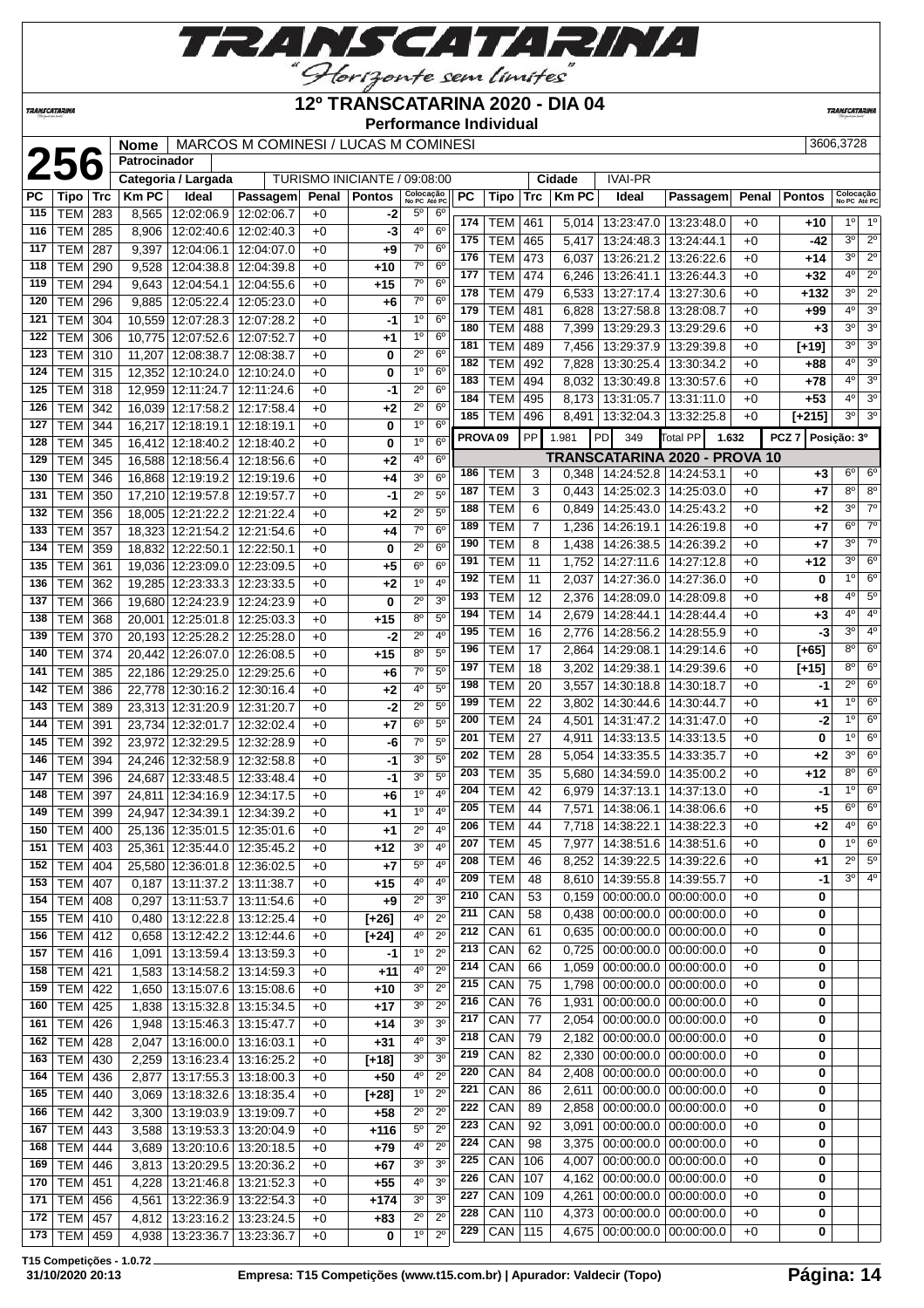

### **12º TRANSCATARINA 2020 - DIA 04**

**Performance Individual**

**TRANSCATARIN** 

**TRANSCATARINA** 

**Patrocinador**

|            |                          |            | <b>Nome</b>  |                                        | MARCOS M COMINESI / LUCAS M COMINESI |              |                              |                            |                                  |                     |            |     |             |                                 |                               |       |                  | 3606,3728                 |                  |
|------------|--------------------------|------------|--------------|----------------------------------------|--------------------------------------|--------------|------------------------------|----------------------------|----------------------------------|---------------------|------------|-----|-------------|---------------------------------|-------------------------------|-------|------------------|---------------------------|------------------|
|            | 256                      |            | Patrocinador |                                        |                                      |              |                              |                            |                                  |                     |            |     |             |                                 |                               |       |                  |                           |                  |
|            |                          |            |              | Categoria / Largada                    |                                      |              | TURISMO INICIANTE / 09:08:00 |                            |                                  |                     |            |     | Cidade      | <b>IVAI-PR</b>                  |                               |       |                  |                           |                  |
| <b>PC</b>  | Tipo                     | Trc        | <b>Km PC</b> | Ideal                                  | Passagem                             | Penal        | <b>Pontos</b>                | Colocação<br>No PC Até PC  |                                  | PC                  | Tipo       | Trc | <b>KmPC</b> | Ideal                           | Passagem                      | Penal | <b>Pontos</b>    | Colocação<br>No PC Até PC |                  |
| 115        | <b>TEM</b>               | 283        | 8,565        | 12:02:06.9                             | 12:02:06.7                           | $+0$         | -2                           | $5^{\circ}$                | $6^{\circ}$                      | 174                 | TEM        | 461 |             | $5,014$   13:23:47.0            | 13:23:48.0                    | $+0$  | +10              | $1^{\circ}$               | $1^{\circ}$      |
| 116        | TEM                      | 285        | 8,906        | 12:02:40.6                             | 12:02:40.3                           | $+0$         | -3                           | 4º                         | 6 <sup>o</sup>                   | 175                 | <b>TEM</b> | 465 | 5,417       | 13:24:48.3                      | 13:24:44.1                    | $+0$  | -42              | 30                        | $\overline{2^0}$ |
| 117        | <b>TEM</b>               | 287        | 9,397        | 12:04:06.1                             | 12:04:07.0                           | $+0$         | $+9$                         | $7^\circ$                  | 6 <sup>o</sup>                   | 176                 | <b>TEM</b> | 473 | 6,037       | 13:26:21.2                      | 13:26:22.6                    | $+0$  | +14              | 3 <sup>0</sup>            | $2^{\circ}$      |
| 118        | <b>TEM</b>               | 290        | 9,528        | 12:04:38.8                             | 12:04:39.8                           | $+0$         | $+10$                        | $7^\circ$                  | 6 <sup>o</sup>                   | 177                 | <b>TEM</b> | 474 | 6,246       | 13:26:41.1                      | 13:26:44.3                    | $+0$  | $+32$            | 4°                        | $2^{\circ}$      |
| 119        | <b>TEM</b>               | 294        | 9,643        | 12:04:54.1                             | 12:04:55.6                           | $+0$         | $+15$                        | $7^\circ$                  | 6 <sup>o</sup>                   | 178                 | <b>TEM</b> | 479 | 6,533       | 13:27:17.4                      | 13:27:30.6                    | $+0$  | +132             | 3 <sup>0</sup>            | $\overline{2^0}$ |
| 120        | <b>TEM</b>               | 296        | 9,885        | 12:05:22.4                             | 12:05:23.0                           | $+0$         | +6                           | $7^\circ$                  | 6 <sup>o</sup>                   | 179                 | <b>TEM</b> | 481 | 6,828       | 13:27:58.8                      | 13:28:08.7                    | $+0$  | +99              | 4 <sup>0</sup>            | 3 <sup>0</sup>   |
| 121        | <b>TEM</b>               | 304        | 10,559       | 12:07:28.3                             | 12:07:28.2                           | $+0$         | -1                           | 1 <sup>0</sup>             | 6 <sup>o</sup>                   | 180                 | <b>TEM</b> | 488 | 7,399       | 13:29:29.3                      | 13:29:29.6                    | $+0$  | $+3$             | 3 <sup>0</sup>            | 3 <sup>0</sup>   |
| 122        | <b>TEM</b>               | 306        | 10,775       | 12:07:52.6                             | 12:07:52.7                           | $+0$         | $^{+1}$                      | $1^{\circ}$                | 6 <sup>o</sup>                   | 181                 | <b>TEM</b> | 489 | 7,456       | 13:29:37.9                      | 13:29:39.8                    | $+0$  | [+19]            | 30                        | 3 <sup>o</sup>   |
| 123        | <b>TEM</b>               | 310        | 11,207       | 12:08:38.7                             | 12:08:38.7                           | $+0$         | 0                            | $2^{\circ}$                | 6 <sup>o</sup>                   | 182                 | <b>TEM</b> | 492 | 7,828       | 13:30:25.4                      | 13:30:34.2                    | $+0$  | +88              | 40                        | 3 <sup>o</sup>   |
| 124        | <b>TEM</b>               | 315        |              | 12,352 12:10:24.0                      | 12:10:24.0                           | $+0$         | 0                            | 1 <sup>0</sup>             | 6 <sup>o</sup>                   | 183                 | <b>TEM</b> | 494 | 8,032       | 13:30:49.8                      | 13:30:57.6                    | $+0$  | +78              | 4 <sup>0</sup>            | 3 <sup>0</sup>   |
| 125        | <b>TEM</b>               | 318        |              | 12,959 12:11:24.7                      | 12:11:24.6                           | $+0$         | -1                           | $2^{\circ}$                | 6 <sup>o</sup>                   | 184                 | <b>TEM</b> | 495 | 8,173       | 13:31:05.7                      | 13:31:11.0                    | $+0$  | $+53$            | 40                        | 30               |
| 126        | <b>TEM</b>               | 342        |              | 16,039 12:17:58.2                      | 12:17:58.4                           | $+0$         | $+2$                         | $2^{\circ}$                | 6 <sup>o</sup>                   | 185                 | <b>TEM</b> | 496 | 8,491       | 13:32:04.3                      | 13:32:25.8                    | $+0$  | $[+215]$         | 3 <sup>0</sup>            | 3 <sup>0</sup>   |
| 127        | <b>TEM</b>               | 344        | 16,217       | 12:18:19.1                             | 12:18:19.1                           | $+0$         | 0                            | 1 <sup>0</sup>             | 6 <sup>o</sup>                   | PROVA <sub>09</sub> |            | PP  | 1.981       | PD<br>349                       | <b>Total PP</b><br>1.632      |       | PCZ <sub>7</sub> | Posição: 3º               |                  |
| 128        | <b>TEM</b>               | 345        | 16,412       | 12:18:40.2                             | 12:18:40.2                           | $+0$         | 0                            | 1 <sup>0</sup>             | 6 <sup>o</sup>                   |                     |            |     |             |                                 | TRANSCATARINA 2020 - PROVA 10 |       |                  |                           |                  |
| 129        | <b>TEM</b>               | 345        | 16,588       | 12:18:56.4                             | 12:18:56.6                           | $+0$         | $+2$                         | 4º                         | 6 <sup>o</sup>                   | 186                 | TEM        | 3   |             | $0,348$   14:24:52.8            | 14:24:53.1                    | $+0$  | $+3$             | 6 <sup>o</sup>            | $6^{\circ}$      |
| 130        | <b>TEM</b>               | 346        |              | 16,868 12:19:19.2                      | 12:19:19.6                           | $+0$         | +4                           | 30                         | $6^{\circ}$                      | 187                 | TEM        | 3   | 0,443       | 14:25:02.3                      | 14:25:03.0                    | $+0$  | $+7$             | 8 <sup>o</sup>            | $8^{\circ}$      |
| 131        | <b>TEM</b>               | 350        |              | 17,210 12:19:57.8                      | 12:19:57.7                           | $+0$         | -1                           | $2^{\circ}$                | 5 <sup>0</sup>                   | 188                 | <b>TEM</b> | 6   | 0,849       | 14:25:43.0                      | 14:25:43.2                    | $+0$  | $+2$             | 30                        | $7^\circ$        |
| 132        | <b>TEM</b>               | 356        | 18,005       | 12:21:22.2                             | 12:21:22.4                           | $+0$         | $+2$                         | $2^{\circ}$                | 5 <sup>0</sup><br>$6^{\circ}$    | 189                 | <b>TEM</b> | 7   | 1,236       | 14:26:19.1                      | 14:26:19.8                    | $+0$  | $+7$             | $6^{\circ}$               | $7^\circ$        |
| 133        | <b>TEM</b>               | 357        | 18,323       | 12:21:54.2                             | 12:21:54.6                           | $+0$         | +4                           | $\overline{7}^{\circ}$     |                                  | 190                 | <b>TEM</b> | 8   | 1,438       | 14:26:38.5                      | 14:26:39.2                    | $+0$  | $+7$             | 3 <sup>0</sup>            | $7^\circ$        |
| 134        | <b>TEM</b>               | 359        | 18,832       | 12:22:50.1                             | 12:22:50.1                           | $+0$         | 0                            | $2^{\circ}$                | $6^{\circ}$                      | 191                 | <b>TEM</b> | 11  | 1,752       | 14:27:11.6                      | 14:27:12.8                    | $+0$  | +12              | 3 <sup>o</sup>            | $6^{\circ}$      |
| 135        | <b>TEM</b>               | 361        |              | 19,036 12:23:09.0                      | 12:23:09.5                           | $+0$         | $+5$                         | $6^{\circ}$                | 6 <sup>o</sup><br>4 <sup>0</sup> | 192                 | <b>TEM</b> | 11  | 2,037       | 14:27:36.0                      | 14:27:36.0                    | $+0$  | 0                | 1 <sup>0</sup>            | $6^{\circ}$      |
| 136        | <b>TEM</b>               | 362        | 19,285       | 12:23:33.3                             | 12:23:33.5                           | $+0$         | $+2$                         | 1 <sup>0</sup>             |                                  | 193                 | <b>TEM</b> | 12  | 2,376       | 14:28:09.0                      | 14:28:09.8                    | $+0$  | +8               | 40                        | $5^{\circ}$      |
| 137        | <b>TEM</b>               | 366        |              | 19,680 12:24:23.9                      | 12:24:23.9                           | $+0$         | 0                            | $2^{\circ}$                | 3 <sup>o</sup>                   | 194                 | <b>TEM</b> | 14  | 2,679       | 14:28:44.1                      | 14:28:44.4                    | $+0$  | $+3$             | 4 <sup>0</sup>            | 4 <sup>o</sup>   |
| 138        | <b>TEM</b>               | 368        | 20,001       | 12:25:01.8                             | 12:25:03.3                           | $+0$         | $+15$                        | 8 <sup>o</sup>             | 5 <sup>0</sup><br>$4^{\circ}$    | 195                 | TEM        | 16  | 2,776       | 14:28:56.2                      | 14:28:55.9                    | $+0$  | $-3$             | 3 <sup>0</sup>            | 4 <sup>0</sup>   |
| 139        | <b>TEM</b>               | 370        |              | 20,193 12:25:28.2                      | 12:25:28.0                           | $+0$         | -2                           | $2^{\circ}$<br>$8^{\circ}$ | 5 <sup>o</sup>                   | 196                 | <b>TEM</b> | 17  | 2,864       | 14:29:08.1                      | 14:29:14.6                    | $+0$  | $[+65]$          | $8^{\circ}$               | $6^{\circ}$      |
| 140        | <b>TEM</b>               | 374        |              | 20,442 12:26:07.0                      | 12:26:08.5                           | $+0$         | $+15$                        | $7^\circ$                  | 5 <sup>0</sup>                   | 197                 | <b>TEM</b> | 18  | 3,202       | 14:29:38.1                      | 14:29:39.6                    | $+0$  | $[+15]$          | 8 <sup>o</sup>            | 6 <sup>o</sup>   |
| 141        | <b>TEM</b>               | 385        |              | 22,186 12:29:25.0                      | 12:29:25.6                           | $+0$         | $+6$                         | 4°                         | $5^{\circ}$                      | 198                 | <b>TEM</b> | 20  | 3,557       | 14:30:18.8                      | 14:30:18.7                    | $+0$  | -1               | $2^{\circ}$               | $6^{\circ}$      |
| 142<br>143 | <b>TEM</b>               | 386        | 22,778       | 12:30:16.2                             | 12:30:16.4                           | $+0$         | $+2$<br>$-2$                 | $2^{\circ}$                | $5^{\circ}$                      | 199                 | <b>TEM</b> | 22  | 3,802       | 14:30:44.6                      | 14:30:44.7                    | $+0$  | +1               | 10                        | $6^{\circ}$      |
| 144        | <b>TEM</b><br><b>TEM</b> | 389<br>391 |              | 23,313 12:31:20.9<br>23,734 12:32:01.7 | 12:31:20.7<br>12:32:02.4             | $+0$<br>$+0$ | $+7$                         | $6^{\circ}$                | 5 <sup>o</sup>                   | 200                 | <b>TEM</b> | 24  | 4,501       | 14:31:47.2                      | 14:31:47.0                    | $+0$  | -2               | 1 <sup>0</sup>            | $6^{\circ}$      |
| 145        |                          |            | 23.972       | 12:32:29.5                             |                                      | $+0$         |                              | $7^\circ$                  | 5 <sup>0</sup>                   | 201                 | <b>TEM</b> | 27  | 4,911       | 14:33:13.5                      | 14:33:13.5                    | $+0$  | 0                | 1 <sup>0</sup>            | 6 <sup>o</sup>   |
| 146        | <b>TEM</b><br><b>TEM</b> | 392<br>394 | 24,246       | 12:32:58.9                             | 12:32:28.9<br>12:32:58.8             | $+0$         | -6<br>-1                     | 30                         | 5 <sup>0</sup>                   | 202                 | <b>TEM</b> | 28  | 5,054       | 14:33:35.5                      | 14:33:35.7                    | $+0$  | $+2$             | 3 <sup>0</sup>            | $6^{\circ}$      |
| 147        | <b>TEM</b>               | 396        | 24,687       | 12:33:48.5                             | 12:33:48.4                           | $+0$         | $-1$                         | 3 <sup>o</sup>             | $5^{\circ}$                      | 203                 | <b>TEM</b> | 35  | 5,680       | 14:34:59.0                      | 14:35:00.2                    | $+0$  | +12              | 8 <sup>o</sup>            | $6^{\circ}$      |
| 148        | <b>TEM</b>               | 397        | 24,811       | 12:34:16.9                             | 12:34:17.5                           | $+0$         | $+6$                         | 1 <sup>0</sup>             | $4^{\circ}$                      | 204                 | <b>TEM</b> | 42  | 6,979       | 14:37:13.1                      | 14:37:13.0                    | $+0$  | -1               | 10                        | $6^{\circ}$      |
| 149        | <b>TEM</b>               | 399        |              | 24,947 12:34:39.1                      | 12:34:39.2                           | $+0$         | $+1$                         | 1 <sup>0</sup>             | $4^{\circ}$                      | 205                 | <b>TEM</b> | 44  | 7,571       | 14:38:06.1                      | 14:38:06.6                    | $+0$  | $+5$             | $6^{\circ}$               | $6^{\circ}$      |
| 150        | <b>TEM</b>               | 400        |              | 25,136 12:35:01.5 12:35:01.6           |                                      | $+0$         | $+1$                         | $2^{\circ}$                | 4 <sup>0</sup>                   | 206                 | <b>TEM</b> | 44  | 7,718       | 14:38:22.1   14:38:22.3         |                               | $+0$  | $+2$             | 4 <sup>0</sup>            | $6^{\circ}$      |
| 151        | TEM   403                |            |              | 25,361 12:35:44.0 12:35:45.2           |                                      | $+0$         | $+12$                        | 3 <sup>o</sup>             | 4 <sup>0</sup>                   | 207                 | TEM        | 45  |             | 7,977   14:38:51.6   14:38:51.6 |                               | $+0$  | 0                | $1^{\circ}$               | $6^{\circ}$      |
| 152        | TEM                      | 404        | 25,580       | 12:36:01.8                             | 12:36:02.5                           | $+0$         | $+7$                         | 5 <sup>0</sup>             | 4 <sup>0</sup>                   | 208                 | <b>TEM</b> | 46  | 8,252       | 14:39:22.5                      | 14:39:22.6                    | $+0$  | $+1$             | $2^{\circ}$               | $5^{\circ}$      |
| 153        | <b>TEM 407</b>           |            | 0,187        | 13:11:37.2                             | 13:11:38.7                           | $+0$         | $+15$                        | $4^{\circ}$                | 4 <sup>0</sup>                   | 209                 | <b>TEM</b> | 48  | 8,610       | 14:39:55.8                      | 14:39:55.7                    | $+0$  | $-1$             | 3 <sup>o</sup>            | 4 <sup>0</sup>   |
| 154        | <b>TEM 408</b>           |            | 0,297        | 13:11:53.7                             | 13:11:54.6                           | $+0$         | $+9$                         | $2^{\circ}$                | 3 <sup>o</sup>                   | 210                 | CAN        | 53  | 0,159       | $00:00:00.0$ 00:00:00.0         |                               | $+0$  | 0                |                           |                  |
| 155        | <b>TEM 410</b>           |            | 0,480        | 13:12:22.8                             | 13:12:25.4                           | $+0$         | $\boxed{+26}$                | $4^{\rm o}$                | $2^{\circ}$                      | 211                 | CAN        | 58  | 0,438       | $00:00:00.0$ 00:00:00.0         |                               | $+0$  | 0                |                           |                  |
| 156        | $TEM$ 412                |            | 0,658        | 13:12:42.2                             | 13:12:44.6                           | $+0$         | $[+24]$                      | $4^{\circ}$                | $2^{\circ}$                      | 212                 | CAN        | 61  | 0,635       | $00:00:00.0$ 00:00:00.0         |                               | $+0$  | 0                |                           |                  |
| 157        | <b>TEM 416</b>           |            | 1,091        | 13:13:59.4                             | 13:13:59.3                           | $+0$         | -1                           | 1 <sup>o</sup>             | $2^{\circ}$                      | 213                 | CAN        | 62  | 0,725       | 00:00:00.0 00:00:00.0           |                               | $+0$  | 0                |                           |                  |
| 158        | TEM                      | 421        | 1,583        | 13:14:58.2                             | 13:14:59.3                           | $+0$         | $+11$                        | 4°                         | $2^{\circ}$                      | 214                 | CAN        | 66  | 1,059       | $00:00:00.0$   $00:00:00.0$     |                               | $+0$  | 0                |                           |                  |
| 159        | <b>TEM</b>               | 422        | 1,650        | 13:15:07.6                             | 13:15:08.6                           | $+0$         | +10                          | 3 <sup>o</sup>             | $2^{\circ}$                      | 215                 | CAN        | 75  | 1,798       | $00:00:00.0$ 00:00:00.0         |                               | $+0$  | 0                |                           |                  |
| 160        | <b>TEM</b>               | 425        | 1,838        | 13:15:32.8                             | 13:15:34.5                           | $+0$         | $+17$                        | 3 <sup>0</sup>             | $2^{\circ}$                      | 216                 | CAN        | 76  | 1,931       | $00:00:00.0$ 00:00:00.0         |                               | $+0$  | 0                |                           |                  |
| 161        | TEM                      | 426        | 1,948        | 13:15:46.3                             | 13:15:47.7                           | $+0$         | +14                          | 3 <sup>o</sup>             | 3 <sup>0</sup>                   | 217                 | CAN        | 77  | 2,054       | $00:00:00.0$   $00:00:00.0$     |                               | $+0$  | 0                |                           |                  |
| 162        | TEM                      | 428        | 2,047        | 13:16:00.0                             | 13:16:03.1                           | $+0$         | $+31$                        | $4^{\circ}$                | 3 <sup>0</sup>                   | 218                 | CAN        | 79  | 2,182       | $00:00:00.0$   $00:00:00.0$     |                               | $+0$  | 0                |                           |                  |
| 163        | TEM                      | 430        | 2,259        | 13:16:23.4                             | 13:16:25.2                           | $+0$         | $[+18]$                      | 3 <sup>o</sup>             | 3 <sup>o</sup>                   | 219                 | CAN        | 82  | 2,330       | $00:00:00.0$   $00:00:00.0$     |                               | $+0$  | 0                |                           |                  |
| 164        | TEM                      | 436        | 2,877        | 13:17:55.3                             | 13:18:00.3                           | $+0$         | +50                          | 4 <sup>0</sup>             | $2^{\circ}$                      | 220                 | CAN        | 84  | 2,408       | $00:00:00.0$   $00:00:00.0$     |                               | $+0$  | 0                |                           |                  |
| 165        | TEM                      | 440        | 3,069        | 13:18:32.6                             | 13:18:35.4                           | $+0$         | $[+28]$                      | 1 <sup>o</sup>             | $2^{\circ}$                      | 221                 | CAN        | 86  | 2,611       | $00:00:00.0$   $00:00:00.0$     |                               | $+0$  | 0                |                           |                  |
| 166        | TEM                      | 442        | 3,300        | 13:19:03.9                             | 13:19:09.7                           | $+0$         | +58                          | $2^{\circ}$                | $2^{\circ}$                      | 222                 | CAN        | 89  | 2,858       | $00:00:00.0$ 00:00:00.0         |                               | $+0$  | 0                |                           |                  |
| 167        | TEM                      | 443        | 3,588        | 13:19:53.3                             | 13:20:04.9                           | $+0$         | $+116$                       | $5^{\circ}$                | $2^{\circ}$                      | 223                 | CAN        | 92  | 3,091       | $00:00:00.0$   $00:00:00.0$     |                               | $+0$  | 0                |                           |                  |
| 168        | <b>TEM</b>               | 444        | 3,689        | 13:20:10.6                             | 13:20:18.5                           | $+0$         | $+79$                        | 4 <sup>o</sup>             | $2^{\circ}$                      | 224                 | CAN        | 98  | 3,375       | 00:00:00.0 00:00:00.0           |                               | $+0$  | 0                |                           |                  |
| 169        | <b>TEM</b>               | 446        | 3,813        | 13:20:29.5                             | 13:20:36.2                           | $+0$         | +67                          | 3 <sup>o</sup>             | 3 <sup>0</sup>                   | 225                 | CAN        | 106 | 4,007       | $00:00:00.0$ 00:00:00.0         |                               | $+0$  | 0                |                           |                  |
| 170        | <b>TEM</b>               | 451        | 4,228        | 13:21:46.8                             | 13:21:52.3                           | $+0$         | $+55$                        | 4 <sup>0</sup>             | 3 <sup>o</sup>                   | 226                 | CAN        | 107 | 4,162       | $00:00:00.0$ 00:00:00.0         |                               | $+0$  | 0                |                           |                  |
| 171        | TEM                      | 456        | 4,561        | 13:22:36.9                             | 13:22:54.3                           | $+0$         | $+174$                       | 3 <sup>o</sup>             | 3 <sup>o</sup>                   | 227                 | CAN        | 109 | 4,261       | $00:00:00.0$   $00:00:00.0$     |                               | $+0$  | 0                |                           |                  |
| 172        | <b>TEM</b>               | 457        | 4,812        | 13:23:16.2                             | 13:23:24.5                           | $+0$         | $+83$                        | $2^{\circ}$                | $2^{\circ}$                      | 228                 | CAN        | 110 | 4,373       | $00:00:00.0$ 00:00:00.0         |                               | $+0$  | 0                |                           |                  |
| 173        | TEM                      | 459        | 4,938        | 13:23:36.7                             | 13:23:36.7                           | $+0$         | 0                            | 1 <sup>0</sup>             | $2^{\circ}$                      | 229                 | CAN        | 115 | 4,675       | $00:00:00.0$ 00:00:00.0         |                               | $+0$  | 0                |                           |                  |
|            |                          |            |              |                                        |                                      |              |                              |                            |                                  |                     |            |     |             |                                 |                               |       |                  |                           |                  |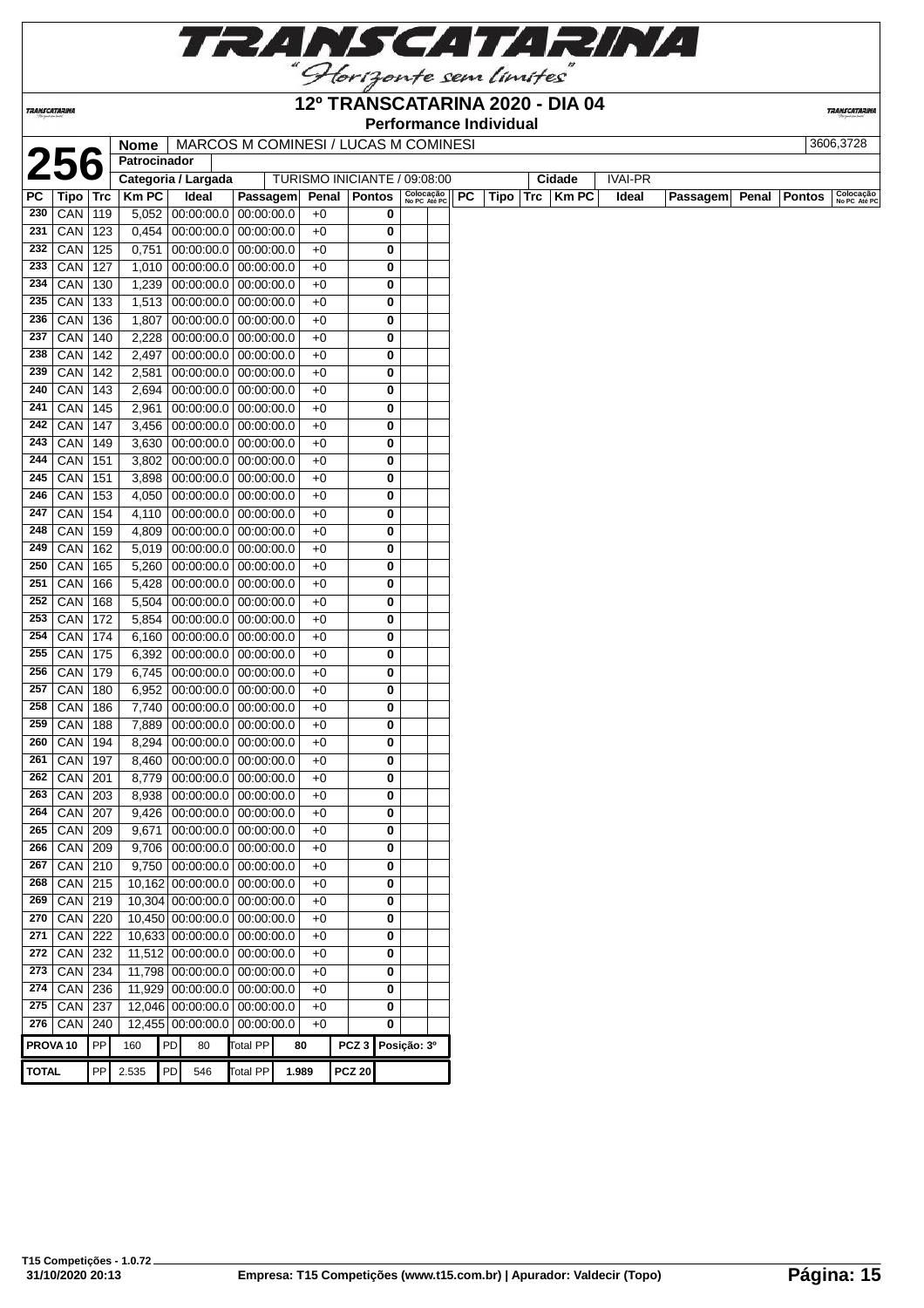

## **12º TRANSCATARINA 2020 - DIA 04**

**Performance Individual**

**TRANSCATARINA** 

|     |                     |            | Nome<br>Patrocinador |                          | MARCOS M COMINESI / LUCAS M COMINESI |       |                              |                           |           |      |             |                |          |       | 3606,3728     |                           |
|-----|---------------------|------------|----------------------|--------------------------|--------------------------------------|-------|------------------------------|---------------------------|-----------|------|-------------|----------------|----------|-------|---------------|---------------------------|
|     |                     |            | Categoria / Largada  |                          |                                      |       | TURISMO INICIANTE / 09:08:00 |                           |           |      | Cidade      | <b>IVAI-PR</b> |          |       |               |                           |
| PC  | Tipo ∣              | <b>Trc</b> | <b>KmPC</b>          | Ideal                    | Passagem                             | Penal | Pontos                       | Colocação<br>No PC Até PC | <b>PC</b> | Tipo | $Trc$ Km PC | Ideal          | Passagem | Penal | <b>Pontos</b> |                           |
| 230 | CAN                 | 119        |                      | 5,052 00:00:00.0         | 00:00:00.0                           | $+0$  | 0                            |                           |           |      |             |                |          |       |               | Colocação<br>No PC Até PC |
| 231 | CAN                 | 123        | 0,454                | 00:00:00.0               | 00:00:00.0                           | $+0$  | 0                            |                           |           |      |             |                |          |       |               |                           |
| 232 | CAN                 | 125        | 0,751                | 00:00:00.0               | 00:00:00.0                           | $+0$  | 0                            |                           |           |      |             |                |          |       |               |                           |
| 233 | CAN                 | 127        | 1,010                |                          | 00:00:00.0 00:00:00.0                | $+0$  | 0                            |                           |           |      |             |                |          |       |               |                           |
| 234 | CAN                 | 130        | 1,239                | 00:00:00.0               | 00:00:00.0                           | $+0$  | 0                            |                           |           |      |             |                |          |       |               |                           |
| 235 | CAN                 | 133        | 1,513                | 00:00:00.0               | 00:00:00.0                           | $+0$  | 0                            |                           |           |      |             |                |          |       |               |                           |
| 236 | CAN                 | 136        | 1,807                | 00:00:00.0               | 00:00:00.0                           | $+0$  | 0                            |                           |           |      |             |                |          |       |               |                           |
| 237 | CAN                 | 140        | 2,228                | 00:00:00.0               | 00:00:00.0                           | $+0$  | 0                            |                           |           |      |             |                |          |       |               |                           |
| 238 | CAN                 | 142        | 2,497                | 00:00:00.0               | 00:00:00.0                           | $+0$  | 0                            |                           |           |      |             |                |          |       |               |                           |
| 239 | CAN                 | 142        | 2,581                | 00:00:00.0               | 00:00:00.0                           | $+0$  | 0                            |                           |           |      |             |                |          |       |               |                           |
| 240 | CAN                 | 143        | 2,694                | 00:00:00.0               | 00:00:00.0                           | $+0$  | 0                            |                           |           |      |             |                |          |       |               |                           |
| 241 | CAN                 | 145        | 2,961                | 00:00:00.0               | 00:00:00.0                           | $+0$  | 0                            |                           |           |      |             |                |          |       |               |                           |
| 242 | CAN                 | 147        | 3,456                |                          | 00:00:00.0 00:00:00.0                | $+0$  | 0                            |                           |           |      |             |                |          |       |               |                           |
| 243 | CAN                 | 149        | 3,630                |                          | $00:00:00.0$ 00:00:00.0              | $+0$  | 0                            |                           |           |      |             |                |          |       |               |                           |
| 244 | $CAN$ 151           |            | 3,802                |                          | 00:00:00.0 00:00:00.0                | $+0$  | 0                            |                           |           |      |             |                |          |       |               |                           |
| 245 | CAN                 | 151        | 3,898                | 00:00:00.0               | 00:00:00.0                           | $+0$  | 0                            |                           |           |      |             |                |          |       |               |                           |
| 246 | CAN                 | 153        | 4,050                | 00:00:00.0               | 00:00:00.0                           | $+0$  | 0                            |                           |           |      |             |                |          |       |               |                           |
| 247 | CAN                 | 154        | 4,110                | 00:00:00.0               | 00:00:00.0                           | $+0$  | 0                            |                           |           |      |             |                |          |       |               |                           |
| 248 | CAN                 | 159        | 4,809                | 00:00:00.0               | 00:00:00.0                           | $+0$  | 0                            |                           |           |      |             |                |          |       |               |                           |
| 249 | CAN                 | 162        | 5,019                | 00:00:00.0               | 00:00:00.0                           | $+0$  | 0                            |                           |           |      |             |                |          |       |               |                           |
| 250 | CAN                 | 165        | 5,260                | 00:00:00.0               | 00:00:00.0                           | $+0$  | 0                            |                           |           |      |             |                |          |       |               |                           |
| 251 | CAN                 | 166        | 5,428                |                          | 00:00:00.0 00:00:00.0                | $+0$  | 0                            |                           |           |      |             |                |          |       |               |                           |
| 252 | CAN                 | 168        | 5,504                |                          | $00:00:00.0$ 00:00:00.0              | $+0$  | 0                            |                           |           |      |             |                |          |       |               |                           |
| 253 |                     |            |                      |                          |                                      | $+0$  | 0                            |                           |           |      |             |                |          |       |               |                           |
| 254 | CAN                 | 172        | 5,854                |                          | 00:00:00.0 00:00:00.0                | $+0$  | 0                            |                           |           |      |             |                |          |       |               |                           |
| 255 | CAN<br>CAN          | 174<br>175 | 6,160<br>6,392       | 00:00:00.0<br>00:00:00.0 | 00:00:00.0<br>00:00:00.0             | $+0$  | 0                            |                           |           |      |             |                |          |       |               |                           |
| 256 | CAN                 | 179        | 6,745                | 00:00:00.0               | 00:00:00.0                           | $+0$  | 0                            |                           |           |      |             |                |          |       |               |                           |
| 257 | CAN                 | 180        | 6,952                | 00:00:00.0               | 00:00:00.0                           | $+0$  | 0                            |                           |           |      |             |                |          |       |               |                           |
| 258 | CAN                 | 186        | 7,740                | 00:00:00.0               | 00:00:00.0                           | $+0$  | 0                            |                           |           |      |             |                |          |       |               |                           |
| 259 | CAN                 | 188        | 7,889                | 00:00:00.0               | 00:00:00.0                           | $+0$  | 0                            |                           |           |      |             |                |          |       |               |                           |
| 260 | CAN                 | 194        | 8,294                |                          | $00:00:00.0$ 00:00:00.0              | $+0$  | 0                            |                           |           |      |             |                |          |       |               |                           |
| 261 | CAN                 | 197        | 8,460                |                          | $00:00:00.0$ 00:00:00.0              | $+0$  | 0                            |                           |           |      |             |                |          |       |               |                           |
| 262 | $CAN$ 201           |            | 8,779                |                          | 00:00:00.0 00:00:00.0                | $+0$  | 0                            |                           |           |      |             |                |          |       |               |                           |
| 263 | CAN 203             |            | 8,938                | 00:00:00.0               | 00:00:00.0                           | $+0$  | 0                            |                           |           |      |             |                |          |       |               |                           |
| 264 | $CAN$ 207           |            | 9,426                |                          | 00:00:00.0 00:00:00.0                | $+0$  | 0                            |                           |           |      |             |                |          |       |               |                           |
|     | 265 CAN 209         |            |                      |                          | $9,671$ 00:00:00.0 00:00:00.0        | $+0$  | $\mathbf 0$                  |                           |           |      |             |                |          |       |               |                           |
| 266 | CAN   209           |            |                      |                          | $9,706$   00:00:00.0   00:00:00.0    | $+0$  | 0                            |                           |           |      |             |                |          |       |               |                           |
| 267 | $CAN$ 210           |            |                      |                          | $9,750$ 00:00:00.0 00:00:00.0        | $+0$  | 0                            |                           |           |      |             |                |          |       |               |                           |
| 268 | $CAN$ 215           |            |                      |                          | 10,162 00:00:00.0 00:00:00.0         | $+0$  | 0                            |                           |           |      |             |                |          |       |               |                           |
| 269 | $CAN$ 219           |            |                      |                          | 10,304 00:00:00.0 00:00:00.0         | $+0$  | 0                            |                           |           |      |             |                |          |       |               |                           |
| 270 | $CAN$ 220           |            |                      |                          | 10,450 00:00:00.0 00:00:00.0         | $+0$  | 0                            |                           |           |      |             |                |          |       |               |                           |
| 271 | CAN 222             |            |                      |                          | 10,633 00:00:00.0 00:00:00.0         | $+0$  | 0                            |                           |           |      |             |                |          |       |               |                           |
| 272 | $CAN$ 232           |            |                      | 11,512 00:00:00.0        | 00:00:00.0                           | $+0$  | 0                            |                           |           |      |             |                |          |       |               |                           |
| 273 | <b>CAN</b> 234      |            |                      | 11,798 00:00:00.0        | 00:00:00.0                           | $+0$  | 0                            |                           |           |      |             |                |          |       |               |                           |
| 274 | $CAN$ 236           |            |                      | 11,929 00:00:00.0        | 00:00:00.0                           | $+0$  | 0                            |                           |           |      |             |                |          |       |               |                           |
| 275 | CAN                 | 237        |                      | 12,046 00:00:00.0        | 00:00:00.0                           | $+0$  | 0                            |                           |           |      |             |                |          |       |               |                           |
|     | 276 CAN             | 240        |                      | 12,455 00:00:00.0        | 00:00:00.0                           | $+0$  | 0                            |                           |           |      |             |                |          |       |               |                           |
|     | PROVA <sub>10</sub> | PP         | 160                  | PD                       | <b>Total PP</b>                      |       | PCZ 3 Posição: 3º            |                           |           |      |             |                |          |       |               |                           |
|     |                     |            |                      | 80                       |                                      | 80    |                              |                           |           |      |             |                |          |       |               |                           |

**TRANSCATARINA**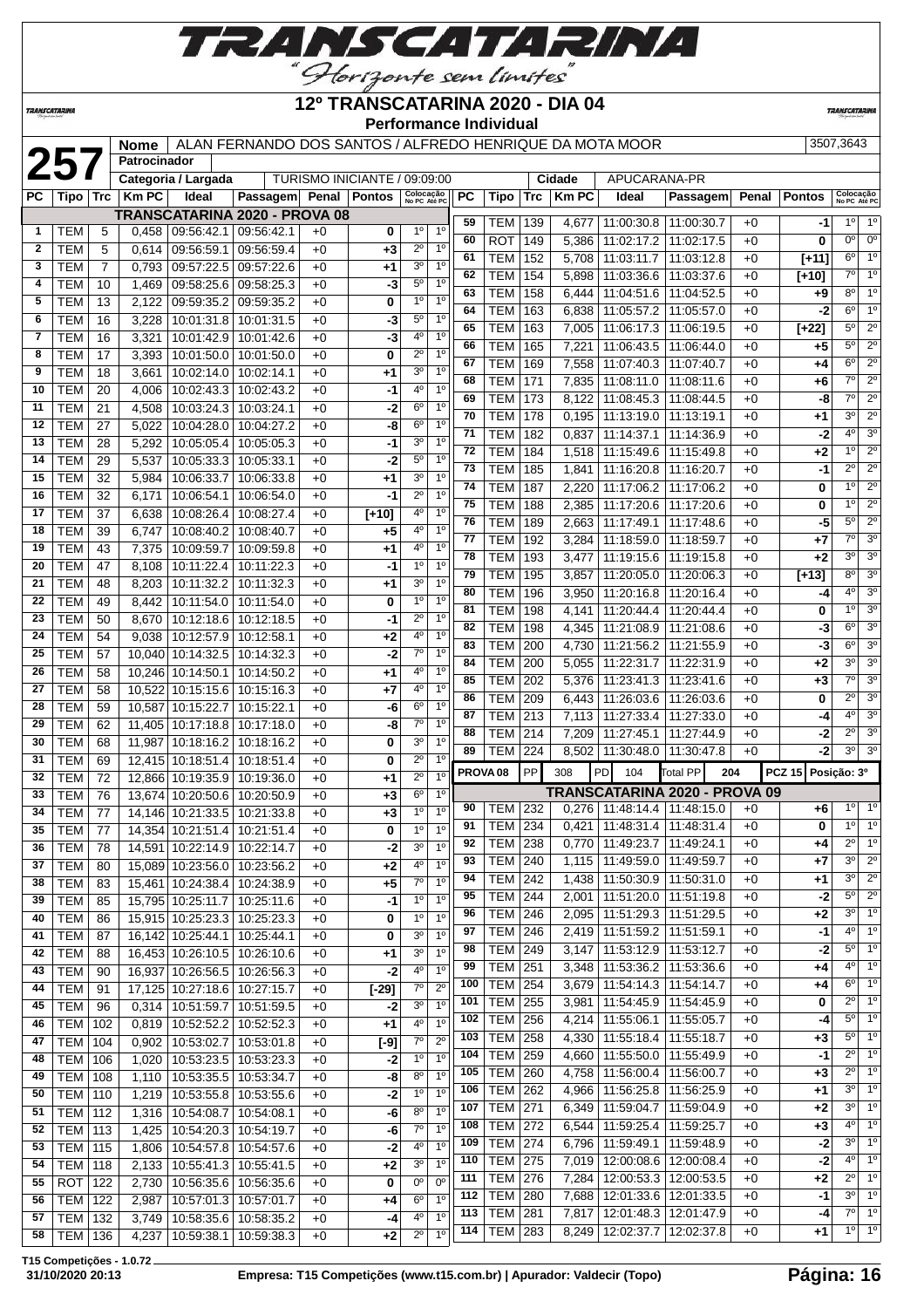

**TRANSCATARINA** 

#### **12º TRANSCATARINA 2020 - DIA 04 Performance Individual**

**TRANSCATARIN** 

|              |                |     | <b>Nome</b>  |                                      |            |                              |               |                           |                |            |                                  |     |              | ALAN FERNANDO DOS SANTOS / ALFREDO HENRIQUE DA MOTA MOOR           |                                      |              |               | 3507.3643                          |
|--------------|----------------|-----|--------------|--------------------------------------|------------|------------------------------|---------------|---------------------------|----------------|------------|----------------------------------|-----|--------------|--------------------------------------------------------------------|--------------------------------------|--------------|---------------|------------------------------------|
|              | 257            |     | Patrocinador |                                      |            |                              |               |                           |                |            |                                  |     |              |                                                                    |                                      |              |               |                                    |
|              |                |     |              | Categoria / Largada                  |            | TURISMO INICIANTE / 09:09:00 |               |                           |                |            |                                  |     | Cidade       | APUCARANA-PR                                                       |                                      |              |               |                                    |
| РC           | Tipo   Trc     |     | <b>Km PC</b> | Ideal                                | Passagem   | <b>Penal</b>                 | <b>Pontos</b> | Colocação<br>No PC Até PC |                | PC         | Tipo                             | Trc | <b>Km PC</b> | Ideal                                                              | Passagem                             | Penal        | <b>Pontos</b> | Colocação<br>No PC Até PC          |
|              |                |     |              | <b>TRANSCATARINA 2020 - PROVA 08</b> |            |                              |               |                           |                | 59         | TEM                              | 139 | 4,677        | 11:00:30.8                                                         | 11:00:30.7                           | $+0$         | -1            | $1^{\circ}$<br>$1^{\circ}$         |
| 1            | TEM            | 5   | 0,458        | 09:56:42.1                           | 09:56:42.1 | $+0$                         | 0             | 1 <sup>0</sup>            | 1 <sup>0</sup> | 60         | ROT                              | 149 | 5,386        | 11:02:17.2                                                         | 11:02:17.5                           | $+0$         | 0             | $0^{\circ}$<br>0°                  |
| $\mathbf{2}$ | TEM            | 5   | 0,614        | 09:56:59.1                           | 09:56:59.4 | $+0$                         | $+3$          | $2^{\circ}$               | 1 <sup>0</sup> | 61         | <b>TEM</b>                       | 152 | 5,708        | 11:03:11.7                                                         | 11:03:12.8                           | $+0$         | $[+11]$       | $6^{\circ}$<br>1 <sup>o</sup>      |
| 3            | TEM            | 7   | 0,793        | 09:57:22.5                           | 09:57:22.6 | $+0$                         | +1            | 3 <sup>o</sup>            | 1 <sup>0</sup> | 62         | TEM                              | 154 | 5,898        | 11:03:36.6                                                         | 11:03:37.6                           | $+0$         | [+10]         | 1 <sup>o</sup><br>70               |
| 4            | TEM            | 10  | 1,469        | 09:58:25.6                           | 09:58:25.3 | $+0$                         | -3            | $5^{\circ}$               | 1 <sup>0</sup> | 63         | <b>TEM</b>                       | 158 | 6,444        | 11:04:51.6                                                         | 11:04:52.5                           | $+0$         | +9            | $8^{\circ}$<br>1 <sup>°</sup>      |
| 5            | TEM            | 13  | 2,122        | 09:59:35.2                           | 09:59:35.2 | $+0$                         | 0             | $1^{\circ}$               | $1^{\circ}$    | 64         | <b>TEM</b>                       | 163 | 6,838        | 11:05:57.2                                                         | 11:05:57.0                           | $+0$         | -2            | 1 <sup>0</sup><br>6 <sup>o</sup>   |
| 6            | <b>TEM</b>     | 16  | 3,228        | 10:01:31.8                           | 10:01:31.5 | $+0$                         | -3            | $5^{\circ}$               | 1 <sup>0</sup> | 65         | <b>TEM</b>                       | 163 | 7,005        | 11:06:17.3                                                         | 11:06:19.5                           | $+0$         | $[+22]$       | $\overline{2^0}$<br>$5^{\circ}$    |
| 7            | <b>TEM</b>     | 16  | 3,321        | 10:01:42.9                           | 10:01:42.6 | $+0$                         | $-3$          | 4°                        | 1 <sup>0</sup> | 66         | <b>TEM</b>                       | 165 | 7,221        | 11:06:43.5                                                         | 11:06:44.0                           | $+0$         | +5            | $5^{\circ}$<br>$2^{\circ}$         |
| 8            | <b>TEM</b>     | 17  | 3,393        | 10:01:50.0                           | 10:01:50.0 | $+0$                         | 0             | $2^{\circ}$               | 1 <sup>0</sup> | 67         | <b>TEM</b>                       | 169 | 7,558        | 11:07:40.3                                                         | 11:07:40.7                           | $+0$         | +4            | $2^{\circ}$<br>$6^{\circ}$         |
| 9            | TEM            | 18  | 3,661        | 10:02:14.0                           | 10:02:14.1 | $+0$                         | +1            | 3 <sup>o</sup>            | 1 <sup>0</sup> | 68         | TEM                              | 171 | 7,835        | 11:08:11.0                                                         | 11:08:11.6                           | $+0$         | +6            | $2^{\circ}$<br>70                  |
| 10           | TEM            | 20  | 4,006        | 10:02:43.3                           | 10:02:43.2 | $+0$                         | -1            | $4^{\circ}$               | 1 <sup>0</sup> | 69         | <b>TEM</b>                       | 173 | 8,122        | 11:08:45.3                                                         | 11:08:44.5                           | $+0$         | -8            | $\overline{2^0}$<br>$7^\circ$      |
| 11           | <b>TEM</b>     | 21  | 4,508        | 10:03:24.3                           | 10:03:24.1 | $+0$                         | -2            | $6^{\circ}$               | 1 <sup>0</sup> | 70         | <b>TEM</b>                       | 178 | 0,195        | 11:13:19.0                                                         | 11:13:19.1                           | $+0$         | +1            | $\overline{2^0}$<br>3 <sup>0</sup> |
| 12           | <b>TEM</b>     | 27  | 5,022        | 10:04:28.0                           | 10:04:27.2 | $+0$                         | -8            | $6^{\circ}$               | 1 <sup>0</sup> | 71         | TEM                              | 182 | 0,837        | 11:14:37.1                                                         | 11:14:36.9                           | $+0$         | -2            | 4 <sup>0</sup><br>3 <sup>o</sup>   |
| 13           | TEM            | 28  | 5,292        | 10:05:05.4                           | 10:05:05.3 | $+0$                         | -1            | 3 <sup>o</sup>            | 1 <sup>0</sup> | 72         | TEM                              | 184 | 1,518        | 11:15:49.6                                                         | 11:15:49.8                           | $+0$         | +2            | $2^{\circ}$<br>1 <sup>0</sup>      |
| 14           | TEM            | 29  | 5,537        | 10:05:33.3                           | 10:05:33.1 | $+0$                         | -2            | $5^{\circ}$               | $1^{\circ}$    | 73         | <b>TEM</b>                       | 185 | 1,841        | 11:16:20.8                                                         | 11:16:20.7                           | $+0$         | -1            | $2^{\circ}$<br>$2^{\circ}$         |
| 15           | <b>TEM</b>     | 32  | 5,984        | 10:06:33.7                           | 10:06:33.8 | $+0$                         | +1            | 3 <sup>o</sup>            | 1 <sup>0</sup> | 74         | TEM                              | 187 | 2,220        | 11:17:06.2                                                         | 11:17:06.2                           | $+0$         | 0             | $2^{\circ}$<br>1 <sup>0</sup>      |
| 16           | <b>TEM</b>     | 32  | 6,171        | 10:06:54.1                           | 10:06:54.0 | $+0$                         | -1            | $2^{\circ}$               | 1 <sup>0</sup> | 75         | <b>TEM</b>                       | 188 | 2,385        | 11:17:20.6                                                         | 11:17:20.6                           | $+0$         | 0             | $\overline{2^0}$<br>1 <sup>0</sup> |
| 17           | <b>TEM</b>     | 37  | 6,638        | 10:08:26.4                           | 10:08:27.4 | $+0$                         | $[+10]$       | $4^{\circ}$               | 1 <sup>0</sup> | 76         | TEM                              | 189 | 2,663        | 11:17:49.1                                                         | 11:17:48.6                           | $+0$         | -5            | $2^{\circ}$<br>$5^{\circ}$         |
| 18           | <b>TEM</b>     | 39  | 6,747        | 10:08:40.2                           | 10:08:40.7 | $+0$                         | +5            | 4°                        | 1 <sup>0</sup> | 77         | TEM                              | 192 | 3,284        | 11:18:59.0                                                         | 11:18:59.7                           | $+0$         | +7            | 3 <sup>o</sup><br>70               |
| 19           | TEM            | 43  | 7,375        | 10:09:59.7                           | 10:09:59.8 | $+0$                         | +1            | 4°                        | 1 <sup>0</sup> | 78         | TEM                              | 193 | 3,477        | 11:19:15.6                                                         | 11:19:15.8                           | $+0$         | +2            | 3 <sup>o</sup><br>3 <sup>0</sup>   |
| 20           | <b>TEM</b>     | 47  | 8,108        | 10:11:22.4                           | 10:11:22.3 | $+0$                         | -1            | 1 <sup>0</sup>            | 1 <sup>0</sup> | 79         | TEM                              | 195 | 3,857        | 11:20:05.0                                                         | 11:20:06.3                           | $+0$         | $[+13]$       | $8^{\circ}$<br>3 <sup>o</sup>      |
| 21           | <b>TEM</b>     | 48  | 8,203        | 10:11:32.2                           | 10:11:32.3 | $+0$                         | +1            | 3 <sup>o</sup>            | 1 <sup>0</sup> | 80         | <b>TEM</b>                       | 196 | 3,950        | 11:20:16.8                                                         | 11:20:16.4                           | $+0$         | -4            | 4 <sup>0</sup><br>3 <sup>o</sup>   |
| 22           | <b>TEM</b>     | 49  | 8,442        | 10:11:54.0                           | 10:11:54.0 | $+0$                         | 0             | 1 <sup>0</sup>            | 1 <sup>0</sup> | 81         | TEM                              | 198 | 4,141        | 11:20:44.4                                                         | 11:20:44.4                           | $+0$         | 0             | 1 <sup>0</sup><br>3 <sup>o</sup>   |
| 23           | <b>TEM</b>     | 50  | 8,670        | 10:12:18.6                           | 10:12:18.5 | $+0$                         | -1            | $2^{\circ}$               | 1 <sup>0</sup> | 82         | <b>TEM</b>                       | 198 | 4,345        | 11:21:08.9                                                         | 11:21:08.6                           | $+0$         | -3            | 3 <sup>0</sup><br>6 <sup>o</sup>   |
| 24           | <b>TEM</b>     | 54  | 9,038        | 10:12:57.9                           | 10:12:58.1 | $+0$                         | +2            | 4°                        | 1 <sup>0</sup> | 83         | <b>TEM</b>                       | 200 | 4,730        | 11:21:56.2                                                         | 11:21:55.9                           | $+0$         | -3            | 3 <sup>0</sup><br>6 <sup>o</sup>   |
| 25           | <b>TEM</b>     | 57  |              | 10,040 10:14:32.5                    | 10:14:32.3 | $+0$                         | -2            | $7^\circ$                 | 1 <sup>0</sup> | 84         | <b>TEM</b>                       | 200 | 5,055        | 11:22:31.7                                                         | 11:22:31.9                           | $+0$         | +2            | 3 <sup>o</sup><br>3 <sup>0</sup>   |
| 26           | <b>TEM</b>     | 58  |              | 10,246 10:14:50.1                    | 10:14:50.2 | $+0$                         | +1            | $4^{\circ}$               | 1 <sup>0</sup> | 85         | <b>TEM</b>                       | 202 | 5,376        | 11:23:41.3                                                         | 11:23:41.6                           | $+0$         | +3            | 3 <sup>o</sup><br>70               |
| 27           | TEM            | 58  | 10,522       | 10:15:15.6                           | 10:15:16.3 | $+0$                         | +7            | $4^{\circ}$               | 1 <sup>0</sup> | 86         | TEM                              | 209 | 6,443        | 11:26:03.6                                                         | 11:26:03.6                           | $+0$         | 0             | 3 <sup>o</sup><br>$2^{\circ}$      |
| 28           | TEM            | 59  | 10,587       | 10:15:22.7                           | 10:15:22.1 | $+0$                         | -6            | $6^{\circ}$               | 1 <sup>0</sup> | 87         | <b>TEM</b>                       | 213 | 7,113        | 11:27:33.4                                                         | 11:27:33.0                           | $+0$         | -4            | 3 <sup>o</sup><br>40               |
| 29           | <b>TEM</b>     | 62  | 11,405       | 10:17:18.8                           | 10:17:18.0 | $+0$                         | -8            | $7^\circ$                 | 1 <sup>0</sup> | 88         | TEM                              | 214 | 7,209        | 11:27:45.1                                                         | 11:27:44.9                           | $+0$         | -2            | 3 <sup>o</sup><br>$2^{\circ}$      |
| 30           | <b>TEM</b>     | 68  | 11,987       | 10:18:16.2                           | 10:18:16.2 | $+0$                         | 0             | 3 <sup>o</sup>            | 1 <sup>0</sup> | 89         | TEM                              | 224 | 8.502        | 11:30:48.0                                                         | 11:30:47.8                           | $+0$         | -2            | 3 <sup>o</sup><br>3 <sup>o</sup>   |
| 31           | TEM            | 69  |              | 12,415 10:18:51.4                    | 10:18:51.4 | $+0$                         | 0             | $2^{\circ}$               | 10             |            | PROVA <sub>08</sub>              | PP  | 308          | PD<br>104                                                          | Total PP<br>204                      |              | <b>PCZ 15</b> | Posição: 3º                        |
| 32           | <b>TEM</b>     | 72  |              | 12,866 10:19:35.9                    | 10:19:36.0 | $+0$                         | +1            | $2^{\circ}$               | 1 <sup>0</sup> |            |                                  |     |              |                                                                    | <b>TRANSCATARINA 2020 - PROVA 09</b> |              |               |                                    |
| 33           | TEM            | 76  |              | 13,674 10:20:50.6                    | 10:20:50.9 | $+0$                         | $+3$          | $6^{\circ}$               | 1 <sup>0</sup> | 90         | TEM                              | 232 |              | $0,276$   11:48:14.4   11:48:15.0                                  |                                      | +0           | +6            | $1^{\circ}$<br>$1^{\circ}$         |
| 34           | <b>TEM</b>     | 77  |              | 14,146 10:21:33.5                    | 10:21:33.8 | $+0$                         | $+3$          | 1 <sup>0</sup>            | 1 <sup>0</sup> | 91         | <b>TEM</b> 234                   |     |              | $0,421$ 11:48:31.4 11:48:31.4                                      |                                      |              |               | $10$ $10$                          |
| 35           | TEM            | 77  |              | 14,354 10:21:51.4 10:21:51.4         |            | +0                           | 0             | $1^{\circ}$               | $1^{\circ}$    | 92         |                                  |     |              |                                                                    | 11:49:24.1                           | $+0$         | 0             | 1 <sup>o</sup><br>$2^{\circ}$      |
| 36           | TEM            | 78  |              | 14,591 10:22:14.9 10:22:14.7         |            | $+0$                         | $-2$          | 3 <sup>0</sup>            | 1 <sup>0</sup> | 93         | TEM   238<br><b>TEM 240</b>      |     |              | $0,770$   11:49:23.7<br>1,115   11:49:59.0   11:49:59.7            |                                      | $+0$<br>$+0$ | +4            | $3^{\circ}$<br>$2^{\circ}$         |
| 37           | <b>TEM</b>     | 80  |              | 15,089 10:23:56.0 10:23:56.2         |            | $+0$                         | $+2$          | 4°                        | $1^{\circ}$    |            | <b>TEM 242</b>                   |     |              |                                                                    |                                      |              | +7            | $2^{\circ}$<br>$3^{\circ}$         |
| 38           | <b>TEM</b>     | 83  |              | 15,461   10:24:38.4   10:24:38.9     |            | $+0$                         | +5            | $7^\circ$                 | 1 <sup>0</sup> | 94         |                                  |     |              | 1,438   11:50:30.9   11:50:31.0                                    |                                      | $+0$         | +1            | $2^{\circ}$<br>$5^{\circ}$         |
| 39           | <b>TEM</b>     | 85  |              | 15,795 10:25:11.7 10:25:11.6         |            | $+0$                         | $-1$          | 1 <sup>0</sup>            | 10             | 95         | <b>TEM 244</b><br><b>TEM 246</b> |     |              | 2,001 11:51:20.0<br>2,095   11:51:29.3                             | 11:51:19.8                           | $+0$         | $-2$          | $3^0$ 1 <sup>0</sup>               |
| 40           | <b>TEM</b>     | 86  |              | 15,915 10:25:23.3 10:25:23.3         |            | $+0$                         | 0             | 1 <sup>0</sup>            | 1 <sup>0</sup> | 96         |                                  |     |              |                                                                    | 11:51:29.5                           | $+0$         | +2            | $4^{\circ}$   1 $^{\circ}$         |
| 41           | TEM            | 87  |              | 16,142 10:25:44.1 10:25:44.1         |            | $+0$                         | 0             | 3 <sup>0</sup>            | 1 <sup>0</sup> | 97         | <b>TEM</b>                       | 246 |              | 2,419   11:51:59.2                                                 | 11:51:59.1                           | $+0$         | -1            | $5^\circ$ 1°                       |
| 42           | <b>TEM</b>     | 88  |              | 16,453 10:26:10.5 10:26:10.6         |            | $+0$                         | +1            | 3 <sup>0</sup>            | 1 <sup>0</sup> | 98         | <b>TEM</b>                       | 249 |              | $3,147$   11:53:12.9   11:53:12.7                                  |                                      | $+0$         | -2            | $4^{\circ}$ 1°                     |
| 43           | TEM            | 90  |              | 16,937 10:26:56.5 10:26:56.3         |            | $+0$                         | $-2$          | 40                        | 1 <sup>0</sup> | 99<br>100  | <b>TEM</b><br><b>TEM 254</b>     | 251 |              | $3,348$   11:53:36.2                                               | 11:53:36.6                           | $+0$         | +4            | $6^{\circ}$ 1°                     |
| 44           | <b>TEM</b>     | 91  |              | 17,125 10:27:18.6 10:27:15.7         |            | $+0$                         | $[-29]$       | $7^{\circ}$               | $2^{\circ}$    | 101        |                                  |     |              | 3,679   11:54:14.3   11:54:14.7                                    |                                      | $+0$         | +4            | $2^{\circ}$ 1°                     |
| 45           | <b>TEM</b>     | 96  |              | 0,314   10:51:59.7   10:51:59.5      |            | $+0$                         | -2            | 3 <sup>0</sup>            | 1 <sup>0</sup> |            | <b>TEM 255</b>                   |     |              | 3,981   11:54:45.9                                                 | 11:54:45.9                           | $+0$         | 0             | $5^\circ$ 1 <sup>o</sup>           |
| 46           | TEM            | 102 |              | $0,819$   10:52:52.2   10:52:52.3    |            | $+0$                         | +1            | 40                        | $1^{\circ}$    | 102        | <b>TEM 256</b><br><b>TEM 258</b> |     |              | 4,214 11:55:06.1                                                   | 11:55:05.7                           | $+0$         | -4            | $5^\circ$ 1°                       |
| 47           | <b>TEM</b>     | 104 |              | $0,902$   10:53:02.7   10:53:01.8    |            | $+0$                         | $[-9]$        | $7^{\circ}$               | $2^{\circ}$    | 103<br>104 | TEM                              | 259 |              | 4,330 11:55:18.4<br>4,660 11:55:50.0                               | 11:55:18.7<br>11:55:49.9             | $+0$         | +3            | $2^{\circ}$ 1°                     |
| 48           | TEM            | 106 |              | 1,020   10:53:23.5   10:53:23.3      |            | $+0$                         | $-2$          | 1 <sup>0</sup>            | $1^{\circ}$    | 105        | TEM                              | 260 |              | 4,758 11:56:00.4                                                   |                                      | $+0$<br>$+0$ | -1            | $2^{\circ}$ 1°                     |
| 49           | <b>TEM 108</b> |     |              | 1,110   10:53:35.5   10:53:34.7      |            | $+0$                         | -8            | 8 <sup>0</sup>            | 1 <sup>0</sup> | 106        | <b>TEM</b>                       |     |              |                                                                    | 11:56:00.7                           | $+0$         | +3            | $3^0$ 1 <sup>o</sup>               |
| 50           | <b>TEM 110</b> |     |              | 1,219   10:53:55.8   10:53:55.6      |            | $+0$                         | $-2$          | 1 <sup>0</sup>            | 1 <sup>0</sup> |            |                                  | 262 |              | 4,966   11:56:25.8                                                 | 11:56:25.9                           |              | +1            | $3^0$ 1 <sup>0</sup>               |
| 51           | <b>TEM 112</b> |     |              | 1,316   10:54:08.7   10:54:08.1      |            | $+0$                         | -6            | 8 <sup>0</sup>            | 1 <sup>0</sup> | 107<br>108 | <b>TEM</b>                       | 271 |              | 6,349 11:59:04.7                                                   | 11:59:04.9                           | $+0$         | +2            | $4^{\circ}$ 1 <sup>°</sup>         |
| 52           | <b>TEM 113</b> |     |              | 1,425   10:54:20.3   10:54:19.7      |            | $+0$                         | -6            | $7^\circ$                 | 1 <sup>0</sup> | 109        | <b>TEM</b>                       | 272 | 6,544        | 11:59:25.4                                                         | 11:59:25.7                           | $+0$         | +3            | $3^{\circ}$ 1 <sup>o</sup>         |
| 53           | <b>TEM 115</b> |     |              | 1,806   10:54:57.8   10:54:57.6      |            | $+0$                         | $-2$          | 4 <sup>0</sup>            | 1 <sup>0</sup> |            | <b>TEM 274</b><br><b>TEM 275</b> |     |              | 6,796 11:59:49.1                                                   | 11:59:48.9                           | $+0$         | -2            | $4^{\circ}$ 1 <sup>°</sup>         |
| 54           | TEM   118      |     |              | 2,133   10:55:41.3   10:55:41.5      |            | $+0$                         | $+2$          | 3 <sup>0</sup>            | 1 <sup>0</sup> | 110<br>111 |                                  |     |              | 7,019   12:00:08.6   12:00:08.4                                    |                                      | $+0$         | -2            | $2^{\circ}$ 1°                     |
| 55           | $ROT$ 122      |     |              | 2,730   10:56:35.6   10:56:35.6      |            | $+0$                         | 0             | $0^{\circ}$               | $0^{\circ}$    | 112        | <b>TEM 276</b><br><b>TEM 280</b> |     |              | 7,284   12:00:53.3   12:00:53.5<br>7,688   12:01:33.6   12:01:33.5 |                                      | $+0$<br>$+0$ | +2<br>-1      | $3^{\circ}$ 1°                     |
| 56           | TEM            | 122 | 2,987        | 10:57:01.3 10:57:01.7                |            | $+0$                         | +4            | 6 <sup>0</sup>            | 1 <sup>0</sup> | 113        | <b>TEM 281</b>                   |     | 7,817        | 12:01:48.3                                                         | 12:01:47.9                           | $+0$         | -4            | $7°$ 1°                            |
| 57           | <b>TEM 132</b> |     |              | 3,749   10:58:35.6   10:58:35.2      |            | $+0$                         | -4            | 4°                        | 1 <sup>0</sup> | 114        | <b>TEM 283</b>                   |     | 8,249        | 12:02:37.7                                                         | 12:02:37.8                           | $+0$         | +1            | $10$ $10$                          |
| 58           | TEM   136      |     |              | 4,237   10:59:38.1   10:59:38.3      |            | $+0$                         | $+2$          | $2^{\circ}$               | 1 <sup>0</sup> |            |                                  |     |              |                                                                    |                                      |              |               |                                    |

**T15 Competições - 1.0.72**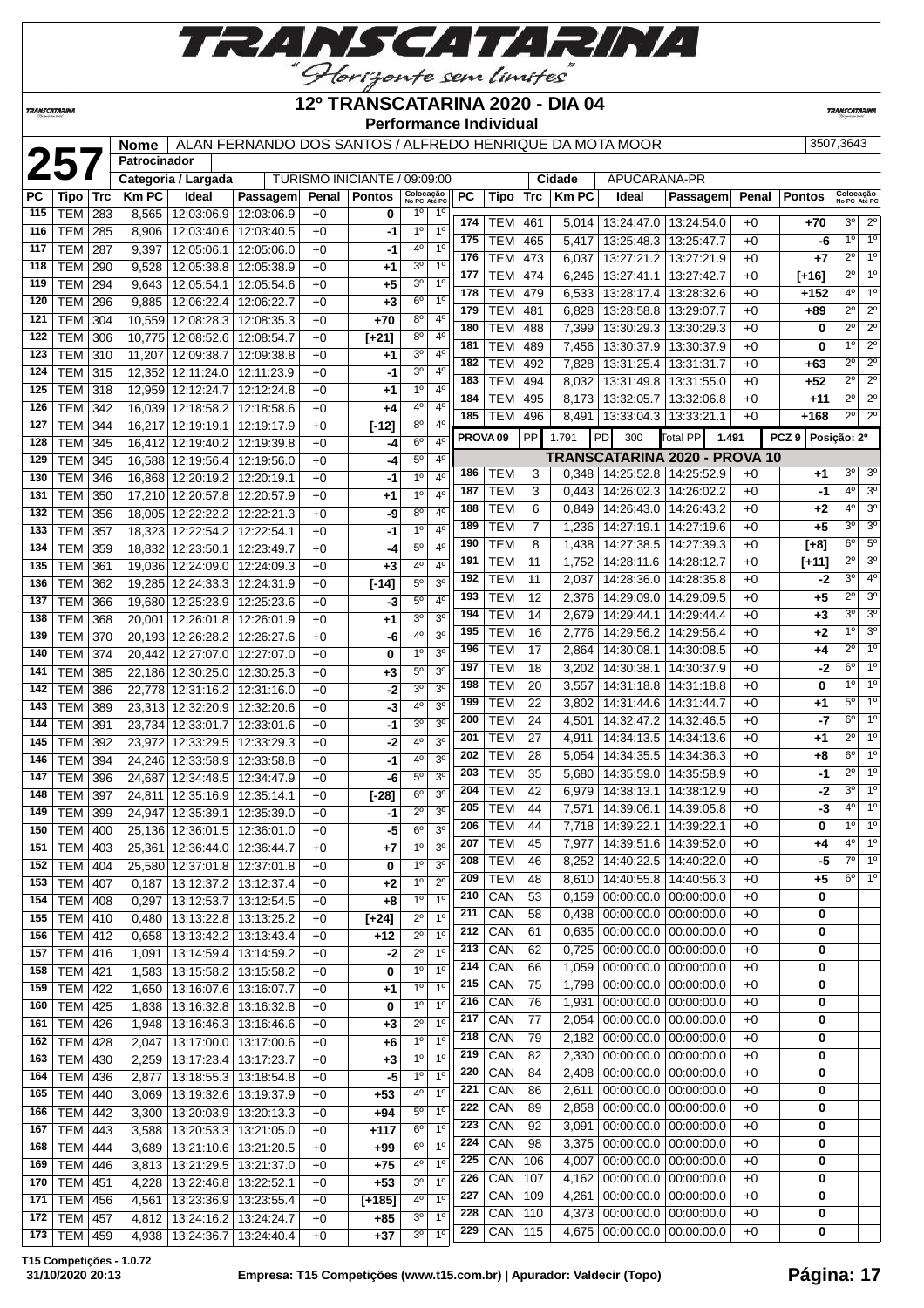

**TRANSCATARINA** 

#### **12º TRANSCATARINA 2020 - DIA 04 Performance Individual**

**TRANSCATARIN** 

|            |                          |            | Nome<br>Patrocinador |                                                   | ALAN FERNANDO DOS SANTOS / ALFREDO HENRIQUE DA MOTA MOOR |              |                              |                                                    |                     |                          |                     |                |              |                                                            |              |                   | 3507,3643                  |                                  |
|------------|--------------------------|------------|----------------------|---------------------------------------------------|----------------------------------------------------------|--------------|------------------------------|----------------------------------------------------|---------------------|--------------------------|---------------------|----------------|--------------|------------------------------------------------------------|--------------|-------------------|----------------------------|----------------------------------|
|            | 257                      |            |                      | Categoria / Largada                               |                                                          |              | TURISMO INICIANTE / 09:09:00 |                                                    |                     |                          |                     | Cidade         | APUCARANA-PR |                                                            |              |                   |                            |                                  |
| PC         | Tipo                     | <b>Trc</b> | <b>Km PC</b>         | Ideal                                             | Passagem                                                 | Penal        | <b>Pontos</b>                | Colocação<br>No PC Até PC                          | РC                  | Tipo                     | Trc                 | <b>Km PC</b>   | Ideal        | Passagem                                                   | Penal        | <b>Pontos</b>     | Colocação<br>No PC Até PC  |                                  |
| 115        | <b>TEM</b>               | 283        | 8,565                | 12:03:06.9                                        | 12:03:06.9                                               | $+0$         | 0                            | 1 <sup>0</sup><br>$1^{\circ}$                      |                     |                          |                     |                |              |                                                            |              |                   |                            |                                  |
| 116        | <b>TEM</b>               | 285        | 8,906                | 12:03:40.6                                        | 12:03:40.5                                               | $+0$         | -1                           | 1 <sup>0</sup><br>1 <sup>0</sup>                   | 174                 | TEM                      | 461                 |                |              | 5,014   13:24:47.0   13:24:54.0                            | $+0$         | +70               | $3^{\circ}$                | $2^{\circ}$                      |
| 117        | <b>TEM</b>               | 287        | 9,397                | 12:05:06.1                                        | 12:05:06.0                                               | $+0$         | -1                           | 1 <sup>0</sup><br>4º                               | 175                 | <b>TEM</b>               | 465                 | 5,417          |              | 13:25:48.3 13:25:47.7                                      | $+0$         | -6                | 10                         | 1 <sup>o</sup><br>1 <sup>o</sup> |
| 118        | <b>TEM</b>               | 290        | 9,528                | 12:05:38.8                                        | 12:05:38.9                                               | $+0$         | $+1$                         | $3^{\circ}$<br>1 <sup>0</sup>                      | 176<br>177          | <b>TEM</b>               | 473                 | 6,037          |              | 13:27:21.2   13:27:21.9                                    | +0           | $+7$              | $2^{\circ}$<br>$2^{\circ}$ | 1 <sup>o</sup>                   |
| 119        | <b>TEM</b>               | 294        | 9,643                | 12:05:54.1                                        | 12:05:54.6                                               | $+0$         | +5                           | 1 <sup>0</sup><br>$3^{\circ}$                      |                     | <b>TEM</b>               | 474                 | 6,246          |              | 13:27:41.1   13:27:42.7                                    | $+0$         | [+16]             |                            |                                  |
| 120        | <b>TEM</b>               | 296        | 9,885                | 12:06:22.4                                        | 12:06:22.7                                               | $+0$         | $+3$                         | 1 <sup>0</sup><br>$6^{\circ}$                      | 178                 | TEM                      | 479                 | 6,533          |              | 13:28:17.4   13:28:32.6                                    | $+0$         | +152              | $4^{\circ}$<br>$2^{\circ}$ | 1 <sup>o</sup><br>$2^{\circ}$    |
| 121        | <b>TEM</b>               | 304        |                      | 10,559 12:08:28.3                                 | 12:08:35.3                                               | $+0$         | $+70$                        | 4 <sup>0</sup><br>$8^{\circ}$                      | 179<br>180          | <b>TEM</b>               | 481                 | 6,828          |              | 13:28:58.8   13:29:07.7                                    | $+0$         | +89               | $2^{\circ}$                | $\overline{2^0}$                 |
| 122        | <b>TEM</b>               | 306        |                      | 10,775 12:08:52.6                                 | 12:08:54.7                                               | $+0$         | $[+21]$                      | $4^{\circ}$<br>$8^{\circ}$                         | 181                 | <b>TEM</b><br><b>TEM</b> | 488<br>489          | 7,399          |              | 13:30:29.3   13:30:29.3<br>13:30:37.9 13:30:37.9           | $+0$         | 0                 | $1^{\circ}$                | $\overline{2^0}$                 |
| 123        | <b>TEM</b>               | 310        | 11,207               | 12:09:38.7                                        | 12:09:38.8                                               | $+0$         | $+1$                         | 3 <sup>o</sup><br>4 <sup>0</sup>                   | 182                 | TEM                      | 492                 | 7,456<br>7,828 |              | 13:31:25.4   13:31:31.7                                    | $+0$<br>$+0$ | 0<br>$+63$        | $2^{\circ}$                | $2^{\circ}$                      |
| 124        | <b>TEM</b>               | 315        |                      | 12,352 12:11:24.0 12:11:23.9                      |                                                          | $+0$         | -1                           | 3 <sup>o</sup><br>$4^{\circ}$                      | 183                 | <b>TEM</b>               | 494                 | 8,032          |              | 13:31:49.8   13:31:55.0                                    | $+0$         | $+52$             | $2^{\circ}$                | $2^{\circ}$                      |
| 125        | <b>TEM</b>               | 318        |                      | 12,959 12:12:24.7 12:12:24.8                      |                                                          | $+0$         | $+1$                         | 1 <sup>0</sup><br>$4^{\circ}$                      | 184                 | <b>TEM</b>               | 495                 | 8,173          |              | 13:32:05.7   13:32:06.8                                    | $+0$         | $+11$             | $2^{\circ}$                | $2^{\circ}$                      |
| 126        | <b>TEM</b>               | 342        |                      | 16,039 12:18:58.2 12:18:58.6                      |                                                          | $+0$         | +4                           | 4°<br>$4^{\circ}$                                  | 185                 | TEM                      | 496                 | 8,491          |              | 13:33:04.3 13:33:21.1                                      | $+0$         | +168              | $2^{\circ}$                | $2^{\circ}$                      |
| 127        | <b>TEM</b>               | 344        |                      | 16,217 12:19:19.1                                 | 12:19:17.9                                               | $+0$         | $[-12]$                      | $8^{\circ}$<br>$4^{\circ}$                         |                     |                          |                     |                |              |                                                            |              |                   |                            |                                  |
| 128        | <b>TEM</b>               | 345        |                      | 16,412 12:19:40.2                                 | 12:19:39.8                                               | $+0$         | -4                           | 6 <sup>o</sup><br>4 <sup>0</sup>                   | PROVA <sub>09</sub> |                          | <b>PP</b>           | 1.791          | PD<br>300    | Total PP                                                   | 1.491        | PCZ 9 Posicão: 2º |                            |                                  |
| 129        | <b>TEM</b>               | 345        |                      | 16,588 12:19:56.4                                 | 12:19:56.0                                               | $+0$         | -4                           | $5^{\circ}$<br>$4^{\circ}$                         |                     |                          |                     |                |              | TRANSCATARINA 2020 - PROVA 10                              |              |                   | $3^{\circ}$                | 3 <sup>o</sup>                   |
| 130        | <b>TEM</b>               | 346        |                      | 16,868 12:20:19.2                                 | 12:20:19.1                                               | $+0$         | -1                           | 1 <sup>0</sup><br>$4^{\circ}$                      | 186<br>187          | <b>TEM</b>               | 3                   |                |              | $0,348$   14:25:52.8   14:25:52.9                          | $+0$         | $+1$              | $4^{\circ}$                | 3 <sup>o</sup>                   |
| 131        | <b>TEM</b>               | 350        |                      | 17,210 12:20:57.8 12:20:57.9                      |                                                          | $+0$         | $+1$                         | $1^{\circ}$<br>$4^{\circ}$                         | 188                 | TEM<br><b>TEM</b>        | 3                   | 0,443          |              | 14:26:02.3   14:26:02.2                                    | $+0$         | -1                | $4^{\circ}$                | 3 <sup>o</sup>                   |
| 132        | <b>TEM</b>               | 356        |                      | 18,005 12:22:22.2 12:22:21.3                      |                                                          | $+0$         | -9                           | 8 <sup>o</sup><br>4 <sup>0</sup>                   | 189                 | TEM                      | 6<br>$\overline{7}$ | 0,849<br>1,236 |              | 14:26:43.0   14:26:43.2<br>14:27:19.1 14:27:19.6           | $+0$<br>$+0$ | $+2$<br>$+5$      | $3^{\circ}$                | 3 <sup>o</sup>                   |
| 133        | <b>TEM</b>               | 357        |                      | 18.323 12:22:54.2 12:22:54.1                      |                                                          | $+0$         | $-1$                         | 4 <sup>0</sup><br>1 <sup>0</sup>                   | 190                 | <b>TEM</b>               | 8                   | 1,438          |              | 14:27:38.5   14:27:39.3                                    |              | $[+8]$            | $6^{\circ}$                | $5^{\circ}$                      |
| 134        | <b>TEM</b>               | 359        |                      | 18.832 12:23:50.1 12:23:49.7                      |                                                          | $+0$         | -4                           | $5^{\circ}$<br>$4^{\circ}$                         | 191                 | <b>TEM</b>               | 11                  | 1,752          |              | 14:28:11.6   14:28:12.7                                    | $+0$<br>$+0$ | $[+11]$           | $2^{\circ}$                | 3 <sup>o</sup>                   |
| 135        | <b>TEM</b>               | 361        |                      | 19.036 12:24:09.0 12:24:09.3                      |                                                          | $+0$         | $+3$                         | 4 <sup>0</sup><br>4°                               | 192                 | <b>TEM</b>               | 11                  | 2,037          |              | 14:28:36.0   14:28:35.8                                    | +0           | -2                | $3^{\circ}$                | 4 <sup>0</sup>                   |
| 136        | <b>TEM</b>               | 362        |                      | 19,285 12:24:33.3                                 | 12:24:31.9                                               | $+0$         | $[-14]$                      | 5°<br>3 <sup>o</sup>                               | 193                 | TEM                      | 12                  | 2,376          |              | 14:29:09.0   14:29:09.5                                    | $+0$         | +5                | $2^{\circ}$                | 3 <sup>o</sup>                   |
| 137        | <b>TEM</b>               | 366        |                      | 19,680 12:25:23.9                                 | 12:25:23.6                                               | $+0$         | -3                           | 5 <sup>0</sup><br>$4^{\circ}$                      | 194                 | TEM                      | 14                  | 2,679          |              | 14:29:44.1   14:29:44.4                                    | $+0$         | $+3$              | $3^{\circ}$                | 3 <sup>o</sup>                   |
| 138        | <b>TEM</b>               | 368        |                      | 20,001 12:26:01.8                                 | 12:26:01.9                                               | $+0$         | $+1$                         | 3 <sup>o</sup><br>3 <sup>0</sup>                   | 195                 | TEM                      | 16                  | 2,776          |              | 14:29:56.2   14:29:56.4                                    | $+0$         | $+2$              | $1^{\circ}$                | 3 <sup>o</sup>                   |
| 139        | TEM                      | 370        |                      | 20,193 12:26:28.2 12:26:27.6                      |                                                          | $+0$         | -6                           | 4°<br>3 <sup>o</sup><br>3 <sup>0</sup>             | 196                 | <b>TEM</b>               | 17                  | 2,864          |              | 14:30:08.1   14:30:08.5                                    | $+0$         | +4                | $2^{\circ}$                | 1 <sup>0</sup>                   |
| 140        | <b>TEM</b>               | 374        |                      | 20,442 12:27:07.0 12:27:07.0                      |                                                          | $+0$         | 0                            | $1^{\circ}$<br>$\overline{3^0}$                    | 197                 | <b>TEM</b>               | 18                  | 3,202          |              | 14:30:38.1   14:30:37.9                                    | $+0$         | -2                | $6^{\circ}$                | 1 <sup>0</sup>                   |
| 141<br>142 | TEM                      | 385        |                      | 22,186 12:30:25.0                                 | 12:30:25.3                                               | $+0$         | $+3$                         | 5 <sup>o</sup><br>3 <sup>o</sup><br>3 <sup>0</sup> | 198                 | <b>TEM</b>               | 20                  | 3,557          |              | 14:31:18.8   14:31:18.8                                    | $+0$         | 0                 | $1^{\circ}$                | 1 <sup>o</sup>                   |
| 143        | <b>TEM</b><br><b>TEM</b> | 386<br>389 |                      | 22,778 12:31:16.2<br>23,313 12:32:20.9 12:32:20.6 | 12:31:16.0                                               | $+0$<br>$+0$ | -2<br>-3                     | 3 <sup>0</sup><br>4 <sup>0</sup>                   | 199                 | <b>TEM</b>               | 22                  | 3,802          |              | 14:31:44.6   14:31:44.7                                    | $+0$         | $+1$              | $5^{\circ}$                | $1^{\circ}$                      |
| 144        | <b>TEM</b>               | 391        |                      | 23,734 12:33:01.7 12:33:01.6                      |                                                          | $+0$         | $-1$                         | 3 <sup>o</sup><br>$3^{\circ}$                      | 200                 | <b>TEM</b>               | 24                  | 4,501          |              | 14:32:47.2   14:32:46.5                                    | $+0$         | -7                | $6^{\circ}$                | 1 <sup>o</sup>                   |
| 145        | <b>TEM</b>               | 392        |                      | 23,972 12:33:29.5                                 | 12:33:29.3                                               | $+0$         | -2                           | 3 <sup>o</sup><br>4°                               | 201                 | <b>TEM</b>               | 27                  | 4,911          |              | 14:34:13.5   14:34:13.6                                    | +0           | +1                | $2^{\circ}$                | 1 <sup>o</sup>                   |
| 146        | <b>TEM</b>               | 394        |                      | 24,246 12:33:58.9                                 | 12:33:58.8                                               | $+0$         | $-1$                         | 3 <sup>o</sup><br>4 <sup>0</sup>                   | 202                 | <b>TEM</b>               | 28                  | 5,054          |              | 14:34:35.5   14:34:36.3                                    | +0           | +8                | $6^{\circ}$                | 1 <sup>o</sup>                   |
| 147        | <b>TEM</b>               | 396        |                      | 24,687 12:34:48.5                                 | 12:34:47.9                                               | $+0$         | -6                           | $5^{\circ}$<br>3 <sup>o</sup>                      | 203                 | TEM                      | 35                  | 5,680          |              | 14:35:59.0 14:35:58.9                                      | $+0$         | -1                | $2^{\circ}$                | 1 <sup>o</sup>                   |
| 148        | TEM                      | 397        |                      | 24,811 12:35:16.9                                 | 12:35:14.1                                               | $+0$         | $[-28]$                      | $6^{\circ}$<br>3 <sup>o</sup>                      | 204                 | TEM                      | 42                  | 6,979          |              | 14:38:13.1 14:38:12.9                                      | $+0$         | -2                | $3^{\circ}$                | 1 <sup>o</sup>                   |
| 149        | <b>TEM</b>               | 399        |                      | 24,947 12:35:39.1 12:35:39.0                      |                                                          | $+0$         | $-1$                         | $2^{\circ}$<br>3 <sup>o</sup>                      | 205                 | <b>TEM</b>               | 44                  | 7,571          |              | 14:39:06.1   14:39:05.8                                    | $+0$         | -3                | $4^{\circ}$                | 1 <sup>o</sup>                   |
|            | 150 TEM 400              |            |                      |                                                   | 25,136 12:36:01.5 12:36:01.0                             | $+0$         | $-5$                         | 3 <sup>o</sup><br>$6^{\circ}$                      | 206                 | <b>TEM</b>               | 44                  |                |              | 7,718 14:39:22.1 14:39:22.1                                | $+0$         | 0                 |                            | $10$ $10$                        |
| 151        | <b>TEM</b>               | 403        |                      |                                                   | 25,361   12:36:44.0   12:36:44.7                         | $+0$         | $+7$                         | 3 <sup>0</sup><br>1 <sup>o</sup>                   | 207                 | <b>TEM</b>               | 45                  |                |              | 7,977   14:39:51.6   14:39:52.0                            | $+0$         | +4                | $4^{\circ}$                | 1 <sup>o</sup>                   |
| 152        | <b>TEM</b>               | 404        |                      |                                                   | 25,580 12:37:01.8 12:37:01.8                             | $+0$         | 0                            | 1 <sup>0</sup><br>3 <sup>o</sup>                   | 208                 | <b>TEM</b>               | 46                  | 8,252          |              | 14:40:22.5   14:40:22.0                                    | $+0$         | $-5$              | 7º                         | 1 <sup>°</sup>                   |
| 153        | <b>TEM</b>               | 407        | 0,187                | 13:12:37.2 13:12:37.4                             |                                                          | $+0$         | $+2$                         | $2^{\circ}$<br>1 <sup>0</sup>                      | 209                 | <b>TEM</b>               | 48                  | 8,610          |              | 14:40:55.8   14:40:56.3                                    | $+0$         | +5                |                            | $6^{\circ}$ 1°                   |
| 154        | <b>TEM</b>               | 408        | 0,297                |                                                   | 13:12:53.7 13:12:54.5                                    | $+0$         | $+8$                         | 1 <sup>0</sup><br>$1^{\circ}$                      | 210                 | CAN                      | 53                  | 0,159          |              | $00:00:00.0$   $00:00:00.0$                                | $+0$         | 0                 |                            |                                  |
| 155        | <b>TEM</b>               | 410        |                      |                                                   | 0,480   13:13:22.8   13:13:25.2                          | $+0$         | $[+24]$                      | $2^{\circ}$<br>1 <sup>0</sup>                      | 211                 | CAN                      | 58                  | 0,438          |              | $00:00:00.0$   $00:00:00.0$                                | $+0$         | 0                 |                            |                                  |
| 156        | <b>TEM 412</b>           |            |                      |                                                   | $0,658$   13:13:42.2   13:13:43.4                        | $+0$         | $+12$                        | $2^{\circ}$<br>1 <sup>0</sup>                      | 212                 | CAN                      | 61                  | 0,635          |              | $00:00:00.0$ 00:00:00.0                                    | $+0$         | 0                 |                            |                                  |
| 157        | <b>TEM</b>               | 416        | 1,091                |                                                   | 13:14:59.4 13:14:59.2                                    | $+0$         | -2                           | $2^{\circ}$<br>1 <sup>0</sup>                      | 213                 | CAN                      | 62                  | 0,725          |              | $00:00:00.0$ 00:00:00.0                                    | $+0$         | 0                 |                            |                                  |
| 158        | <b>TEM</b>               | 421        | 1,583                |                                                   | 13:15:58.2 13:15:58.2                                    | $+0$         | 0                            | 1 <sup>0</sup><br>1 <sup>0</sup>                   | 214                 | CAN                      | 66                  | 1,059          |              | $00:00:00.0$   $00:00:00.0$                                | $+0$         | 0                 |                            |                                  |
| 159        | <b>TEM</b>               | 422        | 1,650                |                                                   | 13:16:07.6   13:16:07.7                                  | $+0$         | +1                           | 1 <sup>0</sup><br>1 <sup>o</sup>                   | 215                 | CAN                      | 75                  | 1,798          |              | $00:00:00.0$   $00:00:00.0$                                | $+0$         | 0                 |                            |                                  |
| 160        | <b>TEM</b>               | 425        | 1,838                |                                                   | 13:16:32.8 13:16:32.8                                    | $+0$         | 0                            | 1 <sup>0</sup><br>1 <sup>0</sup>                   | 216                 | CAN                      | 76                  | 1,931          |              | $00:00:00.0$   $00:00:00.0$                                | $+0$         | 0                 |                            |                                  |
| 161        | <b>TEM</b>               | 426        |                      |                                                   | 1,948   13:16:46.3   13:16:46.6                          | $+0$         | $+3$                         | 1 <sup>0</sup><br>$2^{\circ}$                      | 217                 | CAN                      | 77                  | 2,054          |              | 00:00:00.0 00:00:00.0                                      | $+0$         | 0                 |                            |                                  |
| 162        | <b>TEM</b>               | 428        | 2,047                |                                                   | 13:17:00.0   13:17:00.6                                  | $+0$         | $+6$                         | 1 <sup>0</sup><br>1 <sup>0</sup>                   | 218                 | CAN                      | 79                  | 2,182          |              | $00:00:00.0$ 00:00:00.0                                    | $+0$         | 0                 |                            |                                  |
| 163        | <b>TEM</b>               | 430        | 2,259                |                                                   | 13:17:23.4   13:17:23.7                                  | $+0$         | $+3$                         | 1 <sup>0</sup><br>1 <sup>0</sup>                   | 219                 | CAN                      | 82                  | 2,330          |              | $00:00:00.0$   $00:00:00.0$                                | $+0$         | 0                 |                            |                                  |
| 164        | <b>TEM</b>               | 436        | 2,877                |                                                   | 13:18:55.3 13:18:54.8                                    | $+0$         | -5                           | 1 <sup>0</sup><br>1 <sup>0</sup>                   | 220                 | CAN                      | 84                  | 2,408          |              | $00:00:00.0$   $00:00:00.0$                                | $+0$         | 0                 |                            |                                  |
| 165        | <b>TEM</b>               | 440        |                      | 3,069   13:19:32.6   13:19:37.9                   |                                                          | $+0$         | $+53$                        | 1 <sup>0</sup><br>4°                               | $\overline{221}$    | CAN                      | 86                  | 2,611          |              | $00:00:00.0$   $00:00:00.0$                                | $+0$         | 0                 |                            |                                  |
| 166        | <b>TEM</b>               | 442        | 3,300                |                                                   | 13:20:03.9 13:20:13.3                                    | $+0$         | +94                          | 1 <sup>o</sup><br>$5^{\circ}$                      | 222                 | CAN                      | 89                  | 2,858          |              | $00:00:00.0$ 00:00:00.0                                    | $+0$         | 0                 |                            |                                  |
| 167        | <b>TEM</b>               | 443        | 3,588                |                                                   | 13:20:53.3 13:21:05.0                                    | $+0$         | +117                         | $6^{\circ}$<br>1 <sup>0</sup>                      | 223                 | CAN                      | 92                  | 3,091          |              | $00:00:00.0$   $00:00:00.0$                                | $+0$         | 0                 |                            |                                  |
| 168        | TEM                      | 444        | 3,689                |                                                   | 13:21:10.6   13:21:20.5                                  | $+0$         | +99                          | 1 <sup>0</sup><br>6 <sup>o</sup>                   | 224                 | CAN                      | 98                  | 3,375          |              | $00:00:00.0$   $00:00:00.0$                                | +0           | 0                 |                            |                                  |
| 169        | <b>TEM</b>               | 446        | 3,813                |                                                   | 13:21:29.5   13:21:37.0                                  | $+0$         | $+75$                        | 1 <sup>0</sup><br>4 <sup>0</sup>                   | 225                 | CAN                      | 106                 | 4,007          |              | $00:00:00.0$   $00:00:00.0$                                | +0           | 0                 |                            |                                  |
| 170        | <b>TEM</b>               | 451        | 4,228                | 13:22:46.8   13:22:52.1                           |                                                          | $+0$         | $+53$                        | 3 <sup>0</sup><br>1 <sup>0</sup>                   | 226                 | CAN                      | 107                 | 4,162          |              | $00:00:00.0$ 00:00:00.0                                    | $+0$         | 0                 |                            |                                  |
| 171        | <b>TEM</b>               | 456        | 4,561                | 13:23:36.9   13:23:55.4                           |                                                          | $+0$         | $[+185]$                     | 1 <sup>0</sup><br>40                               | 227<br>228          | CAN<br>CAN               | 109                 | 4,261          |              | $00:00:00.0$   $00:00:00.0$<br>$00:00:00.0$   $00:00:00.0$ | $+0$         | 0                 |                            |                                  |
| 172        | <b>TEM 457</b>           |            |                      | 4,812   13:24:16.2   13:24:24.7                   |                                                          | $+0$         | +85                          | 3 <sup>o</sup><br>1 <sup>0</sup>                   | 229                 | CAN                      | 110<br>115          | 4,373<br>4,675 |              | $00:00:00.0$   $00:00:00.0$                                | $+0$<br>+0   | 0<br>0            |                            |                                  |
|            | 173   TEM   459          |            |                      |                                                   | 4,938   13:24:36.7   13:24:40.4                          | $+0$         | $+37$                        | 3 <sup>o</sup><br>1 <sup>0</sup>                   |                     |                          |                     |                |              |                                                            |              |                   |                            |                                  |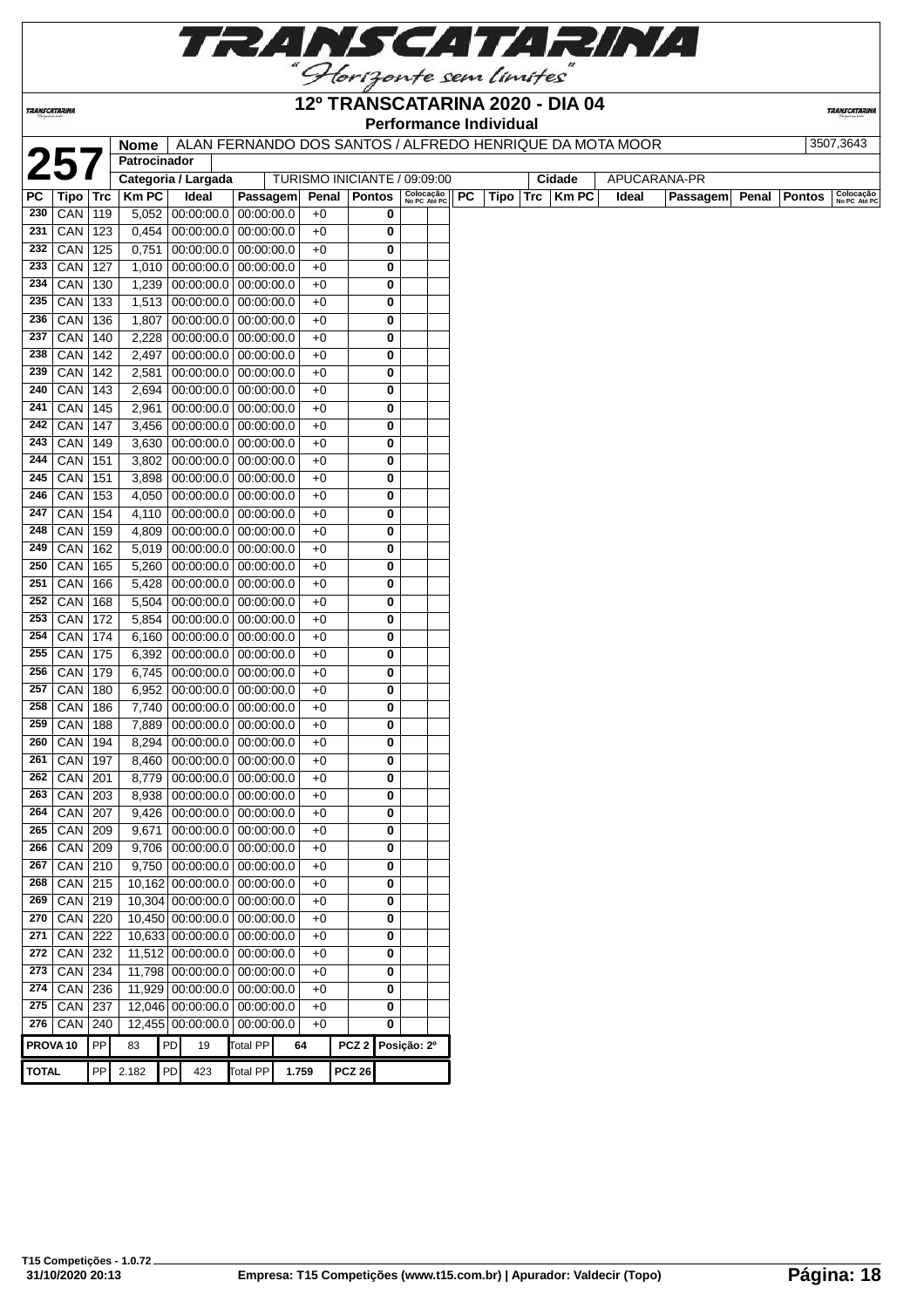

**TRANSCATARINA** 

#### **12º TRANSCATARINA 2020 - DIA 04 Performance Individual**

**TRANSCATARINA** 

|                     |                      |            | <b>Nome</b>         |    |                              |                 |                              |                |                  |   |                           |    | <b>I</b> CHUITIMILG INTERNATION | ALAN FERNANDO DOS SANTOS / ALFREDO HENRIQUE DA MOTA MOOR |              |          |       |               | 3507,3643                 |
|---------------------|----------------------|------------|---------------------|----|------------------------------|-----------------|------------------------------|----------------|------------------|---|---------------------------|----|---------------------------------|----------------------------------------------------------|--------------|----------|-------|---------------|---------------------------|
| 25                  |                      |            | Patrocinador        |    |                              |                 |                              |                |                  |   |                           |    |                                 |                                                          |              |          |       |               |                           |
|                     |                      |            | Categoria / Largada |    |                              |                 | TURISMO INICIANTE / 09:09:00 |                |                  |   |                           |    |                                 | Cidade                                                   | APUCARANA-PR |          |       |               |                           |
| PC                  | Tipo                 | <b>Trc</b> | <b>Km PC</b>        |    | Ideal                        | Passagem        |                              | Penal   Pontos |                  |   | Colocação<br>No PC Até PC | PC | Tipo                            | $Trc$ Km PC                                              | Ideal        | Passagem | Penal | <b>Pontos</b> | Colocação<br>No PC Até PC |
| 230                 | CAN                  | 119        | 5,052               |    | $00:00:00.0$ 00:00:00.0      |                 |                              | $+0$           |                  | 0 |                           |    |                                 |                                                          |              |          |       |               |                           |
| 231                 | CAN                  | 123        | 0,454               |    | 00:00:00.0 00:00:00.0        |                 |                              | $+0$           |                  | 0 |                           |    |                                 |                                                          |              |          |       |               |                           |
| 232                 | CAN                  | 125        | 0,751               |    | 00:00:00.0 00:00:00.0        |                 |                              | $+0$           |                  | 0 |                           |    |                                 |                                                          |              |          |       |               |                           |
| 233                 | CAN                  | 127        | 1,010               |    | $00:00:00.0$ 00:00:00.0      |                 |                              | $+0$           |                  | 0 |                           |    |                                 |                                                          |              |          |       |               |                           |
| 234                 | CAN                  | 130        | 1,239               |    | $00:00:00.0$ 00:00:00.0      |                 |                              | $+0$           |                  | 0 |                           |    |                                 |                                                          |              |          |       |               |                           |
| 235                 | CAN                  | 133        | 1,513               |    | $00:00:00.0$ 00:00:00.0      |                 |                              | $+0$           |                  | 0 |                           |    |                                 |                                                          |              |          |       |               |                           |
| 236                 | CAN                  | 136        | 1,807               |    | $00:00:00.0$ 00:00:00.0      |                 |                              | $+0$           |                  | 0 |                           |    |                                 |                                                          |              |          |       |               |                           |
| 237                 | CAN                  | 140        | 2,228               |    | $00:00:00.0$ 00:00:00.0      |                 |                              | $+0$           |                  | 0 |                           |    |                                 |                                                          |              |          |       |               |                           |
| 238                 | CAN                  | 142        | 2,497               |    | $00:00:00.0$ 00:00:00.0      |                 |                              | $+0$           |                  | 0 |                           |    |                                 |                                                          |              |          |       |               |                           |
| 239                 | CAN   142            |            | 2,581               |    | $00:00:00.0$ 00:00:00.0      |                 |                              | $+0$           |                  | 0 |                           |    |                                 |                                                          |              |          |       |               |                           |
| 240                 | CAN                  | 143        | 2,694               |    | $00:00:00.0$ 00:00:00.0      |                 |                              | $+0$           |                  | 0 |                           |    |                                 |                                                          |              |          |       |               |                           |
| 241                 | CAN                  | 145        | 2,961               |    | $00:00:00.0$ 00:00:00.0      |                 |                              | $+0$           |                  | 0 |                           |    |                                 |                                                          |              |          |       |               |                           |
| 242                 | CAN                  | 147        | 3,456               |    | $00:00:00.0$ 00:00:00.0      |                 |                              | $+0$           |                  | 0 |                           |    |                                 |                                                          |              |          |       |               |                           |
| 243                 | CAN                  | 149        | 3,630               |    | $00:00:00.0$ 00:00:00.0      |                 |                              | $+0$           |                  | 0 |                           |    |                                 |                                                          |              |          |       |               |                           |
| 244                 | CAN                  | 151        | 3,802               |    | $00:00:00.0$   $00:00:00.0$  |                 |                              | $+0$           |                  | 0 |                           |    |                                 |                                                          |              |          |       |               |                           |
| 245                 | CAN                  | 151        | 3,898               |    | $00:00:00.0$ 00:00:00.0      |                 |                              | $+0$           |                  | 0 |                           |    |                                 |                                                          |              |          |       |               |                           |
| 246                 | CAN                  | 153        | 4,050               |    | 00:00:00.0 00:00:00.0        |                 |                              | $+0$           |                  | 0 |                           |    |                                 |                                                          |              |          |       |               |                           |
| 247                 | CAN                  | 154        | 4,110               |    | 00:00:00.0 00:00:00.0        |                 |                              | $+0$           |                  | 0 |                           |    |                                 |                                                          |              |          |       |               |                           |
| 248                 | CAN                  | 159        | 4,809               |    | $00:00:00.0$ 00:00:00.0      |                 |                              | $+0$           |                  | 0 |                           |    |                                 |                                                          |              |          |       |               |                           |
| 249                 | CAN                  | 162        | 5,019               |    | 00:00:00.0 00:00:00.0        |                 |                              | $+0$           |                  | 0 |                           |    |                                 |                                                          |              |          |       |               |                           |
| 250                 | CAN                  | 165        | 5,260               |    | $00:00:00.0$ 00:00:00.00     |                 |                              | $+0$           |                  | 0 |                           |    |                                 |                                                          |              |          |       |               |                           |
| 251                 | CAN                  | 166        | 5,428               |    | 00:00:00.0 00:00:00.0        |                 |                              | $+0$           |                  | 0 |                           |    |                                 |                                                          |              |          |       |               |                           |
| 252                 | CAN                  | 168        | 5,504               |    | $00:00:00.0$ 00:00:00.0      |                 |                              | $+0$           |                  | 0 |                           |    |                                 |                                                          |              |          |       |               |                           |
| 253                 | CAN                  | 172        | 5,854               |    | $00:00:00.0$ 00:00:00.0      |                 |                              | $+0$           |                  | 0 |                           |    |                                 |                                                          |              |          |       |               |                           |
| 254                 | $CAN$ 174            |            | 6,160               |    | $00:00:00.0$ 00:00:00.0      |                 |                              | $+0$           |                  | 0 |                           |    |                                 |                                                          |              |          |       |               |                           |
| 255                 | CAN                  | 175        | 6,392               |    | $00:00:00.0$ 00:00:00.0      |                 |                              | $+0$           |                  | 0 |                           |    |                                 |                                                          |              |          |       |               |                           |
| 256                 | CAN                  | 179        | 6,745               |    | $00:00:00.0$ 00:00:00.0      |                 |                              | $+0$           |                  | 0 |                           |    |                                 |                                                          |              |          |       |               |                           |
| 257                 | CAN                  | 180        | 6,952               |    | $00:00:00.0$ 00:00:00.0      |                 | $+0$                         |                |                  | 0 |                           |    |                                 |                                                          |              |          |       |               |                           |
| 258                 | CAN                  | 186        | 7,740               |    | $00:00:00.0$ 00:00:00.0      |                 |                              | $+0$           |                  | 0 |                           |    |                                 |                                                          |              |          |       |               |                           |
| 259                 | CAN                  | 188        | 7,889               |    | $00:00:00.0$ 00:00:00.0      |                 |                              | $+0$           |                  | 0 |                           |    |                                 |                                                          |              |          |       |               |                           |
| 260                 | CAN                  | 194        | 8,294               |    | $00:00:00.0$ 00:00:00.0      |                 |                              | $+0$           |                  | 0 |                           |    |                                 |                                                          |              |          |       |               |                           |
| 261                 | CAN                  | 197        | 8,460               |    | $00:00:00.0$ 00:00:00.0      |                 |                              | $+0$           |                  | 0 |                           |    |                                 |                                                          |              |          |       |               |                           |
| 262                 | $CAN$ 201            |            | 8,779               |    | $00:00:00.0$ 00:00:00.0      |                 |                              | $+0$           |                  | 0 |                           |    |                                 |                                                          |              |          |       |               |                           |
| 263                 | $CAN$ 203            |            | 8,938               |    | $00:00:00.0$ 00:00:00.0      |                 |                              | $+0$           |                  | 0 |                           |    |                                 |                                                          |              |          |       |               |                           |
| 264                 | CAN                  | 207        | 9,426               |    | 00:00:00.0 00:00:00.0        |                 |                              | $+0$           |                  | 0 |                           |    |                                 |                                                          |              |          |       |               |                           |
| 265                 | $CAN$   209          |            | 9,671               |    | $00:00:00.0$ 00:00:00.0      |                 |                              | $+0$           |                  | 0 |                           |    |                                 |                                                          |              |          |       |               |                           |
| 266                 | $\overline{CAN}$ 209 |            | 9,706               |    | $00:00:00.0$ 00:00:00.0      |                 |                              | $+0$           |                  | 0 |                           |    |                                 |                                                          |              |          |       |               |                           |
| 267                 | CAN 210              |            | 9,750               |    | $00:00:00.0$   $00:00:00.0$  |                 |                              | $+0$           |                  | 0 |                           |    |                                 |                                                          |              |          |       |               |                           |
| 268                 | $CAN$ 215            |            | 10,162              |    | 00:00:00.0 00:00:00.0        |                 |                              | $+0$           |                  | 0 |                           |    |                                 |                                                          |              |          |       |               |                           |
| 269                 | CAN                  | 219        |                     |    | 10,304 00:00:00.0 00:00:00.0 |                 |                              | $+0$           |                  | 0 |                           |    |                                 |                                                          |              |          |       |               |                           |
| 270                 | CAN                  | 220        | 10,450              |    | 00:00:00.0 00:00:00.0        |                 |                              | $+0$           |                  | 0 |                           |    |                                 |                                                          |              |          |       |               |                           |
| 271                 | CAN 222              |            |                     |    | 10,633 00:00:00.0 00:00:00.0 |                 |                              | $+0$           |                  | 0 |                           |    |                                 |                                                          |              |          |       |               |                           |
| 272                 | $CAN$ 232            |            | 11,512              |    | $00:00:00.0$ 00:00:00.00     |                 |                              | $+0$           |                  | 0 |                           |    |                                 |                                                          |              |          |       |               |                           |
| 273                 | CAN                  | 234        | 11,798              |    | $00:00:00.0$ 00:00:00.0      |                 |                              | $+0$           |                  | 0 |                           |    |                                 |                                                          |              |          |       |               |                           |
| 274                 | $CAN$ 236            |            | 11,929              |    | 00:00:00.0                   | 00:00:00.0      |                              | $+0$           |                  | 0 |                           |    |                                 |                                                          |              |          |       |               |                           |
| 275                 | $CAN$ 237            |            | 12,046              |    | $00:00:00.0$ 00:00:00.0      |                 |                              | $+0$           |                  | 0 |                           |    |                                 |                                                          |              |          |       |               |                           |
| 276                 | $CAN$ 240            |            |                     |    | 12,455 00:00:00.0 00:00:00.0 |                 |                              | $+0$           |                  | 0 |                           |    |                                 |                                                          |              |          |       |               |                           |
| PROVA <sub>10</sub> |                      | PP         | 83                  | PD | 19                           | <b>Total PP</b> | 64                           |                | PCZ <sub>2</sub> |   | Posição: 2º               |    |                                 |                                                          |              |          |       |               |                           |
|                     |                      | PP         |                     | PD |                              |                 |                              |                | <b>PCZ 26</b>    |   |                           |    |                                 |                                                          |              |          |       |               |                           |
| <b>TOTAL</b>        |                      |            | 2.182               |    | 423                          | <b>Total PP</b> | 1.759                        |                |                  |   |                           |    |                                 |                                                          |              |          |       |               |                           |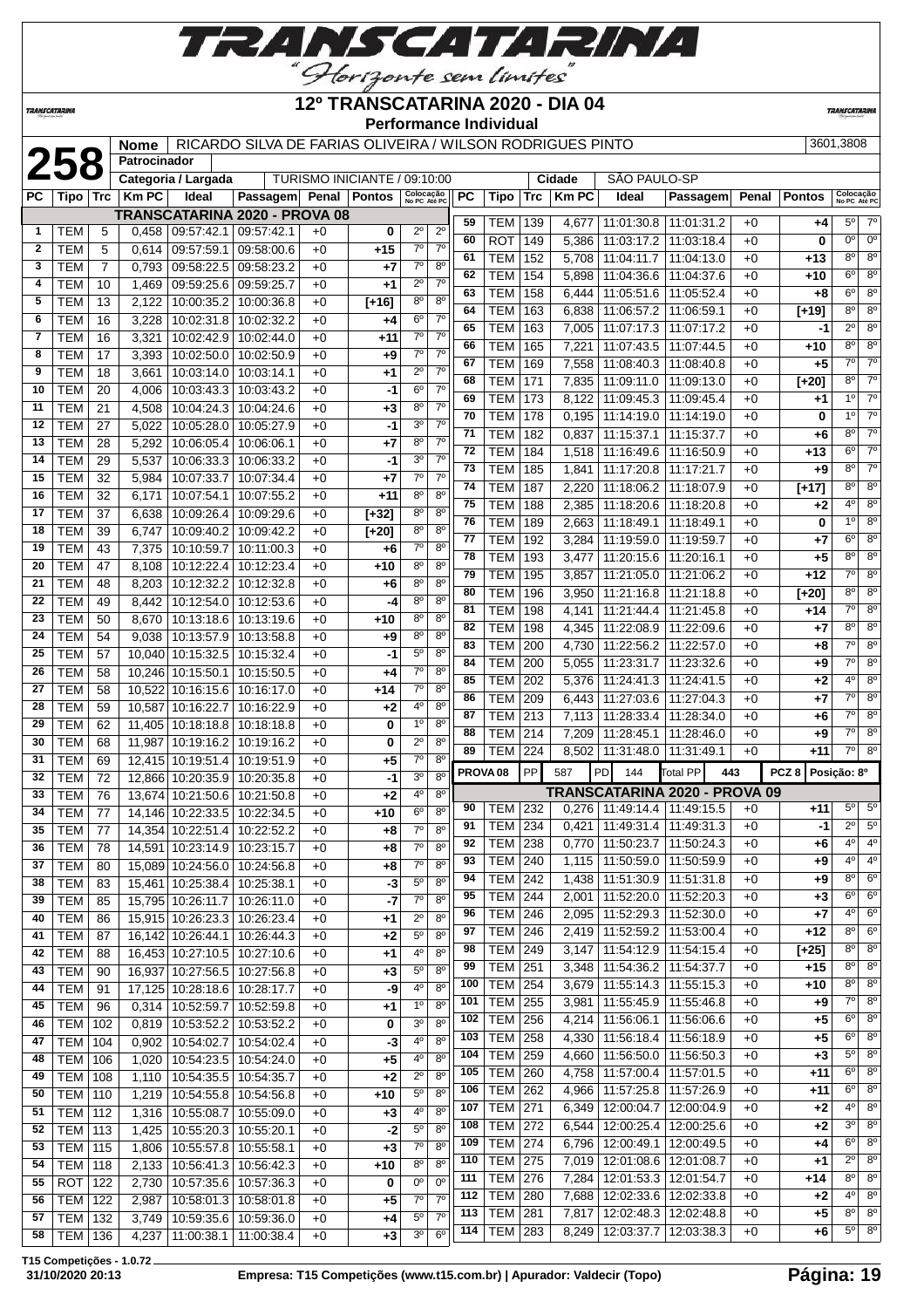

**TRANSCATARINA** 

#### **12º TRANSCATARINA 2020 - DIA 04 Performance Individual**

**TRANSCATARIN** 

|              |                          |                | <b>Nome</b>  |                                                   | RICARDO SILVA DE FARIAS OLIVEIRA / WILSON RODRIGUES PINTO |              |                              |                            |                                  |                 |                          |            |                        |                                         |                               |              |                  | 3601,3808                  |                            |
|--------------|--------------------------|----------------|--------------|---------------------------------------------------|-----------------------------------------------------------|--------------|------------------------------|----------------------------|----------------------------------|-----------------|--------------------------|------------|------------------------|-----------------------------------------|-------------------------------|--------------|------------------|----------------------------|----------------------------|
|              | 258                      |                | Patrocinador |                                                   |                                                           |              |                              |                            |                                  |                 |                          |            |                        |                                         |                               |              |                  |                            |                            |
| PC.          |                          |                |              | Categoria / Largada                               |                                                           |              | TURISMO INICIANTE / 09:10:00 |                            |                                  |                 |                          |            | Cidade<br><b>Km PC</b> | SÃO PAULO-SP                            |                               |              |                  |                            |                            |
|              | Tipo                     | Trc            | <b>Km PC</b> | Ideal                                             | Passagem Penal Pontos                                     |              |                              | Colocação<br>No PC Até PC  |                                  | PC              | Tipo                     | <b>Trc</b> |                        | Ideal                                   | Passagem                      | Penal        | <b>Pontos</b>    | Colocação<br>No PC Até PC  |                            |
| $\mathbf{1}$ | <b>TEM</b>               | 5              | 0,458        | 09:57:42.1 09:57:42.1                             | <b>TRANSCATARINA 2020 - PROVA 08</b>                      | $+0$         | 0                            | $2^{\circ}$                | $2^{\circ}$                      | 59              | TEM                      | 139        | 4,677                  | 11:01:30.8   11:01:31.2                 |                               | $+0$         | +4               | $5^\circ$                  | $7^\circ$                  |
| $\mathbf{2}$ | <b>TEM</b>               | 5              | 0,614        | 09:57:59.1 09:58:00.6                             |                                                           | $+0$         | $+15$                        | $7^\circ$                  | 7 <sup>0</sup>                   | 60              | <b>ROT</b>               | 149        | 5,386                  | 11:03:17.2                              | 11:03:18.4                    | $+0$         | 0                | $0^{\circ}$                | $0^{\circ}$                |
| 3            | <b>TEM</b>               | $\overline{7}$ | 0,793        | 09:58:22.5                                        | 09:58:23.2                                                | $+0$         | $+7$                         | $7^\circ$                  | $8^{\circ}$                      | 61              | <b>TEM</b>               | 152        | 5,708                  | 11:04:11.7                              | 11:04:13.0                    | $+0$         | $+13$            | $8^{\circ}$                | $8^{\circ}$                |
| 4            | <b>TEM</b>               | 10             | 1,469        | 09:59:25.6                                        | 09:59:25.7                                                | $+0$         | $+1$                         | $2^{\circ}$                | 7 <sup>0</sup>                   | 62              | <b>TEM</b>               | 154        | 5,898                  | 11:04:36.6                              | 11:04:37.6                    | $+0$         | +10              | $6^{\circ}$                | $8^{\circ}$                |
| 5            | TEM                      | 13             | 2.122        | 10:00:35.2                                        | 10:00:36.8                                                | $+0$         | $[+16]$                      | 8 <sup>o</sup>             | 8 <sup>o</sup>                   | 63              | <b>TEM</b>               | 158        | 6,444                  | 11:05:51.6                              | 11:05:52.4                    | $+0$         | $+8$             | $6^{\circ}$                | $8^{\circ}$                |
| 6            | <b>TEM</b>               | 16             | 3,228        | 10:02:31.8                                        | 10:02:32.2                                                | $+0$         | $+4$                         | $6^{\circ}$                | $7^{\circ}$                      | 64              | <b>TEM</b>               | 163        | 6,838                  | 11:06:57.2                              | 11:06:59.1                    | $+0$         | $[+19]$          | $8^{\circ}$                | $8^{\circ}$                |
| 7            | <b>TEM</b>               | 16             | 3,321        | 10:02:42.9                                        | 10:02:44.0                                                | $+0$         | +11                          | $7^{\circ}$                | 7 <sup>0</sup>                   | 65              | <b>TEM</b>               | 163        | 7,005                  | 11:07:17.3                              | 11:07:17.2                    | $+0$         | $-1$             | $2^{\circ}$                | $8^{\circ}$                |
| 8            | <b>TEM</b>               | 17             | 3,393        | 10:02:50.0                                        | 10:02:50.9                                                | +0           | $+9$                         | $7^\circ$                  | $7^{\circ}$                      | 66              | <b>TEM</b>               | 165        | 7,221                  | 11:07:43.5                              | 11:07:44.5                    | $+0$         | +10              | $8^{\circ}$                | $8^{\circ}$                |
| 9            | <b>TEM</b>               | 18             | 3,661        | 10:03:14.0   10:03:14.1                           |                                                           | $+0$         | $+1$                         | $2^{\circ}$                | 7 <sup>0</sup>                   | 67              | <b>TEM</b>               | 169        | 7,558                  | 11:08:40.3                              | 11:08:40.8                    | $+0$         | $+5$             | $7^\circ$                  | $7^\circ$                  |
| 10           | <b>TEM</b>               | 20             | 4,006        | 10:03:43.3                                        | 10:03:43.2                                                | $+0$         | -1                           | $6^{\circ}$                | 7 <sup>0</sup>                   | 68              | <b>TEM</b>               | 171        | 7,835                  | 11:09:11.0                              | 11:09:13.0                    | $+0$         | $[+20]$          | $8^{\circ}$                | $7^\circ$                  |
| 11           | <b>TEM</b>               | 21             | 4,508        | 10:04:24.3                                        | 10:04:24.6                                                | $+0$         | $+3$                         | $8^{\circ}$                | $7^{\circ}$                      | 69              | <b>TEM</b>               | 173        | 8,122                  | 11:09:45.3   11:09:45.4                 |                               | $+0$         | +1               | 1 <sup>0</sup>             | $7^\circ$                  |
| 12           | <b>TEM</b>               | 27             | 5,022        | 10:05:28.0                                        | 10:05:27.9                                                | $+0$         | -1                           | $3^{\circ}$                | $7^\circ$                        | 70              | <b>TEM</b>               | 178        | 0,195                  | 11:14:19.0   11:14:19.0                 |                               | $+0$         | 0                | 1 <sup>0</sup>             | $7^\circ$                  |
| 13           | <b>TEM</b>               | 28             | 5,292        | 10:06:05.4                                        | 10:06:06.1                                                | $+0$         | $+7$                         | $8^{\circ}$                | $7^{\circ}$                      | 71              | <b>TEM</b>               | 182        | 0,837                  | 11:15:37.1                              | 11:15:37.7                    | $+0$         | $+6$             | $8^{\circ}$                | $7^\circ$                  |
| 14           | <b>TEM</b>               | 29             | 5,537        | 10:06:33.3                                        | 10:06:33.2                                                | $+0$         | -1                           | 3 <sup>o</sup>             | $7^\circ$                        | $\overline{72}$ | <b>TEM</b>               | 184        | 1,518                  | 11:16:49.6                              | 11:16:50.9                    | $+0$         | $+13$            | $6^{\circ}$                | $\overline{7^0}$           |
| 15           | <b>TEM</b>               | 32             | 5,984        | 10:07:33.7                                        | 10:07:34.4                                                | $+0$         | $+7$                         | $7^\circ$                  | $7^{\circ}$                      | 73              | TEM                      | 185        | 1,841                  | 11:17:20.8                              | 11:17:21.7                    | $+0$         | +9               | $8^{\circ}$                | $7^\circ$                  |
| 16           | <b>TEM</b>               | 32             | 6,171        | 10:07:54.1                                        | 10:07:55.2                                                | $+0$         | $+11$                        | $8^{\circ}$                | 8 <sup>0</sup>                   | 74              | <b>TEM</b>               | 187        | 2,220                  | 11:18:06.2                              | 11:18:07.9                    | $+0$         | $[+17]$          | $8^{\circ}$                | $8^{\circ}$                |
| 17           | <b>TEM</b>               | 37             | 6,638        | 10:09:26.4                                        | 10:09:29.6                                                | +0           | $[+32]$                      | $8^{\circ}$                | 8 <sup>o</sup>                   | 75              | <b>TEM</b>               | 188        | 2,385                  | 11:18:20.6                              | 11:18:20.8                    | $+0$         | +2               | 4 <sup>0</sup>             | $8^{\circ}$                |
| 18           | <b>TEM</b>               | 39             | 6,747        | 10:09:40.2                                        | 10:09:42.2                                                | +0           | $[+20]$                      | 8 <sup>o</sup>             | 8 <sup>o</sup>                   | 76              | <b>TEM</b>               | 189        | 2,663                  | 11:18:49.1                              | 11:18:49.1                    | $+0$         | 0                | $1^{\circ}$<br>$6^{\circ}$ | $8^{\circ}$<br>$8^{\circ}$ |
| 19           | <b>TEM</b>               | 43             | 7,375        | 10:10:59.7                                        | 10:11:00.3                                                | $+0$         | $+6$                         | $7^\circ$                  | 8 <sup>o</sup>                   | 77<br>78        | <b>TEM</b>               | 192        | 3,284                  | 11:19:59.0                              | 11:19:59.7                    | $+0$         | +7               | $8^{\circ}$                | $8^{\circ}$                |
| 20           | <b>TEM</b>               | 47             | 8,108        | 10:12:22.4                                        | 10:12:23.4                                                | $+0$         | $+10$                        | $8^{\circ}$                | $8^{\circ}$                      | 79              | <b>TEM</b>               | 193        | 3,477                  | 11:20:15.6                              | 11:20:16.1                    | $+0$         | $+5$             | $7^\circ$                  | $8^{\circ}$                |
| 21           | <b>TEM</b>               | 48             | 8,203        | 10:12:32.2                                        | 10:12:32.8                                                | $+0$         | $+6$                         | $8^{\circ}$                | 8 <sup>o</sup>                   | 80              | <b>TEM</b><br><b>TEM</b> | 195<br>196 | 3,857                  | 11:21:05.0 11:21:06.2                   |                               | $+0$         | +12              | $8^{\circ}$                | $8^{\circ}$                |
| 22           | <b>TEM</b>               | 49             | 8,442        | 10:12:54.0                                        | 10:12:53.6                                                | $+0$         | -4                           | $8^{\circ}$                | 8 <sup>o</sup>                   | 81              | <b>TEM</b>               | 198        | 3,950<br>4,141         | 11:21:16.8<br>11:21:44.4                | 11:21:18.8<br>11:21:45.8      | $+0$<br>$+0$ | $[+20]$<br>$+14$ | $\overline{7^\circ}$       | $8^{\circ}$                |
| 23           | <b>TEM</b>               | 50             | 8,670        | 10:13:18.6                                        | 10:13:19.6                                                | $+0$         | $+10$                        | $8^{\circ}$                | 8 <sup>0</sup>                   | 82              | <b>TEM</b>               | 198        | 4,345                  | 11:22:08.9                              | 11:22:09.6                    | $+0$         | $+7$             | $8^{\circ}$                | $8^{\circ}$                |
| 24           | <b>TEM</b>               | 54             | 9,038        | 10:13:57.9                                        | 10:13:58.8                                                | $+0$         | $+9$                         | $8^{\circ}$                | $8^{\circ}$                      | 83              | <b>TEM</b>               | 200        | 4,730                  | 11:22:56.2                              | 11:22:57.0                    | $+0$         | +8               | $7^\circ$                  | $8^{\circ}$                |
| 25           | <b>TEM</b>               | 57             | 10,040       | 10:15:32.5                                        | 10:15:32.4                                                | $+0$         | -1                           | $5^{\circ}$                | 8 <sup>o</sup>                   | 84              | <b>TEM</b>               | 200        | 5,055                  | 11:23:31.7                              | 11:23:32.6                    | $+0$         | +9               | $7^\circ$                  | $8^{\circ}$                |
| 26           | <b>TEM</b>               | 58             | 10,246       | 10:15:50.1                                        | 10:15:50.5                                                | $+0$         | +4                           | $7^\circ$                  | 8 <sup>o</sup>                   | 85              | <b>TEM</b>               | 202        | 5,376                  | 11:24:41.3                              | 11:24:41.5                    | $+0$         | +2               | $4^{\circ}$                | $8^{\circ}$                |
| 27           | <b>TEM</b>               | 58             | 10,522       | 10:16:15.6                                        | 10:16:17.0                                                | $+0$         | $+14$                        | $7^{\circ}$                | 8 <sup>o</sup>                   | 86              | <b>TEM</b>               | 209        | 6,443                  | 11:27:03.6   11:27:04.3                 |                               | $+0$         | $+7$             | $7^\circ$                  | $8^{\circ}$                |
| 28           | <b>TEM</b>               | 59             | 10,587       | 10:16:22.7                                        | 10:16:22.9                                                | $+0$         | $+2$                         | $4^{\circ}$                | 8 <sup>o</sup>                   | 87              | TEM                      | 213        | 7,113                  | 11:28:33.4   11:28:34.0                 |                               | $+0$         | +6               | $7^\circ$                  | 8 <sup>o</sup>             |
| 29           | <b>TEM</b>               | 62             | 11,405       | 10:18:18.8                                        | 10:18:18.8                                                | $+0$         | 0                            | $1^{\circ}$                | 8 <sup>o</sup>                   | 88              | TEM                      | 214        | 7,209                  | 11:28:45.1   11:28:46.0                 |                               | $+0$         | +9               | $7^\circ$                  | $8^{\circ}$                |
| 30           | <b>TEM</b>               | 68             | 11,987       | 10:19:16.2                                        | 10:19:16.2                                                | $+0$         | 0                            | $2^{\circ}$                | $8^{\circ}$                      | 89              | TEM                      | 224        | 8,502                  | 11:31:48.0   11:31:49.1                 |                               | $+0$         | +11              | $7^{\circ}$                | $8^{\circ}$                |
| 31           | <b>TEM</b>               | 69             | 12,415       | 10:19:51.4                                        | 10:19:51.9                                                | $+0$         | $+5$                         | $7^\circ$                  | 8 <sup>o</sup>                   |                 | PROVA <sub>08</sub>      | PP         | 587                    | PD<br>144                               | <b>Total PP</b><br>443        |              | PCZ8             | Posição: 8º                |                            |
| 32           | <b>TEM</b>               | 72             | 12,866       | 10:20:35.9                                        | 10:20:35.8                                                | $+0$         | -1                           | 3 <sup>0</sup>             | 8 <sup>o</sup>                   |                 |                          |            |                        |                                         |                               |              |                  |                            |                            |
| 33           | <b>TEM</b>               | 76             | 13,674       | 10:21:50.6                                        | 10:21:50.8                                                | $+0$         | $+2$                         | 4°                         | $8^{\circ}$                      | 90              | TEM                      | 232        |                        | $0,276$   11:49:14.4   11:49:15.5       | TRANSCATARINA 2020 - PROVA 09 | $+0$         | +11              | $5^{\circ}$                | $5^{\circ}$                |
| 34           | <b>TEM</b>               | 77             | 14,146       | 10:22:33.5                                        | 10:22:34.5                                                | $+0$         | +10                          | $6^{\circ}$                | $8^{\circ}$                      | 91              | <b>TEM 234</b>           |            |                        | $0.421 \mid 11.49.31.4 \mid 11.49.31.3$ |                               | $+0$         | $-1$             | $2^{\circ}$                | $5^{\circ}$                |
| 35           | <b>TEM</b>               | 77             |              | 14,354 10:22:51.4 10:22:52.2                      |                                                           | $+0$         | $+8$                         | $7^{\circ}$                | 8 <sup>o</sup>                   | 92              | <b>TEM 238</b>           |            |                        | $0,770$   11:50:23.7   11:50:24.3       |                               | $+0$         | +6               | 4º                         | $4^{\circ}$                |
| 36           | <b>TEM</b>               | 78             |              | 14,591 10:23:14.9 10:23:15.7                      |                                                           | $+0$         | $+8$                         | $7^\circ$                  | 8 <sup>o</sup>                   | 93              | TEM                      | 240        | 1,115                  | 11:50:59.0                              | 11:50:59.9                    | $+0$         | $+9$             | 4 <sup>o</sup>             | 4 <sup>o</sup>             |
| 37           | <b>TEM</b>               | 80             |              | 15,089 10:24:56.0 10:24:56.8                      |                                                           | $+0$         | $+8$                         | $7^\circ$                  | 8 <sup>0</sup><br>8 <sup>o</sup> | 94              | <b>TEM</b>               | 242        |                        | 1,438 11:51:30.9 11:51:31.8             |                               | $+0$         | +9               | $8^{\circ}$                | $6^{\circ}$                |
| 38           | <b>TEM</b>               | 83             |              | 15,461 10:25:38.4 10:25:38.1                      |                                                           | $+0$         | -3                           | $5^{\circ}$                |                                  | 95              | TEM                      | 244        | 2,001                  | 11:52:20.0   11:52:20.3                 |                               | $+0$         | $+3$             | $6^{\circ}$                | 6 <sup>o</sup>             |
| 39<br>40     | <b>TEM</b><br><b>TEM</b> | 85<br>86       |              | 15,795 10:26:11.7<br>15,915 10:26:23.3 10:26:23.4 | 10:26:11.0                                                | $+0$<br>$+0$ | $-7$<br>$+1$                 | $7^{\circ}$<br>$2^{\circ}$ | $8^{\circ}$<br>8 <sup>o</sup>    | 96              | <b>TEM</b>               | 246        | 2,095                  | 11:52:29.3                              | 11:52:30.0                    | $+0$         | +7               | $4^{\circ}$                | $6^{\circ}$                |
| 41           |                          |                |              |                                                   |                                                           |              |                              | $5^{\circ}$                | 8 <sup>o</sup>                   | 97              | <b>TEM</b>               | 246        |                        | 2,419   11:52:59.2   11:53:00.4         |                               | $+0$         | $+12$            | $8^{\circ}$                | $6^{\circ}$                |
| 42           | <b>TEM</b><br><b>TEM</b> | 87<br>88       |              | 16,142 10:26:44.1<br>16,453 10:27:10.5 10:27:10.6 | 10:26:44.3                                                | $+0$         | $+2$                         | 4°                         | 8 <sup>o</sup>                   | 98              | TEM                      | 249        | 3,147                  | 11:54:12.9   11:54:15.4                 |                               | $+0$         | $[+25]$          | $8^{\circ}$                | $8^{\circ}$                |
| 43           | <b>TEM</b>               | 90             | 16,937       | 10:27:56.5 10:27:56.8                             |                                                           | $+0$<br>$+0$ | $+1$<br>$+3$                 | $5^{\circ}$                | 8 <sup>o</sup>                   | 99              | <b>TEM</b>               | 251        | 3,348                  | 11:54:36.2   11:54:37.7                 |                               | $+0$         | $+15$            | $8^{\circ}$                | $8^{\circ}$                |
| 44           | <b>TEM</b>               | 91             | 17,125       | 10:28:18.6                                        | 10:28:17.7                                                | $+0$         | -9                           | 40                         | 8 <sup>o</sup>                   | 100             | TEM                      | 254        | 3,679                  | 11:55:14.3 11:55:15.3                   |                               | $+0$         | +10              | $8^{\circ}$                | $8^{\circ}$                |
| 45           | <b>TEM</b>               | 96             | 0,314        | 10:52:59.7                                        | 10:52:59.8                                                | $+0$         | $+1$                         | $1^{\circ}$                | 8 <sup>o</sup>                   | 101             | <b>TEM</b>               | 255        | 3,981                  | 11:55:45.9                              | 11:55:46.8                    | $+0$         | $+9$             | $7^\circ$                  | $8^{\circ}$                |
| 46           | <b>TEM</b>               | 102            | 0,819        | 10:53:52.2                                        | 10:53:52.2                                                | $+0$         | 0                            | 3 <sup>o</sup>             | 8 <sup>o</sup>                   | 102             | <b>TEM</b>               | 256        | 4,214                  | 11:56:06.1                              | 11:56:06.6                    | $+0$         | $+5$             | $6^{\circ}$                | $8^{\circ}$                |
| 47           | <b>TEM</b>               | 104            | 0,902        | 10:54:02.7                                        | 10:54:02.4                                                | $+0$         | -3                           | 40                         | 8 <sup>o</sup>                   | 103             | TEM                      | 258        | 4,330                  | 11:56:18.4   11:56:18.9                 |                               | $+0$         | $+5$             | $6^{\circ}$                | $8^{\circ}$                |
| 48           | <b>TEM   106</b>         |                | 1,020        | 10:54:23.5   10:54:24.0                           |                                                           | $+0$         | $+5$                         | 4°                         | 8 <sup>o</sup>                   | 104             | <b>TEM</b>               | 259        | 4,660                  | 11:56:50.0   11:56:50.3                 |                               | $+0$         | $+3$             | $5^{\circ}$                | $8^{\circ}$                |
| 49           | <b>TEM</b>               | 108            | 1,110        | 10:54:35.5   10:54:35.7                           |                                                           | $+0$         | $+2$                         | $2^{\circ}$                | 8 <sup>o</sup>                   | 105             | <b>TEM</b>               | 260        | 4,758                  | 11:57:00.4   11:57:01.5                 |                               | $+0$         | +11              | $6^{\circ}$                | $8^{\circ}$                |
| 50           | <b>TEM 110</b>           |                | 1,219        | 10:54:55.8   10:54:56.8                           |                                                           | $+0$         | $+10$                        | $5^{\circ}$                | 8 <sup>o</sup>                   | 106             | <b>TEM</b>               | 262        | 4,966                  | 11:57:25.8   11:57:26.9                 |                               | $+0$         | +11              | $6^{\circ}$                | $8^{\circ}$                |
| 51           | <b>TEM 112</b>           |                | 1,316        | 10:55:08.7                                        | 10:55:09.0                                                | $+0$         | $+3$                         | 4 <sup>0</sup>             | 8 <sup>o</sup>                   | 107             | <b>TEM</b>               | 271        | 6,349                  |                                         | 12:00:04.7   12:00:04.9       | $+0$         | +2               | $4^{\circ}$                | $8^{\circ}$                |
| 52           | <b>TEM 113</b>           |                | 1,425        | 10:55:20.3   10:55:20.1                           |                                                           | $+0$         | $-2$                         | $5^{\circ}$                | 8 <sup>o</sup>                   | 108             | <b>TEM 272</b>           |            | 6,544                  |                                         | 12:00:25.4   12:00:25.6       | $+0$         | $+2$             | $3^{\circ}$                | $8^{\circ}$                |
| 53           | <b>TEM</b>               | 115            | 1,806        | 10:55:57.8                                        | 10:55:58.1                                                | $+0$         | $+3$                         | $7^\circ$                  | 8 <sup>o</sup>                   | 109             | <b>TEM</b>               | 274        | 6,796                  |                                         | 12:00:49.1   12:00:49.5       | $+0$         | +4               | $6^{\circ}$                | $8^{\circ}$                |
| 54           | <b>TEM</b>               | 118            | 2,133        | 10:56:41.3                                        | 10:56:42.3                                                | $+0$         | $+10$                        | 8 <sup>o</sup>             | 8 <sup>o</sup>                   | 110             | <b>TEM</b>               | 275        | 7,019                  | 12:01:08.6   12:01:08.7                 |                               | $+0$         | +1               | $2^{\circ}$                | $8^{\circ}$                |
| 55           | ROT                      | 122            | 2,730        |                                                   | 10:57:35.6   10:57:36.3                                   | $+0$         | 0                            | 0°                         | $\overline{0^{\circ}}$           | 111             | <b>TEM</b>               | 276        | 7,284                  | 12:01:53.3   12:01:54.7                 |                               | $+0$         | +14              | $8^{\circ}$                | $8^{\circ}$                |
| 56           | <b>TEM 122</b>           |                | 2,987        |                                                   | 10:58:01.3 10:58:01.8                                     | $+0$         | $+5$                         | $\overline{7}^{\circ}$     | $7^{\circ}$                      | 112             | TEM                      | 280        | 7,688                  |                                         | 12:02:33.6   12:02:33.8       | $+0$         | +2               | $4^{\circ}$                | $8^{\circ}$                |
| 57           | <b>TEM 132</b>           |                | 3,749        | 10:59:35.6   10:59:36.0                           |                                                           | $+0$         | $+4$                         | $5^{\circ}$                | 7 <sup>0</sup>                   | 113             | <b>TEM</b>               | 281        | 7,817                  |                                         | 12:02:48.3   12:02:48.8       | $+0$         | $+5$             | $8^{\circ}$                | $8^\circ$                  |
| 58           | TEM   136                |                | 4,237        | 11:00:38.1   11:00:38.4                           |                                                           | $+0$         | $+3$                         | 3 <sup>o</sup>             | 6 <sup>o</sup>                   | 114             | <b>TEM</b>               | 283        | 8,249                  |                                         | 12:03:37.7   12:03:38.3       | $+0$         | +6               | $5^{\circ}$                | $8^{\circ}$                |
|              |                          |                |              |                                                   |                                                           |              |                              |                            |                                  |                 |                          |            |                        |                                         |                               |              |                  |                            |                            |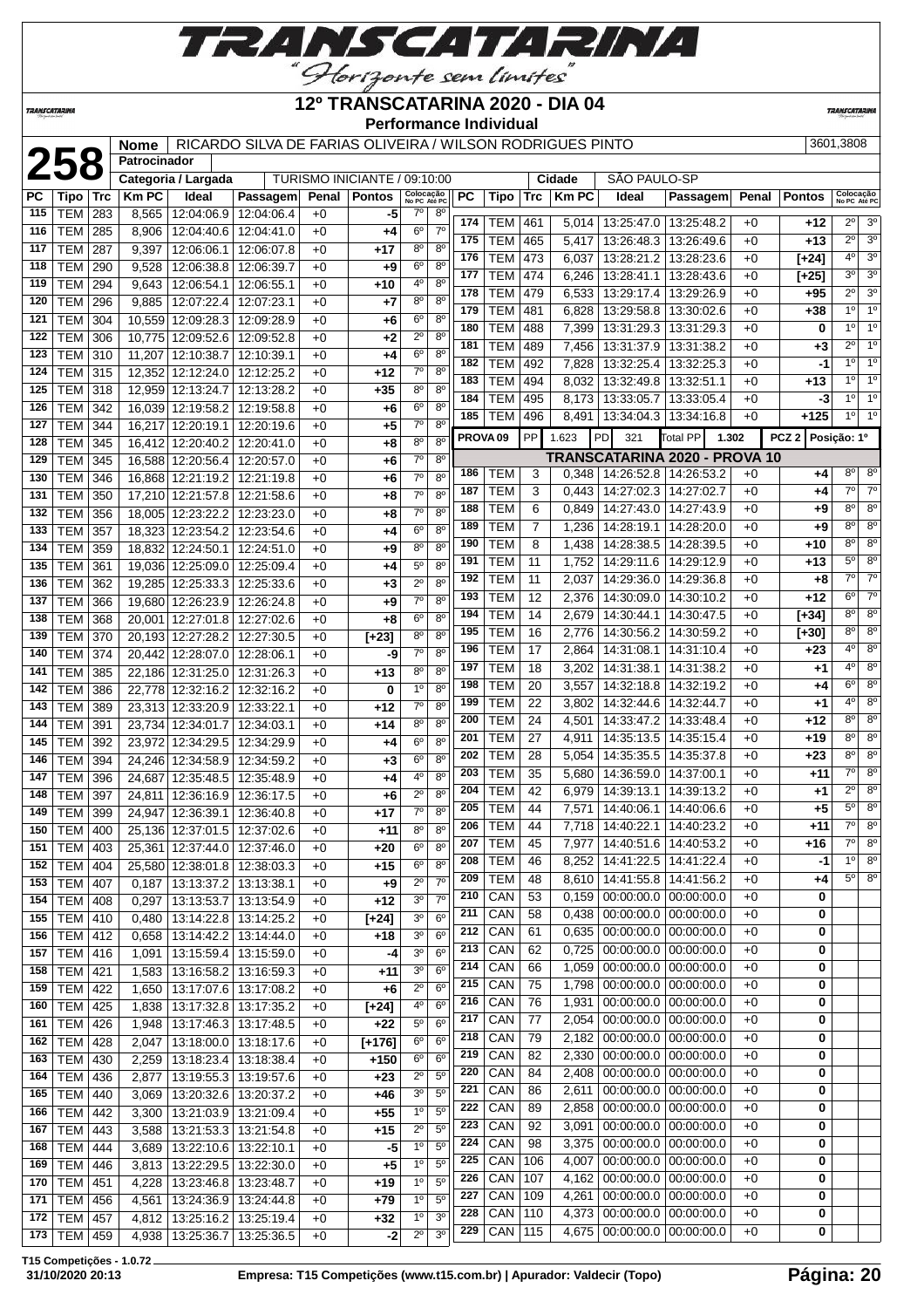

**TRANSCATARINA** 

#### **12º TRANSCATARINA 2020 - DIA 04 Performance Individual**

**TRANSCATARIN** 

|            |                          |            | <b>Nome</b><br>Patrocinador |                                        | RICARDO SILVA DE FARIAS OLIVEIRA / WILSON RODRIGUES PINTO |              |                              |                               |                                      |                          |                |                |                                                                        |                                       |              |               | 3601.3808                   |                                  |
|------------|--------------------------|------------|-----------------------------|----------------------------------------|-----------------------------------------------------------|--------------|------------------------------|-------------------------------|--------------------------------------|--------------------------|----------------|----------------|------------------------------------------------------------------------|---------------------------------------|--------------|---------------|-----------------------------|----------------------------------|
|            | 258                      |            |                             | Categoria / Largada                    |                                                           |              | TURISMO INICIANTE / 09:10:00 |                               |                                      |                          |                | Cidade         | SÃO PAULO-SP                                                           |                                       |              |               |                             |                                  |
| PC         | Tipo                     | Trc        | <b>Km PC</b>                | Ideal                                  | Passagem                                                  | Penal        | <b>Pontos</b>                | Colocação<br>No PC Até PC     | PC                                   | Tipo                     | <b>Trc</b>     | <b>Km PC</b>   | Ideal                                                                  | Passagem                              | Penal        | <b>Pontos</b> | Colocação<br>No PC Até PC   |                                  |
| 115        | TEM                      | 283        | 8,565                       | 12:04:06.9                             | 12:04:06.4                                                | $+0$         | -5                           | $7^\circ$                     | $8^{\circ}$                          |                          |                |                |                                                                        |                                       |              |               |                             |                                  |
| 116        | <b>TEM</b>               | 285        | 8,906                       | 12:04:40.6                             | 12:04:41.0                                                | $+0$         | +4                           | $6^{\circ}$                   | 174<br>$7^\circ$                     | <b>TEM</b>               | 461            | 5,014          | 13:25:47.0 13:25:48.2                                                  |                                       | $+0$         | +12           | 2º                          | 3 <sup>o</sup>                   |
| 117        | <b>TEM</b>               | 287        | 9,397                       | 12:06:06.1                             | 12:06:07.8                                                | $+0$         | +17                          | $8^{\circ}$                   | 175<br>$8^{\circ}$                   | <b>TEM</b>               | 465            | 5,417          |                                                                        | 13:26:48.3   13:26:49.6               | $+0$         | $+13$         | $\overline{2^0}$<br>4°      | 3 <sup>o</sup><br>3 <sup>o</sup> |
| 118        | <b>TEM</b>               | 290        | 9,528                       | 12:06:38.8                             | 12:06:39.7                                                | $+0$         | +9                           | 6 <sup>o</sup>                | 176<br>8 <sup>0</sup><br>177         | <b>TEM</b><br><b>TEM</b> | 473            | 6,037          | 13:28:21.2                                                             | 13:28:23.6                            | $+0$         | [+24]         | 3 <sup>o</sup>              | 3 <sup>o</sup>                   |
| 119        | <b>TEM</b>               | 294        | 9,643                       | 12:06:54.1                             | 12:06:55.1                                                | $+0$         | $+10$                        | 4°                            | 8 <sup>o</sup><br>178                | <b>TEM</b>               | 474            | 6,246          | 13:28:41.1                                                             | 13:28:43.6                            | $+0$         | [+25]         | $2^{\circ}$                 | 3 <sup>o</sup>                   |
| 120        | <b>TEM</b>               | 296        | 9,885                       | 12:07:22.4                             | 12:07:23.1                                                | $+0$         | +7                           | $8^{\circ}$                   | 8 <sup>0</sup><br>179                | <b>TEM</b>               | 479<br>481     | 6,533<br>6,828 | 13:29:17.4                                                             | 13:29:26.9<br>13:29:58.8   13:30:02.6 | $+0$<br>$+0$ | +95<br>+38    | $1^{\circ}$                 | 1 <sup>o</sup>                   |
| 121        | <b>TEM</b>               | 304        | 10,559                      | 12:09:28.3                             | 12:09:28.9                                                | $+0$         | +6                           | $6^{\circ}$                   | 8 <sup>0</sup><br>180                | <b>TEM</b>               | 488            | 7,399          | 13:31:29.3                                                             | 13:31:29.3                            | $+0$         | 0             | $1^{\circ}$                 | $1^{\circ}$                      |
| 122        | <b>TEM</b>               | 306        | 10,775                      | 12:09:52.6                             | 12:09:52.8                                                | $+0$         | +2                           | $2^{\circ}$                   | $8^{\circ}$<br>181                   | <b>TEM</b>               | 489            | 7,456          | 13:31:37.9                                                             | 13:31:38.2                            | $+0$         | $+3$          | $2^{\circ}$                 | 1 <sup>o</sup>                   |
| 123        | <b>TEM</b>               | 310        | 11,207                      | 12:10:38.7                             | 12:10:39.1                                                | $+0$         | +4                           | 6 <sup>o</sup>                | 8 <sup>0</sup><br>182                | <b>TEM</b>               | 492            | 7,828          | 13:32:25.4                                                             | 13:32:25.3                            | $+0$         | -1            | 1 <sup>°</sup>              | 1 <sup>o</sup>                   |
| 124        | <b>TEM</b>               | 315        |                             | 12,352 12:12:24.0                      | 12:12:25.2                                                | $+0$         | $+12$                        | $7^\circ$                     | 8 <sup>o</sup><br>183                | <b>TEM</b>               | 494            | 8,032          | 13:32:49.8   13:32:51.1                                                |                                       | $+0$         | +13           | 10                          | 1 <sup>o</sup>                   |
| 125        | <b>TEM</b>               | 318        |                             | 12,959 12:13:24.7                      | 12:13:28.2                                                | $+0$         | $+35$                        | $8^{\circ}$                   | $8^{\circ}$<br>184                   | <b>TEM</b>               | 495            | 8,173          | 13:33:05.7                                                             | 13:33:05.4                            | $+0$         | -3            | $1^{\circ}$                 | 1 <sup>0</sup>                   |
| 126        | <b>TEM</b>               | 342        |                             | 16,039 12:19:58.2                      | 12:19:58.8                                                | $+0$         | +6                           | 6 <sup>o</sup>                | $8^{\circ}$<br>185                   | <b>TEM</b>               | 496            | 8,491          |                                                                        | 13:34:04.3   13:34:16.8               | $+0$         | $+125$        | $1^{\circ}$                 | 1 <sup>0</sup>                   |
| 127        | <b>TEM</b>               | 344        | 16,217                      | 12:20:19.1                             | 12:20:19.6                                                | $+0$         | +5                           | $7^\circ$                     | $8^{\circ}$                          | PROVA <sub>09</sub>      | <b>PP</b>      | 1.623          | PD<br>321                                                              | 1.302<br>Total PP                     |              | PCZ2          | Posição: 1º                 |                                  |
| 128        | <b>TEM</b>               | 345        |                             | 16,412 12:20:40.2                      | 12:20:41.0                                                | $+0$         | +8                           | 8 <sup>o</sup>                | 8 <sup>o</sup>                       |                          |                |                | TRANSCATARINA 2020 - PROVA 10                                          |                                       |              |               |                             |                                  |
| 129        | <b>TEM</b>               | 345        |                             | 16,588 12:20:56.4                      | 12:20:57.0                                                | $+0$         | +6                           | $7^\circ$                     | $8^{\circ}$<br>186                   | TEM                      | 3              |                | $0,348$   14:26:52.8   14:26:53.2                                      |                                       | $+0$         | +4            | 80                          | $8^{\circ}$                      |
| 130        | <b>TEM</b>               | 346        |                             | 16,868 12:21:19.2                      | 12:21:19.8                                                | $+0$         | +6                           | $7^\circ$<br>$7^\circ$        | $8^{\circ}$<br>187<br>8 <sup>0</sup> | <b>TEM</b>               | 3              | 0,443          | 14:27:02.3                                                             | 14:27:02.7                            | $+0$         | +4            | $7^\circ$                   | $7^\circ$                        |
| 131<br>132 | <b>TEM</b>               | 350        |                             | 17,210 12:21:57.8                      | 12:21:58.6                                                | $+0$<br>$+0$ | +8                           | 7 <sup>o</sup>                | 188<br>$8^{\circ}$                   | <b>TEM</b>               | 6              | 0,849          | 14:27:43.0                                                             | 14:27:43.9                            | $+0$         | +9            | 80                          | $8^{\circ}$                      |
| 133        | <b>TEM</b>               | 356        |                             | 18,005 12:23:22.2                      | 12:23:23.0                                                |              | +8                           | $6^{\circ}$                   | 189<br>$8^{\circ}$                   | <b>TEM</b>               | $\overline{7}$ | 1,236          | 14:28:19.1                                                             | 14:28:20.0                            | $+0$         | +9            | $8^{\circ}$                 | 8 <sup>o</sup>                   |
| 134        | <b>TEM</b><br><b>TEM</b> | 357<br>359 |                             | 18,323 12:23:54.2<br>18,832 12:24:50.1 | 12:23:54.6<br>12:24:51.0                                  | $+0$<br>$+0$ | +4<br>+9                     | $8^{\circ}$                   | 190<br>$8^{\circ}$                   | <b>TEM</b>               | 8              | 1,438          | 14:28:38.5                                                             | 14:28:39.5                            | $+0$         | +10           | 80                          | 8 <sup>o</sup>                   |
| 135        | <b>TEM</b>               | 361        |                             | 19,036 12:25:09.0                      | 12:25:09.4                                                | $+0$         | +4                           | $5^\circ$                     | 191<br>$8^{\circ}$                   | TEM                      | 11             | 1,752          | 14:29:11.6                                                             | 14:29:12.9                            | $+0$         | +13           | $5^{\circ}$                 | 8 <sup>o</sup>                   |
| 136        | <b>TEM</b>               | 362        |                             | 19,285 12:25:33.3                      | 12:25:33.6                                                | $+0$         | $+3$                         | $2^{\circ}$                   | 192<br>$8^{\circ}$                   | <b>TEM</b>               | 11             | 2,037          | 14:29:36.0                                                             | 14:29:36.8                            | $+0$         | +8            | $7^\circ$                   | $\overline{7^0}$                 |
| 137        | <b>TEM</b>               | 366        |                             | 19,680 12:26:23.9                      | 12:26:24.8                                                | $+0$         | +9                           | $7^\circ$                     | 193<br>8 <sup>0</sup>                | <b>TEM</b>               | 12             | 2,376          | 14:30:09.0                                                             | 14:30:10.2                            | $+0$         | $+12$         | 6 <sup>o</sup>              | $7^\circ$                        |
| 138        | <b>TEM</b>               | 368        |                             | 20,001 12:27:01.8                      | 12:27:02.6                                                | $+0$         | +8                           | $6^{\circ}$                   | 194<br>8 <sup>0</sup>                | <b>TEM</b>               | 14             | 2,679          | 14:30:44.1                                                             | 14:30:47.5                            | $+0$         | $[+34]$       | $8^{\circ}$                 | $8^{\circ}$                      |
| 139        | <b>TEM</b>               | 370        | 20,193                      | 12:27:28.2                             | 12:27:30.5                                                | $+0$         | $[+23]$                      | $8^{\circ}$                   | 195<br>$8^{\circ}$                   | <b>TEM</b>               | 16             | 2,776          | 14:30:56.2                                                             | 14:30:59.2                            | $+0$         | [+30]         | 80                          | $8^{\circ}$                      |
| 140        | <b>TEM</b>               | 374        | 20,442                      | 12:28:07.0                             | 12:28:06.1                                                | $+0$         | -9                           | $7^\circ$                     | 196<br>8 <sup>0</sup>                | <b>TEM</b>               | 17             | 2,864          | 14:31:08.1                                                             | 14:31:10.4                            | $+0$         | +23           | 40                          | $8^{\circ}$                      |
| 141        | <b>TEM</b>               | 385        |                             | 22,186 12:31:25.0                      | 12:31:26.3                                                | $+0$         | +13                          | $8^{\circ}$                   | 197<br>$8^{\circ}$                   | <b>TEM</b>               | 18             | 3,202          | 14:31:38.1                                                             | 14:31:38.2                            | $+0$         | +1            | 4°                          | 8 <sup>o</sup>                   |
| 142        | <b>TEM</b>               | 386        |                             | 22,778 12:32:16.2                      | 12:32:16.2                                                | $+0$         | 0                            | 1 <sup>0</sup>                | 198<br>8 <sup>0</sup>                | <b>TEM</b>               | 20             | 3,557          | 14:32:18.8                                                             | 14:32:19.2                            | $+0$         | +4            | $6^{\circ}$                 | 8 <sup>o</sup>                   |
| 143        | <b>TEM</b>               | 389        |                             | 23,313 12:33:20.9                      | 12:33:22.1                                                | $+0$         | +12                          | $7^\circ$                     | 199<br>$8^{\circ}$                   | <b>TEM</b>               | 22             | 3,802          | 14:32:44.6   14:32:44.7                                                |                                       | $+0$         | +1            | 40                          | 8 <sup>o</sup>                   |
| 144        | <b>TEM</b>               | 391        |                             | 23,734 12:34:01.7                      | 12:34:03.1                                                | $+0$         | +14                          | $8^{\circ}$                   | 200<br>$8^{\circ}$                   | <b>TEM</b>               | 24             | 4,501          | 14:33:47.2                                                             | 14:33:48.4                            | $+0$         | +12           | 80                          | 8 <sup>o</sup>                   |
| 145        | <b>TEM</b>               | 392        | 23,972                      | 12:34:29.5                             | 12:34:29.9                                                | $+0$         | +4                           | $6^{\circ}$                   | 201<br>$8^{\circ}$                   | <b>TEM</b>               | 27             | 4,911          | 14:35:13.5                                                             | 14:35:15.4                            | $+0$         | +19           | $8^{\circ}$                 | $8^{\circ}$                      |
| 146        | <b>TEM</b>               | 394        |                             | 24,246 12:34:58.9                      | 12:34:59.2                                                | $+0$         | $+3$                         | $6^{\circ}$                   | 202<br>$8^{\circ}$                   | <b>TEM</b>               | 28             | 5,054          | 14:35:35.5                                                             | 14:35:37.8                            | $+0$         | $+23$         | 8 <sup>o</sup><br>$7^\circ$ | 8 <sup>o</sup><br>8 <sup>o</sup> |
| 147        | <b>TEM</b>               | 396        |                             | 24,687 12:35:48.5                      | 12:35:48.9                                                | $+0$         | +4                           | 4°                            | 203<br>8 <sup>0</sup><br>204         | <b>TEM</b><br><b>TEM</b> | 35<br>42       | 5,680          | 14:36:59.0                                                             | 14:37:00.1                            | $+0$<br>$+0$ | +11           | $2^{\circ}$                 | $8^{\circ}$                      |
| 148        | <b>TEM</b>               | 397        | 24,811                      | 12:36:16.9                             | 12:36:17.5                                                | $+0$         | +6                           | $2^{\circ}$                   | $8^{\circ}$<br>205                   | <b>TEM</b>               | 44             | 6,979<br>7,571 | 14:39:13.1<br>14:40:06.1   14:40:06.6                                  | 14:39:13.2                            | $+0$         | +1<br>$+5$    | $5^{\circ}$                 | 8 <sup>o</sup>                   |
| 149        | TEM                      | 399        |                             | 24,947 12:36:39.1                      | 12:36:40.8                                                | $+0$         | +17                          | $7^\circ$                     | $8^{\circ}$                          | 206<br><b>TEM</b>        | 44             |                | 7,718 14:40:22.1 14:40:23.2                                            |                                       | $+0$         | $+11$         | 7°                          | 8 <sup>0</sup>                   |
|            | $150$ TEM 400            |            |                             | 25,136 12:37:01.5 12:37:02.6           |                                                           | $+0$         | $+11$                        | $8^{\circ}$                   | $8^{\circ}$<br>207                   | <b>TEM</b>               | 45             | 7,977          |                                                                        | 14:40:51.6   14:40:53.2               | $+0$         | +16           | $7^\circ$                   | 8 <sup>o</sup>                   |
| 151        | TEM   403                |            |                             | 25,361   12:37:44.0   12:37:46.0       |                                                           | $+0$         | +20                          | $6^{\circ}$<br>6 <sup>o</sup> | $8^{\circ}$<br>208<br>$8^{\circ}$    | <b>TEM</b>               | 46             | 8,252          |                                                                        | 14:41:22.5   14:41:22.4               | $+0$         | -1            | $1^{\circ}$                 | $8^{\circ}$                      |
| 152<br>153 | <b>TEM 404</b>           |            |                             | 25,580 12:38:01.8 12:38:03.3           |                                                           | $+0$         | $+15$                        | $2^{\circ}$                   | 209<br>$7^\circ$                     | <b>TEM</b>               | 48             | 8,610          |                                                                        | 14:41:55.8   14:41:56.2               | $+0$         | +4            |                             | $5^{\circ}$   8°                 |
| 154        | TEM<br><b>TEM 408</b>    | 407        | 0,187                       | 13:13:37.2 13:13:38.1                  | 13:13:54.9                                                | $+0$<br>$+0$ | $+9$<br>$+12$                | 3 <sup>o</sup>                | 210<br>$7^\circ$                     | CAN                      | 53             | 0,159          | $00:00:00.0$   $00:00:00.0$                                            |                                       | $+0$         | 0             |                             |                                  |
| 155        | <b>TEM 410</b>           |            | 0,297<br>0,480              | 13:13:53.7<br>13:14:22.8               | 13:14:25.2                                                | $+0$         | $[+24]$                      | 3 <sup>o</sup>                | 211<br>$6^{\circ}$                   | CAN                      | 58             |                | $0,438$   00:00:00.0   00:00:00.0                                      |                                       | $+0$         | 0             |                             |                                  |
| 156        | <b>TEM 412</b>           |            | 0,658                       | 13:14:42.2 13:14:44.0                  |                                                           | $+0$         | $+18$                        | 3 <sup>o</sup>                | 212<br>$6^{\circ}$                   | CAN                      | 61             |                | 0,635   00:00:00.0   00:00:00.0                                        |                                       | $+0$         | 0             |                             |                                  |
| 157        | <b>TEM 416</b>           |            | 1,091                       | 13:15:59.4 13:15:59.0                  |                                                           | $+0$         | -4                           | 3 <sup>o</sup>                | 213<br>6 <sup>o</sup>                | CAN                      | 62             |                | 0,725   00:00:00.0   00:00:00.0                                        |                                       | $+0$         | 0             |                             |                                  |
| 158        | <b>TEM</b>               | 421        | 1,583                       | 13:16:58.2                             | 13:16:59.3                                                | $+0$         | +11                          | 3 <sup>0</sup>                | 214<br>6 <sup>o</sup>                | CAN                      | 66             |                | $1,059$   00:00:00.0   00:00:00.0                                      |                                       | $+0$         | 0             |                             |                                  |
| 159        | TEM                      | 422        | 1,650                       |                                        | 13:17:07.6 13:17:08.2                                     | $+0$         | $+6$                         | $2^{\circ}$                   | 215<br>$6^{\circ}$                   | CAN                      | 75             |                | $1,798$   00:00:00.0   00:00:00.0                                      |                                       | $+0$         | 0             |                             |                                  |
| 160        | <b>TEM 425</b>           |            | 1,838                       |                                        | 13:17:32.8 13:17:35.2                                     | $+0$         | $[+24]$                      | 4 <sup>0</sup>                | 216<br>6 <sup>o</sup>                | CAN                      | 76             | 1,931          |                                                                        | $00:00:00.0$   $00:00:00.0$           | $+0$         | 0             |                             |                                  |
| 161        | <b>TEM 426</b>           |            | 1,948                       | 13:17:46.3 13:17:48.5                  |                                                           | $+0$         | $+22$                        | $5^\circ$                     | 217<br>6 <sup>o</sup>                | CAN                      | 77             | 2,054          | $00:00:00.0$ 00:00:00.0                                                |                                       | $+0$         | 0             |                             |                                  |
| 162        | <b>TEM 428</b>           |            | 2,047                       |                                        | 13:18:00.0 13:18:17.6                                     | $+0$         | $[+176]$                     | $6^{\circ}$                   | 218<br>6 <sup>o</sup>                | CAN                      | 79             |                | 2,182 00:00:00.0 00:00:00.0                                            |                                       | $+0$         | 0             |                             |                                  |
| 163        | TEM   430                |            | 2,259                       | 13:18:23.4                             | 13:18:38.4                                                | $+0$         | $+150$                       | $6^{\circ}$                   | 219<br>6 <sup>o</sup>                | CAN                      | 82             | 2,330          | $00:00:00.0$   $00:00:00.0$                                            |                                       | $+0$         | 0             |                             |                                  |
| 164        | TEM   436                |            | 2,877                       |                                        | 13:19:55.3 13:19:57.6                                     | $+0$         | $+23$                        | $2^{\circ}$                   | 220<br>$5^{\circ}$                   | CAN                      | 84             |                | $2,408$   00:00:00.0   00:00:00.0                                      |                                       | $+0$         | 0             |                             |                                  |
| 165        | TEM                      | 440        | 3,069                       | 13:20:32.6   13:20:37.2                |                                                           | $+0$         | $+46$                        | 3 <sup>o</sup>                | 221<br>$5^{\circ}$                   | CAN                      | 86             | 2,611          |                                                                        | $00:00:00.0$   $00:00:00.0$           | $+0$         | 0             |                             |                                  |
| 166        | <b>TEM</b>               | 442        | 3,300                       | 13:21:03.9 13:21:09.4                  |                                                           | $+0$         | $+55$                        | $1^{\circ}$                   | 222<br>$5^{\circ}$                   | CAN                      | 89             |                | 2,858   00:00:00.0   00:00:00.0                                        |                                       | $+0$         | 0             |                             |                                  |
| 167        | <b>TEM</b>               | 443        | 3,588                       | 13:21:53.3                             | 13:21:54.8                                                | $+0$         | +15                          | $2^{\circ}$                   | 223<br>$5^{\rm o}$                   | CAN                      | 92             |                | $3,091$   00:00:00.0   00:00:00.0                                      |                                       | $+0$         | 0             |                             |                                  |
| 168        | <b>TEM</b>               | 444        | 3,689                       | 13:22:10.6   13:22:10.1                |                                                           | $+0$         | $-5$                         | 1 <sup>0</sup>                | 224<br>$5^{\circ}$<br>225            | CAN<br>CAN               | 98             | 3,375          | $00:00:00.0$ 00:00:00.0                                                |                                       | $+0$         | 0             |                             |                                  |
| 169        | TEM                      | 446        | 3,813                       |                                        | 13:22:29.5   13:22:30.0                                   | $+0$         | $+5$                         | 1 <sup>0</sup>                | 5 <sup>0</sup><br>226                |                          | 106            | 4,007          | $00:00:00.0$   $00:00:00.0$                                            |                                       | $+0$         | 0             |                             |                                  |
| 170        | TEM                      | 451        | 4,228                       | 13:23:46.8   13:23:48.7                |                                                           | $+0$         | $+19$                        | 1 <sup>0</sup>                | $5^{\circ}$<br>227                   | CAN<br>CAN               | 107<br>109     |                | $4,162$   00:00:00.0   00:00:00.0<br>$4,261$   00:00:00.0   00:00:00.0 |                                       | $+0$<br>$+0$ | 0<br>0        |                             |                                  |
| 171        | TEM                      | 456        | 4,561                       | 13:24:36.9                             | 13:24:44.8                                                | $+0$         | $+79$                        | $1^{\circ}$                   | $5^{\circ}$<br>228                   | CAN                      | 110            | 4,373          | $00:00:00.0$   $00:00:00.0$                                            |                                       | $+0$         | 0             |                             |                                  |
| 172        | <b>TEM 457</b>           |            | 4,812                       | 13:25:16.2                             | 13:25:19.4                                                | $+0$         | +32                          | 1 <sup>0</sup>                | 3 <sup>0</sup><br>229                | CAN                      | 115            | 4,675          | $00:00:00.0$   $00:00:00.0$                                            |                                       | $+0$         | 0             |                             |                                  |
| 173        | <b>TEM 459</b>           |            | 4,938                       | 13:25:36.7                             | 13:25:36.5                                                | $+0$         | $-2$                         | $2^{\circ}$                   | 3 <sup>o</sup>                       |                          |                |                |                                                                        |                                       |              |               |                             |                                  |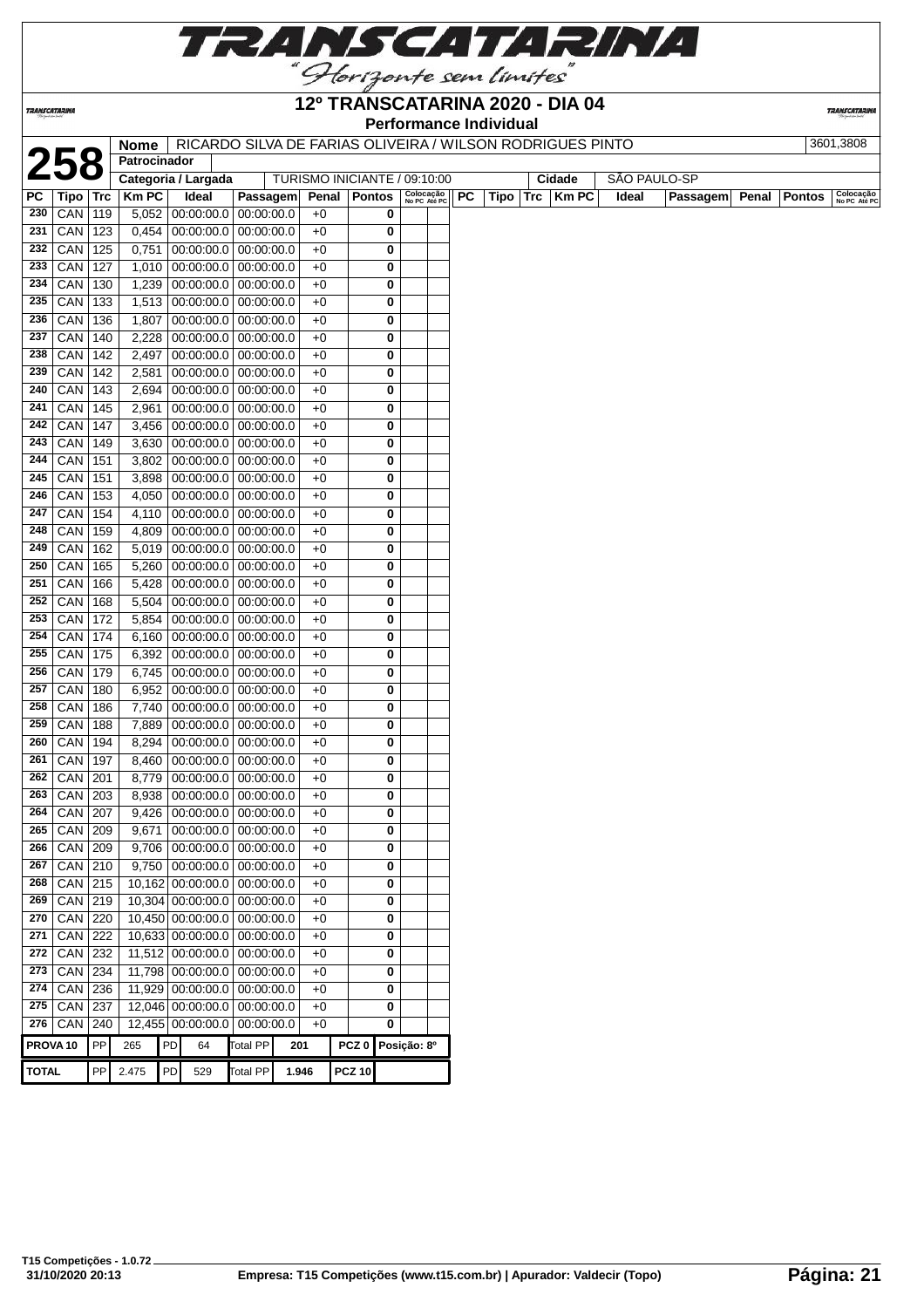

**TRANSCATARINA** 

#### **12º TRANSCATARINA 2020 - DIA 04 Performance Individual**

**TRANSCATARINA** 

|                     |                 |     |                     |    |                                 |                 |                              |                  |               |                           |    | Performance individual |            |                                                           |       |                     |       |               |                           |
|---------------------|-----------------|-----|---------------------|----|---------------------------------|-----------------|------------------------------|------------------|---------------|---------------------------|----|------------------------|------------|-----------------------------------------------------------|-------|---------------------|-------|---------------|---------------------------|
|                     |                 |     | <b>Nome</b>         |    |                                 |                 |                              |                  |               |                           |    |                        |            | RICARDO SILVA DE FARIAS OLIVEIRA / WILSON RODRIGUES PINTO |       |                     |       |               | 3601,3808                 |
|                     | 258             |     | Patrocinador        |    |                                 |                 |                              |                  |               |                           |    |                        |            |                                                           |       |                     |       |               |                           |
|                     |                 |     | Categoria / Largada |    |                                 |                 | TURISMO INICIANTE / 09:10:00 |                  |               |                           |    |                        |            | Cidade                                                    |       | <b>SAO PAULO-SP</b> |       |               |                           |
| PC                  | Tipo   Trc      |     | <b>KmPC</b>         |    | Ideal                           | Passagem        |                              | Penal            | <b>Pontos</b> | Colocação<br>No PC Até PC | PC | Tipo                   | <b>Trc</b> | <b>Km PC</b>                                              | Ideal | Passagem            | Penal | <b>Pontos</b> | Colocação<br>No PC Até PC |
| 230                 | CAN 119         |     | 5,052               |    | 00:00:00.0                      | 00:00:00.0      | $+0$                         |                  | 0             |                           |    |                        |            |                                                           |       |                     |       |               |                           |
| 231                 | CAN 123         |     | 0,454               |    | 00:00:00.0                      | 00:00:00.0      | $+0$                         |                  | 0             |                           |    |                        |            |                                                           |       |                     |       |               |                           |
| 232                 | CAN             | 125 | 0,751               |    | 00:00:00.0                      | 00:00:00.0      | $+0$                         |                  | 0             |                           |    |                        |            |                                                           |       |                     |       |               |                           |
| 233                 | $CAN$ 127       |     | 1,010               |    | 00:00:00.0                      | 00:00:00.0      | $+0$                         |                  | 0             |                           |    |                        |            |                                                           |       |                     |       |               |                           |
| 234                 | CAN             | 130 | 1,239               |    | 00:00:00.0                      | 00:00:00.0      | $+0$                         |                  | 0             |                           |    |                        |            |                                                           |       |                     |       |               |                           |
| 235                 | CAN             | 133 | 1,513               |    | 00:00:00.0                      | 00:00:00.0      | $+0$                         |                  | 0             |                           |    |                        |            |                                                           |       |                     |       |               |                           |
| 236                 | CAN             | 136 | 1,807               |    | $00:00:00.0$ 00:00:00.0         |                 | $+0$                         |                  | 0             |                           |    |                        |            |                                                           |       |                     |       |               |                           |
| 237                 | $CAN$ 140       |     | 2,228               |    | $00:00:00.0$ 00:00:00.0         |                 | $+0$                         |                  | 0             |                           |    |                        |            |                                                           |       |                     |       |               |                           |
| 238                 | $CAN$ 142       |     | 2,497               |    | $00:00:00.0$ 00:00:00.0         |                 | $+0$                         |                  | 0             |                           |    |                        |            |                                                           |       |                     |       |               |                           |
| 239                 | CAN 142         |     | 2,581               |    | $00:00:00.0$ 00:00:00.0         |                 | $+0$                         |                  | 0             |                           |    |                        |            |                                                           |       |                     |       |               |                           |
| 240                 | $CAN$ 143       |     | 2,694               |    | 00:00:00.0                      | 00:00:00.0      | $+0$                         |                  | 0             |                           |    |                        |            |                                                           |       |                     |       |               |                           |
| 241                 | $CAN$ 145       |     | 2,961               |    | $00:00:00.0$ 00:00:00.0         |                 | $+0$                         |                  | 0             |                           |    |                        |            |                                                           |       |                     |       |               |                           |
| 242                 | $CAN$ 147       |     | 3,456               |    | $00:00:00.0$ 00:00:00.0         |                 | $+0$                         |                  | 0             |                           |    |                        |            |                                                           |       |                     |       |               |                           |
| 243                 | $CAN$ 149       |     | 3,630               |    | 00:00:00.0                      | 00:00:00.0      | $+0$                         |                  | 0             |                           |    |                        |            |                                                           |       |                     |       |               |                           |
| 244                 | CAN             | 151 | 3,802               |    | 00:00:00.0                      | 00:00:00.0      | $+0$                         |                  | 0             |                           |    |                        |            |                                                           |       |                     |       |               |                           |
| 245                 | CAN             | 151 | 3,898               |    | $00:00:00.0$ 00:00:00.0         |                 | $+0$                         |                  | 0             |                           |    |                        |            |                                                           |       |                     |       |               |                           |
| 246                 | CAN             | 153 | 4,050               |    | $00:00:00.0$ 00:00:00.0         |                 | $+0$                         |                  | 0             |                           |    |                        |            |                                                           |       |                     |       |               |                           |
| 247                 | CAN             | 154 | 4,110               |    | $00:00:00.0$ 00:00:00.0         |                 | $+0$                         |                  | 0             |                           |    |                        |            |                                                           |       |                     |       |               |                           |
| 248                 | $CAN$ 159       |     | 4,809               |    | 00:00:00.0                      | 00:00:00.0      | $+0$                         |                  | 0             |                           |    |                        |            |                                                           |       |                     |       |               |                           |
| 249                 | CAN             | 162 | 5,019               |    | 00:00:00.0                      | 00:00:00.0      | $+0$                         |                  | 0             |                           |    |                        |            |                                                           |       |                     |       |               |                           |
| 250                 | $CAN$ 165       |     | 5,260               |    | $00:00:00.0$ 00:00:00.0         |                 | $+0$                         |                  | 0             |                           |    |                        |            |                                                           |       |                     |       |               |                           |
| 251                 | CAN             | 166 | 5,428               |    | 00:00:00.0                      | 00:00:00.0      | $+0$                         |                  | 0             |                           |    |                        |            |                                                           |       |                     |       |               |                           |
| 252                 | CAN             | 168 | 5,504               |    | 00:00:00.0                      | 00:00:00.0      | $+0$                         |                  | 0             |                           |    |                        |            |                                                           |       |                     |       |               |                           |
| 253                 | CAN             | 172 | 5,854               |    | 00:00:00.0                      | 00:00:00.0      | $+0$                         |                  | 0             |                           |    |                        |            |                                                           |       |                     |       |               |                           |
| 254                 | CAN             | 174 | 6,160               |    | $00:00:00.0$ 00:00:00.0         |                 | $+0$                         |                  | 0             |                           |    |                        |            |                                                           |       |                     |       |               |                           |
| 255                 | $CAN$   175     |     | 6,392               |    | $00:00:00.0$ 00:00:00.0         |                 | $+0$                         |                  | 0             |                           |    |                        |            |                                                           |       |                     |       |               |                           |
| 256                 | CAN 179         |     | 6,745               |    | $00:00:00.0$ 00:00:00.0         |                 | $+0$                         |                  | 0             |                           |    |                        |            |                                                           |       |                     |       |               |                           |
| 257                 | $CAN$   180     |     | 6,952               |    | 00:00:00.0                      | 00:00:00.0      | $+0$                         |                  | 0             |                           |    |                        |            |                                                           |       |                     |       |               |                           |
| 258                 | CAN             | 186 | 7,740               |    | $00:00:00.0$ 00:00:00.0         |                 | $+0$                         |                  | 0             |                           |    |                        |            |                                                           |       |                     |       |               |                           |
| 259                 |                 |     |                     |    |                                 |                 |                              |                  |               |                           |    |                        |            |                                                           |       |                     |       |               |                           |
|                     | CAN             | 188 | 7,889               |    | $00:00:00.0$ 00:00:00.0         |                 | $+0$                         |                  | 0             |                           |    |                        |            |                                                           |       |                     |       |               |                           |
| 260                 | CAN             | 194 | 8,294               |    | $00:00:00.0$ 00:00:00.0         |                 | $+0$                         |                  | 0             |                           |    |                        |            |                                                           |       |                     |       |               |                           |
| 261                 | CAN             | 197 | 8,460               |    | $00:00:00.0$ 00:00:00.0         |                 | $+0$                         |                  | 0             |                           |    |                        |            |                                                           |       |                     |       |               |                           |
| 262                 | CAN             | 201 | 8,779               |    | 00:00:00.0                      | 00:00:00.0      | $+0$                         |                  | 0             |                           |    |                        |            |                                                           |       |                     |       |               |                           |
| 263                 | $CAN$ 203       |     | 8,938               |    | $00:00:00.0$ 00:00:00.0         |                 | $+0$                         |                  | 0             |                           |    |                        |            |                                                           |       |                     |       |               |                           |
| 264                 | CAN 207         |     | 9,426               |    | 00:00:00.0 00:00:00.0           |                 | $+0$                         |                  | 0             |                           |    |                        |            |                                                           |       |                     |       |               |                           |
| 265                 | $CAN$ 209       |     | 9,671               |    | $\boxed{00:00:00.0}$ 00:00:00.0 |                 | $+0$                         |                  | 0             |                           |    |                        |            |                                                           |       |                     |       |               |                           |
| 266                 | $CAN$ 209       |     | 9,706               |    | 00:00:00.0                      | 00:00:00.0      | $+0$                         |                  | 0             |                           |    |                        |            |                                                           |       |                     |       |               |                           |
| 267                 | CAN 210         |     | 9,750               |    | 00:00:00.0                      | 00:00:00.0      | $+0$                         |                  | 0             |                           |    |                        |            |                                                           |       |                     |       |               |                           |
| 268                 | $CAN$ 215       |     |                     |    | 10,162 00:00:00.0 00:00:00.0    |                 | $+0$                         |                  | 0             |                           |    |                        |            |                                                           |       |                     |       |               |                           |
| 269                 | $CAN$ 219       |     |                     |    | 10,304 00:00:00.0 00:00:00.0    |                 | $+0$                         |                  | 0             |                           |    |                        |            |                                                           |       |                     |       |               |                           |
| 270                 | $CAN$ 220       |     |                     |    | 10,450 00:00:00.0 00:00:00.0    |                 | $+0$                         |                  | 0             |                           |    |                        |            |                                                           |       |                     |       |               |                           |
| 271                 | CAN 222         |     |                     |    | 10,633 00:00:00.0 00:00:00.0    |                 | $+0$                         |                  | 0             |                           |    |                        |            |                                                           |       |                     |       |               |                           |
| 272                 | $CAN$ 232       |     |                     |    | 11,512 00:00:00.0 00:00:00.0    |                 | $+0$                         |                  | 0             |                           |    |                        |            |                                                           |       |                     |       |               |                           |
| 273                 | $CAN$ 234       |     |                     |    | 11,798 00:00:00.0 00:00:00.0    |                 | $+0$                         |                  | 0             |                           |    |                        |            |                                                           |       |                     |       |               |                           |
| 274                 | $CAN$ 236       |     |                     |    | 11,929 00:00:00.0 00:00:00.0    |                 | $+0$                         |                  | 0             |                           |    |                        |            |                                                           |       |                     |       |               |                           |
| 275                 | $CAN$ 237       |     |                     |    | 12,046 00:00:00.0               | 00:00:00.0      | $+0$                         |                  | 0             |                           |    |                        |            |                                                           |       |                     |       |               |                           |
|                     | 276   CAN   240 |     |                     |    | 12,455 00:00:00.0               | 00:00:00.0      | $+0$                         |                  | 0             |                           |    |                        |            |                                                           |       |                     |       |               |                           |
| PROVA <sub>10</sub> |                 | PP  | 265                 | PD | 64                              | <b>Total PP</b> | 201                          | PCZ <sub>0</sub> |               | Posição: 8º               |    |                        |            |                                                           |       |                     |       |               |                           |
|                     |                 |     |                     |    |                                 |                 |                              |                  |               |                           |    |                        |            |                                                           |       |                     |       |               |                           |
| <b>TOTAL</b>        |                 | PP  | 2.475               | PD | 529                             | <b>Total PP</b> | 1.946                        | <b>PCZ 10</b>    |               |                           |    |                        |            |                                                           |       |                     |       |               |                           |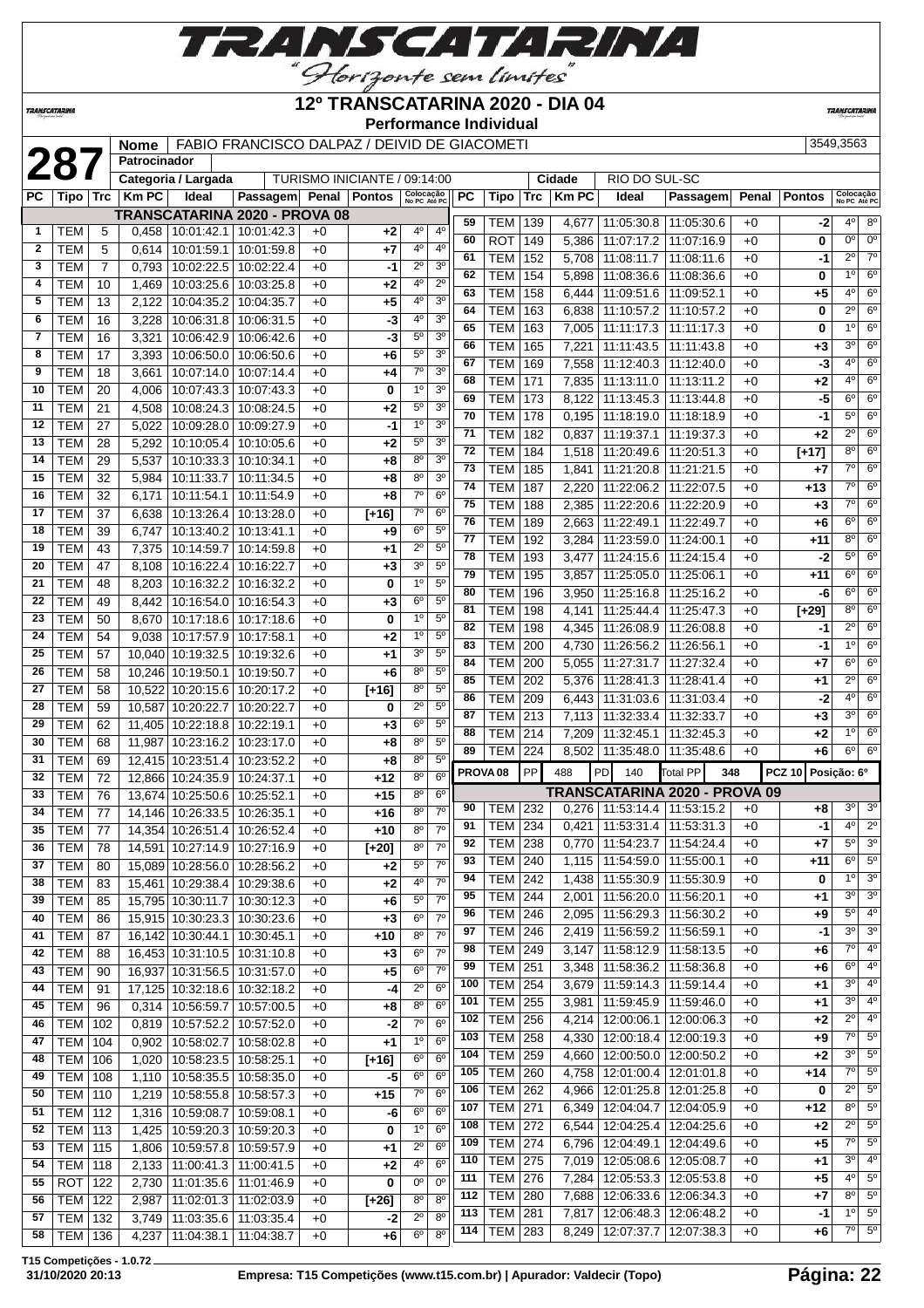

#### **12º TRANSCATARINA 2020 - DIA 04**

**Performance Individual**

**TRANSCATARIN** 

|              | 28         |                | <b>Nome</b><br>Patrocinador |                     | FABIO FRANCISCO DALPAZ / DEIVID DE GIACOMETI |              |                              |                            |                |          |                                    |            |              |                                   |                                 |              |               | 3549,3563                 |                            |
|--------------|------------|----------------|-----------------------------|---------------------|----------------------------------------------|--------------|------------------------------|----------------------------|----------------|----------|------------------------------------|------------|--------------|-----------------------------------|---------------------------------|--------------|---------------|---------------------------|----------------------------|
|              |            |                |                             | Categoria / Largada |                                              |              | TURISMO INICIANTE / 09:14:00 |                            |                |          |                                    |            | Cidade       | RIO DO SUL-SC                     |                                 |              |               |                           |                            |
| РC           | Tipo   Trc |                | <b>Km PC</b>                | Ideal               | Passagem Penal Pontos                        |              |                              | Colocação<br>No PC Até PC  |                | PC       | Tipo                               | <b>Trc</b> | <b>Km PC</b> | Ideal                             | Passagem                        | Penal        | <b>Pontos</b> | Colocação<br>No PC Até PC |                            |
|              |            |                |                             |                     | TRANSCATARINA 2020 - PROVA 08                |              |                              |                            |                |          |                                    |            |              |                                   |                                 |              |               |                           |                            |
| $\mathbf{1}$ | <b>TEM</b> | 5              | 0,458                       |                     | 10:01:42.1   10:01:42.3                      | $+0$         | +2                           | 40                         | 4°             | 59       | <b>TEM</b>                         | 139        | 4,677        |                                   | 11:05:30.8   11:05:30.6         | $+0$         | -2            | $4^{\circ}$               | $8^{\circ}$                |
| $\mathbf{2}$ | <b>TEM</b> | 5              | 0,614                       | 10:01:59.1          | 10:01:59.8                                   | $+0$         | +7                           | 4°                         | $4^{\circ}$    | 60       | <b>ROT</b>                         | 149        | 5.386        |                                   | 11:07:17.2   11:07:16.9         | $+0$         | 0             | $0^{\circ}$               | 0 <sup>o</sup>             |
| 3            | <b>TEM</b> | $\overline{7}$ | 0,793                       | 10:02:22.5          | 10:02:22.4                                   | $+0$         | -1                           | $2^{\circ}$                | 3 <sup>o</sup> | 61       | <b>TEM</b>                         | 152        | 5,708        | 11:08:11.7                        | 11:08:11.6                      | $+0$         | $-1$          | $2^{\circ}$               | $\overline{7^{\circ}}$     |
| 4            | TEM        | 10             | 1,469                       | 10:03:25.6          | 10:03:25.8                                   | $+0$         | +2                           | 4 <sup>0</sup>             | $2^{\circ}$    | 62       | TEM                                | 154        | 5,898        |                                   | 11:08:36.6   11:08:36.6         | $+0$         | 0             | $1^{\circ}$               | $6^{\circ}$                |
| 5            | TEM        | 13             | 2,122                       | 10:04:35.2          | 10:04:35.7                                   | $+0$         | +5                           | $4^{\circ}$                | 3 <sup>o</sup> | 63       | <b>TEM</b>                         | 158        | 6,444        | 11:09:51.6   11:09:52.1           |                                 | $+0$         | $+5$          | $4^{\circ}$               | $6^{\circ}$                |
| 6            | <b>TEM</b> | 16             | 3,228                       | 10:06:31.8          | 10:06:31.5                                   | $+0$         | -3                           | 4 <sup>0</sup>             | 3 <sup>o</sup> | 64       | <b>TEM</b>                         | 163        | 6,838        |                                   | 11:10:57.2 11:10:57.2           | $+0$         | 0             | $2^{\circ}$               | $6^{\circ}$                |
| 7            | <b>TEM</b> | 16             | 3,321                       | 10:06:42.9          | 10:06:42.6                                   | $+0$         | $-3$                         | $5^{\circ}$                | 3 <sup>o</sup> | 65       | <b>TEM</b>                         | 163        | 7,005        | 11:11:17.3 11:11:17.3             |                                 | $+0$         | 0             | $1^{\circ}$               | $6^{\circ}$                |
| 8            | <b>TEM</b> | 17             | 3,393                       | 10:06:50.0          | 10:06:50.6                                   | $+0$         | $+6$                         | $5^{\rm o}$                | 3 <sup>0</sup> | 66       | <b>TEM</b>                         | 165        | 7,221        | 11:11:43.5 11:11:43.8             |                                 | $+0$         | $+3$          | $3^{\circ}$               | $6^{\circ}$                |
| 9            | <b>TEM</b> | 18             | 3,661                       |                     | 10:07:14.0   10:07:14.4                      | $+0$         | +4                           | $7^\circ$                  | 3 <sup>o</sup> | 67       | <b>TEM</b>                         | 169        | 7,558        | 11:12:40.3   11:12:40.0           |                                 | $+0$         | $-3$          | $4^{\circ}$               | $6^{\circ}$                |
| 10           | <b>TEM</b> | 20             | 4,006                       | 10:07:43.3          | 10:07:43.3                                   | $+0$         | 0                            | 1 <sup>0</sup>             | 3 <sup>0</sup> | 68       | <b>TEM</b>                         | 171        | 7,835        | 11:13:11.0 11:13:11.2             |                                 | $+0$         | +2            | $4^{\circ}$               | 6 <sup>o</sup>             |
| 11           | <b>TEM</b> | 21             | 4,508                       | 10:08:24.3          | 10:08:24.5                                   | +0           | +2                           | $5^{\circ}$                | 3 <sup>o</sup> | 69       | <b>TEM</b>                         | 173        | 8,122        |                                   | 11:13:45.3   11:13:44.8         | $+0$         | -5            | $6^{\circ}$               | $6^{\circ}$                |
| 12           | <b>TEM</b> | 27             | 5,022                       | 10:09:28.0          | 10:09:27.9                                   | +0           | -1                           | 1 <sup>0</sup>             | 3 <sup>o</sup> | 70       | <b>TEM</b>                         | 178        | 0,195        |                                   | 11:18:19.0   11:18:18.9         | $+0$         | $-1$          | $5^{\circ}$               | $6^{\circ}$                |
| 13           | TEM        | 28             | 5,292                       | 10:10:05.4          | 10:10:05.6                                   | +0           | +2                           | $5^{\circ}$                | 3 <sup>0</sup> | 71       | <b>TEM</b>                         | 182        | 0,837        |                                   | 11:19:37.1   11:19:37.3         | $+0$         | $+2$          | $2^{\circ}$               | $6^{\circ}$                |
| 14           | <b>TEM</b> | 29             | 5,537                       | 10:10:33.3          | 10:10:34.1                                   | +0           | +8                           | $8^{\circ}$                | 3 <sup>o</sup> | 72       | <b>TEM</b>                         | 184        | 1,518        | 11:20:49.6   11:20:51.3           |                                 | $+0$         | $[+17]$       | $8^{\circ}$               | $6^{\circ}$                |
| 15           | <b>TEM</b> | 32             | 5,984                       | 10:11:33.7          | 10:11:34.5                                   | $+0$         | +8                           | 8 <sup>0</sup>             | 3 <sup>o</sup> | 73       | <b>TEM</b>                         | 185        | 1,841        |                                   | 11:21:20.8   11:21:21.5         | $+0$         | +7            | $7^\circ$                 | $6^{\circ}$                |
| 16           | <b>TEM</b> | 32             | 6,171                       | 10:11:54.1          | 10:11:54.9                                   | +0           | +8                           | 7 <sup>0</sup>             | $6^{\circ}$    | 74       | <b>TEM</b>                         | 187        | 2,220        | 11:22:06.2                        | 11:22:07.5                      | $+0$         | +13           | $7^\circ$                 | $6^{\circ}$                |
| 17           | <b>TEM</b> | 37             | 6.638                       |                     | 10:13:26.4   10:13:28.0                      | $+0$         | $[+16]$                      | 7 <sup>0</sup>             | 6 <sup>o</sup> | 75       | <b>TEM</b>                         | 188        | 2.385        | 11:22:20.6   11:22:20.9           |                                 | $+0$         | $+3$          | 70                        | $6^{\circ}$                |
| 18           | <b>TEM</b> | 39             | 6,747                       |                     | 10:13:40.2   10:13:41.1                      | $+0$         | +9                           | $6^{\circ}$                | $5^{\circ}$    | 76       | <b>TEM</b>                         | 189        | 2,663        | 11:22:49.1   11:22:49.7           |                                 | $+0$         | +6            | $6^{\circ}$               | $6^{\circ}$                |
| 19           | <b>TEM</b> | 43             | 7,375                       |                     | 10:14:59.7   10:14:59.8                      | $+0$         | +1                           | $2^{\circ}$                | $5^{\circ}$    | 77       | <b>TEM</b>                         | 192        | 3,284        | 11:23:59.0 11:24:00.1             |                                 | $+0$         | +11           | $8^{\circ}$               | $6^{\circ}$                |
| 20           | <b>TEM</b> | 47             | 8,108                       | 10:16:22.4          | 10:16:22.7                                   | +0           | $+3$                         | 3 <sup>0</sup>             | $5^{\circ}$    | 78       | <b>TEM</b>                         | 193        | 3,477        | 11:24:15.6   11:24:15.4           |                                 | $+0$         | -2            | $5^{\circ}$               | $6^{\circ}$                |
| 21           | <b>TEM</b> | 48             | 8,203                       | 10:16:32.2          | 10:16:32.2                                   | $+0$         | 0                            | 1 <sup>0</sup>             | 5 <sup>o</sup> | 79       | <b>TEM</b>                         | 195        | 3,857        | 11:25:05.0   11:25:06.1           |                                 | $+0$         | +11           | $6^{\circ}$               | $6^{\circ}$                |
| 22           | <b>TEM</b> | 49             | 8,442                       | 10:16:54.0          | 10:16:54.3                                   | $+0$         | +3                           | 6 <sup>o</sup>             | 5 <sup>0</sup> | 80       | <b>TEM</b>                         | 196        | 3,950        |                                   | 11:25:16.8   11:25:16.2         | $+0$         | -6            | $6^{\circ}$               | $6^{\circ}$                |
| 23           | <b>TEM</b> |                |                             |                     |                                              |              |                              | 1 <sup>0</sup>             | $5^{\circ}$    | 81       | <b>TEM</b>                         | 198        | 4,141        |                                   | 11:25:44.4   11:25:47.3         | $+0$         | $[+29]$       | $8^{\circ}$               | $6^{\circ}$                |
| 24           | <b>TEM</b> | 50<br>54       | 8,670                       | 10:17:18.6          | 10:17:18.6                                   | $+0$<br>$+0$ | 0                            | 1 <sup>0</sup>             | $5^{\circ}$    | 82       | <b>TEM</b>                         | 198        | 4,345        |                                   | 11:26:08.9   11:26:08.8         | $+0$         | -1            | $2^{\circ}$               | $6^{\circ}$                |
| 25           | <b>TEM</b> |                | 9,038                       | 10:17:57.9          | 10:17:58.1                                   |              | +2                           | 3 <sup>0</sup>             | $5^{\circ}$    | 83       | <b>TEM</b>                         | 200        | 4,730        | 11:26:56.2   11:26:56.1           |                                 | $+0$         | -1            | $1^{\circ}$               | $6^{\circ}$                |
|              |            | 57             | 10,040                      | 10:19:32.5          | 10:19:32.6                                   | $+0$         | +1                           | 8 <sup>o</sup>             |                | 84       | <b>TEM</b>                         | 200        | 5,055        | 11:27:31.7 11:27:32.4             |                                 | $+0$         | +7            | $6^{\circ}$               | $6^{\circ}$                |
| 26           | <b>TEM</b> | 58             | 10,246                      | 10:19:50.1          | 10:19:50.7                                   | $+0$         | $+6$                         |                            | 5 <sup>0</sup> | 85       | <b>TEM</b>                         | 202        | 5,376        | 11:28:41.3   11:28:41.4           |                                 | $+0$         | +1            | $2^{\circ}$               | 6 <sup>o</sup>             |
| 27           | <b>TEM</b> | 58             | 10,522                      |                     | 10:20:15.6   10:20:17.2                      | $+0$         | $[+16]$                      | $8^{\circ}$<br>$2^{\circ}$ | $5^{\circ}$    | 86       | <b>TEM</b>                         | 209        |              | 6,443 11:31:03.6 11:31:03.4       |                                 | $+0$         | -2            | $4^{\circ}$               | $6^{\circ}$                |
| 28           | <b>TEM</b> | 59             |                             | 10,587 10:20:22.7   | 10:20:22.7                                   | $+0$         | 0                            |                            | $5^{\circ}$    | 87       | <b>TEM</b>                         | 213        | 7,113        | 11:32:33.4 11:32:33.7             |                                 | $+0$         | $+3$          | 3 <sup>o</sup>            | $6^{\circ}$                |
| 29           | <b>TEM</b> | 62             |                             | 11,405 10:22:18.8   | 10:22:19.1                                   | +0           | $+3$                         | $6^{\circ}$                | $5^{\circ}$    | 88       | <b>TEM</b>                         | 214        | 7,209        |                                   | 11:32:45.1   11:32:45.3         | $+0$         | $+2$          | $1^{\circ}$               | $6^{\circ}$                |
| 30           | <b>TEM</b> | 68             | 11,987                      | 10:23:16.2          | 10:23:17.0                                   | +0           | +8                           | $8^{\circ}$                | $5^{\circ}$    | 89       | <b>TEM</b>                         | 224        |              | 8,502   11:35:48.0   11:35:48.6   |                                 | $+0$         | +6            | $6^{\circ}$               | $6^{\circ}$                |
| 31           | TEM        | 69             |                             | 12,415 10:23:51.4   | 10:23:52.2                                   | $+0$         | +8                           | 8 <sup>0</sup>             | 5 <sup>0</sup> |          | PROVA <sub>08</sub>                | PP         | 488          | PD<br>140                         | <b>Total PP</b><br>348          |              | <b>PCZ 10</b> | Posição: 6º               |                            |
| 32           | <b>TEM</b> | 72             |                             | 12,866 10:24:35.9   | 10:24:37.1                                   | $+0$         | $+12$                        | $8^{\circ}$                | $6^{\circ}$    |          |                                    |            |              |                                   | TRANSCATARINA 2020 - PROVA 09   |              |               |                           |                            |
| 33           | <b>TEM</b> | 76             | 13,674                      | 10:25:50.6          | 10:25:52.1                                   | $+0$         | +15                          | 8 <sup>0</sup>             | $6^{\circ}$    | 90       | TEM                                | 232        |              | $0,276$   11:53:14.4   11:53:15.2 |                                 | $+0$         | +8            | 3 <sup>o</sup>            | 3 <sup>o</sup>             |
| 34           | <b>TEM</b> | 77             |                             | 14,146 10:26:33.5   | 10:26:35.1                                   | $+0$         | $+16$                        | 8 <sup>0</sup>             | $7^\circ$      |          | 91   TEM $\boxed{234}$             |            |              |                                   | $0,421$ 11:53:31.4 11:53:31.3   | $+0$         | $-1$          |                           | $4^{\circ}$ 2 <sup>°</sup> |
|              | $35$ TEM   | 77             |                             |                     | 14,354 10:26:51.4 10:26:52.4                 | $+0$         | $+10$                        | $8^{\circ}$                | 7 <sup>0</sup> | 92       | TEM   238                          |            |              | $0,770$   11:54:23.7   11:54:24.4 |                                 | $+0$         | $+7$          | $5^{\circ}$               | 3 <sup>o</sup>             |
| 36           | <b>TEM</b> | 78             |                             |                     | 14,591 10:27:14.9 10:27:16.9                 | $+0$         | $[+20]$                      | $8^{\circ}$                | $7^\circ$      | 93       | <b>TEM</b>                         |            |              | 1,115   11:54:59.0   11:55:00.1   |                                 | $+0$         | $+11$         | $6^{\circ}$               | $5^{\circ}$                |
| 37           | <b>TEM</b> | 80             |                             |                     | 15,089 10:28:56.0 10:28:56.2                 | $+0$         | $+2$                         | $5^{\circ}$                | $7^\circ$      | 94       | TEM                                | 240<br>242 |              |                                   |                                 |              |               | 1 <sup>0</sup>            | 3 <sup>o</sup>             |
| 38           | <b>TEM</b> | 83             |                             | 15,461   10:29:38.4 | 10:29:38.6                                   | $+0$         | +2                           | 40                         | $7^\circ$      |          |                                    |            |              | 1,438   11:55:30.9   11:55:30.9   |                                 | $+0$         | 0             | $3^{\circ}$               | 3 <sup>o</sup>             |
| 39           | <b>TEM</b> | 85             |                             | 15,795 10:30:11.7   | 10:30:12.3                                   | $+0$         | $+6$                         | $5^{\circ}$                | $7^\circ$      | 95       | <b>TEM</b>                         | 244        | 2,001        | 11:56:20.0   11:56:20.1           |                                 | $+0$         | +1            | $5^{\circ}$               | 4 <sup>o</sup>             |
| 40           | <b>TEM</b> | 86             |                             |                     | 15,915 10:30:23.3 10:30:23.6                 | $+0$         | $+3$                         | $6^{\circ}$                | $7^{\circ}$    | 96<br>97 | <b>TEM   246</b><br><b>TEM 246</b> |            |              | 2,095   11:56:29.3   11:56:30.2   |                                 | $+0$<br>$+0$ | +9<br>-1      | $3^{\circ}$               | 3 <sup>o</sup>             |
| 41           | <b>TEM</b> | 87             |                             | 16,142 10:30:44.1   | 10:30:45.1                                   | $+0$         | $+10$                        | $8^{\circ}$                | $7^{\circ}$    |          |                                    |            |              | 2,419   11:56:59.2   11:56:59.1   |                                 |              |               | $7^\circ$                 | $4^{\circ}$                |
| 42           | <b>TEM</b> | 88             |                             | 16,453 10:31:10.5   | 10:31:10.8                                   | $+0$         | $+3$                         | $6^{\circ}$                | $7^\circ$      | 98<br>99 | TEM<br><b>TEM</b>                  | 249        | 3,147        | 11:58:12.9 11:58:13.5             |                                 | $+0$         | +6            | $6^{\circ}$               | $4^{\circ}$                |
| 43           | <b>TEM</b> | 90             | 16,937                      | 10:31:56.5          | 10:31:57.0                                   | $+0$         | +5                           | $6^{\circ}$                | $7^{\circ}$    |          |                                    | 251        | 3,348        | 11:58:36.2   11:58:36.8           |                                 | $+0$         | +6            | $3^{\circ}$               | 4 <sup>0</sup>             |
| 44           | <b>TEM</b> | 91             |                             |                     | 17,125 10:32:18.6 10:32:18.2                 | $+0$         | $-4$                         | $2^{\circ}$                | $6^{\circ}$    | 100      | <b>TEM</b>                         | 254        | 3,679        | 11:59:14.3 11:59:14.4             |                                 | $+0$         | $+1$          |                           | $4^{\circ}$                |
| 45           | <b>TEM</b> | 96             | 0,314                       |                     | 10:56:59.7   10:57:00.5                      | $+0$         | +8                           | 8 <sup>o</sup>             | $6^{\circ}$    | 101      | <b>TEM</b>                         | 255        | 3,981        |                                   | 11:59:45.9   11:59:46.0         | $+0$         | +1            | $3^{\circ}$               |                            |
| 46           | <b>TEM</b> | 102            |                             |                     | 0,819 10:57:52.2 10:57:52.0                  | $+0$         | $-2$                         | $7^\circ$                  | $6^{\circ}$    | 102      | TEM                                | 256        |              |                                   | $4,214$ 12:00:06.1   12:00:06.3 | $+0$         | +2            | $2^{\circ}$               | $4^{\circ}$                |
| 47           | <b>TEM</b> | 104            | 0,902                       |                     | 10:58:02.7   10:58:02.8                      | $+0$         | $+1$                         | 1 <sup>0</sup>             | $6^{\circ}$    | 103      | <b>TEM</b>                         | 258        | 4,330        |                                   | 12:00:18.4   12:00:19.3         | $+0$         | +9            | $7^\circ$                 | $5^{\circ}$                |
| 48           | <b>TEM</b> | 106            | 1,020                       | 10:58:23.5          | 10:58:25.1                                   | $+0$         | $[+16]$                      | $6^{\circ}$                | 6 <sup>o</sup> | 104      | <b>TEM</b>                         | 259        | 4,660        |                                   | 12:00:50.0   12:00:50.2         | $+0$         | +2            | $3^{\circ}$               | $5^{\circ}$                |
| 49           | <b>TEM</b> | 108            | 1,110                       | 10:58:35.5          | 10:58:35.0                                   | $+0$         | -5                           | 6 <sup>o</sup>             | $6^{\circ}$    | 105      | <b>TEM</b>                         | 260        | 4,758        |                                   | 12:01:00.4   12:01:01.8         | $+0$         | $+14$         | $7^\circ$                 | $5^{\circ}$                |
| 50           | <b>TEM</b> | 110            | 1,219                       |                     | 10:58:55.8 10:58:57.3                        | $+0$         | $+15$                        | $7^\circ$                  | $6^{\circ}$    | 106      | <b>TEM 262</b>                     |            | 4,966        |                                   | 12:01:25.8   12:01:25.8         | $+0$         | 0             | $2^{\circ}$               | $5^{\circ}$                |
| 51           | <b>TEM</b> | 112            | 1,316                       | 10:59:08.7          | 10:59:08.1                                   | $+0$         | -6                           | $6^{\circ}$                | $6^{\circ}$    | 107      | TEM                                | 271        | 6,349        |                                   | 12:04:04.7   12:04:05.9         | $+0$         | $+12$         | $8^{\circ}$               | $5^{\circ}$                |
| 52           | <b>TEM</b> | 113            | 1,425                       | 10:59:20.3          | 10:59:20.3                                   | +0           | 0                            | 1 <sup>0</sup>             | $6^{\circ}$    | 108      | <b>TEM</b>                         | 272        | 6,544        |                                   | 12:04:25.4   12:04:25.6         | $+0$         | +2            | $2^{\circ}$               | $5^{\circ}$                |
| 53           | <b>TEM</b> | 115            | 1,806                       |                     | 10:59:57.8 10:59:57.9                        | $+0$         | +1                           | $2^{\circ}$                | $6^{\circ}$    | 109      | <b>TEM</b>                         | 274        | 6,796        |                                   | 12:04:49.1   12:04:49.6         | $+0$         | $+5$          | $7^\circ$                 | $5^{\circ}$                |
| 54           | TEM        | 118            | 2,133                       |                     | 11:00:41.3   11:00:41.5                      | $+0$         | $+2$                         | 4 <sup>0</sup>             | $6^{\circ}$    | 110      | <b>TEM</b>                         | 275        | 7,019        | 12:05:08.6   12:05:08.7           |                                 | $+0$         | +1            | $3^{\circ}$               | 4 <sup>0</sup>             |
| 55           | <b>ROT</b> | 122            | 2,730                       |                     | 11:01:35.6   11:01:46.9                      | $+0$         | 0                            | $0^{\circ}$                | $0^{\circ}$    | 111      | <b>TEM</b>                         | 276        | 7,284        |                                   | 12:05:53.3   12:05:53.8         | $+0$         | $+5$          | $4^{\circ}$               | $5^{\circ}$                |
| 56           | <b>TEM</b> | 122            | 2,987                       |                     | 11:02:01.3   11:02:03.9                      | $+0$         | $[+26]$                      | 8 <sup>0</sup>             | $8^{\circ}$    | 112      | <b>TEM</b>                         | 280        | 7,688        |                                   | 12:06:33.6   12:06:34.3         | $+0$         | +7            | $8^{\circ}$               | $5^{\circ}$                |
| 57           | <b>TEM</b> | 132            |                             |                     | 3,749   11:03:35.6   11:03:35.4              | $+0$         | -21                          | $2^{\circ}$                | $8^{\circ}$    | 113      | <b>TEM</b>                         | 281        | 7,817        |                                   | 12:06:48.3   12:06:48.2         | $+0$         | -1            | 10                        | $5^{\circ}$                |
| 58           | TEM   136  |                |                             |                     | 4,237   11:04:38.1   11:04:38.7              | $+0$         | $+6$                         | 6 <sup>o</sup>             | 8 <sup>o</sup> | 114      | <b>TEM 283</b>                     |            | 8,249        |                                   | 12:07:37.7   12:07:38.3         | $+0$         | +6            |                           | $7°$ 5°                    |

**T15 Competições - 1.0.72**

**TRANSCATARINA**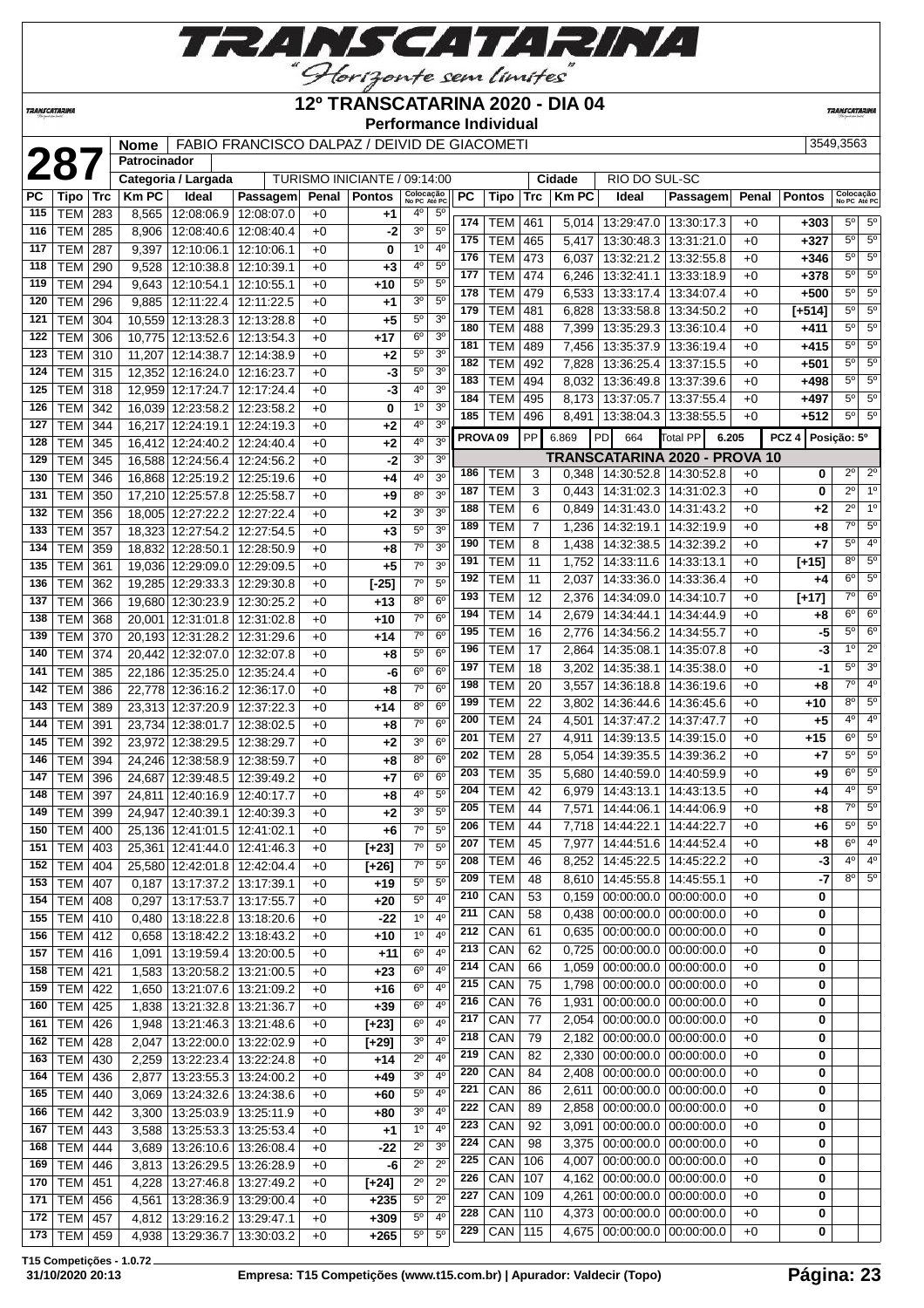

#### **12º TRANSCATARINA 2020 - DIA 04**

**Performance Individual**

**TRANSCATARIN** 

**TRANSCATARINA** 

|            |                  |     | Nome         |                              | FABIO FRANCISCO DALPAZ / DEIVID DE GIACOMETI |       |                              |                           |                                  |           |                     |     |                |                                       |                                      |       |                  | 3549,3563                 |                  |
|------------|------------------|-----|--------------|------------------------------|----------------------------------------------|-------|------------------------------|---------------------------|----------------------------------|-----------|---------------------|-----|----------------|---------------------------------------|--------------------------------------|-------|------------------|---------------------------|------------------|
|            | 287              |     | Patrocinador |                              |                                              |       |                              |                           |                                  |           |                     |     |                |                                       |                                      |       |                  |                           |                  |
|            |                  |     |              | Categoria / Largada          |                                              |       | TURISMO INICIANTE / 09:14:00 |                           |                                  |           |                     |     | Cidade         | RIO DO SUL-SC                         |                                      |       |                  |                           |                  |
| РC         | Tipo   Trc       |     | <b>KmPC</b>  | Ideal                        | Passagem                                     | Penal | <b>Pontos</b>                | Colocação<br>No PC Até PC |                                  | <b>PC</b> | Tipo                | Trc | <b>Km PC</b>   | Ideal                                 | Passagem                             | Penal | <b>Pontos</b>    | Colocação<br>No PC Até PC |                  |
| 115        | <b>TEM 283</b>   |     | 8,565        | 12:08:06.9                   | 12:08:07.0                                   | $+0$  | $+1$                         | $4^{\circ}$               | $5^{\circ}$                      |           |                     |     |                |                                       |                                      |       |                  |                           |                  |
| 116        | <b>TEM</b>       | 285 | 8,906        | 12:08:40.6                   | 12:08:40.4                                   | $+0$  | -2                           | 3 <sup>o</sup>            | 5 <sup>0</sup>                   | 174       | <b>TEM</b>          | 461 | 5,014          |                                       | 13:29:47.0   13:30:17.3              | $+0$  | $+303$           | $5^{\circ}$               | $5^{\circ}$      |
| 117        | <b>TEM</b>       | 287 | 9,397        | 12:10:06.1                   | 12:10:06.1                                   | $+0$  | 0                            | 1 <sup>0</sup>            | $4^{\circ}$                      | 175       | <b>TEM</b>          | 465 | 5,417          | 13:30:48.3                            | 13:31:21.0                           | $+0$  | $+327$           | $5^{\circ}$               | $5^{\circ}$      |
| 118        | <b>TEM</b>       | 290 | 9,528        | 12:10:38.8                   | 12:10:39.1                                   | $+0$  | $+3$                         | 40                        | 5 <sup>0</sup>                   | 176       | <b>TEM</b>          | 473 | 6,037          | 13:32:21.2                            | 13:32:55.8                           | $+0$  | $+346$           | $5^{\circ}$               | $5^{\circ}$      |
| 119        | <b>TEM</b>       | 294 | 9,643        | 12:10:54.1                   | 12:10:55.1                                   | $+0$  | $+10$                        | $5^{\circ}$               | $5^{\circ}$                      | 177       | <b>TEM</b>          | 474 | 6,246          | 13:32:41.1                            | 13:33:18.9                           | $+0$  | $+378$           | $5^{\circ}$               | $5^{\circ}$      |
| 120        | TEM              | 296 | 9,885        | 12:11:22.4                   | 12:11:22.5                                   | $+0$  | +1                           | 3 <sup>0</sup>            | 5 <sup>0</sup>                   | 178       | <b>TEM</b>          | 479 | 6,533          | 13:33:17.4                            | 13:34:07.4                           | $+0$  | $+500$           | $5^{\circ}$               | $5^{\circ}$      |
| 121        | <b>TEM</b>       | 304 | 10,559       | 12:13:28.3                   | 12:13:28.8                                   | $+0$  | $+5$                         | 5 <sup>o</sup>            | 3 <sup>o</sup>                   | 179       | <b>TEM</b>          | 481 | 6,828          | 13:33:58.8                            | 13:34:50.2                           | $+0$  | $[+514]$         | $5^{\circ}$               | $5^{\circ}$      |
| 122        | TEM              | 306 | 10,775       | 12:13:52.6                   | 12:13:54.3                                   | $+0$  | $+17$                        | 6 <sup>o</sup>            | 3 <sup>0</sup>                   | 180       | <b>TEM</b>          | 488 | 7,399          | 13:35:29.3                            | 13:36:10.4                           | $+0$  | $+411$           | 5 <sup>o</sup>            | $\overline{5^0}$ |
| 123        | <b>TEM</b>       | 310 | 11,207       | 12:14:38.7                   | 12:14:38.9                                   | +0    | $+2$                         | $5^{\circ}$               | 3 <sup>o</sup>                   | 181       | <b>TEM</b>          | 489 | 7,456          | 13:35:37.9                            | 13:36:19.4                           | $+0$  | $+415$           | $5^{\circ}$               | $5^{\circ}$      |
| 124        | <b>TEM 315</b>   |     |              | 12,352 12:16:24.0            | 12:16:23.7                                   | $+0$  | -3                           | 5 <sup>0</sup>            | 3 <sup>o</sup>                   | 182       | <b>TEM</b>          | 492 | 7,828          | 13:36:25.4                            | 13:37:15.5                           | $+0$  | $+501$           | $5^{\circ}$               | $5^{\circ}$      |
| 125        | <b>TEM 318</b>   |     |              | 12,959 12:17:24.7            | 12:17:24.4                                   | $+0$  | -3                           | 4 <sup>0</sup>            | 3 <sup>0</sup>                   | 183       | <b>TEM</b>          | 494 | 8,032          | 13:36:49.8                            | 13:37:39.6                           | $+0$  | +498             | $5^{\circ}$               | $\overline{5^0}$ |
| 126        | <b>TEM</b>       | 342 |              | 16,039 12:23:58.2            | 12:23:58.2                                   | $+0$  | 0                            | 1 <sup>0</sup>            | 3 <sup>0</sup>                   | 184       | <b>TEM</b>          | 495 | 8,173          | 13:37:05.7                            | 13:37:55.4                           | $+0$  | $+497$           | $5^{\circ}$               | 5 <sup>0</sup>   |
| 127        | <b>TEM</b>       | 344 |              | 16,217 12:24:19.1            | 12:24:19.3                                   | $+0$  | +2                           | 4 <sup>0</sup>            | 3 <sup>0</sup>                   | 185       | TEM                 | 496 | 8,491          |                                       | 13:38:04.3   13:38:55.5              | $+0$  | $+512$           | $5^{\circ}$               | $5^{\circ}$      |
| 128        | <b>TEM</b>       | 345 | 16,412       | 12:24:40.2                   | 12:24:40.4                                   | $+0$  | $+2$                         | 4 <sup>0</sup>            | 3 <sup>o</sup>                   |           | PROVA <sub>09</sub> | PP  | 6.869          | <b>PD</b><br>664                      | <b>Total PP</b><br>6.205             |       | PCZ <sub>4</sub> | Posição: 5º               |                  |
| 129        | <b>TEM</b>       | 345 | 16,588       | 12:24:56.4                   | 12:24:56.2                                   | $+0$  | -2                           | 3 <sup>o</sup>            | 3 <sup>o</sup>                   |           |                     |     |                |                                       | <b>TRANSCATARINA 2020 - PROVA 10</b> |       |                  |                           |                  |
| 130        | TEM              | 346 | 16,868       | 12:25:19.2                   | 12:25:19.6                                   | $+0$  | +4                           | 4 <sup>0</sup>            | 3 <sup>o</sup>                   | 186       | TEM                 | 3   | 0,348          |                                       | 14:30:52.8   14:30:52.8              | $+0$  | 0                | $2^{\circ}$               | $2^{\circ}$      |
| 131        | TEM              | 350 | 17,210       | 12:25:57.8                   | 12:25:58.7                                   | $+0$  | +9                           | $8^{\circ}$               | 3 <sup>0</sup>                   | 187       | <b>TEM</b>          | 3   | 0,443          | 14:31:02.3                            | 14:31:02.3                           | $+0$  | 0                | $2^{\circ}$               | 1 <sup>0</sup>   |
| 132        | <b>TEM</b>       | 356 | 18,005       | 12:27:22.2                   | 12:27:22.4                                   | $+0$  | $+2$                         | 3 <sup>o</sup>            | 3 <sup>o</sup>                   | 188       | <b>TEM</b>          | 6   | 0,849          | 14:31:43.0                            | 14:31:43.2                           | $+0$  | +2               | $2^{\circ}$               | 1 <sup>0</sup>   |
| 133        | <b>TEM</b>       | 357 | 18,323       | 12:27:54.2                   | 12:27:54.5                                   | $+0$  | $+3$                         | 5 <sup>0</sup>            | $\overline{3^0}$                 | 189       | <b>TEM</b>          | 7   | 1,236          | 14:32:19.1                            | 14:32:19.9                           | $+0$  | +8               | $7^\circ$                 | 5 <sup>o</sup>   |
| 134        | <b>TEM</b>       | 359 | 18,832       | 12:28:50.1                   | 12:28:50.9                                   | $+0$  | +8                           | 7 <sup>0</sup>            | 3 <sup>o</sup>                   | 190       | <b>TEM</b>          | 8   | 1,438          | 14:32:38.5                            | 14:32:39.2                           | $+0$  | $+7$             | 5 <sup>o</sup>            | 4 <sup>0</sup>   |
| 135        | <b>TEM</b>       | 361 |              | 19,036 12:29:09.0            | 12:29:09.5                                   | $+0$  | $+5$                         | 7 <sup>o</sup>            | 3 <sup>o</sup>                   | 191       | <b>TEM</b>          | 11  | 1,752          | 14:33:11.6                            | 14:33:13.1                           | $+0$  | $[+15]$          | $8^{\circ}$               | 5 <sup>o</sup>   |
| 136        | <b>TEM</b>       | 362 |              | 19,285 12:29:33.3            | 12:29:30.8                                   | $+0$  | $[-25]$                      | 7 <sup>o</sup>            | $5^{\circ}$                      | 192       | <b>TEM</b>          | 11  | 2,037          | 14:33:36.0                            | 14:33:36.4                           | $+0$  | +4               | $6^{\circ}$               | $\overline{5^0}$ |
|            |                  |     |              |                              |                                              |       |                              | 8 <sup>0</sup>            | 6 <sup>o</sup>                   | 193       | <b>TEM</b>          | 12  | 2,376          | 14:34:09.0                            | 14:34:10.7                           | $+0$  | $[+17]$          | $7^\circ$                 | $6^{\circ}$      |
| 137        | <b>TEM</b>       | 366 |              | 19,680 12:30:23.9            | 12:30:25.2                                   | $+0$  | $+13$                        | 7 <sup>0</sup>            | $6^{\circ}$                      | 194       | <b>TEM</b>          | 14  | 2,679          | 14:34:44.1                            | 14:34:44.9                           | $+0$  | +8               | 6 <sup>o</sup>            | $6^{\circ}$      |
| 138<br>139 | <b>TEM</b>       | 368 | 20,001       | 12:31:01.8                   | 12:31:02.8                                   | $+0$  | $+10$                        | $7^{\circ}$               | 6 <sup>o</sup>                   | 195       | TEM                 | 16  | 2,776          | 14:34:56.2                            | 14:34:55.7                           | $+0$  | -5               | 5 <sup>o</sup>            | 6 <sup>o</sup>   |
|            | TEM              | 370 | 20,193       | 12:31:28.2                   | 12:31:29.6                                   | $+0$  | $+14$                        | 5 <sup>0</sup>            | 6 <sup>o</sup>                   | 196       | <b>TEM</b>          | 17  | 2,864          | 14:35:08.1                            | 14:35:07.8                           | $+0$  | -3               | 1 <sup>°</sup>            | $\overline{2^0}$ |
| 140        | TEM              | 374 |              | 20,442 12:32:07.0            | 12:32:07.8                                   | $+0$  | $+8$                         | 6 <sup>o</sup>            | 6 <sup>o</sup>                   | 197       | <b>TEM</b>          | 18  | 3,202          | 14:35:38.1                            | 14:35:38.0                           | $+0$  | -1               | 5 <sup>0</sup>            | 3 <sup>o</sup>   |
| 141        | <b>TEM</b>       | 385 |              | 22,186 12:35:25.0            | 12:35:24.4                                   | +0    | -6                           | 7 <sup>o</sup>            | 6 <sup>o</sup>                   | 198       | <b>TEM</b>          | 20  | 3,557          | 14:36:18.8                            | 14:36:19.6                           | $+0$  | +8               | $\overline{7^0}$          | 4 <sup>0</sup>   |
| 142        | <b>TEM</b>       | 386 | 22,778       | 12:36:16.2                   | 12:36:17.0                                   | $+0$  | +8                           | 8 <sup>0</sup>            | 6 <sup>o</sup>                   | 199       | <b>TEM</b>          | 22  | 3,802          | 14:36:44.6                            | 14:36:45.6                           | $+0$  | $+10$            | $8^{\circ}$               | 5 <sup>o</sup>   |
| 143        | <b>TEM</b>       | 389 |              | 23,313 12:37:20.9            | 12:37:22.3                                   | $+0$  | $+14$                        | 7 <sup>o</sup>            | 6 <sup>o</sup>                   | 200       | <b>TEM</b>          | 24  | 4,501          | 14:37:47.2                            | 14:37:47.7                           | $+0$  | $+5$             | $4^{\circ}$               | 4 <sup>0</sup>   |
| 144        | <b>TEM</b>       | 391 | 23,734       | 12:38:01.7                   | 12:38:02.5                                   | $+0$  | +8                           | 3 <sup>0</sup>            | $6^{\circ}$                      | 201       | <b>TEM</b>          | 27  | 4,911          | 14:39:13.5                            | 14:39:15.0                           | $+0$  | $+15$            | 6 <sup>o</sup>            | $5^{\circ}$      |
| 145        | <b>TEM</b>       | 392 |              | 23,972 12:38:29.5            | 12:38:29.7                                   | $+0$  | +2                           |                           |                                  | 202       | <b>TEM</b>          | 28  | 5,054          | 14:39:35.5                            | 14:39:36.2                           | $+0$  | +7               | $5^{\circ}$               | 5 <sup>o</sup>   |
| 146        | <b>TEM</b>       | 394 |              | 24,246 12:38:58.9            | 12:38:59.7                                   | $+0$  | $+8$                         | 8 <sup>0</sup>            | 6 <sup>o</sup><br>6 <sup>o</sup> | 203       | <b>TEM</b>          | 35  | 5,680          | 14:40:59.0                            | 14:40:59.9                           | $+0$  | +9               | $6^{\circ}$               | $\overline{5^0}$ |
| 147        | <b>TEM</b>       | 396 | 24,687       | 12:39:48.5                   | 12:39:49.2                                   | $+0$  | +7                           | 6 <sup>o</sup>            |                                  | 204       | TEM                 | 42  | 6,979          | 14:43:13.1                            | 14:43:13.5                           | $+0$  | +4               | 4 <sup>0</sup>            | $5^{\circ}$      |
| 148        | TEM              | 397 | 24,811       | 12:40:16.9                   | 12:40:17.7                                   | $+0$  | $+8$                         | 4 <sup>0</sup>            | 5 <sup>0</sup><br>5 <sup>o</sup> | 205       | <b>TEM</b>          | 44  | 7,571          | 14:44:06.1                            | 14:44:06.9                           | $+0$  | +8               | $7^\circ$                 | 5 <sup>o</sup>   |
| 149        | <b>TEM</b>       | 399 | 24,947       | 12:40:39.1                   | 12:40:39.3                                   | $+0$  | +2                           | 3 <sup>o</sup>            |                                  | 206       | <b>TEM</b>          | 44  | 7,718          | 14:44:22.1                            | 14:44:22.7                           | $+0$  | +6               | 5 <sup>o</sup>            | 5 <sup>o</sup>   |
| 150        | <b>TEM 400</b>   |     |              | 25,136 12:41:01.5            | 12:41:02.1                                   | $+0$  | $+6$                         | 7 <sup>0</sup>            | $5^{\circ}$                      | 207       | TEM                 | 45  |                | 7,977   14:44:51.6   14:44:52.4       |                                      | $+0$  | +8               | $6^{\circ}$               | 4 <sup>0</sup>   |
| 151        | $ TEM $ 403      |     |              | 25,361 12:41:44.0 12:41:46.3 |                                              | $+0$  | $[+23]$                      | $7^{\circ}$               | 5 <sup>0</sup>                   | 208       | TEM                 | 46  | 8,252          |                                       | 14:45:22.5   14:45:22.2              | $+0$  | $-3$             | $4^{\circ}$               | 4 <sup>0</sup>   |
| 152        | <b>TEM   404</b> |     |              | 25,580 12:42:01.8            | 12:42:04.4                                   | $+0$  | $[+26]$                      | $7^\circ$                 | $5^{\circ}$                      | 209       | <b>TEM</b>          | 48  | 8,610          | 14:45:55.8   14:45:55.1               |                                      | $+0$  | $-7$             | $8^{\circ}$               | 5 <sup>o</sup>   |
| 153        | <b>TEM 407</b>   |     | 0,187        | 13:17:37.2                   | 13:17:39.1                                   | $+0$  | $+19$                        | $5^{\circ}$               | $5^{\circ}$                      | 210       | CAN                 | 53  | 0,159          | $00:00:00.0$ 00:00:00.0               |                                      | $+0$  | 0                |                           |                  |
| 154        | <b>TEM 408</b>   |     | 0,297        | 13:17:53.7                   | 13:17:55.7                                   | $+0$  | $+20$                        | $5^{\circ}$               | 4 <sup>0</sup>                   | 211       | CAN                 | 58  |                |                                       | $00:00:00.0$   00:00:00.0            | $+0$  |                  |                           |                  |
| 155        | <b>TEM 410</b>   |     | 0,480        | 13:18:22.8                   | 13:18:20.6                                   | $+0$  | -22                          | 1 <sup>0</sup>            | 4 <sup>0</sup>                   | 212       | CAN                 | 61  | 0,438<br>0,635 |                                       | 00:00:00.0 00:00:00.0                | $+0$  | 0<br>0           |                           |                  |
| 156        | <b>TEM 412</b>   |     | 0,658        | 13:18:42.2                   | 13:18:43.2                                   | $+0$  | $+10$                        | 1 <sup>o</sup>            | 4 <sup>0</sup>                   | 213       | CAN                 | 62  | 0,725          |                                       | $00:00:00.0$   $00:00:00.0$          | $+0$  | 0                |                           |                  |
| 157        | <b>TEM 416</b>   |     | 1,091        | 13:19:59.4                   | 13:20:00.5                                   | $+0$  | +11                          | 6 <sup>o</sup>            | $4^{\circ}$                      | 214       | CAN                 | 66  | 1,059          |                                       | $00:00:00.0$   00:00:00.0            | $+0$  | 0                |                           |                  |
| 158        | <b>TEM 421</b>   |     | 1,583        | 13:20:58.2                   | 13:21:00.5                                   | $+0$  | $+23$                        | $6^{\circ}$               | $4^{\circ}$                      | 215       | CAN                 | 75  | 1,798          |                                       | $00:00:00.0$   $00:00:00.0$          | $+0$  | 0                |                           |                  |
| 159        | <b>TEM</b>       | 422 | 1,650        | 13:21:07.6                   | 13:21:09.2                                   | $+0$  | +16                          | $6^{\circ}$               | 4 <sup>0</sup>                   | 216       | CAN                 | 76  | 1,931          |                                       | $00:00:00.0$ 00:00:00.00             | $+0$  | 0                |                           |                  |
| 160        | $TEM$ 425        |     | 1,838        | 13:21:32.8                   | 13:21:36.7                                   | $+0$  | $+39$                        | 6 <sup>o</sup>            | 4 <sup>0</sup>                   | 217       | CAN                 | 77  |                | 00:00:00.0                            | 00:00:00.0                           |       |                  |                           |                  |
| 161        | <b>TEM 426</b>   |     | 1,948        | 13:21:46.3                   | 13:21:48.6                                   | $+0$  | $[+23]$                      | $6^{\circ}$               | 4 <sup>0</sup>                   |           |                     |     | 2,054          |                                       |                                      | $+0$  | 0                |                           |                  |
| 162        | <b>TEM 428</b>   |     | 2,047        | 13:22:00.0                   | 13:22:02.9                                   | $+0$  | $[+29]$                      | 3 <sup>0</sup>            | 4 <sup>0</sup>                   | 218       | CAN                 | 79  | 2,182          |                                       | $00:00:00.0$   $00:00:00.0$          | $+0$  | 0                |                           |                  |
| 163        | TEM 430          |     | 2,259        | 13:22:23.4                   | 13:22:24.8                                   | $+0$  | $+14$                        | $2^{\circ}$               | 4 <sup>0</sup>                   | 219       | CAN                 | 82  | 2,330          |                                       | $00:00:00.0$   $00:00:00.0$          | $+0$  | 0                |                           |                  |
| 164        | TEM 436          |     | 2,877        | 13:23:55.3                   | 13:24:00.2                                   | $+0$  | $+49$                        | 3 <sup>0</sup>            | 4 <sup>0</sup>                   | 220       | CAN                 | 84  | 2,408          |                                       | $00:00:00.0$   $00:00:00.0$          | $+0$  | 0                |                           |                  |
| 165        | <b>TEM 440</b>   |     | 3,069        | 13:24:32.6                   | 13:24:38.6                                   | $+0$  | $+60$                        | $5^{\circ}$               | 4 <sup>0</sup>                   | 221       | CAN                 | 86  | 2,611          |                                       | $00:00:00.0$   $00:00:00.0$          | $+0$  | 0                |                           |                  |
| 166        | <b>TEM 442</b>   |     | 3,300        | 13:25:03.9                   | 13:25:11.9                                   | $+0$  | +80                          | 3 <sup>o</sup>            | 4 <sup>0</sup>                   | 222       | CAN                 | 89  | 2,858          | 00:00:00.0 00:00:00.0                 |                                      | $+0$  | 0                |                           |                  |
| 167        | $TEM$ 443        |     | 3,588        | 13:25:53.3                   | 13:25:53.4                                   | $+0$  | $+1$                         | $1^{\circ}$               | $4^{\circ}$                      | 223       | CAN                 | 92  | 3,091          |                                       | $00:00:00.0$ 00:00:00.0              | $+0$  | 0                |                           |                  |
| 168        | TEM              | 444 | 3,689        | 13:26:10.6                   | 13:26:08.4                                   | $+0$  | -22                          | $2^{\circ}$               | 3 <sup>o</sup>                   | 224       | CAN                 | 98  | 3,375          |                                       | $00:00:00.0$   $00:00:00.0$          | $+0$  | 0                |                           |                  |
| 169        | <b>TEM 446</b>   |     | 3,813        | 13:26:29.5                   | 13:26:28.9                                   | $+0$  | -6                           | $2^{\circ}$               | $2^{\circ}$                      | 225       | CAN                 | 106 | 4,007          |                                       | $00:00:00.0$ 00:00:00.0              | $+0$  | 0                |                           |                  |
|            | 170   TEM   451  |     | 4,228        | 13:27:46.8                   | 13:27:49.2                                   | $+0$  | $[+24]$                      | $2^{\circ}$               | $2^{\circ}$                      | 226       | CAN                 | 107 | 4,162          |                                       | $00:00:00.0$ 00:00:00.0              | $+0$  | 0                |                           |                  |
| 171        | TEM 456          |     | 4,561        | 13:28:36.9                   | 13:29:00.4                                   | $+0$  | $+235$                       | $5^{\circ}$               | $2^{\circ}$                      | 227       | CAN 109             |     | 4,261          |                                       | $00:00:00.0$   $00:00:00.0$          | $+0$  | 0                |                           |                  |
| 172        | <b>TEM 457</b>   |     | 4,812        | 13:29:16.2                   | 13:29:47.1                                   | $+0$  | $+309$                       | $5^{\circ}$               | 4 <sup>0</sup>                   | 228       | CAN   110           |     | 4,373          |                                       | $00:00:00.0$   $00:00:00.0$          | $+0$  | 0                |                           |                  |
|            | 173   TEM   459  |     | 4,938        | 13:29:36.7                   | 13:30:03.2                                   | $+0$  | $+265$                       | $5^{\circ}$               | $5^{\circ}$                      | 229       | CAN 115             |     | 4,675          | $\vert$ 00:00:00.0 $\vert$ 00:00:00.0 |                                      | $+0$  | 0                |                           |                  |